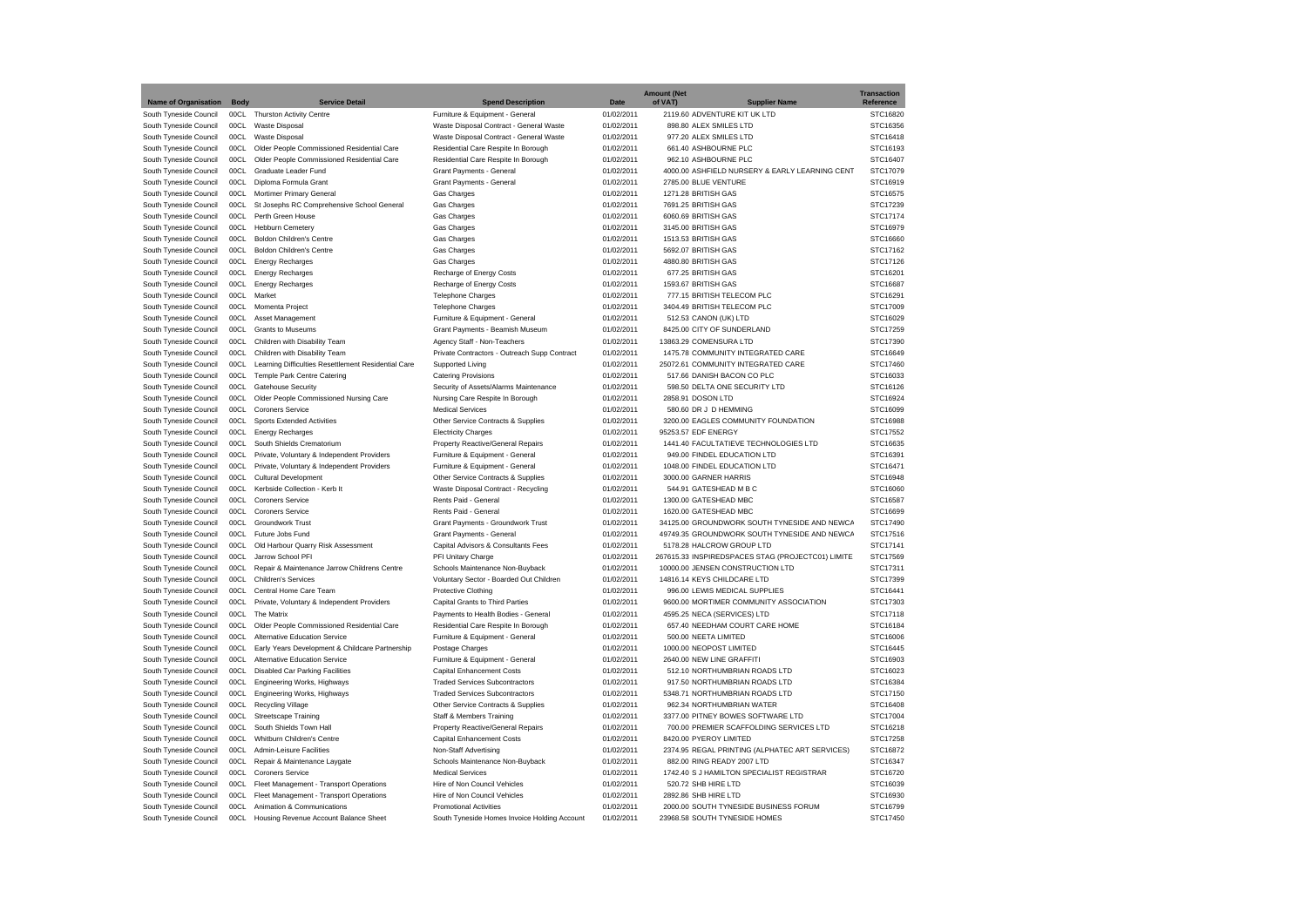|                             |             |                                                     |                                              |             | <b>Amount (Net</b> |                                                   | <b>Transaction</b> |
|-----------------------------|-------------|-----------------------------------------------------|----------------------------------------------|-------------|--------------------|---------------------------------------------------|--------------------|
| <b>Name of Organisation</b> | <b>Body</b> | <b>Service Detail</b>                               | <b>Spend Description</b>                     | <b>Date</b> | of VAT)            | <b>Supplier Name</b>                              | Reference          |
| South Tyneside Council      | 00CL        | Thurston Activity Centre                            | Furniture & Equipment - General              | 01/02/2011  |                    | 2119.60 ADVENTURE KIT UK LTD                      | STC16820           |
| South Tyneside Council      | 00CL        | Waste Disposal                                      | Waste Disposal Contract - General Waste      | 01/02/2011  |                    | 898.80 ALEX SMILES LTD                            | STC16356           |
| South Tyneside Council      | 00CL        | Waste Disposal                                      | Waste Disposal Contract - General Waste      | 01/02/2011  |                    | 977.20 ALEX SMILES LTD                            | STC16418           |
| South Tyneside Council      | 00CL        | Older People Commissioned Residential Care          | Residential Care Respite In Borough          | 01/02/2011  |                    | 661.40 ASHBOURNE PLC                              | STC16193           |
| South Tyneside Council      | 00CL        | Older People Commissioned Residential Care          | Residential Care Respite In Borough          | 01/02/2011  |                    | 962.10 ASHBOURNE PLC                              | STC16407           |
| South Tyneside Council      | 00CL        | Graduate Leader Fund                                | Grant Payments - General                     | 01/02/2011  |                    | 4000.00 ASHFIELD NURSERY & EARLY LEARNING CENT    | STC17079           |
| South Tyneside Council      | 00CL        | Diploma Formula Grant                               | Grant Payments - General                     | 01/02/2011  |                    | 2785.00 BLUE VENTURE                              | STC16919           |
| South Tyneside Council      | 00CL        | Mortimer Primary General                            | Gas Charges                                  | 01/02/2011  |                    | 1271.28 BRITISH GAS                               | STC16575           |
| South Tyneside Council      | 00CL        | St Josephs RC Comprehensive School General          | Gas Charges                                  | 01/02/2011  |                    | 7691.25 BRITISH GAS                               | STC17239           |
| South Tyneside Council      | 00CL        | Perth Green House                                   | Gas Charges                                  | 01/02/2011  |                    | 6060.69 BRITISH GAS                               | STC17174           |
| South Tyneside Council      | 00CL        | Hebburn Cemetery                                    | Gas Charges                                  | 01/02/2011  |                    | 3145.00 BRITISH GAS                               | STC16979           |
| South Tyneside Council      | 00CL        | <b>Boldon Children's Centre</b>                     | Gas Charges                                  | 01/02/2011  |                    | 1513.53 BRITISH GAS                               | STC16660           |
| South Tyneside Council      | 00CL        | <b>Boldon Children's Centre</b>                     | Gas Charges                                  | 01/02/2011  |                    | 5692.07 BRITISH GAS                               | STC17162           |
| South Tyneside Council      | 00CL        | <b>Energy Recharges</b>                             | Gas Charges                                  | 01/02/2011  |                    | 4880.80 BRITISH GAS                               | STC17126           |
| South Tyneside Council      | 00CL        | <b>Energy Recharges</b>                             | Recharge of Energy Costs                     | 01/02/2011  |                    | 677.25 BRITISH GAS                                | STC16201           |
| South Tyneside Council      | 00CL        | <b>Energy Recharges</b>                             | Recharge of Energy Costs                     | 01/02/2011  |                    | 1593.67 BRITISH GAS                               | STC16687           |
| South Tyneside Council      | 00CL        | Market                                              | <b>Telephone Charges</b>                     | 01/02/2011  |                    | 777.15 BRITISH TELECOM PLC                        | STC16291           |
| South Tyneside Council      | 00CL        | Momenta Project                                     | <b>Telephone Charges</b>                     | 01/02/2011  |                    | 3404.49 BRITISH TELECOM PLC                       | STC17009           |
| South Tyneside Council      | 00CL        | Asset Management                                    | Furniture & Equipment - General              | 01/02/2011  |                    | 512.53 CANON (UK) LTD                             | STC16029           |
| South Tyneside Council      | 00CL        | <b>Grants to Museums</b>                            | Grant Payments - Beamish Museum              | 01/02/2011  |                    | 8425.00 CITY OF SUNDERLAND                        | STC17259           |
| South Tyneside Council      | 00CL        | Children with Disability Team                       | Agency Staff - Non-Teachers                  | 01/02/2011  |                    | 13863.29 COMENSURA LTD                            | STC17390           |
|                             | 00CL        | Children with Disability Team                       | Private Contractors - Outreach Supp Contract | 01/02/2011  |                    | 1475.78 COMMUNITY INTEGRATED CARE                 | STC16649           |
| South Tyneside Council      | 00CL        |                                                     |                                              | 01/02/2011  |                    | 25072.61 COMMUNITY INTEGRATED CARE                | STC17460           |
| South Tyneside Council      |             | Learning Difficulties Resettlement Residential Care | Supported Living                             |             |                    |                                                   |                    |
| South Tyneside Council      | 00CL        | Temple Park Centre Catering                         | <b>Catering Provisions</b>                   | 01/02/2011  |                    | 517.66 DANISH BACON CO PLC                        | STC16033           |
| South Tyneside Council      | 00CL        | Gatehouse Security                                  | Security of Assets/Alarms Maintenance        | 01/02/2011  |                    | 598.50 DELTA ONE SECURITY LTD                     | STC16126           |
| South Tyneside Council      | 00CL        | Older People Commissioned Nursing Care              | Nursing Care Respite In Borough              | 01/02/2011  |                    | 2858.91 DOSON LTD                                 | STC16924           |
| South Tyneside Council      | 00CL        | <b>Coroners Service</b>                             | <b>Medical Services</b>                      | 01/02/2011  |                    | 580.60 DR J D HEMMING                             | STC16099           |
| South Tyneside Council      | 00CL        | <b>Sports Extended Activities</b>                   | Other Service Contracts & Supplies           | 01/02/2011  |                    | 3200.00 EAGLES COMMUNITY FOUNDATION               | STC16988           |
| South Tyneside Council      | 00CL        | <b>Energy Recharges</b>                             | <b>Electricity Charges</b>                   | 01/02/2011  |                    | 95253.57 EDF ENERGY                               | STC17552           |
| South Tyneside Council      | 00CL        | South Shields Crematorium                           | Property Reactive/General Repairs            | 01/02/2011  |                    | 1441.40 FACULTATIEVE TECHNOLOGIES LTD             | STC16635           |
| South Tyneside Council      | 00CL        | Private, Voluntary & Independent Providers          | Furniture & Equipment - General              | 01/02/2011  |                    | 949.00 FINDEL EDUCATION LTD                       | STC16391           |
| South Tyneside Council      | 00CL        | Private, Voluntary & Independent Providers          | Furniture & Equipment - General              | 01/02/2011  |                    | 1048.00 FINDEL EDUCATION LTD                      | STC16471           |
| South Tyneside Council      | 00CL        | Cultural Development                                | Other Service Contracts & Supplies           | 01/02/2011  |                    | 3000.00 GARNER HARRIS                             | STC16948           |
| South Tyneside Council      | 00CL        | Kerbside Collection - Kerb It                       | Waste Disposal Contract - Recycling          | 01/02/2011  |                    | 544.91 GATESHEAD M B C                            | STC16060           |
| South Tyneside Council      | 00CL        | <b>Coroners Service</b>                             | Rents Paid - General                         | 01/02/2011  |                    | 1300.00 GATESHEAD MBC                             | STC16587           |
| South Tyneside Council      | 00CL        | Coroners Service                                    | Rents Paid - General                         | 01/02/2011  |                    | 1620.00 GATESHEAD MBC                             | STC16699           |
| South Tyneside Council      | 00CL        | Groundwork Trust                                    | Grant Payments - Groundwork Trust            | 01/02/2011  |                    | 34125.00 GROUNDWORK SOUTH TYNESIDE AND NEWCA      | STC17490           |
| South Tyneside Council      | 00CL        | Future Jobs Fund                                    | Grant Payments - General                     | 01/02/2011  |                    | 49749.35 GROUNDWORK SOUTH TYNESIDE AND NEWCA      | STC17516           |
| South Tyneside Council      | 00CL        | Old Harbour Quarry Risk Assessment                  | Capital Advisors & Consultants Fees          | 01/02/2011  |                    | 5178.28 HALCROW GROUP LTD                         | STC17141           |
| South Tyneside Council      | 00CL        | Jarrow School PFI                                   | PFI Unitary Charge                           | 01/02/2011  |                    | 267615.33 INSPIREDSPACES STAG (PROJECTC01) LIMITE | STC17569           |
| South Tyneside Council      | 00CL        | Repair & Maintenance Jarrow Childrens Centre        | Schools Maintenance Non-Buyback              | 01/02/2011  |                    | 10000.00 JENSEN CONSTRUCTION LTD                  | STC17311           |
| South Tyneside Council      | 00CL        | <b>Children's Services</b>                          | Voluntary Sector - Boarded Out Children      | 01/02/2011  |                    | 14816.14 KEYS CHILDCARE LTD                       | STC17399           |
| South Tyneside Council      | 00CL        | Central Home Care Team                              | <b>Protective Clothing</b>                   | 01/02/2011  |                    | 996.00 LEWIS MEDICAL SUPPLIES                     | STC16441           |
| South Tyneside Council      | 00CL        | Private, Voluntary & Independent Providers          | Capital Grants to Third Parties              | 01/02/2011  |                    | 9600.00 MORTIMER COMMUNITY ASSOCIATION            | STC17303           |
| South Tyneside Council      | 00CL        | The Matrix                                          | Payments to Health Bodies - General          | 01/02/2011  |                    | 4595.25 NECA (SERVICES) LTD                       | STC17118           |
| South Tyneside Council      | 00CL        | Older People Commissioned Residential Care          | Residential Care Respite In Borough          | 01/02/2011  |                    | 657.40 NEEDHAM COURT CARE HOME                    | STC16184           |
| South Tyneside Council      | 00CL        | Alternative Education Service                       | Furniture & Equipment - General              | 01/02/2011  |                    | 500.00 NEETA LIMITED                              | STC16006           |
| South Tyneside Council      | 00CL        | Early Years Development & Childcare Partnership     | Postage Charges                              | 01/02/2011  |                    | 1000.00 NEOPOST LIMITED                           | STC16445           |
| South Tyneside Council      | 00CL        | Alternative Education Service                       | Furniture & Equipment - General              | 01/02/2011  |                    | 2640.00 NEW LINE GRAFFITI                         | STC16903           |
|                             | 00CL        | Disabled Car Parking Facilities                     | Capital Enhancement Costs                    | 01/02/2011  |                    | 512.10 NORTHUMBRIAN ROADS LTD                     | STC16023           |
| South Tyneside Council      | 00CL        |                                                     | <b>Traded Services Subcontractors</b>        |             |                    | 917.50 NORTHUMBRIAN ROADS LTD                     | STC16384           |
| South Tyneside Council      |             | Engineering Works, Highways                         |                                              | 01/02/2011  |                    |                                                   |                    |
| South Tyneside Council      | 00CL        | Engineering Works, Highways                         | <b>Traded Services Subcontractors</b>        | 01/02/2011  |                    | 5348.71 NORTHUMBRIAN ROADS LTD                    | STC17150           |
| South Tyneside Council      | 00CL        | <b>Recycling Village</b>                            | Other Service Contracts & Supplies           | 01/02/2011  |                    | 962.34 NORTHUMBRIAN WATER                         | STC16408           |
| South Tyneside Council      | 00CL        | Streetscape Training                                | Staff & Members Training                     | 01/02/2011  |                    | 3377.00 PITNEY BOWES SOFTWARE LTD                 | STC17004           |
| South Tyneside Council      | 00C1        | South Shields Town Hall                             | Property Reactive/General Repairs            | 01/02/2011  |                    | 700.00 PREMIER SCAFFOLDING SERVICES LTD           | STC16218           |
| South Tyneside Council      | 00CL        | Whitburn Children's Centre                          | Capital Enhancement Costs                    | 01/02/2011  |                    | 8420.00 PYEROY LIMITED                            | STC17258           |
| South Tyneside Council      | 00CL        | Admin-Leisure Facilities                            | Non-Staff Advertising                        | 01/02/2011  |                    | 2374.95 REGAL PRINTING (ALPHATEC ART SERVICES)    | STC16872           |
| South Tyneside Council      | 00CL        | Repair & Maintenance Laygate                        | Schools Maintenance Non-Buyback              | 01/02/2011  |                    | 882.00 RING READY 2007 LTD                        | STC16347           |
| South Tyneside Council      | 00CL        | <b>Coroners Service</b>                             | <b>Medical Services</b>                      | 01/02/2011  |                    | 1742.40 S J HAMILTON SPECIALIST REGISTRAR         | STC16720           |
| South Tyneside Council      | 00CL        | Fleet Management - Transport Operations             | Hire of Non Council Vehicles                 | 01/02/2011  |                    | 520.72 SHB HIRE LTD                               | STC16039           |
| South Tyneside Council      | 00CL        | Fleet Management - Transport Operations             | Hire of Non Council Vehicles                 | 01/02/2011  |                    | 2892.86 SHB HIRE LTD                              | STC16930           |
| South Tyneside Council      | 00CL        | Animation & Communications                          | <b>Promotional Activities</b>                | 01/02/2011  |                    | 2000.00 SOUTH TYNESIDE BUSINESS FORUM             | STC16799           |
| South Tyneside Council      | 00CL        | Housing Revenue Account Balance Sheet               | South Tyneside Homes Invoice Holding Account | 01/02/2011  |                    | 23968.58 SOUTH TYNESIDE HOMES                     | STC17450           |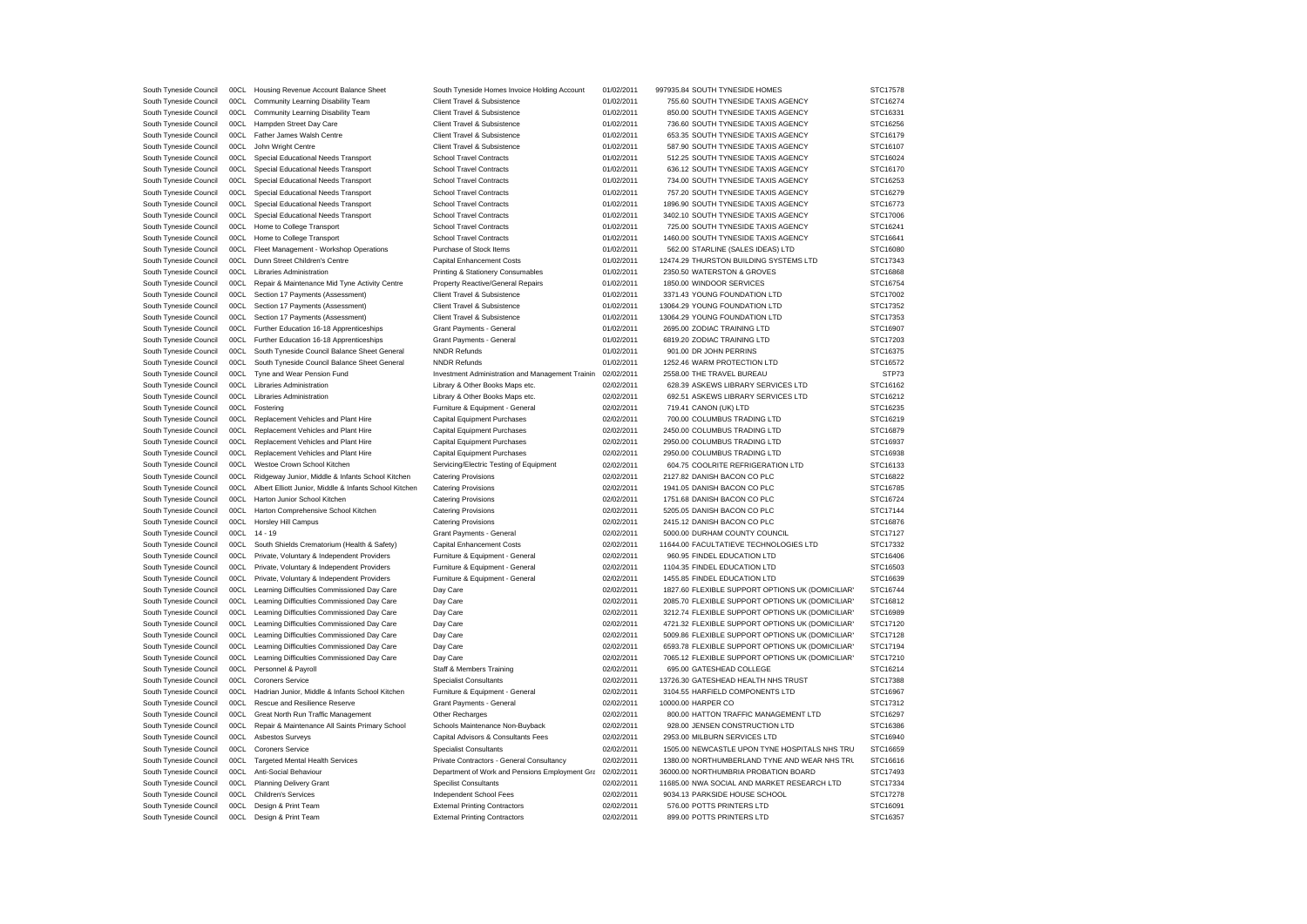| South Tyneside Council | 00CL | Housing Revenue Account Balance Sheet                  | South Tyneside Homes Invoice Holding Account     | 01/02/2011 | 997935.84 SOUTH TYNESIDE HOMES                   | STC17578 |
|------------------------|------|--------------------------------------------------------|--------------------------------------------------|------------|--------------------------------------------------|----------|
| South Tyneside Council | 00CL | Community Learning Disability Team                     | Client Travel & Subsistence                      | 01/02/2011 | 755.60 SOUTH TYNESIDE TAXIS AGENCY               | STC16274 |
|                        |      |                                                        |                                                  |            |                                                  |          |
| South Tyneside Council | 00CL | Community Learning Disability Team                     | Client Travel & Subsistence                      | 01/02/2011 | 850.00 SOUTH TYNESIDE TAXIS AGENCY               | STC16331 |
| South Tyneside Council | 00CL | Hampden Street Day Care                                | Client Travel & Subsistence                      | 01/02/2011 | 736.60 SOUTH TYNESIDE TAXIS AGENCY               | STC16256 |
| South Tyneside Council |      | 00CL Father James Walsh Centre                         | Client Travel & Subsistence                      | 01/02/2011 | 653.35 SOUTH TYNESIDE TAXIS AGENCY               | STC16179 |
| South Tyneside Council | 00CL | John Wright Centre                                     | Client Travel & Subsistence                      | 01/02/2011 | 587.90 SOUTH TYNESIDE TAXIS AGENCY               | STC16107 |
| South Tyneside Council | 00CL | Special Educational Needs Transport                    | <b>School Travel Contracts</b>                   | 01/02/2011 | 512.25 SOUTH TYNESIDE TAXIS AGENCY               | STC16024 |
| South Tyneside Council |      | 00CL Special Educational Needs Transport               | School Travel Contracts                          | 01/02/2011 | 636.12 SOUTH TYNESIDE TAXIS AGENCY               | STC16170 |
| South Tyneside Council | 00CL | Special Educational Needs Transport                    | <b>School Travel Contracts</b>                   | 01/02/2011 | 734.00 SOUTH TYNESIDE TAXIS AGENCY               | STC16253 |
|                        |      |                                                        |                                                  |            |                                                  |          |
| South Tyneside Council | 00CL | Special Educational Needs Transport                    | <b>School Travel Contracts</b>                   | 01/02/2011 | 757.20 SOUTH TYNESIDE TAXIS AGENCY               | STC16279 |
| South Tyneside Council |      | 00CL Special Educational Needs Transport               | School Travel Contracts                          | 01/02/2011 | 1896.90 SOUTH TYNESIDE TAXIS AGENCY              | STC16773 |
| South Tyneside Council |      | 00CL Special Educational Needs Transport               | <b>School Travel Contracts</b>                   | 01/02/2011 | 3402.10 SOUTH TYNESIDE TAXIS AGENCY              | STC17006 |
| South Tyneside Council | 00CL | Home to College Transport                              | <b>School Travel Contracts</b>                   | 01/02/2011 | 725.00 SOUTH TYNESIDE TAXIS AGENCY               | STC16241 |
| South Tyneside Council |      | 00CL Home to College Transport                         | <b>School Travel Contracts</b>                   | 01/02/2011 | 1460.00 SOUTH TYNESIDE TAXIS AGENCY              | STC16641 |
| South Tyneside Council | 00CL | Fleet Management - Workshop Operations                 | Purchase of Stock Items                          | 01/02/2011 | 562.00 STARLINE (SALES IDEAS) LTD                | STC16080 |
| South Tyneside Council | 00CL | Dunn Street Children's Centre                          | Capital Enhancement Costs                        | 01/02/2011 | 12474.29 THURSTON BUILDING SYSTEMS LTD           | STC17343 |
|                        |      |                                                        |                                                  |            |                                                  |          |
| South Tyneside Council |      | 00CL Libraries Administration                          | Printing & Stationery Consumables                | 01/02/2011 | 2350.50 WATERSTON & GROVES                       | STC16868 |
| South Tyneside Council | 00CL | Repair & Maintenance Mid Tyne Activity Centre          | Property Reactive/General Repairs                | 01/02/2011 | 1850.00 WINDOOR SERVICES                         | STC16754 |
| South Tyneside Council | 00CL | Section 17 Payments (Assessment)                       | Client Travel & Subsistence                      | 01/02/2011 | 3371.43 YOUNG FOUNDATION LTD                     | STC17002 |
| South Tyneside Council | 00CL | Section 17 Payments (Assessment)                       | Client Travel & Subsistence                      | 01/02/2011 | 13064.29 YOUNG FOUNDATION LTD                    | STC17352 |
| South Tyneside Council |      | 00CL Section 17 Payments (Assessment)                  | Client Travel & Subsistence                      | 01/02/2011 | 13064.29 YOUNG FOUNDATION LTD                    | STC17353 |
| South Tyneside Council | 00CL | Further Education 16-18 Apprenticeships                | Grant Payments - General                         | 01/02/2011 | 2695.00 ZODIAC TRAINING LTD                      | STC16907 |
| South Tyneside Council | 00CL | Further Education 16-18 Apprenticeships                | Grant Payments - General                         | 01/02/2011 | 6819.20 ZODIAC TRAINING LTD                      | STC17203 |
|                        |      |                                                        |                                                  |            |                                                  |          |
| South Tyneside Council |      | 00CL South Tyneside Council Balance Sheet General      | <b>NNDR Refunds</b>                              | 01/02/2011 | 901.00 DR JOHN PERRINS                           | STC16375 |
| South Tyneside Council | 00CL | South Tyneside Council Balance Sheet General           | <b>NNDR Refunds</b>                              | 01/02/2011 | 1252.46 WARM PROTECTION LTD                      | STC16572 |
| South Tyneside Council | 00CL | Tyne and Wear Pension Fund                             | Investment Administration and Management Trainin | 02/02/2011 | 2558.00 THE TRAVEL BUREAU                        | STP73    |
| South Tyneside Council |      | 00CL Libraries Administration                          | Library & Other Books Maps etc.                  | 02/02/2011 | 628.39 ASKEWS LIBRARY SERVICES LTD               | STC16162 |
| South Tyneside Council |      | 00CL Libraries Administration                          | Library & Other Books Maps etc.                  | 02/02/2011 | 692.51 ASKEWS LIBRARY SERVICES LTD               | STC16212 |
| South Tyneside Council | 00CL | Fostering                                              | Furniture & Equipment - General                  | 02/02/2011 | 719.41 CANON (UK) LTD                            | STC16235 |
|                        |      |                                                        |                                                  |            |                                                  |          |
| South Tyneside Council | 00CL | Replacement Vehicles and Plant Hire                    | Capital Equipment Purchases                      | 02/02/2011 | 700.00 COLUMBUS TRADING LTD                      | STC16219 |
| South Tyneside Council | 00CL | Replacement Vehicles and Plant Hire                    | <b>Capital Equipment Purchases</b>               | 02/02/2011 | 2450.00 COLUMBUS TRADING LTD                     | STC16879 |
| South Tyneside Council | 00CL | Replacement Vehicles and Plant Hire                    | <b>Capital Equipment Purchases</b>               | 02/02/2011 | 2950.00 COLUMBUS TRADING LTD                     | STC16937 |
| South Tyneside Council |      | 00CL Replacement Vehicles and Plant Hire               | <b>Capital Equipment Purchases</b>               | 02/02/2011 | 2950.00 COLUMBUS TRADING LTD                     | STC16938 |
| South Tyneside Council |      | 00CL Westoe Crown School Kitchen                       | Servicing/Electric Testing of Equipment          | 02/02/2011 | 604.75 COOLRITE REFRIGERATION LTD                | STC16133 |
| South Tyneside Council | 00CL | Ridgeway Junior, Middle & Infants School Kitchen       | <b>Catering Provisions</b>                       | 02/02/2011 | 2127.82 DANISH BACON CO PLC                      | STC16822 |
| South Tyneside Council | 00CL | Albert Elliott Junior, Middle & Infants School Kitchen | <b>Catering Provisions</b>                       | 02/02/2011 | 1941.05 DANISH BACON CO PLC                      | STC16785 |
|                        |      |                                                        |                                                  |            |                                                  |          |
| South Tyneside Council |      | 00CL Harton Junior School Kitchen                      | <b>Catering Provisions</b>                       | 02/02/2011 | 1751.68 DANISH BACON CO PLC                      | STC16724 |
| South Tyneside Council |      | 00CL Harton Comprehensive School Kitchen               | <b>Catering Provisions</b>                       | 02/02/2011 | 5205.05 DANISH BACON CO PLC                      | STC17144 |
| South Tyneside Council | 00CL | <b>Horsley Hill Campus</b>                             | <b>Catering Provisions</b>                       | 02/02/2011 | 2415.12 DANISH BACON CO PLC                      | STC16876 |
| South Tyneside Council |      | 00CL 14-19                                             | Grant Payments - General                         | 02/02/2011 | 5000.00 DURHAM COUNTY COUNCIL                    | STC17127 |
| South Tyneside Council |      | 00CL South Shields Crematorium (Health & Safety)       | Capital Enhancement Costs                        | 02/02/2011 | 11644.00 FACULTATIEVE TECHNOLOGIES LTD           | STC17332 |
| South Tyneside Council | 00CL | Private, Voluntary & Independent Providers             | Furniture & Equipment - General                  | 02/02/2011 | 960.95 FINDEL EDUCATION LTD                      | STC16406 |
| South Tyneside Council |      | 00CL Private, Voluntary & Independent Providers        | Furniture & Equipment - General                  | 02/02/2011 | 1104.35 FINDEL EDUCATION LTD                     | STC16503 |
|                        |      |                                                        |                                                  |            |                                                  |          |
| South Tyneside Council |      | 00CL Private, Voluntary & Independent Providers        | Furniture & Equipment - General                  | 02/02/2011 | 1455.85 FINDEL EDUCATION LTD                     | STC16639 |
| South Tyneside Council |      | 00CL Learning Difficulties Commissioned Day Care       | Day Care                                         | 02/02/2011 | 1827.60 FLEXIBLE SUPPORT OPTIONS UK (DOMICILIAR) | STC16744 |
| South Tyneside Council |      | 00CL Learning Difficulties Commissioned Day Care       | Day Care                                         | 02/02/2011 | 2085.70 FLEXIBLE SUPPORT OPTIONS UK (DOMICILIAR) | STC16812 |
| South Tyneside Council |      | 00CL Learning Difficulties Commissioned Day Care       | Day Care                                         | 02/02/2011 | 3212.74 FLEXIBLE SUPPORT OPTIONS UK (DOMICILIAR) | STC16989 |
| South Tyneside Council |      | 00CL Learning Difficulties Commissioned Day Care       | Day Care                                         | 02/02/2011 | 4721.32 FLEXIBLE SUPPORT OPTIONS UK (DOMICILIAR' | STC17120 |
| South Tyneside Council |      | 00CL Learning Difficulties Commissioned Day Care       | Day Care                                         | 02/02/2011 | 5009.86 FLEXIBLE SUPPORT OPTIONS UK (DOMICILIAR' | STC17128 |
| South Tyneside Council |      | 00CL Learning Difficulties Commissioned Day Care       | Day Care                                         | 02/02/2011 | 6593.78 FLEXIBLE SUPPORT OPTIONS UK (DOMICILIAR' | STC17194 |
|                        |      |                                                        |                                                  |            |                                                  |          |
| South Tyneside Council |      | 00CL Learning Difficulties Commissioned Day Care       | Day Care                                         | 02/02/2011 | 7065.12 FLEXIBLE SUPPORT OPTIONS UK (DOMICILIAR) | STC17210 |
| South Tyneside Council | 00CL | Personnel & Payroll                                    | Staff & Members Training                         | 02/02/2011 | 695.00 GATESHEAD COLLEGE                         | STC16214 |
| South Tyneside Council |      | 00CL Coroners Service                                  | <b>Specialist Consultants</b>                    | 02/02/2011 | 13726.30 GATESHEAD HEALTH NHS TRUST              | STC17388 |
| South Tyneside Council |      | 00CL Hadrian Junior, Middle & Infants School Kitchen   | Furniture & Equipment - General                  | 02/02/2011 | 3104.55 HARFIELD COMPONENTS LTD                  | STC16967 |
| South Tyneside Council | 00CL | Rescue and Resilience Reserve                          | Grant Payments - General                         | 02/02/2011 | 10000.00 HARPER CO                               | STC17312 |
| South Tyneside Council |      | 00CL Great North Run Traffic Management                | Other Recharges                                  | 02/02/2011 | 800.00 HATTON TRAFFIC MANAGEMENT LTD             | STC16297 |
| South Tyneside Council | 00CL | Repair & Maintenance All Saints Primary School         |                                                  | 02/02/2011 | 928.00 JENSEN CONSTRUCTION LTD                   | STC16386 |
|                        |      |                                                        | Schools Maintenance Non-Buyback                  |            |                                                  |          |
| South Tyneside Council | 00CL | Asbestos Surveys                                       | Capital Advisors & Consultants Fees              | 02/02/2011 | 2953.00 MILBURN SERVICES LTD                     | STC16940 |
| South Tyneside Council |      | 00CL Coroners Service                                  | <b>Specialist Consultants</b>                    | 02/02/2011 | 1505.00 NEWCASTLE UPON TYNE HOSPITALS NHS TRU    | STC16659 |
| South Tyneside Council |      | 00CL Targeted Mental Health Services                   | Private Contractors - General Consultancy        | 02/02/2011 | 1380.00 NORTHUMBERLAND TYNE AND WEAR NHS TRL     | STC16616 |
| South Tyneside Council |      | 00CL Anti-Social Behaviour                             | Department of Work and Pensions Employment Gra   | 02/02/2011 | 36000.00 NORTHUMBRIA PROBATION BOARD             | STC17493 |
| South Tyneside Council |      | 00CL Planning Delivery Grant                           | <b>Specilist Consultants</b>                     | 02/02/2011 | 11685.00 NWA SOCIAL AND MARKET RESEARCH LTD      | STC17334 |
| South Tyneside Council |      | 00CL Children's Services                               | <b>Independent School Fees</b>                   | 02/02/2011 | 9034.13 PARKSIDE HOUSE SCHOOL                    | STC17278 |
|                        |      |                                                        |                                                  | 02/02/2011 | 576.00 POTTS PRINTERS LTD                        | STC16091 |
| South Tyneside Council |      | 00CL Design & Print Team                               | <b>External Printing Contractors</b>             |            |                                                  |          |
| South Tyneside Council | 00CL | Design & Print Team                                    | <b>External Printing Contractors</b>             | 02/02/2011 | 899.00 POTTS PRINTERS LTD                        | STC16357 |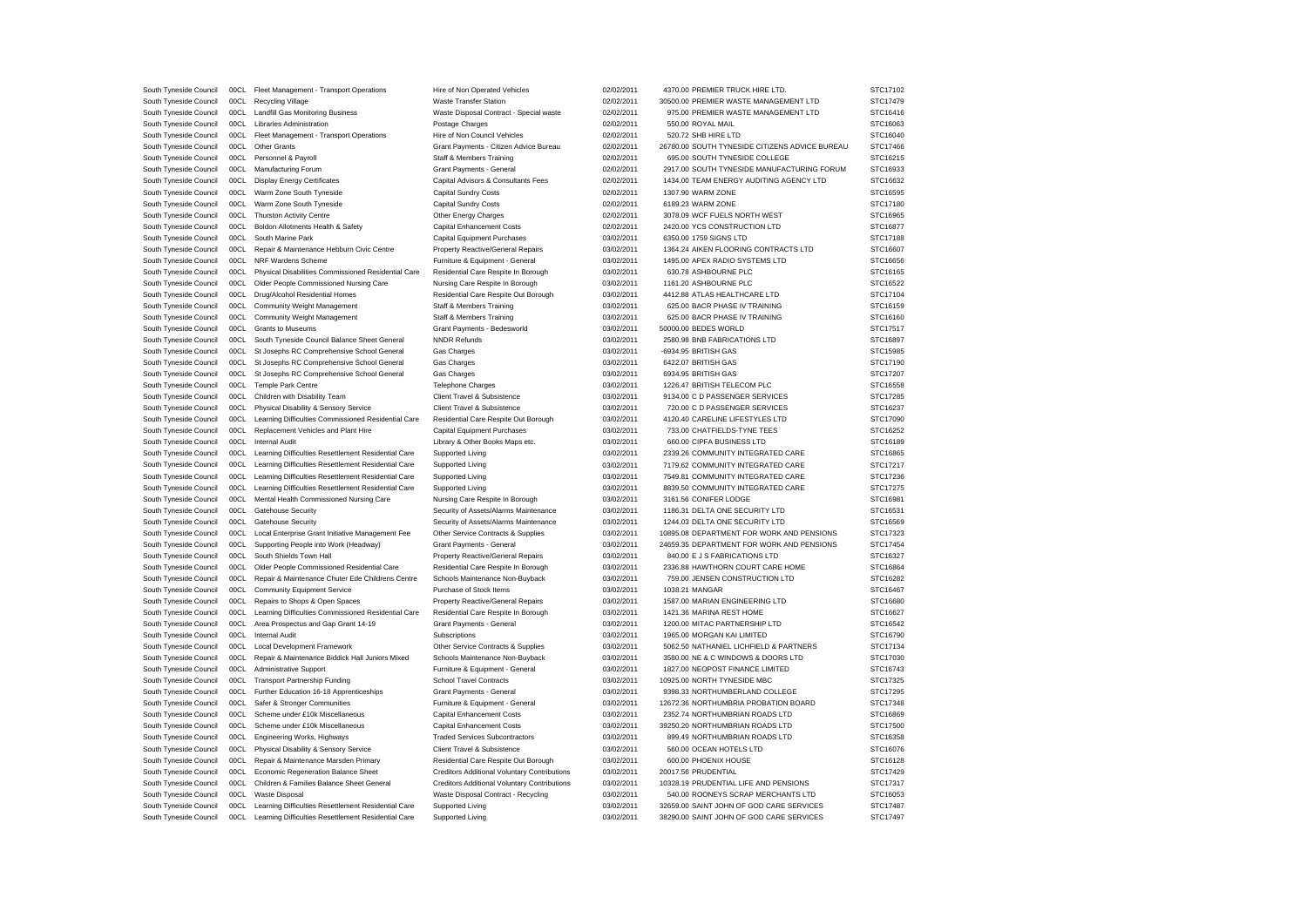| South Tyneside Council | 00CL | Fleet Management - Transport Operations                  | Hire of Non Operated Vehicles                | 02/02/2011 | 4370.00 PREMIER TRUCK HIRE LTD                 | STC17102 |
|------------------------|------|----------------------------------------------------------|----------------------------------------------|------------|------------------------------------------------|----------|
| South Tyneside Council | 00CL | <b>Recycling Village</b>                                 | <b>Waste Transfer Station</b>                | 02/02/2011 | 30500.00 PREMIER WASTE MANAGEMENT LTD          | STC17479 |
| South Tyneside Council |      | 00CL Landfill Gas Monitoring Business                    | Waste Disposal Contract - Special waste      | 02/02/2011 | 975.00 PREMIER WASTE MANAGEMENT LTD            | STC16416 |
| South Tyneside Council |      | 00CL Libraries Administration                            | Postage Charges                              | 02/02/2011 | 550.00 ROYAL MAIL                              | STC16063 |
| South Tyneside Council | 00C1 | Fleet Management - Transport Operations                  | Hire of Non Council Vehicles                 | 02/02/2011 | 520.72 SHB HIRE LTD                            | STC16040 |
| South Tyneside Council |      | 00CL Other Grants                                        | Grant Payments - Citizen Advice Bureau       | 02/02/2011 | 26780.00 SOUTH TYNESIDE CITIZENS ADVICE BUREAU | STC17466 |
| South Tyneside Council |      | 00CL Personnel & Payroll                                 | Staff & Members Training                     | 02/02/2011 | 695.00 SOUTH TYNESIDE COLLEGE                  | STC16215 |
| South Tyneside Council | 00CL | Manufacturing Forum                                      | Grant Payments - General                     | 02/02/2011 | 2917.00 SOUTH TYNESIDE MANUFACTURING FORUM     | STC16933 |
| South Tyneside Council |      | 00CL Display Energy Certificates                         | Capital Advisors & Consultants Fees          | 02/02/2011 | 1434.00 TEAM ENERGY AUDITING AGENCY LTD        | STC16632 |
| South Tyneside Council |      | 00CL Warm Zone South Tyneside                            | <b>Capital Sundry Costs</b>                  | 02/02/2011 | 1307.90 WARM ZONE                              | STC16595 |
| South Tyneside Council | 00CL | Warm Zone South Tyneside                                 | <b>Capital Sundry Costs</b>                  | 02/02/2011 | 6189.23 WARM ZONE                              | STC17180 |
| South Tyneside Council |      | 00CL Thurston Activity Centre                            | Other Energy Charges                         | 02/02/2011 | 3078.09 WCF FUELS NORTH WEST                   | STC16965 |
| South Tyneside Council |      | 00CL Boldon Allotments Health & Safety                   | Capital Enhancement Costs                    | 02/02/2011 | 2420.00 YCS CONSTRUCTION LTD                   | STC16877 |
| South Tyneside Council |      | 00CL South Marine Park                                   | Capital Equipment Purchases                  | 03/02/2011 | 6350.00 1759 SIGNS LTD                         | STC17188 |
| South Tyneside Council | 00CL | Repair & Maintenance Hebburn Civic Centre                | Property Reactive/General Repairs            | 03/02/2011 | 1364.24 AIKEN FLOORING CONTRACTS LTD           | STC16607 |
| South Tyneside Council |      | 00CL NRF Wardens Scheme                                  | Furniture & Equipment - General              | 03/02/2011 | 1495.00 APEX RADIO SYSTEMS LTD                 | STC16656 |
| South Tyneside Council |      | 00CL Physical Disabilities Commissioned Residential Care | Residential Care Respite In Borough          | 03/02/2011 | 630.78 ASHBOURNE PLC                           | STC16165 |
| South Tyneside Council | 00CL | Older People Commissioned Nursing Care                   | Nursing Care Respite In Borough              | 03/02/2011 | 1161.20 ASHBOURNE PLC                          | STC16522 |
| South Tyneside Council |      | 00CL Drug/Alcohol Residential Homes                      | Residential Care Respite Out Borough         | 03/02/2011 | 4412.88 ATLAS HEALTHCARE LTD                   | STC17104 |
| South Tyneside Council |      | 00CL Community Weight Management                         | <b>Staff &amp; Members Training</b>          | 03/02/2011 | 625.00 BACR PHASE IV TRAINING                  | STC16159 |
| South Tyneside Council | 00CL | Community Weight Management                              | Staff & Members Training                     | 03/02/2011 | 625.00 BACR PHASE IV TRAINING                  | STC16160 |
| South Tyneside Council |      | 00CL Grants to Museums                                   | Grant Payments - Bedesworld                  | 03/02/2011 | 50000.00 BEDES WORLD                           | STC17517 |
| South Tyneside Council | 00CL | South Tyneside Council Balance Sheet General             | <b>NNDR Refunds</b>                          | 03/02/2011 | 2580.98 BNB FABRICATIONS LTD                   | STC16897 |
| South Tyneside Council | 00CL | St Josephs RC Comprehensive School General               | Gas Charges                                  | 03/02/2011 | -6934.95 BRITISH GAS                           | STC15985 |
| South Tyneside Council | 00CL | St Josephs RC Comprehensive School General               | Gas Charges                                  | 03/02/2011 | 6422.07 BRITISH GAS                            | STC17190 |
| South Tyneside Council |      | 00CL St Josephs RC Comprehensive School General          | Gas Charges                                  | 03/02/2011 | 6934.95 BRITISH GAS                            | STC17207 |
| South Tyneside Council |      | 00CL Temple Park Centre                                  | <b>Telephone Charges</b>                     | 03/02/2011 | 1226.47 BRITISH TELECOM PLC                    | STC16558 |
| South Tyneside Council |      | 00CL Children with Disability Team                       | Client Travel & Subsistence                  | 03/02/2011 | 9134.00 C D PASSENGER SERVICES                 | STC17285 |
| South Tyneside Council |      | 00CL Physical Disability & Sensory Service               | Client Travel & Subsistence                  | 03/02/2011 | 720.00 C D PASSENGER SERVICES                  | STC16237 |
| South Tyneside Council | 00CL | Learning Difficulties Commissioned Residential Care      | Residential Care Respite Out Borough         | 03/02/2011 | 4120.40 CARELINE LIFESTYLES LTD                | STC17090 |
| South Tyneside Council | 00CL | Replacement Vehicles and Plant Hire                      | Capital Equipment Purchases                  | 03/02/2011 | 733.00 CHATFIELDS-TYNE TEES                    | STC16252 |
| South Tyneside Council |      | 00CL Internal Audit                                      | Library & Other Books Maps etc.              | 03/02/2011 | 660.00 CIPFA BUSINESS LTD                      | STC16189 |
| South Tyneside Council |      | 00CL Learning Difficulties Resettlement Residential Care | Supported Living                             | 03/02/2011 | 2339.26 COMMUNITY INTEGRATED CARE              | STC16865 |
| South Tyneside Council | 00CL | Learning Difficulties Resettlement Residential Care      | Supported Living                             | 03/02/2011 | 7179.62 COMMUNITY INTEGRATED CARE              | STC17217 |
| South Tyneside Council |      | 00CL Learning Difficulties Resettlement Residential Care | Supported Living                             | 03/02/2011 | 7549.81 COMMUNITY INTEGRATED CARE              | STC17236 |
| South Tyneside Council | 00CL | Learning Difficulties Resettlement Residential Care      | <b>Supported Living</b>                      | 03/02/2011 | 8839.50 COMMUNITY INTEGRATED CARE              | STC17275 |
| South Tyneside Council | 00CL | Mental Health Commissioned Nursing Care                  | Nursing Care Respite In Borough              | 03/02/2011 | 3161.56 CONIFER LODGE                          | STC16981 |
| South Tyneside Council | 00CL | Gatehouse Security                                       | Security of Assets/Alarms Maintenance        | 03/02/2011 | 1186.31 DELTA ONE SECURITY LTD                 | STC16531 |
| South Tyneside Council | 00CL | <b>Gatehouse Security</b>                                | Security of Assets/Alarms Maintenance        | 03/02/2011 | 1244.03 DELTA ONE SECURITY LTD                 | STC16569 |
| South Tyneside Council | 00CL | Local Enterprise Grant Initiative Management Fee         | Other Service Contracts & Supplies           | 03/02/2011 | 10895.08 DEPARTMENT FOR WORK AND PENSIONS      | STC17323 |
| South Tyneside Council | 00CL | Supporting People into Work (Headway)                    | Grant Payments - General                     | 03/02/2011 | 24659.35 DEPARTMENT FOR WORK AND PENSIONS      | STC17454 |
| South Tyneside Council |      | 00CL South Shields Town Hall                             | Property Reactive/General Repairs            | 03/02/2011 | 840.00 E J S FABRICATIONS LTD                  | STC16327 |
| South Tyneside Council | 00CL | Older People Commissioned Residential Care               | Residential Care Respite In Borough          | 03/02/2011 | 2336.88 HAWTHORN COURT CARE HOME               | STC16864 |
| South Tyneside Council | 00CL | Repair & Maintenance Chuter Ede Childrens Centre         | Schools Maintenance Non-Buyback              | 03/02/2011 | 759.00 JENSEN CONSTRUCTION LTD                 | STC16282 |
| South Tyneside Council |      | 00CL Community Equipment Service                         | Purchase of Stock Items                      | 03/02/2011 | 1038.21 MANGAR                                 | STC16467 |
| South Tyneside Council | 00CL | Repairs to Shops & Open Spaces                           | Property Reactive/General Repairs            | 03/02/2011 | 1587.00 MARIAN ENGINEERING LTD                 | STC16680 |
| South Tyneside Council | 00CL | Learning Difficulties Commissioned Residential Care      | Residential Care Respite In Borough          | 03/02/2011 | 1421.36 MARINA REST HOME                       | STC16627 |
| South Tyneside Council |      | 00CL Area Prospectus and Gap Grant 14-19                 | Grant Payments - General                     | 03/02/2011 | 1200.00 MITAC PARTNERSHIP LTD                  | STC16542 |
| South Tyneside Council |      | 00CL Internal Audit                                      | Subscriptions                                | 03/02/2011 | 1965.00 MORGAN KAI LIMITED                     | STC16790 |
| South Tyneside Council | 00CL | <b>Local Development Framework</b>                       | Other Service Contracts & Supplies           | 03/02/2011 | 5062.50 NATHANIEL LICHFIELD & PARTNERS         | STC17134 |
| South Tyneside Council |      | 00CL Repair & Maintenance Biddick Hall Juniors Mixed     | Schools Maintenance Non-Buyback              | 03/02/2011 | 3580.00 NE & C WINDOWS & DOORS LTD             | STC17030 |
| South Tyneside Council | 00CL | Administrative Support                                   | Furniture & Equipment - General              | 03/02/2011 | 1827.00 NEOPOST FINANCE LIMITED                | STC16743 |
| South Tyneside Council | 00CL | <b>Transport Partnership Funding</b>                     | <b>School Travel Contracts</b>               | 03/02/2011 | 10925.00 NORTH TYNESIDE MBC                    | STC17325 |
| South Tyneside Council |      | 00CL Further Education 16-18 Apprenticeships             | Grant Payments - General                     | 03/02/2011 | 9398.33 NORTHUMBERLAND COLLEGE                 | STC17295 |
| South Tyneside Council | 00CL | Safer & Stronger Communities                             | Furniture & Equipment - General              | 03/02/2011 | 12672.36 NORTHUMBRIA PROBATION BOARD           | STC17348 |
| South Tyneside Council | 00CL | Scheme under £10k Miscellaneous                          | Capital Enhancement Costs                    | 03/02/2011 | 2352.74 NORTHUMBRIAN ROADS LTD                 | STC16869 |
| South Tyneside Council | 00CL | Scheme under £10k Miscellaneous                          | Capital Enhancement Costs                    | 03/02/2011 | 39250.20 NORTHUMBRIAN ROADS LTD                | STC17500 |
| South Tyneside Council |      | 00CL Engineering Works, Highways                         | <b>Traded Services Subcontractors</b>        | 03/02/2011 | 899.49 NORTHUMBRIAN ROADS LTD                  | STC16358 |
| South Tyneside Council |      | 00CL Physical Disability & Sensory Service               | Client Travel & Subsistence                  | 03/02/2011 | 560.00 OCEAN HOTELS LTD                        | STC16076 |
| South Tyneside Council | 00CL | Repair & Maintenance Marsden Primary                     | Residential Care Respite Out Borough         | 03/02/2011 | 600.00 PHOENIX HOUSE                           | STC16128 |
| South Tyneside Council |      | 00CL Economic Regeneration Balance Sheet                 | Creditors Additional Voluntary Contributions | 03/02/2011 | 20017.56 PRUDENTIAL                            | STC17429 |
| South Tyneside Council |      | 00CL Children & Families Balance Sheet General           | Creditors Additional Voluntary Contributions | 03/02/2011 | 10328.19 PRUDENTIAL LIFE AND PENSIONS          | STC17317 |
| South Tyneside Council | 00CL | Waste Disposal                                           | Waste Disposal Contract - Recycling          | 03/02/2011 | 540.00 ROONEYS SCRAP MERCHANTS LTD             | STC16053 |
| South Tyneside Council |      | 00CL Learning Difficulties Resettlement Residential Care | Supported Living                             | 03/02/2011 | 32659.00 SAINT JOHN OF GOD CARE SERVICES       | STC17487 |
| South Tyneside Council | 00CL | Learning Difficulties Resettlement Residential Care      | Supported Living                             | 03/02/2011 | 38290.00 SAINT JOHN OF GOD CARE SERVICES       | STC17497 |
|                        |      |                                                          |                                              |            |                                                |          |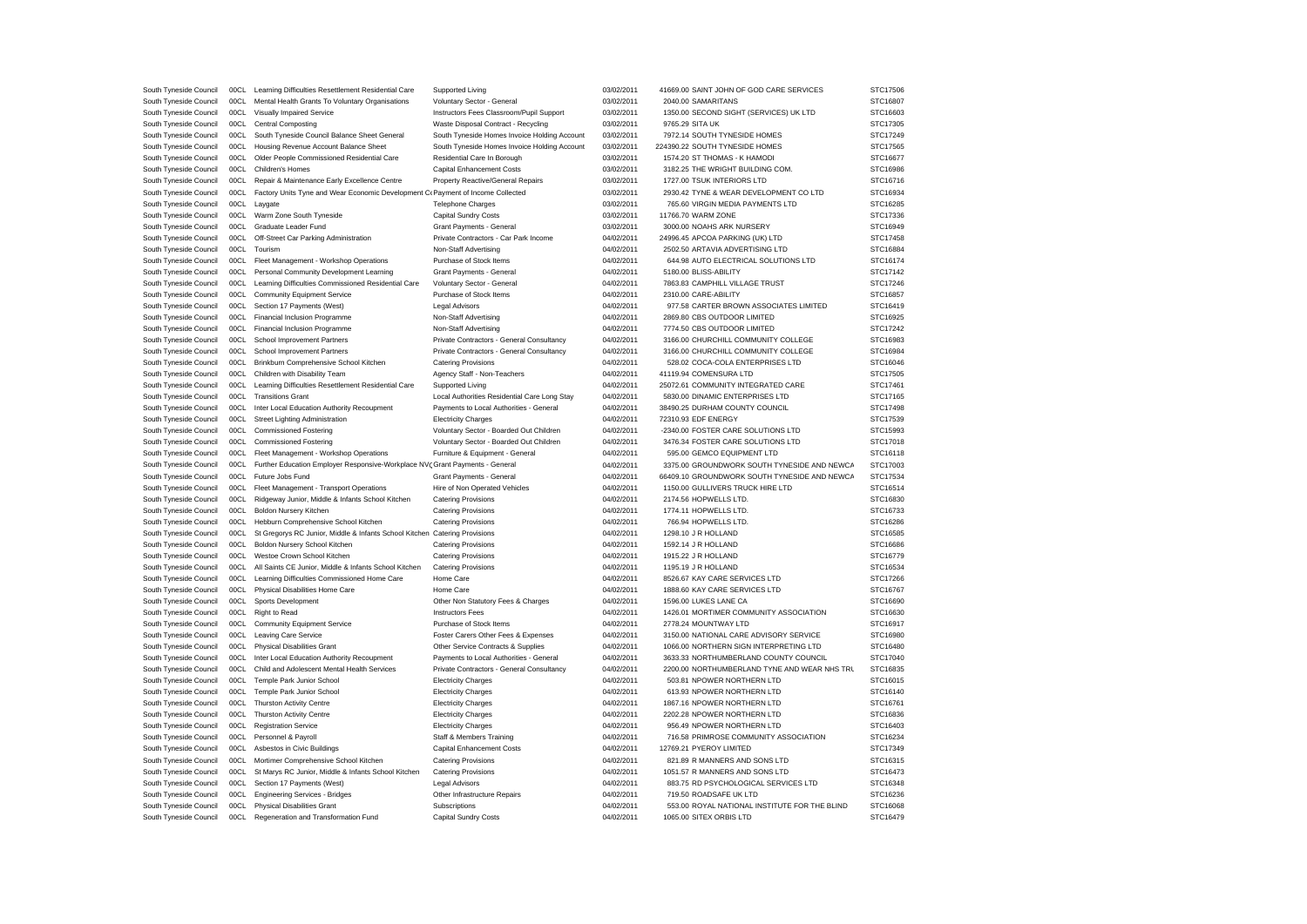| South Tyneside Council                           | 00CL         | Learning Difficulties Resettlement Residential Care                                        | Supported Living                                              | 03/02/2011               | 41669.00 SAINT JOHN OF GOD CARE SERVICES                                 | STC17506             |
|--------------------------------------------------|--------------|--------------------------------------------------------------------------------------------|---------------------------------------------------------------|--------------------------|--------------------------------------------------------------------------|----------------------|
| South Tyneside Council                           | 00CL         | Mental Health Grants To Voluntary Organisations                                            | Voluntary Sector - General                                    | 03/02/2011               | 2040.00 SAMARITANS                                                       | STC16807             |
| South Tyneside Council                           | 00CL         | Visually Impaired Service                                                                  | Instructors Fees Classroom/Pupil Support                      | 03/02/2011               | 1350.00 SECOND SIGHT (SERVICES) UK LTD                                   | STC16603             |
| South Tyneside Council                           | 00CL         | <b>Central Composting</b>                                                                  | Waste Disposal Contract - Recycling                           | 03/02/2011               | 9765.29 SITA UK                                                          | STC17305             |
| South Tyneside Council                           | 00CL         | South Tyneside Council Balance Sheet General                                               | South Tyneside Homes Invoice Holding Account                  | 03/02/2011               | 7972.14 SOUTH TYNESIDE HOMES                                             | STC17249             |
| South Tyneside Council                           | 00CL         | Housing Revenue Account Balance Sheet                                                      | South Tyneside Homes Invoice Holding Account                  | 03/02/2011               | 224390.22 SOUTH TYNESIDE HOMES                                           | STC17565             |
| South Tyneside Council                           | 00CL         | Older People Commissioned Residential Care                                                 | Residential Care In Borough                                   | 03/02/2011               | 1574.20 ST THOMAS - K HAMODI                                             | STC16677             |
| South Tyneside Council                           | 00C1         | Children's Homes                                                                           | Capital Enhancement Costs                                     | 03/02/2011               | 3182.25 THE WRIGHT BUILDING COM.                                         | STC16986             |
| South Tyneside Council                           | 00CL         | Repair & Maintenance Early Excellence Centre                                               | Property Reactive/General Repairs                             | 03/02/2011               | 1727.00 TSUK INTERIORS LTD                                               | STC16716             |
| South Tyneside Council                           | 00CL         | Factory Units Tyne and Wear Economic Development C <sub>(Payment</sub> of Income Collected |                                                               | 03/02/2011               | 2930.42 TYNE & WEAR DEVELOPMENT CO LTD                                   | STC16934             |
| South Tyneside Council                           | 00CL         | Lavgate                                                                                    | <b>Telephone Charges</b>                                      | 03/02/2011               | 765.60 VIRGIN MEDIA PAYMENTS LTD                                         | STC16285             |
| South Tyneside Council                           | 00CL         | Warm Zone South Tyneside                                                                   | Capital Sundry Costs                                          | 03/02/2011               | 11766.70 WARM ZONE                                                       | STC17336             |
| South Tyneside Council                           | 00CL         | Graduate Leader Fund                                                                       | Grant Payments - General                                      | 03/02/2011               | 3000.00 NOAHS ARK NURSERY                                                | STC16949             |
| South Tyneside Council                           | 00CL         | Off-Street Car Parking Administration                                                      | Private Contractors - Car Park Income                         | 04/02/2011               | 24996.45 APCOA PARKING (UK) LTD                                          | STC17458             |
| South Tyneside Council                           | 00CL         | Tourism                                                                                    | Non-Staff Advertising                                         | 04/02/2011               | 2502.50 ARTAVIA ADVERTISING LTD                                          | STC16884             |
| South Tyneside Council                           | 00CL         | Fleet Management - Workshop Operations                                                     | Purchase of Stock Items                                       | 04/02/2011               | 644.98 AUTO ELECTRICAL SOLUTIONS LTD                                     | STC16174             |
| South Tyneside Council                           | 00CL         | Personal Community Development Learning                                                    | Grant Payments - General                                      | 04/02/2011               | 5180.00 BLISS-ABILITY                                                    | STC17142             |
| South Tyneside Council                           | 00CL         | Learning Difficulties Commissioned Residential Care                                        | Voluntary Sector - General                                    | 04/02/2011               | 7863.83 CAMPHILL VILLAGE TRUST                                           | STC17246             |
| South Tyneside Council                           | 00CL         | <b>Community Equipment Service</b>                                                         | Purchase of Stock Items                                       | 04/02/2011               | 2310.00 CARE-ABILITY                                                     | STC16857             |
| South Tyneside Council                           | 00CL         | Section 17 Payments (West)                                                                 | <b>Legal Advisors</b>                                         | 04/02/2011               | 977.58 CARTER BROWN ASSOCIATES LIMITED                                   | STC16419             |
| South Tyneside Council                           | 00CL         | Financial Inclusion Programme                                                              | Non-Staff Advertising                                         | 04/02/2011               | 2869.80 CBS OUTDOOR LIMITED                                              | STC16925             |
|                                                  | 00CL         |                                                                                            | Non-Staff Advertising                                         | 04/02/2011               | 7774.50 CBS OUTDOOR LIMITED                                              | STC17242             |
| South Tyneside Council<br>South Tyneside Council | 00CL         | Financial Inclusion Programme                                                              |                                                               | 04/02/2011               | 3166.00 CHURCHILL COMMUNITY COLLEGE                                      | STC16983             |
|                                                  |              | School Improvement Partners                                                                | Private Contractors - General Consultancy                     |                          |                                                                          |                      |
| South Tyneside Council                           | 00CL         | School Improvement Partners                                                                | Private Contractors - General Consultancy                     | 04/02/2011               | 3166.00 CHURCHILL COMMUNITY COLLEGE                                      | STC16984             |
| South Tyneside Council                           | 00CL         | Brinkburn Comprehensive School Kitchen                                                     | <b>Catering Provisions</b>                                    | 04/02/2011               | 528.02 COCA-COLA ENTERPRISES LTD                                         | STC16046             |
| South Tyneside Council                           | 00CL         | Children with Disability Team                                                              | Agency Staff - Non-Teachers                                   | 04/02/2011               | 41119.94 COMENSURA LTD                                                   | STC17505             |
| South Tyneside Council                           | 00CL         | Learning Difficulties Resettlement Residential Care                                        | Supported Living                                              | 04/02/2011               | 25072.61 COMMUNITY INTEGRATED CARE                                       | STC17461             |
| South Tyneside Council                           | 00C1         | <b>Transitions Grant</b>                                                                   | Local Authorities Residential Care Long Stay                  | 04/02/2011               | 5830.00 DINAMIC ENTERPRISES LTD                                          | STC17165             |
| South Tyneside Council                           | 00CL         | Inter Local Education Authority Recoupment                                                 | Payments to Local Authorities - General                       | 04/02/2011               | 38490.25 DURHAM COUNTY COUNCIL                                           | STC17498             |
| South Tyneside Council                           | 00CL         | Street Lighting Administration                                                             | <b>Electricity Charges</b>                                    | 04/02/2011               | 72310.93 EDF ENERGY                                                      | STC17539             |
| South Tyneside Council                           | 00CL         | <b>Commissioned Fostering</b>                                                              | Voluntary Sector - Boarded Out Children                       | 04/02/2011               | -2340.00 FOSTER CARE SOLUTIONS LTD                                       | STC15993             |
| South Tyneside Council                           | 00CL         | <b>Commissioned Fostering</b>                                                              | Voluntary Sector - Boarded Out Children                       | 04/02/2011               | 3476.34 FOSTER CARE SOLUTIONS LTD                                        | STC17018             |
|                                                  |              |                                                                                            |                                                               |                          |                                                                          |                      |
| South Tyneside Council                           | 00C1         | Fleet Management - Workshop Operations                                                     | Furniture & Equipment - General                               | 04/02/2011               | 595.00 GEMCO EQUIPMENT LTD                                               | STC16118             |
| South Tyneside Council                           | 00CL         | Further Education Employer Responsive-Workplace NVC Grant Payments - General               |                                                               | 04/02/2011               | 3375.00 GROUNDWORK SOUTH TYNESIDE AND NEWCA                              | STC17003             |
| South Tyneside Council                           | 00CL         | Future Jobs Fund                                                                           | Grant Payments - General                                      | 04/02/2011               | 66409.10 GROUNDWORK SOUTH TYNESIDE AND NEWCA                             | STC17534             |
| South Tyneside Council                           | 00CL         | Fleet Management - Transport Operations                                                    | Hire of Non Operated Vehicles                                 | 04/02/2011               | 1150.00 GULLIVERS TRUCK HIRE LTD                                         | STC16514             |
| South Tyneside Council                           | 00CL         | Ridgeway Junior, Middle & Infants School Kitchen                                           | <b>Catering Provisions</b>                                    | 04/02/2011               | 2174.56 HOPWELLS LTD.                                                    | STC16830             |
| South Tyneside Council                           | 00CL         | <b>Boldon Nursery Kitchen</b>                                                              | <b>Catering Provisions</b>                                    | 04/02/2011               | 1774.11 HOPWELLS LTD.                                                    | STC16733             |
| South Tyneside Council                           | 00CL         | Hebburn Comprehensive School Kitchen                                                       | <b>Catering Provisions</b>                                    | 04/02/2011               | 766.94 HOPWELLS LTD.                                                     | STC16286             |
| South Tyneside Council                           | 00CL         | St Gregorys RC Junior, Middle & Infants School Kitchen                                     | <b>Catering Provisions</b>                                    | 04/02/2011               | 1298.10 J R HOLLAND                                                      | STC16585             |
| South Tyneside Council                           | 00CL         | Boldon Nursery School Kitchen                                                              | <b>Catering Provisions</b>                                    | 04/02/2011               | 1592.14 J R HOLLAND                                                      | STC16686             |
| South Tyneside Council                           | 00CL         | Westoe Crown School Kitchen                                                                | <b>Catering Provisions</b>                                    | 04/02/2011               | 1915.22 J R HOLLAND                                                      | STC16779             |
| South Tyneside Council                           | 00CL         | All Saints CE Junior, Middle & Infants School Kitchen                                      | <b>Catering Provisions</b>                                    | 04/02/2011               | 1195.19 J R HOLLAND                                                      | STC16534             |
|                                                  | 00CL         |                                                                                            | Home Care                                                     |                          |                                                                          | STC17266             |
| South Tyneside Council                           |              | Learning Difficulties Commissioned Home Care                                               |                                                               | 04/02/2011               | 8526.67 KAY CARE SERVICES LTD                                            |                      |
| South Tyneside Council                           | 00CL         | Physical Disabilities Home Care                                                            | Home Care                                                     | 04/02/2011               | 1888.60 KAY CARE SERVICES LTD                                            | STC16767             |
| South Tyneside Council                           | 00CL         | Sports Development                                                                         | Other Non Statutory Fees & Charges<br><b>Instructors Fees</b> | 04/02/2011               | 1596.00 LUKES LANE CA                                                    | STC16690             |
| South Tyneside Council                           | 00CL         | Right to Read                                                                              |                                                               | 04/02/2011               | 1426.01 MORTIMER COMMUNITY ASSOCIATION                                   | STC16630             |
| South Tyneside Council                           | 00C1         | <b>Community Equipment Service</b>                                                         | Purchase of Stock Items                                       | 04/02/2011               | 2778.24 MOUNTWAY LTD                                                     | STC16917             |
| South Tyneside Council                           | 00CL         | Leaving Care Service                                                                       | Foster Carers Other Fees & Expenses                           | 04/02/2011               | 3150.00 NATIONAL CARE ADVISORY SERVICE                                   | STC16980             |
| South Tyneside Council                           | 00CL         | <b>Physical Disabilities Grant</b>                                                         | Other Service Contracts & Supplies                            | 04/02/2011               | 1066.00 NORTHERN SIGN INTERPRETING LTD                                   | STC16480             |
| South Tyneside Council                           | 00CL         | Inter Local Education Authority Recoupment                                                 | Payments to Local Authorities - General                       | 04/02/2011               | 3633.33 NORTHUMBERLAND COUNTY COUNCIL                                    | STC17040             |
| South Tyneside Council                           | 00CL         | Child and Adolescent Mental Health Services                                                | Private Contractors - General Consultancy                     | 04/02/2011               | 2200.00 NORTHUMBERLAND TYNE AND WEAR NHS TRL                             | STC16835             |
| South Tyneside Council                           | 00CL         | Temple Park Junior School                                                                  | <b>Electricity Charges</b>                                    | 04/02/2011               | 503.81 NPOWER NORTHERN LTD                                               | STC16015             |
| South Tyneside Council                           | 00CL         | Temple Park Junior School                                                                  | <b>Electricity Charges</b>                                    | 04/02/2011               | 613.93 NPOWER NORTHERN LTD                                               | STC16140             |
| South Tyneside Council                           | 00CL         | <b>Thurston Activity Centre</b>                                                            | <b>Electricity Charges</b>                                    | 04/02/2011               | 1867.16 NPOWER NORTHERN LTD                                              | STC16761             |
| South Tyneside Council                           | 00CL         | Thurston Activity Centre                                                                   | <b>Electricity Charges</b>                                    | 04/02/2011               | 2202.28 NPOWER NORTHERN LTD                                              | STC16836             |
| South Tyneside Council                           | 00CL         | <b>Registration Service</b>                                                                | <b>Electricity Charges</b>                                    | 04/02/2011               | 956.49 NPOWER NORTHERN LTD                                               | STC16403             |
| South Tyneside Council                           | 00CL         | Personnel & Payroll                                                                        | <b>Staff &amp; Members Training</b>                           | 04/02/2011               | 716.58 PRIMROSE COMMUNITY ASSOCIATION                                    | STC16234             |
| South Tyneside Council                           | 00CL         | Asbestos in Civic Buildings                                                                | Capital Enhancement Costs                                     | 04/02/2011               | 12769.21 PYEROY LIMITED                                                  | STC17349             |
| South Tyneside Council                           | 00C1         | Mortimer Comprehensive School Kitchen                                                      | <b>Catering Provisions</b>                                    | 04/02/2011               | 821.89 R MANNERS AND SONS LTD                                            | STC16315             |
| South Tyneside Council                           | 00CL         | St Marys RC Junior, Middle & Infants School Kitchen                                        | <b>Catering Provisions</b>                                    | 04/02/2011               | 1051.57 R MANNERS AND SONS LTD                                           | STC16473             |
| South Tyneside Council                           | 00C1         | Section 17 Payments (West)                                                                 | <b>Legal Advisors</b>                                         | 04/02/2011               | 883.75 RD PSYCHOLOGICAL SERVICES LTD                                     | STC16348             |
| South Tyneside Council                           | 00CL         | <b>Engineering Services - Bridges</b>                                                      | Other Infrastructure Repairs                                  | 04/02/2011               | 719.50 ROADSAFE UK LTD                                                   | STC16236             |
| South Tyneside Council<br>South Tyneside Council | 00CL<br>00CL | <b>Physical Disabilities Grant</b><br>Regeneration and Transformation Fund                 | Subscriptions<br>Capital Sundry Costs                         | 04/02/2011<br>04/02/2011 | 553.00 ROYAL NATIONAL INSTITUTE FOR THE BLIND<br>1065.00 SITEX ORBIS LTD | STC16068<br>STC16479 |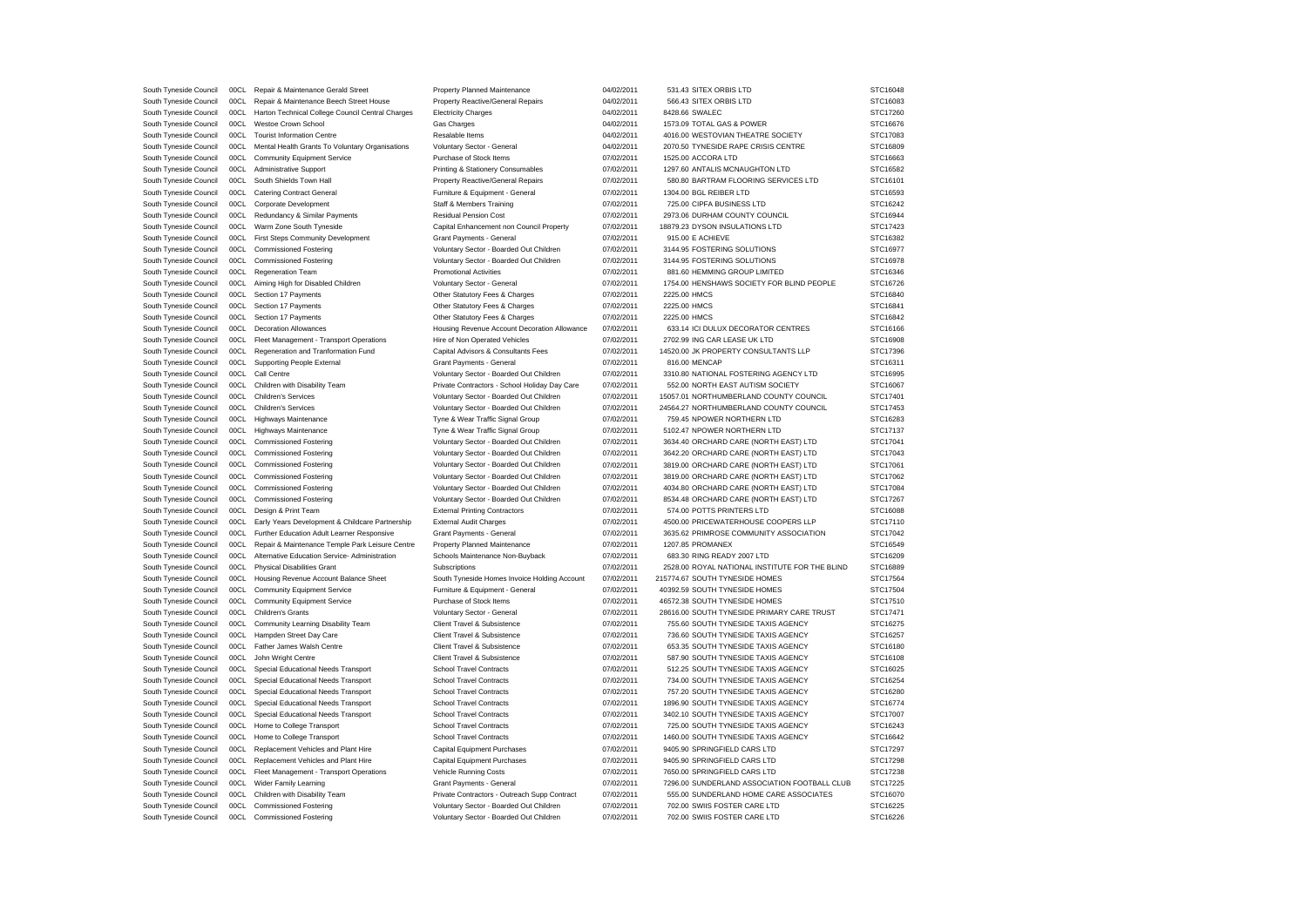| South Tyneside Council | 00CL | Repair & Maintenance Gerald Street                   | Property Planned Maintenance                  | 04/02/2011 | 531.43 SITEX ORBIS LTD                         | STC16048 |
|------------------------|------|------------------------------------------------------|-----------------------------------------------|------------|------------------------------------------------|----------|
| South Tyneside Council | 00CL | Repair & Maintenance Beech Street House              | Property Reactive/General Repairs             | 04/02/2011 | 566.43 SITEX ORBIS LTD                         | STC16083 |
| South Tyneside Council | 00CL | Harton Technical College Council Central Charges     | <b>Electricity Charges</b>                    | 04/02/2011 | 8428.66 SWALEC                                 | STC17260 |
| South Tyneside Council | 00CL | Westoe Crown School                                  | Gas Charges                                   | 04/02/2011 | 1573.09 TOTAL GAS & POWER                      | STC16676 |
| South Tyneside Council | 00CL | <b>Tourist Information Centre</b>                    | Resalable Items                               | 04/02/2011 | 4016.00 WESTOVIAN THEATRE SOCIETY              | STC17083 |
| South Tyneside Council | 00CL | Mental Health Grants To Voluntary Organisations      | Voluntary Sector - General                    | 04/02/2011 | 2070.50 TYNESIDE RAPE CRISIS CENTRE            | STC16809 |
| South Tyneside Council | 00CL | <b>Community Equipment Service</b>                   | Purchase of Stock Items                       | 07/02/2011 | 1525.00 ACCORA LTD                             | STC16663 |
|                        |      |                                                      |                                               |            |                                                |          |
| South Tyneside Council | 00CL | <b>Administrative Support</b>                        | Printing & Stationery Consumables             | 07/02/2011 | 1297.60 ANTALIS MCNAUGHTON LTD                 | STC16582 |
| South Tyneside Council | 00CL | South Shields Town Hall                              | Property Reactive/General Repairs             | 07/02/2011 | 580.80 BARTRAM FLOORING SERVICES LTD           | STC16101 |
| South Tyneside Council | 00CL | <b>Catering Contract General</b>                     | Furniture & Equipment - General               | 07/02/2011 | 1304.00 BGL REIBER LTD                         | STC16593 |
| South Tyneside Council |      | 00CL Corporate Development                           | Staff & Members Training                      | 07/02/2011 | 725.00 CIPFA BUSINESS LTD                      | STC16242 |
| South Tyneside Council | 00CL | Redundancy & Similar Payments                        | <b>Residual Pension Cost</b>                  | 07/02/2011 | 2973.06 DURHAM COUNTY COUNCIL                  | STC16944 |
| South Tyneside Council | 00CL | Warm Zone South Tyneside                             | Capital Enhancement non Council Property      | 07/02/2011 | 18879.23 DYSON INSULATIONS LTD                 | STC17423 |
|                        |      |                                                      |                                               |            |                                                |          |
| South Tyneside Council |      | 00CL First Steps Community Development               | Grant Payments - General                      | 07/02/2011 | 915.00 E ACHIEVE                               | STC16382 |
| South Tyneside Council | 00CL | <b>Commissioned Fostering</b>                        | Voluntary Sector - Boarded Out Children       | 07/02/2011 | 3144.95 FOSTERING SOLUTIONS                    | STC16977 |
| South Tyneside Council | 00CL | <b>Commissioned Fostering</b>                        | Voluntary Sector - Boarded Out Children       | 07/02/2011 | 3144.95 FOSTERING SOLUTIONS                    | STC16978 |
| South Tyneside Council |      | 00CL Regeneration Team                               | <b>Promotional Activities</b>                 | 07/02/2011 | 881.60 HEMMING GROUP LIMITED                   | STC16346 |
| South Tyneside Council | 00CL | Aiming High for Disabled Children                    | Voluntary Sector - General                    | 07/02/2011 | 1754.00 HENSHAWS SOCIETY FOR BLIND PEOPLE      | STC16726 |
| South Tyneside Council | 00CL | Section 17 Payments                                  | Other Statutory Fees & Charges                | 07/02/2011 | 2225.00 HMCS                                   | STC16840 |
| South Tyneside Council | 00CL | Section 17 Payments                                  | Other Statutory Fees & Charges                | 07/02/2011 | 2225.00 HMCS                                   | STC16841 |
| South Tyneside Council | 00CL | Section 17 Payments                                  | Other Statutory Fees & Charges                | 07/02/2011 | 2225.00 HMCS                                   | STC16842 |
|                        |      | 00CL Decoration Allowances                           |                                               | 07/02/2011 | 633.14 ICI DULUX DECORATOR CENTRES             | STC16166 |
| South Tyneside Council |      |                                                      | Housing Revenue Account Decoration Allowance  |            |                                                |          |
| South Tyneside Council | 00CL | Fleet Management - Transport Operations              | Hire of Non Operated Vehicles                 | 07/02/2011 | 2702.99 ING CAR LEASE UK LTD                   | STC16908 |
| South Tyneside Council |      | 00CL Regeneration and Tranformation Fund             | Capital Advisors & Consultants Fees           | 07/02/2011 | 14520.00 JK PROPERTY CONSULTANTS LLP           | STC17396 |
| South Tyneside Council |      | 00CL Supporting People External                      | Grant Payments - General                      | 07/02/2011 | 816.00 MENCAP                                  | STC16311 |
| South Tyneside Council | 00CL | Call Centre                                          | Voluntary Sector - Boarded Out Children       | 07/02/2011 | 3310.80 NATIONAL FOSTERING AGENCY LTD          | STC16995 |
| South Tyneside Council |      | 00CL Children with Disability Team                   | Private Contractors - School Holiday Day Care | 07/02/2011 | 552.00 NORTH EAST AUTISM SOCIETY               | STC16067 |
| South Tyneside Council |      | 00CL Children's Services                             | Voluntary Sector - Boarded Out Children       | 07/02/2011 | 15057.01 NORTHUMBERLAND COUNTY COUNCIL         | STC17401 |
| South Tyneside Council | 00CL | Children's Services                                  | Voluntary Sector - Boarded Out Children       | 07/02/2011 | 24564.27 NORTHUMBERLAND COUNTY COUNCIL         | STC17453 |
| South Tyneside Council |      | 00CL Highways Maintenance                            | Tyne & Wear Traffic Signal Group              | 07/02/2011 | 759.45 NPOWER NORTHERN LTD                     | STC16283 |
|                        |      |                                                      |                                               |            |                                                |          |
| South Tyneside Council |      | 00CL Highways Maintenance                            | Tyne & Wear Traffic Signal Group              | 07/02/2011 | 5102.47 NPOWER NORTHERN LTD                    | STC17137 |
| South Tyneside Council | 00CL | <b>Commissioned Fostering</b>                        | Voluntary Sector - Boarded Out Children       | 07/02/2011 | 3634.40 ORCHARD CARE (NORTH EAST) LTD          | STC17041 |
| South Tyneside Council | 00CL | <b>Commissioned Fostering</b>                        | Voluntary Sector - Boarded Out Children       | 07/02/2011 | 3642.20 ORCHARD CARE (NORTH EAST) LTD          | STC17043 |
| South Tyneside Council | 00CL | <b>Commissioned Fostering</b>                        | Voluntary Sector - Boarded Out Children       | 07/02/2011 | 3819.00 ORCHARD CARE (NORTH EAST) LTD          | STC17061 |
| South Tyneside Council | 00CL | <b>Commissioned Fostering</b>                        | Voluntary Sector - Boarded Out Children       | 07/02/2011 | 3819.00 ORCHARD CARE (NORTH EAST) LTD          | STC17062 |
| South Tyneside Council | 00CL | <b>Commissioned Fostering</b>                        | Voluntary Sector - Boarded Out Children       | 07/02/2011 | 4034.80 ORCHARD CARE (NORTH EAST) LTD          | STC17084 |
| South Tyneside Council |      | 00CL Commissioned Fostering                          | Voluntary Sector - Boarded Out Children       | 07/02/2011 | 8534.48 ORCHARD CARE (NORTH EAST) LTD          | STC17267 |
| South Tyneside Council | 00CL | Design & Print Team                                  | <b>External Printing Contractors</b>          | 07/02/2011 | 574.00 POTTS PRINTERS LTD                      | STC16088 |
|                        | 00CL |                                                      |                                               |            | 4500.00 PRICEWATERHOUSE COOPERS LLP            |          |
| South Tyneside Council |      | Early Years Development & Childcare Partnership      | <b>External Audit Charges</b>                 | 07/02/2011 |                                                | STC17110 |
| South Tyneside Council |      | 00CL Further Education Adult Learner Responsive      | Grant Payments - General                      | 07/02/2011 | 3635.62 PRIMROSE COMMUNITY ASSOCIATION         | STC17042 |
| South Tyneside Council |      | 00CL Repair & Maintenance Temple Park Leisure Centre | Property Planned Maintenance                  | 07/02/2011 | 1207.85 PROMANEX                               | STC16549 |
| South Tyneside Council | 00CL | Alternative Education Service- Administration        | Schools Maintenance Non-Buyback               | 07/02/2011 | 683.30 RING READY 2007 LTD                     | STC16209 |
| South Tyneside Council |      | 00CL Physical Disabilities Grant                     | Subscriptions                                 | 07/02/2011 | 2528.00 ROYAL NATIONAL INSTITUTE FOR THE BLIND | STC16889 |
| South Tyneside Council |      | 00CL Housing Revenue Account Balance Sheet           | South Tyneside Homes Invoice Holding Account  | 07/02/2011 | 215774.67 SOUTH TYNESIDE HOMES                 | STC17564 |
| South Tyneside Council | 00CL | Community Equipment Service                          | Furniture & Equipment - General               | 07/02/2011 | 40392.59 SOUTH TYNESIDE HOMES                  | STC17504 |
| South Tyneside Council |      | 00CL Community Equipment Service                     | Purchase of Stock Items                       | 07/02/2011 | 46572.38 SOUTH TYNESIDE HOMES                  | STC17510 |
|                        | 00CL |                                                      |                                               |            |                                                |          |
| South Tyneside Council |      | Children's Grants                                    | Voluntary Sector - General                    | 07/02/2011 | 28616.00 SOUTH TYNESIDE PRIMARY CARE TRUST     | STC17471 |
| South Tyneside Council |      | 00CL Community Learning Disability Team              | Client Travel & Subsistence                   | 07/02/2011 | 755.60 SOUTH TYNESIDE TAXIS AGENCY             | STC16275 |
| South Tyneside Council |      | 00CL Hampden Street Day Care                         | Client Travel & Subsistence                   | 07/02/2011 | 736.60 SOUTH TYNESIDE TAXIS AGENCY             | STC16257 |
| South Tyneside Council |      | 00CL Father James Walsh Centre                       | Client Travel & Subsistence                   | 07/02/2011 | 653.35 SOUTH TYNESIDE TAXIS AGENCY             | STC16180 |
| South Tyneside Council | 00CL | John Wright Centre                                   | Client Travel & Subsistence                   | 07/02/2011 | 587.90 SOUTH TYNESIDE TAXIS AGENCY             | STC16108 |
| South Tyneside Council | 00CL | Special Educational Needs Transport                  | <b>School Travel Contracts</b>                | 07/02/2011 | 512.25 SOUTH TYNESIDE TAXIS AGENCY             | STC16025 |
| South Tyneside Council | 00CL | Special Educational Needs Transport                  | School Travel Contracts                       | 07/02/2011 | 734.00 SOUTH TYNESIDE TAXIS AGENCY             | STC16254 |
| South Tyneside Council | 00CL | Special Educational Needs Transport                  | <b>School Travel Contracts</b>                | 07/02/2011 | 757.20 SOUTH TYNESIDE TAXIS AGENCY             | STC16280 |
|                        |      |                                                      |                                               |            |                                                |          |
| South Tyneside Council | 00CL | Special Educational Needs Transport                  | <b>School Travel Contracts</b>                | 07/02/2011 | 1896.90 SOUTH TYNESIDE TAXIS AGENCY            | STC16774 |
| South Tyneside Council | 00CL | Special Educational Needs Transport                  | <b>School Travel Contracts</b>                | 07/02/2011 | 3402.10 SOUTH TYNESIDE TAXIS AGENCY            | STC17007 |
| South Tyneside Council | 00CL | Home to College Transport                            | <b>School Travel Contracts</b>                | 07/02/2011 | 725.00 SOUTH TYNESIDE TAXIS AGENCY             | STC16243 |
| South Tyneside Council | 00CL | Home to College Transport                            | <b>School Travel Contracts</b>                | 07/02/2011 | 1460.00 SOUTH TYNESIDE TAXIS AGENCY            | STC16642 |
| South Tyneside Council | 00CL | Replacement Vehicles and Plant Hire                  | Capital Equipment Purchases                   | 07/02/2011 | 9405.90 SPRINGFIELD CARS LTD                   | STC17297 |
| South Tyneside Council | 00CL | Replacement Vehicles and Plant Hire                  | <b>Capital Equipment Purchases</b>            | 07/02/2011 | 9405.90 SPRINGFIELD CARS LTD                   | STC17298 |
| South Tyneside Council | 00CL | Fleet Management - Transport Operations              | Vehicle Running Costs                         | 07/02/2011 | 7650.00 SPRINGFIELD CARS LTD                   | STC17238 |
| South Tyneside Council | 00CL | Wider Family Learning                                | Grant Payments - General                      | 07/02/2011 | 7296.00 SUNDERLAND ASSOCIATION FOOTBALL CLUB   | STC17225 |
|                        | 00CL |                                                      |                                               |            |                                                |          |
| South Tyneside Council |      | Children with Disability Team                        | Private Contractors - Outreach Supp Contract  | 07/02/2011 | 555.00 SUNDERLAND HOME CARE ASSOCIATES         | STC16070 |
| South Tyneside Council | 00CL | <b>Commissioned Fostering</b>                        | Voluntary Sector - Boarded Out Children       | 07/02/2011 | 702.00 SWIIS FOSTER CARE LTD                   | STC16225 |
| South Tyneside Council | 00CL | <b>Commissioned Fostering</b>                        | Voluntary Sector - Boarded Out Children       | 07/02/2011 | 702.00 SWIIS FOSTER CARE LTD                   | STC16226 |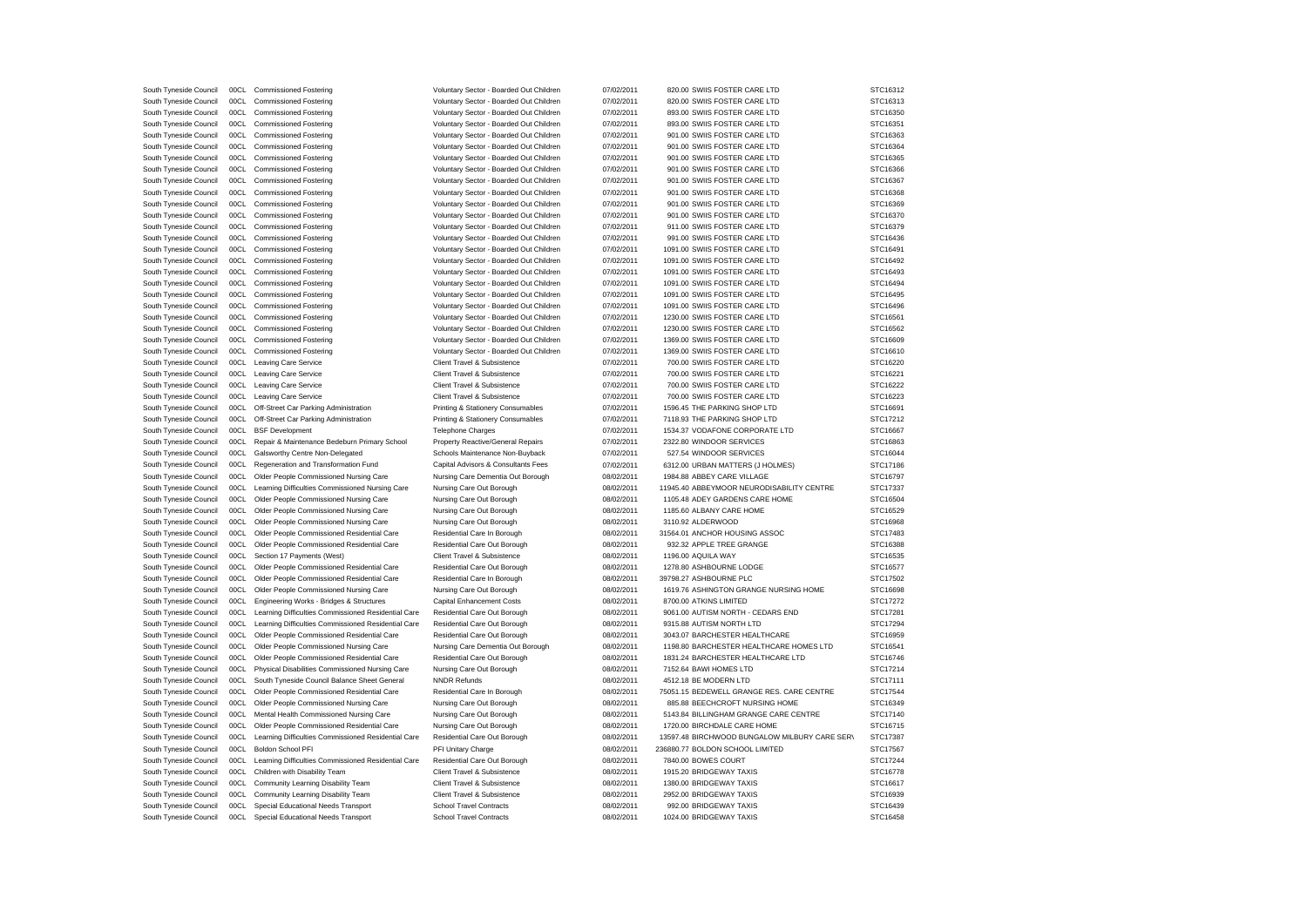| South Tyneside Council | 00CL | <b>Commissioned Fostering</b>                       | Voluntary Sector - Boarded Out Children | 07/02/2011 | 820.00 SWIIS FOSTER CARE LTD                  | STC16312 |
|------------------------|------|-----------------------------------------------------|-----------------------------------------|------------|-----------------------------------------------|----------|
| South Tyneside Council | 00CL | <b>Commissioned Fostering</b>                       | Voluntary Sector - Boarded Out Children | 07/02/2011 | 820.00 SWIIS FOSTER CARE LTD                  | STC16313 |
| South Tyneside Council | 00CL | <b>Commissioned Fostering</b>                       | Voluntary Sector - Boarded Out Children | 07/02/2011 | 893.00 SWIIS FOSTER CARE LTD                  | STC16350 |
| South Tyneside Council | 00CL | <b>Commissioned Fostering</b>                       | Voluntary Sector - Boarded Out Children | 07/02/2011 | 893.00 SWIIS FOSTER CARE LTD                  | STC16351 |
| South Tyneside Council | 00CL | <b>Commissioned Fostering</b>                       | Voluntary Sector - Boarded Out Children | 07/02/2011 | 901.00 SWIIS FOSTER CARE LTD                  | STC16363 |
| South Tyneside Council | 00CL | <b>Commissioned Fostering</b>                       | Voluntary Sector - Boarded Out Children | 07/02/2011 | 901.00 SWIIS FOSTER CARE LTD                  | STC16364 |
| South Tyneside Council | 00CL | <b>Commissioned Fostering</b>                       | Voluntary Sector - Boarded Out Children | 07/02/2011 | 901.00 SWIIS FOSTER CARE LTD                  | STC16365 |
| South Tyneside Council | 00CL | <b>Commissioned Fostering</b>                       | Voluntary Sector - Boarded Out Children | 07/02/2011 | 901.00 SWIIS FOSTER CARE LTD                  | STC16366 |
|                        |      |                                                     |                                         |            |                                               |          |
| South Tyneside Council | 00CL | <b>Commissioned Fostering</b>                       | Voluntary Sector - Boarded Out Children | 07/02/2011 | 901.00 SWIIS FOSTER CARE LTD                  | STC16367 |
| South Tyneside Council | 00CL | <b>Commissioned Fostering</b>                       | Voluntary Sector - Boarded Out Children | 07/02/2011 | 901.00 SWIIS FOSTER CARE LTD                  | STC16368 |
| South Tyneside Council | 00CL | <b>Commissioned Fostering</b>                       | Voluntary Sector - Boarded Out Children | 07/02/2011 | 901.00 SWIIS FOSTER CARE LTD                  | STC16369 |
| South Tyneside Council | 00CL | <b>Commissioned Fostering</b>                       | Voluntary Sector - Boarded Out Children | 07/02/2011 | 901.00 SWIIS FOSTER CARE LTD                  | STC16370 |
| South Tyneside Council | 00CL | <b>Commissioned Fostering</b>                       | Voluntary Sector - Boarded Out Children | 07/02/2011 | 911.00 SWIIS FOSTER CARE LTD                  | STC16379 |
| South Tyneside Council | 00CL | <b>Commissioned Fostering</b>                       | Voluntary Sector - Boarded Out Children | 07/02/2011 | 991.00 SWIIS FOSTER CARE LTD                  | STC16436 |
| South Tyneside Council | 00CL | <b>Commissioned Fostering</b>                       | Voluntary Sector - Boarded Out Children | 07/02/2011 | 1091.00 SWIIS FOSTER CARE LTD                 | STC16491 |
| South Tyneside Council | 00CL | <b>Commissioned Fostering</b>                       | Voluntary Sector - Boarded Out Children | 07/02/2011 | 1091.00 SWIIS FOSTER CARE LTD                 | STC16492 |
| South Tyneside Council | 00CL | <b>Commissioned Fostering</b>                       | Voluntary Sector - Boarded Out Children | 07/02/2011 | 1091.00 SWIIS FOSTER CARE LTD                 | STC16493 |
| South Tyneside Council | 00CL | <b>Commissioned Fostering</b>                       | Voluntary Sector - Boarded Out Children | 07/02/2011 | 1091.00 SWIIS FOSTER CARE LTD                 | STC16494 |
| South Tyneside Council | 00CL | <b>Commissioned Fostering</b>                       | Voluntary Sector - Boarded Out Children | 07/02/2011 | 1091.00 SWIIS FOSTER CARE LTD                 | STC16495 |
| South Tyneside Council | 00CL | <b>Commissioned Fostering</b>                       | Voluntary Sector - Boarded Out Children | 07/02/2011 | 1091.00 SWIIS FOSTER CARE LTD                 | STC16496 |
| South Tyneside Council | 00CL | <b>Commissioned Fostering</b>                       | Voluntary Sector - Boarded Out Children | 07/02/2011 | 1230.00 SWIIS FOSTER CARE LTD                 | STC16561 |
| South Tyneside Council | 00CL | <b>Commissioned Fostering</b>                       | Voluntary Sector - Boarded Out Children | 07/02/2011 | 1230.00 SWIIS FOSTER CARE LTD                 | STC16562 |
| South Tyneside Council | 00CL | <b>Commissioned Fostering</b>                       | Voluntary Sector - Boarded Out Children | 07/02/2011 | 1369.00 SWIIS FOSTER CARE LTD                 | STC16609 |
| South Tyneside Council | 00CL | <b>Commissioned Fostering</b>                       | Voluntary Sector - Boarded Out Children | 07/02/2011 | 1369.00 SWIIS FOSTER CARE LTD                 | STC16610 |
| South Tyneside Council | 00CL | Leaving Care Service                                | Client Travel & Subsistence             | 07/02/2011 | 700.00 SWIIS FOSTER CARE LTD                  | STC16220 |
| South Tyneside Council | 00CL | Leaving Care Service                                | Client Travel & Subsistence             | 07/02/2011 | 700.00 SWIIS FOSTER CARE LTD                  | STC16221 |
| South Tyneside Council | 00CL | Leaving Care Service                                | Client Travel & Subsistence             | 07/02/2011 | 700.00 SWIIS FOSTER CARE LTD                  | STC16222 |
| South Tyneside Council | 00CL | Leaving Care Service                                | Client Travel & Subsistence             | 07/02/2011 | 700.00 SWIIS FOSTER CARE LTD                  | STC16223 |
| South Tyneside Council | 00CL | Off-Street Car Parking Administration               | Printing & Stationery Consumables       | 07/02/2011 | 1596.45 THE PARKING SHOP LTD                  | STC16691 |
| South Tyneside Council | 00CL | Off-Street Car Parking Administration               | Printing & Stationery Consumables       | 07/02/2011 | 7118.93 THE PARKING SHOP LTD                  | STC17212 |
| South Tyneside Council | 00CL | <b>BSF</b> Development                              | Telephone Charges                       | 07/02/2011 | 1534.37 VODAFONE CORPORATE LTD                | STC16667 |
| South Tyneside Council | 00CL | Repair & Maintenance Bedeburn Primary School        | Property Reactive/General Repairs       | 07/02/2011 | 2322.80 WINDOOR SERVICES                      | STC16863 |
| South Tyneside Council | 00CL | Galsworthy Centre Non-Delegated                     | Schools Maintenance Non-Buyback         | 07/02/2011 | 527.54 WINDOOR SERVICES                       | STC16044 |
|                        | 00CL | Regeneration and Transformation Fund                | Capital Advisors & Consultants Fees     | 07/02/2011 | 6312.00 URBAN MATTERS (J HOLMES)              | STC17186 |
| South Tyneside Council | 00CL | Older People Commissioned Nursing Care              | Nursing Care Dementia Out Borough       | 08/02/2011 | 1984.88 ABBEY CARE VILLAGE                    | STC16797 |
| South Tyneside Council | 00CL |                                                     |                                         |            |                                               |          |
| South Tyneside Council | 00CL | Learning Difficulties Commissioned Nursing Care     | Nursing Care Out Borough                | 08/02/2011 | 11945.40 ABBEYMOOR NEURODISABILITY CENTRE     | STC17337 |
| South Tyneside Council |      | Older People Commissioned Nursing Care              | Nursing Care Out Borough                | 08/02/2011 | 1105.48 ADEY GARDENS CARE HOME                | STC16504 |
| South Tyneside Council | 00CL | Older People Commissioned Nursing Care              | Nursing Care Out Borough                | 08/02/2011 | 1185.60 ALBANY CARE HOME                      | STC16529 |
| South Tyneside Council | 00CL | Older People Commissioned Nursing Care              | Nursing Care Out Borough                | 08/02/2011 | 3110.92 ALDERWOOD                             | STC16968 |
| South Tyneside Council | 00CL | Older People Commissioned Residential Care          | Residential Care In Borough             | 08/02/2011 | 31564.01 ANCHOR HOUSING ASSOC                 | STC17483 |
| South Tyneside Council | 00CL | Older People Commissioned Residential Care          | Residential Care Out Borough            | 08/02/2011 | 932.32 APPLE TREE GRANGE                      | STC16388 |
| South Tyneside Council | 00CL | Section 17 Payments (West)                          | Client Travel & Subsistence             | 08/02/2011 | 1196.00 AQUILA WAY                            | STC16535 |
| South Tyneside Council | 00CL | Older People Commissioned Residential Care          | Residential Care Out Borough            | 08/02/2011 | 1278.80 ASHBOURNE LODGE                       | STC16577 |
| South Tyneside Council | 00CL | Older People Commissioned Residential Care          | Residential Care In Borough             | 08/02/2011 | 39798.27 ASHBOURNE PLC                        | STC17502 |
| South Tyneside Council | 00CL | Older People Commissioned Nursing Care              | Nursing Care Out Borough                | 08/02/2011 | 1619.76 ASHINGTON GRANGE NURSING HOME         | STC16698 |
| South Tyneside Council | 00CL | Engineering Works - Bridges & Structures            | Capital Enhancement Costs               | 08/02/2011 | 8700.00 ATKINS LIMITED                        | STC17272 |
| South Tyneside Council | 00CL | Learning Difficulties Commissioned Residential Care | Residential Care Out Borough            | 08/02/2011 | 9061.00 AUTISM NORTH - CEDARS END             | STC17281 |
| South Tyneside Council | 00CL | Learning Difficulties Commissioned Residential Care | Residential Care Out Borough            | 08/02/2011 | 9315.88 AUTISM NORTH LTD                      | STC17294 |
| South Tyneside Council | 00CL | Older People Commissioned Residential Care          | Residential Care Out Borough            | 08/02/2011 | 3043.07 BARCHESTER HEALTHCARE                 | STC16959 |
| South Tyneside Council | 00CL | Older People Commissioned Nursing Care              | Nursing Care Dementia Out Borough       | 08/02/2011 | 1198.80 BARCHESTER HEALTHCARE HOMES LTD       | STC16541 |
| South Tyneside Council | 00CL | Older People Commissioned Residential Care          | Residential Care Out Borough            | 08/02/2011 | 1831.24 BARCHESTER HEALTHCARE LTD             | STC16746 |
| South Tyneside Council | 00CL | Physical Disabilities Commissioned Nursing Care     | Nursing Care Out Borough                | 08/02/2011 | 7152.64 BAWI HOMES LTD                        | STC17214 |
| South Tyneside Council | 00CL | South Tyneside Council Balance Sheet General        | <b>NNDR Refunds</b>                     | 08/02/2011 | 4512.18 BE MODERN LTD                         | STC17111 |
| South Tyneside Council | 00CL | Older People Commissioned Residential Care          | Residential Care In Borough             | 08/02/2011 | 75051.15 BEDEWELL GRANGE RES. CARE CENTRE     | STC17544 |
| South Tyneside Council | 00CL | Older People Commissioned Nursing Care              | Nursing Care Out Borough                | 08/02/2011 | 885.88 BEECHCROFT NURSING HOME                | STC16349 |
| South Tyneside Council | 00CL | Mental Health Commissioned Nursing Care             | Nursing Care Out Borough                | 08/02/2011 | 5143.84 BILLINGHAM GRANGE CARE CENTRE         | STC17140 |
| South Tyneside Council | 00CL | Older People Commissioned Residential Care          | Nursing Care Out Borough                | 08/02/2011 | 1720.00 BIRCHDALE CARE HOME                   | STC16715 |
| South Tyneside Council | 00CL | Learning Difficulties Commissioned Residential Care | Residential Care Out Borough            | 08/02/2011 | 13597.48 BIRCHWOOD BUNGALOW MILBURY CARE SERV | STC17387 |
| South Tyneside Council | 00CL | Boldon School PFI                                   | PFI Unitary Charge                      | 08/02/2011 | 236880.77 BOLDON SCHOOL LIMITED               | STC17567 |
| South Tyneside Council | 00CL | Learning Difficulties Commissioned Residential Care | Residential Care Out Borough            | 08/02/2011 | 7840.00 BOWES COURT                           | STC17244 |
| South Tyneside Council | 00CL | Children with Disability Team                       | Client Travel & Subsistence             | 08/02/2011 | 1915.20 BRIDGEWAY TAXIS                       | STC16778 |
| South Tyneside Council | 00CL | Community Learning Disability Team                  | Client Travel & Subsistence             | 08/02/2011 | 1380.00 BRIDGEWAY TAXIS                       | STC16617 |
| South Tyneside Council | 00CL | Community Learning Disability Team                  | Client Travel & Subsistence             | 08/02/2011 | 2952.00 BRIDGEWAY TAXIS                       | STC16939 |
| South Tyneside Council | 00CL | Special Educational Needs Transport                 | <b>School Travel Contracts</b>          | 08/02/2011 | 992.00 BRIDGEWAY TAXIS                        | STC16439 |
| South Tyneside Council | 00CL | Special Educational Needs Transport                 | <b>School Travel Contracts</b>          | 08/02/2011 | 1024.00 BRIDGEWAY TAXIS                       | STC16458 |
|                        |      |                                                     |                                         |            |                                               |          |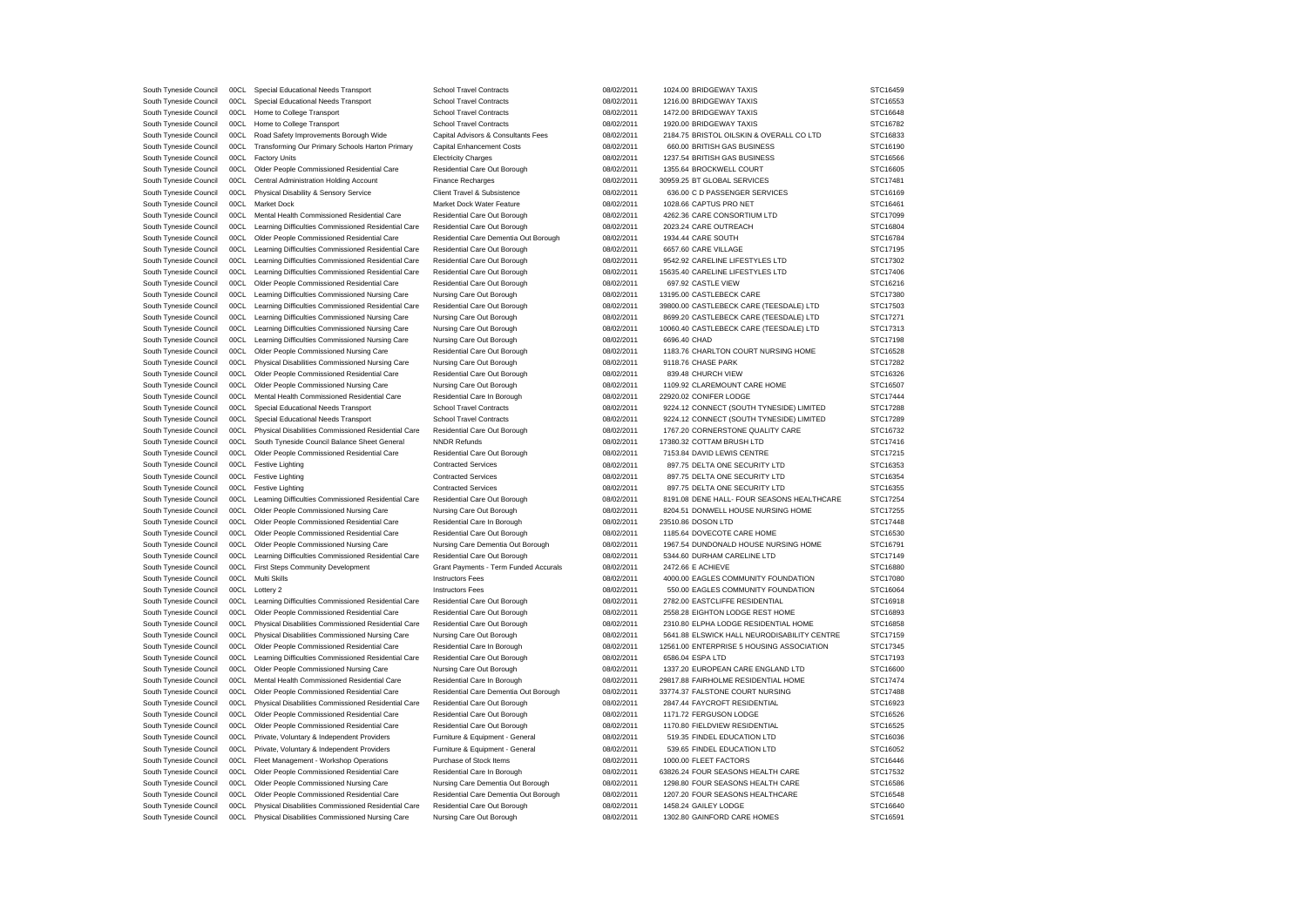| South Tyneside Council | 00CL | Special Educational Needs Transport                      | <b>School Travel Contracts</b>        | 08/02/2011 | 1024.00 BRIDGEWAY TAXIS                     | STC16459 |
|------------------------|------|----------------------------------------------------------|---------------------------------------|------------|---------------------------------------------|----------|
| South Tyneside Council | 00CL | Special Educational Needs Transport                      | <b>School Travel Contracts</b>        | 08/02/2011 | 1216.00 BRIDGEWAY TAXIS                     | STC16553 |
| South Tyneside Council |      | 00CL Home to College Transport                           | <b>School Travel Contracts</b>        | 08/02/2011 | 1472.00 BRIDGEWAY TAXIS                     | STC16648 |
| South Tyneside Council | 00CL | Home to College Transport                                | <b>School Travel Contracts</b>        | 08/02/2011 | 1920.00 BRIDGEWAY TAXIS                     | STC16782 |
| South Tyneside Council | 00CL | Road Safety Improvements Borough Wide                    | Capital Advisors & Consultants Fees   | 08/02/2011 | 2184.75 BRISTOL OILSKIN & OVERALL CO LTD    | STC16833 |
| South Tyneside Council | 00CL | Transforming Our Primary Schools Harton Primary          | Capital Enhancement Costs             | 08/02/2011 | 660.00 BRITISH GAS BUSINESS                 | STC16190 |
|                        |      |                                                          |                                       |            |                                             |          |
| South Tyneside Council | 00CL | <b>Factory Units</b>                                     | <b>Electricity Charges</b>            | 08/02/2011 | 1237.54 BRITISH GAS BUSINESS                | STC16566 |
| South Tyneside Council |      | 00CL Older People Commissioned Residential Care          | Residential Care Out Borough          | 08/02/2011 | 1355.64 BROCKWELL COURT                     | STC16605 |
| South Tyneside Council |      | 00CL Central Administration Holding Account              | Finance Recharges                     | 08/02/2011 | 30959.25 BT GLOBAL SERVICES                 | STC17481 |
| South Tyneside Council | 00CL | Physical Disability & Sensory Service                    | Client Travel & Subsistence           | 08/02/2011 | 636.00 C D PASSENGER SERVICES               | STC16169 |
| South Tyneside Council |      | 00CL Market Dock                                         | Market Dock Water Feature             | 08/02/2011 | 1028.66 CAPTUS PRO NET                      | STC16461 |
| South Tyneside Council |      | 00CL Mental Health Commissioned Residential Care         | Residential Care Out Borough          | 08/02/2011 | 4262.36 CARE CONSORTIUM LTD                 | STC17099 |
| South Tyneside Council | 00CL | Learning Difficulties Commissioned Residential Care      | Residential Care Out Borough          | 08/02/2011 | 2023.24 CARE OUTREACH                       | STC16804 |
| South Tyneside Council | 00CL | Older People Commissioned Residential Care               | Residential Care Dementia Out Borough | 08/02/2011 | 1934.44 CARE SOUTH                          | STC16784 |
| South Tyneside Council | 00CL | Learning Difficulties Commissioned Residential Care      | Residential Care Out Borough          | 08/02/2011 | 6657.60 CARE VILLAGE                        | STC17195 |
| South Tyneside Council | 00CL | Learning Difficulties Commissioned Residential Care      | Residential Care Out Borough          | 08/02/2011 | 9542.92 CARELINE LIFESTYLES LTD             | STC17302 |
| South Tyneside Council | 00CL | Learning Difficulties Commissioned Residential Care      | Residential Care Out Borough          | 08/02/2011 | 15635.40 CARELINE LIFESTYLES LTD            | STC17406 |
|                        |      | 00CL Older People Commissioned Residential Care          |                                       | 08/02/2011 | 697.92 CASTLE VIEW                          | STC16216 |
| South Tyneside Council | 00CL |                                                          | Residential Care Out Borough          |            |                                             | STC17380 |
| South Tyneside Council |      | Learning Difficulties Commissioned Nursing Care          | Nursing Care Out Borough              | 08/02/2011 | 13195.00 CASTLEBECK CARE                    |          |
| South Tyneside Council | 00CL | Learning Difficulties Commissioned Residential Care      | Residential Care Out Borough          | 08/02/2011 | 39800.00 CASTLEBECK CARE (TEESDALE) LTD     | STC17503 |
| South Tyneside Council | 00CL | Learning Difficulties Commissioned Nursing Care          | Nursing Care Out Borough              | 08/02/2011 | 8699.20 CASTLEBECK CARE (TEESDALE) LTD      | STC17271 |
| South Tyneside Council |      | 00CL Learning Difficulties Commissioned Nursing Care     | Nursing Care Out Borough              | 08/02/2011 | 10060.40 CASTLEBECK CARE (TEESDALE) LTD     | STC17313 |
| South Tyneside Council | 00CL | Learning Difficulties Commissioned Nursing Care          | Nursing Care Out Borough              | 08/02/2011 | 6696.40 CHAD                                | STC17198 |
| South Tyneside Council | 00CL | Older People Commissioned Nursing Care                   | Residential Care Out Borough          | 08/02/2011 | 1183.76 CHARLTON COURT NURSING HOME         | STC16528 |
| South Tyneside Council |      | 00CL Physical Disabilities Commissioned Nursing Care     | Nursing Care Out Borough              | 08/02/2011 | 9118.76 CHASE PARK                          | STC17282 |
| South Tyneside Council | 00CL | Older People Commissioned Residential Care               | Residential Care Out Borough          | 08/02/2011 | 839.48 CHURCH VIEW                          | STC16326 |
| South Tyneside Council | 00CL | Older People Commissioned Nursing Care                   | Nursing Care Out Borough              | 08/02/2011 | 1109.92 CLAREMOUNT CARE HOME                | STC16507 |
| South Tyneside Council |      | 00CL Mental Health Commissioned Residential Care         | Residential Care In Borough           | 08/02/2011 | 22920.02 CONIFER LODGE                      | STC17444 |
| South Tyneside Council | 00CL | Special Educational Needs Transport                      | <b>School Travel Contracts</b>        | 08/02/2011 | 9224.12 CONNECT (SOUTH TYNESIDE) LIMITED    | STC17288 |
| South Tyneside Council | 00CL | Special Educational Needs Transport                      | <b>School Travel Contracts</b>        | 08/02/2011 | 9224.12 CONNECT (SOUTH TYNESIDE) LIMITED    | STC17289 |
|                        |      |                                                          |                                       |            |                                             |          |
| South Tyneside Council |      | 00CL Physical Disabilities Commissioned Residential Care | Residential Care Out Borough          | 08/02/2011 | 1767.20 CORNERSTONE QUALITY CARE            | STC16732 |
| South Tyneside Council | 00CL | South Tyneside Council Balance Sheet General             | <b>NNDR Refunds</b>                   | 08/02/2011 | 17380.32 COTTAM BRUSH LTD                   | STC17416 |
| South Tyneside Council | 00CL | Older People Commissioned Residential Care               | Residential Care Out Borough          | 08/02/2011 | 7153.84 DAVID LEWIS CENTRE                  | STC17215 |
| South Tyneside Council |      | 00CL Festive Lighting                                    | <b>Contracted Services</b>            | 08/02/2011 | 897.75 DELTA ONE SECURITY LTD               | STC16353 |
| South Tyneside Council |      | 00CL Festive Lighting                                    | <b>Contracted Services</b>            | 08/02/2011 | 897.75 DELTA ONE SECURITY LTD               | STC16354 |
| South Tyneside Council | 00CL | <b>Festive Lighting</b>                                  | <b>Contracted Services</b>            | 08/02/2011 | 897.75 DELTA ONE SECURITY LTD               | STC16355 |
| South Tyneside Council |      | 00CL Learning Difficulties Commissioned Residential Care | Residential Care Out Borough          | 08/02/2011 | 8191.08 DENE HALL- FOUR SEASONS HEALTHCARE  | STC17254 |
| South Tyneside Council | 00CL | Older People Commissioned Nursing Care                   | Nursing Care Out Borough              | 08/02/2011 | 8204.51 DONWELL HOUSE NURSING HOME          | STC17255 |
| South Tyneside Council | 00CL | Older People Commissioned Residential Care               | Residential Care In Borough           | 08/02/2011 | 23510.86 DOSON LTD                          | STC17448 |
| South Tyneside Council | 00CL | Older People Commissioned Residential Care               | Residential Care Out Borough          | 08/02/2011 | 1185.64 DOVECOTE CARE HOME                  | STC16530 |
| South Tyneside Council | 00CL | Older People Commissioned Nursing Care                   | Nursing Care Dementia Out Borough     | 08/02/2011 | 1967.54 DUNDONALD HOUSE NURSING HOME        | STC16791 |
| South Tyneside Council | 00CL | Learning Difficulties Commissioned Residential Care      |                                       |            | 5344.60 DURHAM CARELINE LTD                 | STC17149 |
|                        |      |                                                          | Residential Care Out Borough          | 08/02/2011 | 2472.66 E ACHIEVE                           |          |
| South Tyneside Council |      | 00CL First Steps Community Development                   | Grant Payments - Term Funded Accurals | 08/02/2011 |                                             | STC16880 |
| South Tyneside Council |      | 00CL Multi Skills                                        | <b>Instructors Fees</b>               | 08/02/2011 | 4000.00 EAGLES COMMUNITY FOUNDATION         | STC17080 |
| South Tyneside Council |      | 00CL Lottery 2                                           | <b>Instructors Fees</b>               | 08/02/2011 | 550.00 EAGLES COMMUNITY FOUNDATION          | STC16064 |
| South Tyneside Council | 00CL | Learning Difficulties Commissioned Residential Care      | Residential Care Out Borough          | 08/02/2011 | 2782.00 EASTCLIFFE RESIDENTIAL              | STC16918 |
| South Tyneside Council |      | 00CL Older People Commissioned Residential Care          | Residential Care Out Borough          | 08/02/2011 | 2558.28 EIGHTON LODGE REST HOME             | STC16893 |
| South Tyneside Council |      | 00CL Physical Disabilities Commissioned Residential Care | Residential Care Out Borough          | 08/02/2011 | 2310.80 ELPHA LODGE RESIDENTIAL HOME        | STC16858 |
| South Tyneside Council |      | 00CL Physical Disabilities Commissioned Nursing Care     | Nursing Care Out Borough              | 08/02/2011 | 5641.88 ELSWICK HALL NEURODISABILITY CENTRE | STC17159 |
| South Tyneside Council |      | 00CL Older People Commissioned Residential Care          | Residential Care In Borough           | 08/02/2011 | 12561.00 ENTERPRISE 5 HOUSING ASSOCIATION   | STC17345 |
| South Tyneside Council |      | 00CL Learning Difficulties Commissioned Residential Care | Residential Care Out Borough          | 08/02/2011 | 6586.04 ESPA LTD                            | STC17193 |
| South Tyneside Council | 00CL | Older People Commissioned Nursing Care                   | Nursing Care Out Borough              | 08/02/2011 | 1337.20 EUROPEAN CARE ENGLAND LTD           | STC16600 |
| South Tyneside Council | 00CL | Mental Health Commissioned Residential Care              | Residential Care In Borough           | 08/02/2011 | 29817.88 FAIRHOLME RESIDENTIAL HOME         | STC17474 |
| South Tyneside Council |      | 00CL Older People Commissioned Residential Care          | Residential Care Dementia Out Borough | 08/02/2011 | 33774.37 FALSTONE COURT NURSING             | STC17488 |
|                        |      |                                                          |                                       |            |                                             |          |
| South Tyneside Council | 00CL | Physical Disabilities Commissioned Residential Care      | Residential Care Out Borough          | 08/02/2011 | 2847.44 FAYCROFT RESIDENTIAL                | STC16923 |
| South Tyneside Council | 00CL | Older People Commissioned Residential Care               | Residential Care Out Borough          | 08/02/2011 | 1171.72 FERGUSON LODGE                      | STC16526 |
| South Tyneside Council | 00CL | Older People Commissioned Residential Care               | Residential Care Out Borough          | 08/02/2011 | 1170.80 FIELDVIEW RESIDENTIAL               | STC16525 |
| South Tyneside Council | 00CL | Private, Voluntary & Independent Providers               | Furniture & Equipment - General       | 08/02/2011 | 519.35 FINDEL EDUCATION LTD                 | STC16036 |
| South Tyneside Council | 00CL | Private, Voluntary & Independent Providers               | Furniture & Equipment - General       | 08/02/2011 | 539.65 FINDEL EDUCATION LTD                 | STC16052 |
| South Tyneside Council |      | 00CL Fleet Management - Workshop Operations              | Purchase of Stock Items               | 08/02/2011 | 1000.00 FLEET FACTORS                       | STC16446 |
| South Tyneside Council | 00CL | Older People Commissioned Residential Care               | Residential Care In Borough           | 08/02/2011 | 63826.24 FOUR SEASONS HEALTH CARE           | STC17532 |
| South Tyneside Council | 00CL | Older People Commissioned Nursing Care                   | Nursing Care Dementia Out Borough     | 08/02/2011 | 1298.80 FOUR SEASONS HEALTH CARE            | STC16586 |
| South Tyneside Council |      | 00CL Older People Commissioned Residential Care          | Residential Care Dementia Out Borough | 08/02/2011 | 1207.20 FOUR SEASONS HEALTHCARE             | STC16548 |
| South Tyneside Council |      | 00CL Physical Disabilities Commissioned Residential Care | Residential Care Out Borough          | 08/02/2011 | 1458.24 GAILEY LODGE                        | STC16640 |
| South Tyneside Council | 00CL | Physical Disabilities Commissioned Nursing Care          | Nursing Care Out Borough              | 08/02/2011 | 1302.80 GAINFORD CARE HOMES                 | STC16591 |
|                        |      |                                                          |                                       |            |                                             |          |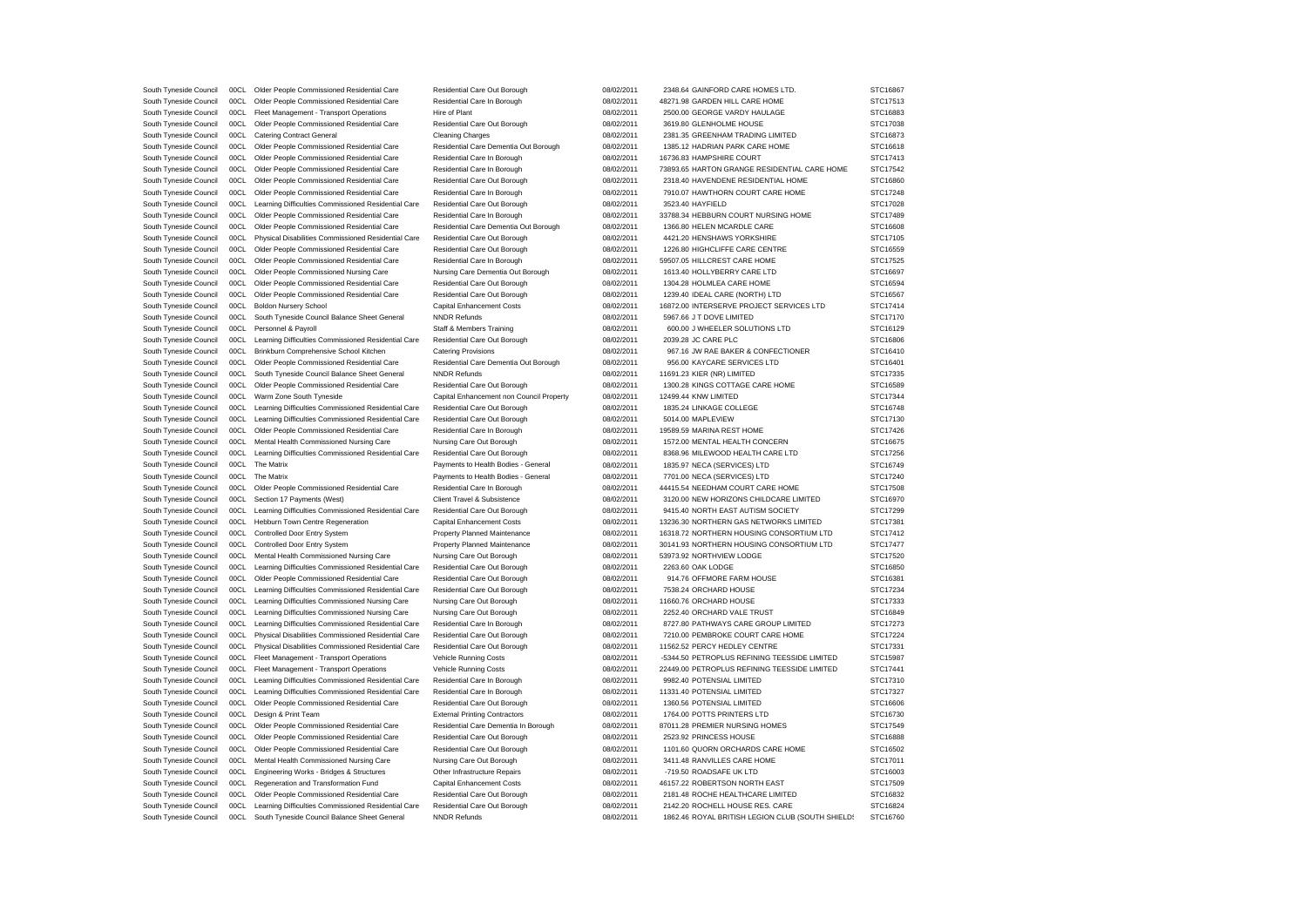South Tyneside Council 00CL Older People Commissioned Residential Care Residential Care Residential Care Out Borough 08/02/2011 2348.64 GAINFORD CARE HOMES LTD. STC16867 South Tyneside Council 00CL Older People Commissioned Residential Care Residential Care In Borough 08/02/2011 48271.98 GARDEN HILL CARE HOME STC17513 South Tyneside Council 00CL Fleet Management - Transport Operations Hire of Plant 08/02/2011 2500.00 GEORGE VARDY HAULAGE STC16883 South Tyneside Council 00CL Older People Commissioned Residential Care Residential Care Residential Care Out Borough 08/02/2011 3619.80 GLENHOLME HOUSE STC17038 South Tyneside Council 00CL Catering Contract General Cleaning Charges 08/02/2011 2381.35 GREENHAM TRADING LIMITED STC16873 South Tyneside Council 00CL Older People Commissioned Residential Care Residential Care Dementia Out Borough 08/02/2011 1385.12 HADRIAN PARK CARE HOME STC16618 South Tyneside Council 00CL Older People Commissioned Residential Care Residential Care In Borough 08/02/2011 16736.83 HAMPSHIRE COURT STC17413 South Tyneside Council 00CL Older People Commissioned Residential Care Residential Care Residential Care In Borough 08/02/2011 73893.65 HARTON GRANGE RESIDENTIAL CARE HOME STC17542 South Tyneside Council 00CL Older People Commissioned Residential Care Residential Care Residential Care Out Borough 08/02/2011 2318.40 HAVENDENE RESIDENTIAL HOME STC16860 South Tyneside Council 00CL Older People Commissioned Residential Care Residential Care Residential Care In Borough 08/02/2011 7910.07 HAWTHORN COURT CARE HOME STC17248 South Tyneside Council 00CL Learning Difficulties Commissioned Residential Care Residential Care Out Borough 08/02/2011 3523.40 HAYFIELD STC17028 South Tyneside Council 00CL Older People Commissioned Residential Care Residential Care Residential Care In Borough 08/02/2011 33788.34 HEBBURN COURT NURSING HOME STC17489 South Tyneside Council 00CL Older People Commissioned Residential Care Residential Care Dementia Out Borough 08/02/2011 1366.80 HELEN MCARDLE CARE STC16608 South Tyneside Council 00CL Physical Disabilities Commissioned Residential Care Residential Care Out Borough 08/02/2011 4421.20 HENSHAWS YORKSHIRE STC17105 South Tyneside Council 00CL Older People Commissioned Residential Care Residential Care Residential Care Out Borough 08/02/2011 1226.80 HIGHCLIFFE CARE CENTRE STC16559 South Tyneside Council 00CL Older People Commissioned Residential Care Residential Care Residential Care Residential Care Residential Care Residential Care Residential Care In Borough 08/02/2011 59507.05 HILLCREST CARE HOM South Tyneside Council 00CL Older People Commissioned Nursing Care Nursing Care Dementia Out Borough 08/02/2011 1613.40 HOLLYBERRY CARE LTD STC16697 South Tyneside Council 00CL Older People Commissioned Residential Care Residential Care Out Borough 08/02/2011 1304.28 HOLMLEA CARE HOME STC16594 South Tyneside Council 00CL Older People Commissioned Residential Care Residential Care Out Borough 08/02/2011 1239.40 IDEAL CARE (NORTH) LTD STC16567 South Tyneside Council 00CL Boldon Nursery School Capital Enhancement Costs 08/02/2011 16872.00 INTERSERVE PROJECT SERVICES LTD STC17414 South Tyneside Council 00CL South Tyneside Council Balance Sheet General NNDR Refunds 08/02/2011 5967.66 J T DOVE LIMITED STC17170 South Tyneside Council 00CL Personnel & Payroll Staff & Members Training Clark Council Computer Council Computer South Clark Council Computer STC16129 South Tyneside Council 00CL Learning Difficulties Commissioned Residential Care Residential Care Out Borough 08/02/2011 2039.28 JC CARE PLC STC16806 South Tyneside Council 00CL Brinkburn Comprehensive School Kitchen Catering Provisions 08/02/2011 967.16 J.W. RAE BAKER & CONFECTIONER STC16410 South Tyneside Council 00CL Older People Commissioned Residential Care Residential Care Dementia Out Borough 08/02/2011 956.00 KAYCARE SERVICES LTD STC16401 South Tyneside Council 00CL South Tyneside Council Balance Sheet General NNDR Refunds 08/02/2011 11691.23 KIER (NR) LIMITED STC17335 South Tyneside Council 00CL Older People Commissioned Residential Care Residential Care Out Borough 08/02/2011 1300.28 KINGS COTTAGE CARE HOME STC16589 South Tyneside Council 00CL Warm Zone South Tyneside Capital Enhancement non Council Property 08/02/2011 12499.44 KNW LIMITED STC17344 South Tyneside Council 00CL Learning Difficulties Commissioned Residential Care Residential Care Out Borough 08/02/2011 1835.24 LINKAGE COLLEGE STC16748 South Tyneside Council 00CL Learning Difficulties Commissioned Residential Care Residential Care Out Borough 08/02/2011 5014.00 MAPLEVIEW STC17130 South Tyneside Council 00CL Older People Commissioned Residential Care Residential Care In Borough 08/02/2011 19589.59 MARINA REST HOME STC17426 South Tyneside Council 00CL Mental Health Commissioned Nursing Care Nursing Care Out Borough 08/02/2011 1572.00 MENTAL HEALTH CONCERN STC16675 South Tyneside Council 00CL Learning Difficulties Commissioned Residential Care Residential Care Out Borough 08/02/2011 8368.96 MILEWOOD HEALTH CARE LTD STC17256 South Tyneside Council 00CL The Matrix examples and the Payments to Health Bodies - General 08/02/2011 1835.97 NECA (SERVICES) LTD STC16749 South Tyneside Council 00CL The Matrix examples and the Payments to Health Bodies - General 08/02/2011 7701.00 NECA (SERVICES) LTD STC17240 South Tyneside Council 00CL Older People Commissioned Residential Care Residential Care In Borough 08/02/2011 44415.54 NEEDHAM COURT CARE HOME STC17508 South Tyneside Council 00CL Section 17 Payments (West) Client Travel & Subsistence 08/02/2011 3120.00 NEW HORIZONS CHILDCARE LIMITED STC16970 South Tyneside Council 00CL Learning Difficulties Commissioned Residential Care Residential Care Out Borough 08/02/2011 9415.40 NORTH EAST AUTISM SOCIETY STC17299 South Tyneside Council 00CL Hebburn Town Centre Regeneration Capital Enhancement Costs 08/02/2011 13236.30 NORTHERN GAS NETWORKS LIMITED STC17381 South Tyneside Council 00CL Controlled Door Entry System Property Planned Maintenance 08/02/2011 16318.72 NORTHERN HOUSING CONSORTIUM LTD STC17412 South Tyneside Council 00CL Controlled Door Entry System Property Planned Maintenance 08/02/2011 30141.93 NORTHERN HOUSING CONSORTIUM LTD STC17477 South Tyneside Council 00CL Mental Health Commissioned Nursing Care Nursing Care Out Borough 08/02/2011 53973.92 NORTHVIEW LODGE STC17520 South Tyneside Council 00CL Learning Difficulties Commissioned Residential Care Residential Care Out Borough 08/02/2011 2263.60 OAK LODGE STC16850 South Tyneside Council 00CL Older People Commissioned Residential Care Residential Care Out Borough 08/02/2011 914.76 OFFMORE FARM HOUSE STC16381 South Tyneside Council 00CL Learning Difficulties Commissioned Residential Care Residential Care Out Borough 08/02/2011 7538.24 ORCHARD HOUSE STC17234 South Tyneside Council 00CL Learning Difficulties Commissioned Nursing Care Nursing Care Out Borough 08/02/2011 11660.76 ORCHARD HOUSE STC17333 South Tyneside Council 00CL Learning Difficulties Commissioned Nursing Care Nursing Care Out Borough 08/02/2011 2252.40 ORCHARD VALE TRUST STC16849 South Tyneside Council 00CL Learning Difficulties Commissioned Residential Care Residential Care In Borough 08/02/2011 8727.80 PATHWAYS CARE GROUP LIMITED STC17273 South Tyneside Council 00CL Physical Disabilities Commissioned Residential Care Residential Care Out Borough 08/02/2011 7210.00 PEMBROKE COURT CARE HOME STC17224 South Tyneside Council 00CL Physical Disabilities Commissioned Residential Care Residential Care Out Borough 08/02/2011 11562.52 PERCY HEDLEY CENTRE STC17331 South Tyneside Council 00CL Fleet Management - Transport Operations Vehicle Running Costs 08/02/2011 -5344.50 PETROPLUS REFINING TEESSIDE LIMITED STC15987 South Tyneside Council 00CL Fleet Management - Transport Operations Vehicle Running Costs 08/02/2011 22449.00 PETROPLUS REFINING TEESSIDE LIMITED STC17441 South Tyneside Council 00CL Learning Difficulties Commissioned Residential Care Residential Care In Borough 08/02/2011 9982.40 POTENSIAL LIMITED STC17310 South Tyneside Council 00CL Learning Difficulties Commissioned Residential Care Residential Care In Borough 08/02/2011 11331.40 POTENSIAL LIMITED STC17327 South Tyneside Council 00CL Older People Commissioned Residential Care Residential Care Residential Care Out Borough 08/02/2011 1360.56 POTENSIAL LIMITED STC16606 South Tyneside Council 00CL Design & Print Team External Printing Contractors 08/02/2011 1764.00 POTTS PRINTERS LTD STC16730 South Tyneside Council 00CL Older People Commissioned Residential Care Residential Care Dementia In Borough 08/02/2011 87011.28 PREMIER NURSING HOMES STC17549 South Tyneside Council 00CL Older People Commissioned Residential Care Residential Care Residential Care Residential Care Residential Care Out Borough 08/02/2011 2523.02 PRINCESS HOUSE STC16888 South Tyneside Council 00CL Older People Commissioned Residential Care Residential Care Out Borough 08/02/2011 1101.60 QUORN ORCHARDS CARE HOME STC16502 South Tyneside Council 00CL Mental Health Commissioned Nursing Care Nursing Care Out Borough 08/02/2011 3411.48 RANVILLES CARE HOME STC17011 South Tyneside Council 00CL Engineering Works - Bridges & Structures Other Infrastructure Repairs 08/02/2011 -719.50 ROADSAFE UK LTD STC16003 South Tyneside Council 00CL Regeneration and Transformation Fund Capital Enhancement Costs 08/02/2011 46157.22 ROBERTSON NORTH EAST STC17509 South Tyneside Council 00CL Older People Commissioned Residential Care Residential Care Out Borough 08/02/2011 2181.48 ROCHE HEALTHCARE LIMITED STC16832 South Tyneside Council 00CL Learning Difficulties Commissioned Residential Care Residential Care Dut Borough 08/02/2011 2142.20 ROCHELL HOUSE RES. CARE STC16824 South Tyneside Council 00CL South Tyneside Council Balance Sheet General NNDR Refunds 08/02/2011 1862.46 ROYAL BRITISH LEGION CLUB (SOUTH SHIFLDS STC16760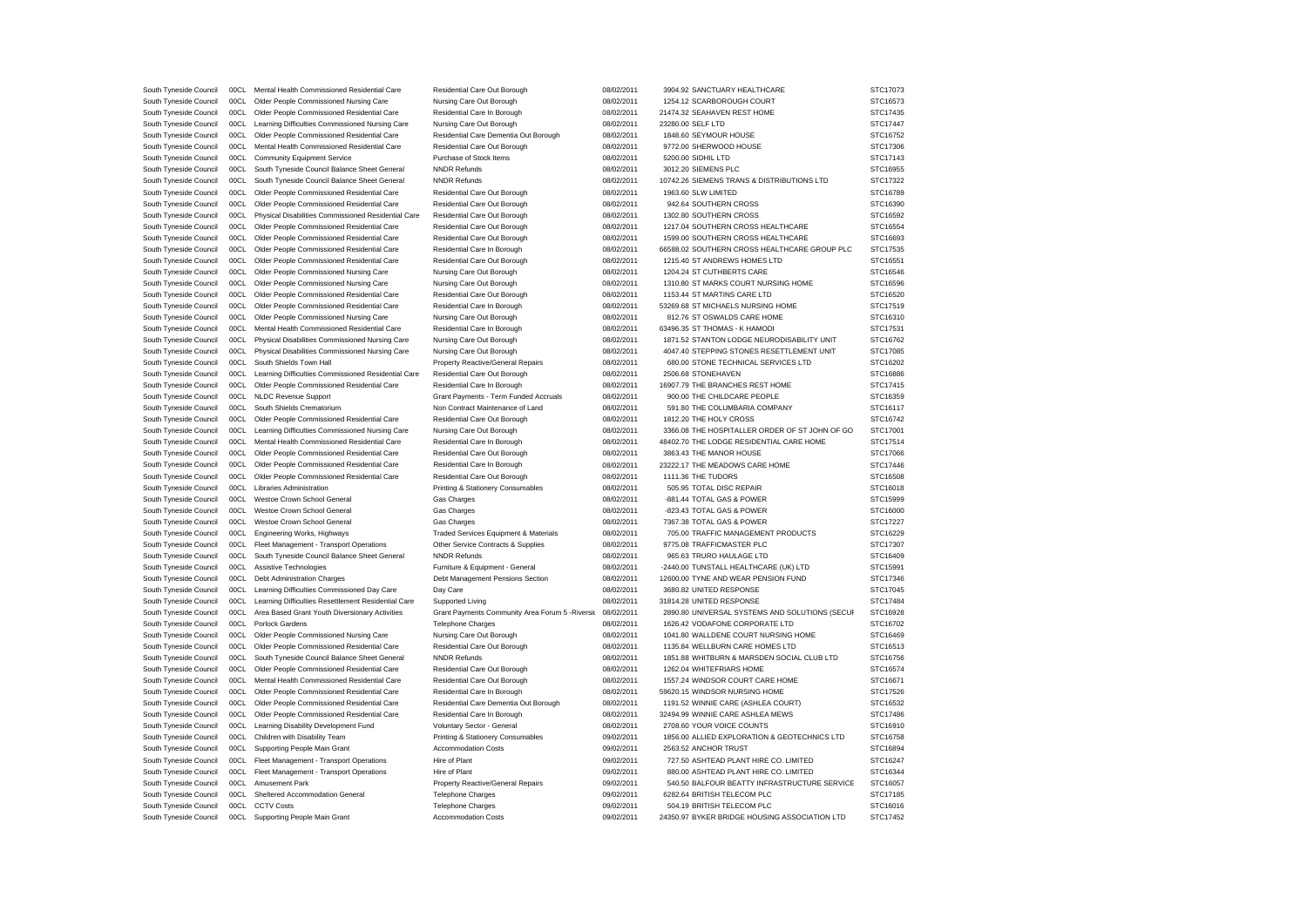| South Tyneside Council                           | 00CL         | Mental Health Commissioned Residential Care                                | Residential Care Out Borough                                         | 08/02/2011               | 3904.92 SANCTUARY HEALTHCARE                                                     | STC17073             |
|--------------------------------------------------|--------------|----------------------------------------------------------------------------|----------------------------------------------------------------------|--------------------------|----------------------------------------------------------------------------------|----------------------|
| South Tyneside Council                           | 00CL         | Older People Commissioned Nursing Care                                     | Nursing Care Out Borough                                             | 08/02/2011               | 1254.12 SCARBOROUGH COURT                                                        | STC16573             |
| South Tyneside Council                           | 00CL         | Older People Commissioned Residential Care                                 | Residential Care In Borough                                          | 08/02/2011               | 21474.32 SEAHAVEN REST HOME                                                      | STC17435             |
| South Tyneside Council                           | 00CL         | Learning Difficulties Commissioned Nursing Care                            | Nursing Care Out Borough                                             | 08/02/2011               | 23280.00 SELF LTD                                                                | STC17447             |
| South Tyneside Council                           | 00C1         | Older People Commissioned Residential Care                                 | Residential Care Dementia Out Borough                                | 08/02/2011               | 1848.60 SEYMOUR HOUSE                                                            | STC16752             |
| South Tyneside Council                           | 00CL         | Mental Health Commissioned Residential Care                                | Residential Care Out Borough                                         | 08/02/2011               | 9772.00 SHERWOOD HOUSE                                                           | STC17306             |
| South Tyneside Council                           | 00CL         | Community Equipment Service                                                | Purchase of Stock Items                                              | 08/02/2011               | 5200.00 SIDHIL LTD                                                               | STC17143             |
| South Tyneside Council                           | 00C1         | South Tyneside Council Balance Sheet General                               | <b>NNDR Refunds</b>                                                  | 08/02/2011               | 3012.20 SIEMENS PLC                                                              | STC16955             |
| South Tyneside Council                           | 00CL         | South Tyneside Council Balance Sheet General                               | <b>NNDR Refunds</b>                                                  | 08/02/2011               | 10742.26 SIEMENS TRANS & DISTRIBUTIONS LTD                                       | STC17322             |
| South Tyneside Council                           | 00CL         | Older People Commissioned Residential Care                                 | Residential Care Out Borough                                         | 08/02/2011               | 1963.60 SLW LIMITED                                                              | STC16789             |
| South Tyneside Council                           | 00CL         | Older People Commissioned Residential Care                                 | Residential Care Out Borough                                         | 08/02/2011               | 942.64 SOUTHERN CROSS                                                            | STC16390             |
| South Tyneside Council                           | 00CL         | Physical Disabilities Commissioned Residential Care                        | Residential Care Out Borough                                         | 08/02/2011               | 1302.80 SOUTHERN CROSS                                                           | STC16592             |
| South Tyneside Council                           | 00CL         | Older People Commissioned Residential Care                                 | Residential Care Out Borough                                         | 08/02/2011               | 1217.04 SOUTHERN CROSS HEALTHCARE                                                | STC16554             |
| South Tyneside Council                           | 00CL         | Older People Commissioned Residential Care                                 | Residential Care Out Borough                                         | 08/02/2011               | 1599.00 SOUTHERN CROSS HEALTHCARE                                                | STC16693             |
| South Tyneside Council                           | 00CL         | Older People Commissioned Residential Care                                 | Residential Care In Borough                                          | 08/02/2011               | 66588.02 SOUTHERN CROSS HEALTHCARE GROUP PLC                                     | STC17535             |
| South Tyneside Council                           | 00CL         | Older People Commissioned Residential Care                                 | Residential Care Out Borough                                         | 08/02/2011               | 1215.40 ST ANDREWS HOMES LTD                                                     | STC16551             |
| South Tyneside Council                           | 00CL         | Older People Commissioned Nursing Care                                     | Nursing Care Out Borough                                             | 08/02/2011               | 1204.24 ST CUTHBERTS CARE                                                        | STC16546             |
| South Tyneside Council                           | 00CL         | Older People Commissioned Nursing Care                                     | Nursing Care Out Borough                                             | 08/02/2011               | 1310.80 ST MARKS COURT NURSING HOME                                              | STC16596             |
| South Tyneside Council                           | 00CL         | Older People Commissioned Residential Care                                 | Residential Care Out Borough                                         | 08/02/2011               | 1153.44 ST MARTINS CARE LTD                                                      | STC16520             |
| South Tyneside Council                           | 00CL         | Older People Commissioned Residential Care                                 | Residential Care In Borough                                          | 08/02/2011               | 53269.68 ST MICHAELS NURSING HOME                                                | STC17519             |
| South Tyneside Council                           | 00CL         | Older People Commissioned Nursing Care                                     | Nursing Care Out Borough                                             | 08/02/2011               | 812.76 ST OSWALDS CARE HOME                                                      | STC16310             |
| South Tyneside Council                           | 00CL         | Mental Health Commissioned Residential Care                                | Residential Care In Borough                                          | 08/02/2011               | 63496.35 ST THOMAS - K HAMODI                                                    | STC17531             |
| South Tyneside Council                           | 00CL         | Physical Disabilities Commissioned Nursing Care                            | Nursing Care Out Borough                                             | 08/02/2011               | 1871.52 STANTON LODGE NEURODISABILITY UNIT                                       | STC16762             |
|                                                  | 00CL         |                                                                            |                                                                      |                          |                                                                                  |                      |
| South Tyneside Council<br>South Tyneside Council | 00CL         | Physical Disabilities Commissioned Nursing Care<br>South Shields Town Hall | Nursing Care Out Borough<br><b>Property Reactive/General Repairs</b> | 08/02/2011<br>08/02/2011 | 4047.40 STEPPING STONES RESETTLEMENT UNIT<br>680.00 STONE TECHNICAL SERVICES LTD | STC17085<br>STC16202 |
|                                                  | 00CL         |                                                                            |                                                                      | 08/02/2011               | 2506.68 STONEHAVEN                                                               | STC16886             |
| South Tyneside Council                           | 00C1         | Learning Difficulties Commissioned Residential Care                        | Residential Care Out Borough                                         |                          |                                                                                  |                      |
| South Tyneside Council                           |              | Older People Commissioned Residential Care                                 | Residential Care In Borough                                          | 08/02/2011               | 16907.79 THE BRANCHES REST HOME                                                  | STC17415             |
| South Tyneside Council                           | 00C1         | <b>NLDC Revenue Support</b>                                                | Grant Payments - Term Funded Accruals                                | 08/02/2011               | 900.00 THE CHILDCARE PEOPLE                                                      | STC16359             |
| South Tyneside Council                           | 00CL         | South Shields Crematorium                                                  | Non Contract Maintenance of Land                                     | 08/02/2011               | 591.80 THE COLUMBARIA COMPANY                                                    | STC16117             |
| South Tyneside Council                           | 00CL         | Older People Commissioned Residential Care                                 | Residential Care Out Borough                                         | 08/02/2011               | 1812.20 THE HOLY CROSS                                                           | STC16742             |
| South Tyneside Council                           | 00CL         | Learning Difficulties Commissioned Nursing Care                            | Nursing Care Out Borough                                             | 08/02/2011               | 3366.08 THE HOSPITALLER ORDER OF ST JOHN OF GO                                   | STC17001             |
| South Tyneside Council                           | 00CL         | Mental Health Commissioned Residential Care                                | Residential Care In Borough                                          | 08/02/2011               | 48402.70 THE LODGE RESIDENTIAL CARE HOME                                         | STC17514             |
| South Tyneside Council                           | 00C1         | Older People Commissioned Residential Care                                 | Residential Care Out Borough                                         |                          |                                                                                  |                      |
|                                                  |              |                                                                            |                                                                      | 08/02/2011               | 3863.43 THE MANOR HOUSE                                                          | STC17066             |
| South Tyneside Council                           | 00CL         | Older People Commissioned Residential Care                                 | Residential Care In Borough                                          | 08/02/2011               | 23222.17 THE MEADOWS CARE HOME                                                   | STC17446             |
| South Tyneside Council                           | 00CL         | Older People Commissioned Residential Care                                 | Residential Care Out Borough                                         | 08/02/2011               | 1111.36 THE TUDORS                                                               | STC16508             |
| South Tyneside Council                           | 00C1         | Libraries Administration                                                   | Printing & Stationery Consumables                                    | 08/02/2011               | 505.95 TOTAL DISC REPAIR                                                         | STC16018             |
| South Tyneside Council                           | 00C1         | Westoe Crown School General                                                | Gas Charges                                                          | 08/02/2011               | -881.44 TOTAL GAS & POWER                                                        | STC15999             |
| South Tyneside Council                           | 00CL         | Westoe Crown School General                                                | Gas Charges                                                          | 08/02/2011               | -823.43 TOTAL GAS & POWER                                                        | STC16000             |
| South Tyneside Council                           | 00CL         | Westoe Crown School General                                                | Gas Charges                                                          | 08/02/2011               | 7367.38 TOTAL GAS & POWER                                                        | STC17227             |
| South Tyneside Council                           | 00CL         | Engineering Works, Highways                                                | Traded Services Equipment & Materials                                | 08/02/2011               | 705.00 TRAFFIC MANAGEMENT PRODUCTS                                               | STC16229             |
| South Tyneside Council                           | 00CL         | Fleet Management - Transport Operations                                    | Other Service Contracts & Supplies                                   | 08/02/2011               | 9775.08 TRAFFICMASTER PLC                                                        | STC17307             |
| South Tyneside Council                           | 00CL         | South Tyneside Council Balance Sheet General                               | <b>NNDR Refunds</b>                                                  | 08/02/2011               | 965.63 TRURO HAULAGE LTD                                                         | STC16409             |
| South Tyneside Council                           | 00CL         | Assistive Technologies                                                     | Furniture & Equipment - General                                      | 08/02/2011               | -2440.00 TUNSTALL HEALTHCARE (UK) LTD                                            | STC15991             |
| South Tyneside Council                           | 00CL         | Debt Administration Charges                                                | Debt Management Pensions Section                                     | 08/02/2011               | 12600.00 TYNE AND WEAR PENSION FUND                                              | STC17346             |
| South Tyneside Council                           | 00CL         | Learning Difficulties Commissioned Day Care                                | Day Care                                                             | 08/02/2011               | 3680.82 UNITED RESPONSE                                                          | STC17045             |
| South Tyneside Council                           | 00CL         | Learning Difficulties Resettlement Residential Care                        | Supported Living                                                     | 08/02/2011               | 31814.28 UNITED RESPONSE                                                         | STC17484             |
| South Tyneside Council                           | 00C1         | Area Based Grant Youth Diversionary Activities                             | Grant Payments Community Area Forum 5 - Riversio                     | 08/02/2011               | 2890.80 UNIVERSAL SYSTEMS AND SOLUTIONS (SECUF                                   | STC16928             |
| South Tyneside Council                           | 00CL         | Porlock Gardens                                                            | <b>Telephone Charges</b>                                             | 08/02/2011               | 1626.42 VODAFONE CORPORATE LTD                                                   | STC16702             |
| South Tyneside Council                           | 00CL         | Older People Commissioned Nursing Care                                     | Nursing Care Out Borough                                             | 08/02/2011               | 1041.80 WALLDENE COURT NURSING HOME                                              | STC16469             |
| South Tyneside Council                           | 00CL         | Older People Commissioned Residential Care                                 | Residential Care Out Borough                                         | 08/02/2011               | 1135.84 WELLBURN CARE HOMES LTD                                                  | STC16513             |
| South Tyneside Council                           | 00CL         | South Tyneside Council Balance Sheet General                               | <b>NNDR Refunds</b>                                                  | 08/02/2011               | 1851.88 WHITBURN & MARSDEN SOCIAL CLUB LTD                                       | STC16756             |
|                                                  | 00CL         | Older People Commissioned Residential Care                                 | Residential Care Out Borough                                         | 08/02/2011               | 1262.04 WHITEFRIARS HOME                                                         | STC16574             |
| South Tyneside Council                           | 00CL         | Mental Health Commissioned Residential Care                                |                                                                      | 08/02/2011               | 1557.24 WINDSOR COURT CARE HOME                                                  | STC16671             |
| South Tyneside Council<br>South Tyneside Council | 00CL         | Older People Commissioned Residential Care                                 | Residential Care Out Borough<br>Residential Care In Borough          | 08/02/2011               | 59620.15 WINDSOR NURSING HOME                                                    | STC17526             |
| South Tyneside Council                           | 00C1         | Older People Commissioned Residential Care                                 | Residential Care Dementia Out Borough                                | 08/02/2011               | 1191.52 WINNIE CARE (ASHLEA COURT)                                               | STC16532             |
|                                                  |              |                                                                            |                                                                      |                          |                                                                                  |                      |
| South Tyneside Council                           | 00CL         | Older People Commissioned Residential Care                                 | Residential Care In Borough                                          | 08/02/2011               | 32494.99 WINNIE CARE ASHLEA MEWS                                                 | STC17486             |
| South Tyneside Council                           | 00CL         | Learning Disability Development Fund                                       | Voluntary Sector - General                                           | 08/02/2011               | 2708.60 YOUR VOICE COUNTS                                                        | STC16910             |
| South Tyneside Council                           | 00CL         | Children with Disability Team                                              | Printing & Stationery Consumables                                    | 09/02/2011               | 1856.00 ALLIED EXPLORATION & GEOTECHNICS LTD                                     | STC16758             |
| South Tyneside Council                           | 00CL<br>00C1 | Supporting People Main Grant                                               | <b>Accommodation Costs</b>                                           | 09/02/2011               | 2563.52 ANCHOR TRUST                                                             | STC16894             |
| South Tyneside Council                           |              | Fleet Management - Transport Operations                                    | Hire of Plant                                                        | 09/02/2011               | 727.50 ASHTEAD PLANT HIRE CO. LIMITED                                            | STC16247             |
| South Tyneside Council                           | 00CL         | Fleet Management - Transport Operations                                    | Hire of Plant                                                        | 09/02/2011               | 880.00 ASHTEAD PLANT HIRE CO. LIMITED                                            | STC16344             |
| South Tyneside Council                           | 00CL         | <b>Amusement Park</b>                                                      | <b>Property Reactive/General Repairs</b>                             | 09/02/2011               | 540.50 BALFOUR BEATTY INFRASTRUCTURE SERVICE                                     | STC16057             |
| South Tyneside Council                           | 00CL         | Sheltered Accommodation General                                            | <b>Telephone Charges</b>                                             | 09/02/2011               | 6282.64 BRITISH TELECOM PLC                                                      | STC17185             |
| South Tyneside Council<br>South Tyneside Council | 00CL<br>00CL | <b>CCTV Costs</b><br>Supporting People Main Grant                          | Telephone Charges<br><b>Accommodation Costs</b>                      | 09/02/2011<br>09/02/2011 | 504.19 BRITISH TELECOM PLC<br>24350.97 BYKER BRIDGE HOUSING ASSOCIATION LTD      | STC16016<br>STC17452 |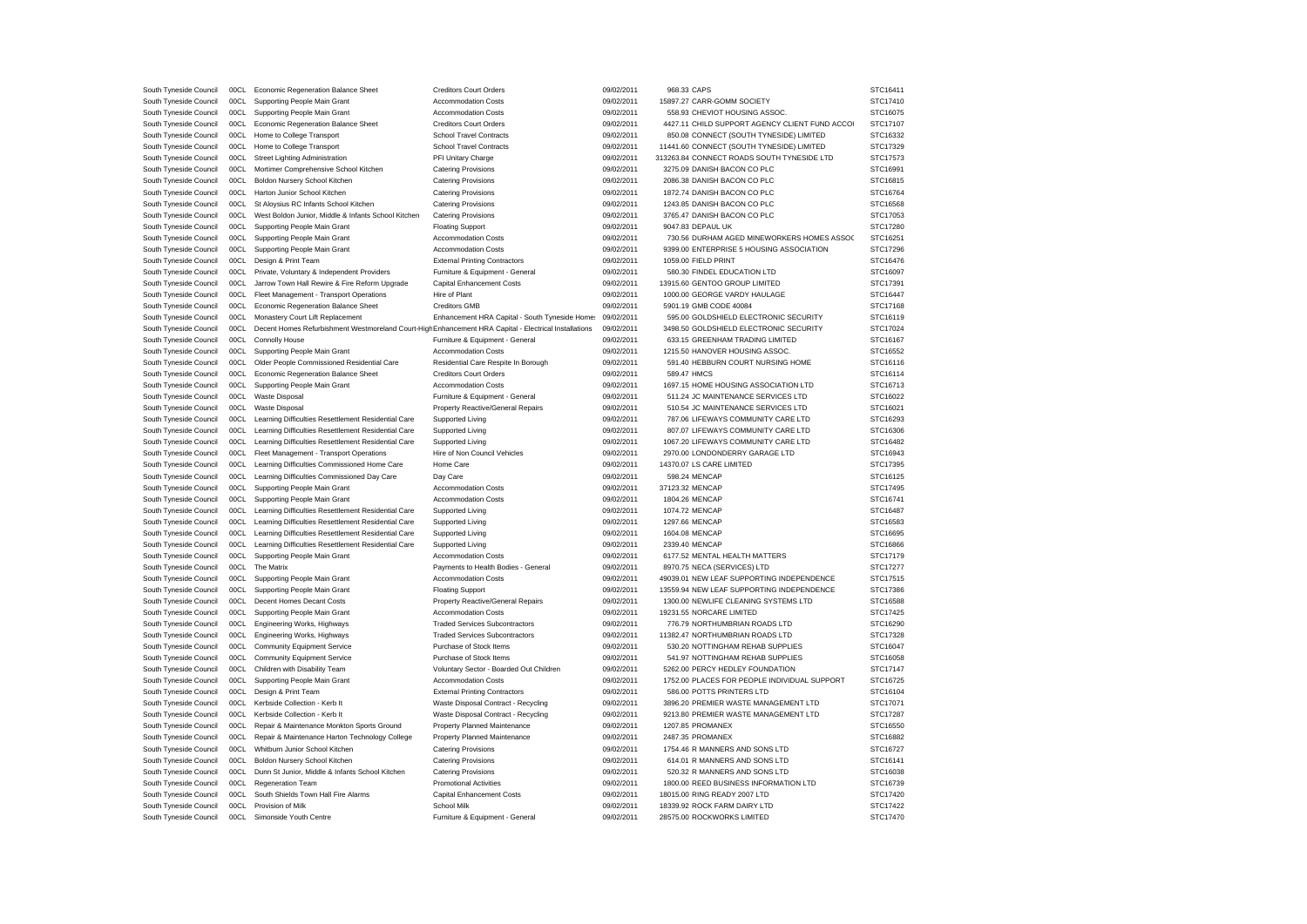| South Tyneside Council | 00CL | Economic Regeneration Balance Sheet                                                                   | <b>Creditors Court Orders</b>                  | 09/02/2011               | 968.33 CAPS                                    | STC16411 |
|------------------------|------|-------------------------------------------------------------------------------------------------------|------------------------------------------------|--------------------------|------------------------------------------------|----------|
| South Tyneside Council | 00CL | Supporting People Main Grant                                                                          | <b>Accommodation Costs</b>                     | 09/02/2011               | 15897.27 CARR-GOMM SOCIETY                     | STC17410 |
| South Tyneside Council | 00CL | Supporting People Main Grant                                                                          | <b>Accommodation Costs</b>                     | 09/02/2011               | 558.93 CHEVIOT HOUSING ASSOC.                  | STC16075 |
| South Tyneside Council | 00CL | Economic Regeneration Balance Sheet                                                                   | <b>Creditors Court Orders</b>                  | 09/02/2011               | 4427.11 CHILD SUPPORT AGENCY CLIENT FUND ACCOI | STC17107 |
| South Tyneside Council | 00CL | Home to College Transport                                                                             | <b>School Travel Contracts</b>                 | 09/02/2011               | 850.08 CONNECT (SOUTH TYNESIDE) LIMITED        | STC16332 |
| South Tyneside Council | 00CL | Home to College Transport                                                                             | <b>School Travel Contracts</b>                 | 09/02/2011               | 11441.60 CONNECT (SOUTH TYNESIDE) LIMITED      | STC17329 |
| South Tyneside Council | 00CL | Street Lighting Administration                                                                        | PFI Unitary Charge                             | 09/02/2011               | 313263.84 CONNECT ROADS SOUTH TYNESIDE LTD     | STC17573 |
| South Tyneside Council | 00CL | Mortimer Comprehensive School Kitchen                                                                 | <b>Catering Provisions</b>                     | 09/02/2011               | 3275.09 DANISH BACON CO PLC                    | STC16991 |
| South Tyneside Council | 00CL | Boldon Nursery School Kitchen                                                                         | <b>Catering Provisions</b>                     | 09/02/2011               | 2086.38 DANISH BACON CO PLC                    | STC16815 |
| South Tyneside Council | 00CL | Harton Junior School Kitchen                                                                          | <b>Catering Provisions</b>                     | 09/02/2011               | 1872.74 DANISH BACON CO PLC                    | STC16764 |
| South Tyneside Council | 00CL | St Aloysius RC Infants School Kitchen                                                                 | <b>Catering Provisions</b>                     | 09/02/2011               | 1243.85 DANISH BACON CO PLC                    | STC16568 |
| South Tyneside Council | 00CL | West Boldon Junior, Middle & Infants School Kitchen                                                   | <b>Catering Provisions</b>                     | 09/02/2011               | 3765.47 DANISH BACON CO PLC                    | STC17053 |
| South Tyneside Council | 00CL | Supporting People Main Grant                                                                          | <b>Floating Support</b>                        | 09/02/2011               | 9047.83 DEPAUL UK                              | STC17280 |
| South Tyneside Council | 00CL | Supporting People Main Grant                                                                          | <b>Accommodation Costs</b>                     | 09/02/2011               | 730.56 DURHAM AGED MINEWORKERS HOMES ASSOC     | STC16251 |
| South Tyneside Council | 00CL | Supporting People Main Grant                                                                          | <b>Accommodation Costs</b>                     | 09/02/2011               | 9399.00 ENTERPRISE 5 HOUSING ASSOCIATION       | STC17296 |
| South Tyneside Council | 00CL | Design & Print Team                                                                                   | <b>External Printing Contractors</b>           | 09/02/2011               | 1059.00 FIELD PRINT                            | STC16476 |
| South Tyneside Council | 00CL |                                                                                                       |                                                | 09/02/2011               | 580.30 FINDEL EDUCATION LTD                    | STC16097 |
|                        |      | Private, Voluntary & Independent Providers                                                            | Furniture & Equipment - General                |                          |                                                |          |
| South Tyneside Council | 00CL | Jarrow Town Hall Rewire & Fire Reform Upgrade                                                         | Capital Enhancement Costs                      | 09/02/2011               | 13915.60 GENTOO GROUP LIMITED                  | STC17391 |
| South Tyneside Council | 00CL | Fleet Management - Transport Operations                                                               | Hire of Plant                                  | 09/02/2011               | 1000.00 GEORGE VARDY HAULAGE                   | STC16447 |
| South Tyneside Council | 00CL | Economic Regeneration Balance Sheet                                                                   | <b>Creditors GMB</b>                           | 09/02/2011               | 5901.19 GMB CODE 40084                         | STC17168 |
| South Tyneside Council | 00CL | Monastery Court Lift Replacement                                                                      | Enhancement HRA Capital - South Tyneside Home: | 09/02/2011               | 595.00 GOLDSHIELD ELECTRONIC SECURITY          | STC16119 |
| South Tyneside Council | 00CL | Decent Homes Refurbishment Westmoreland Court-High Enhancement HRA Capital - Electrical Installations |                                                | 09/02/2011               | 3498.50 GOLDSHIELD ELECTRONIC SECURITY         | STC17024 |
| South Tyneside Council | 00CL | Connolly House                                                                                        | Furniture & Equipment - General                | 09/02/2011               | 633.15 GREENHAM TRADING LIMITED                | STC16167 |
| South Tyneside Council | 00CL | Supporting People Main Grant                                                                          | <b>Accommodation Costs</b>                     | 09/02/2011               | 1215.50 HANOVER HOUSING ASSOC.                 | STC16552 |
| South Tyneside Council | 00CL | Older People Commissioned Residential Care                                                            | Residential Care Respite In Borough            | 09/02/2011               | 591.40 HEBBURN COURT NURSING HOME              | STC16116 |
| South Tyneside Council | 00CL | Economic Regeneration Balance Sheet                                                                   | <b>Creditors Court Orders</b>                  | 09/02/2011               | 589.47 HMCS                                    | STC16114 |
| South Tyneside Council | 00CL | Supporting People Main Grant                                                                          | <b>Accommodation Costs</b>                     | 09/02/2011               | 1697.15 HOME HOUSING ASSOCIATION LTD           | STC16713 |
| South Tyneside Council | 00CL | <b>Waste Disposal</b>                                                                                 | Furniture & Equipment - General                | 09/02/2011               | 511.24 JC MAINTENANCE SERVICES LTD             | STC16022 |
| South Tyneside Council | 00CL | <b>Waste Disposal</b>                                                                                 | Property Reactive/General Repairs              | 09/02/2011               | 510.54 JC MAINTENANCE SERVICES LTD             | STC16021 |
| South Tyneside Council | 00CL | Learning Difficulties Resettlement Residential Care                                                   | Supported Living                               | 09/02/2011               | 787.06 LIFEWAYS COMMUNITY CARE LTD             | STC16293 |
| South Tyneside Council | 00CL | Learning Difficulties Resettlement Residential Care                                                   | Supported Living                               | 09/02/2011               | 807.07 LIFEWAYS COMMUNITY CARE LTD             | STC16306 |
| South Tyneside Council | 00CL | Learning Difficulties Resettlement Residential Care                                                   | Supported Living                               | 09/02/2011               | 1067.20 LIFEWAYS COMMUNITY CARE LTD            | STC16482 |
| South Tyneside Council | 00CL | Fleet Management - Transport Operations                                                               | Hire of Non Council Vehicles                   | 09/02/2011               | 2970.00 LONDONDERRY GARAGE LTD                 | STC16943 |
| South Tyneside Council | 00CL | Learning Difficulties Commissioned Home Care                                                          | Home Care                                      | 09/02/2011               | 14370.07 LS CARE LIMITED                       | STC17395 |
| South Tyneside Council | 00CL | Learning Difficulties Commissioned Day Care                                                           | Day Care                                       | 09/02/2011               | 598.24 MENCAP                                  | STC16125 |
| South Tyneside Council | 00CL | Supporting People Main Grant                                                                          | <b>Accommodation Costs</b>                     | 09/02/2011               | 37123.32 MENCAP                                | STC17495 |
| South Tyneside Council | 00CL | Supporting People Main Grant                                                                          | <b>Accommodation Costs</b>                     | 09/02/2011               | 1804.26 MENCAP                                 | STC16741 |
| South Tyneside Council | 00CL | Learning Difficulties Resettlement Residential Care                                                   | Supported Living                               | 09/02/2011               | 1074.72 MENCAP                                 | STC16487 |
|                        | 00CL |                                                                                                       |                                                |                          |                                                |          |
| South Tyneside Council |      | Learning Difficulties Resettlement Residential Care                                                   | Supported Living                               | 09/02/2011               | 1297.66 MENCAP                                 | STC16583 |
| South Tyneside Council | 00CL | Learning Difficulties Resettlement Residential Care                                                   | Supported Living                               | 09/02/2011               | 1604.08 MENCAP                                 | STC16695 |
| South Tyneside Council | 00CL | Learning Difficulties Resettlement Residential Care                                                   | Supported Living                               | 09/02/2011               | 2339.40 MENCAP                                 | STC16866 |
| South Tyneside Council | 00CL | Supporting People Main Grant                                                                          | Accommodation Costs                            | 09/02/2011               | 6177.52 MENTAL HEALTH MATTERS                  | STC17179 |
| South Tyneside Council | 00CL | The Matrix                                                                                            | Payments to Health Bodies - General            | 09/02/2011               | 8970.75 NECA (SERVICES) LTD                    | STC17277 |
| South Tyneside Council | 00CL | Supporting People Main Grant                                                                          | <b>Accommodation Costs</b>                     | 09/02/2011               | 49039.01 NEW LEAF SUPPORTING INDEPENDENCE      | STC17515 |
| South Tyneside Council | 00CL | Supporting People Main Grant                                                                          | <b>Floating Support</b>                        | 09/02/2011               | 13559.94 NEW LEAF SUPPORTING INDEPENDENCE      | STC17386 |
| South Tyneside Council | 00CL | Decent Homes Decant Costs                                                                             | Property Reactive/General Repairs              | 09/02/2011               | 1300.00 NEWLIFE CLEANING SYSTEMS LTD           | STC16588 |
| South Tyneside Council | 00CL | Supporting People Main Grant                                                                          | <b>Accommodation Costs</b>                     | 09/02/2011               | 19231.55 NORCARE LIMITED                       | STC17425 |
| South Tyneside Council | 00CL | Engineering Works, Highways                                                                           | <b>Traded Services Subcontractors</b>          | 09/02/2011               | 776.79 NORTHUMBRIAN ROADS LTD                  | STC16290 |
| South Tyneside Council | 00CL | Engineering Works, Highways                                                                           | <b>Traded Services Subcontractors</b>          | 09/02/2011               | 11382.47 NORTHUMBRIAN ROADS LTD                | STC17328 |
| South Tyneside Council | 00CL | <b>Community Equipment Service</b>                                                                    | Purchase of Stock Items                        | 09/02/2011               | 530.20 NOTTINGHAM REHAB SUPPLIES               | STC16047 |
| South Tyneside Council | 00CL | <b>Community Equipment Service</b>                                                                    | Purchase of Stock Items                        | 09/02/2011               | 541.97 NOTTINGHAM REHAB SUPPLIES               | STC16058 |
| South Tyneside Council | 00CL | Children with Disability Team                                                                         | Voluntary Sector - Boarded Out Children        | 09/02/2011               | 5262.00 PERCY HEDLEY FOUNDATION                | STC17147 |
| South Tyneside Council | 00CL | Supporting People Main Grant                                                                          | <b>Accommodation Costs</b>                     | 09/02/2011               | 1752.00 PLACES FOR PEOPLE INDIVIDUAL SUPPORT   | STC16725 |
| South Tyneside Council | 00CL | Design & Print Team                                                                                   | <b>External Printing Contractors</b>           | 09/02/2011               | 586.00 POTTS PRINTERS LTD                      | STC16104 |
| South Tyneside Council | 00CL | Kerbside Collection - Kerb It                                                                         | Waste Disposal Contract - Recycling            | 09/02/2011               | 3896.20 PREMIER WASTE MANAGEMENT LTD           | STC17071 |
| South Tyneside Council | 00CL | Kerbside Collection - Kerb It                                                                         | Waste Disposal Contract - Recycling            | 09/02/2011               | 9213.80 PREMIER WASTE MANAGEMENT LTD           | STC17287 |
| South Tyneside Council | 00CL | Repair & Maintenance Monkton Sports Ground                                                            | Property Planned Maintenance                   | 09/02/2011               | 1207.85 PROMANEX                               | STC16550 |
| South Tyneside Council | 00CL | Repair & Maintenance Harton Technology College                                                        | Property Planned Maintenance                   | 09/02/2011               | 2487.35 PROMANEX                               | STC16882 |
| South Tyneside Council | 00CL | Whitburn Junior School Kitchen                                                                        | <b>Catering Provisions</b>                     | 09/02/2011               | 1754.46 R MANNERS AND SONS LTD                 | STC16727 |
| South Tyneside Council | 00CL | Boldon Nursery School Kitchen                                                                         | <b>Catering Provisions</b>                     | 09/02/2011               | 614.01 R MANNERS AND SONS LTD                  | STC16141 |
| South Tyneside Council | 00C1 | Dunn St Junior, Middle & Infants School Kitchen                                                       | <b>Catering Provisions</b>                     | 09/02/2011               | 520.32 R MANNERS AND SONS LTD                  | STC16038 |
| South Tyneside Council | 00CL | <b>Regeneration Team</b>                                                                              | <b>Promotional Activities</b>                  | 09/02/2011               | 1800.00 REED BUSINESS INFORMATION LTD          | STC16739 |
|                        | 00C1 |                                                                                                       |                                                |                          | 18015.00 RING READY 2007 LTD                   |          |
| South Tyneside Council | 00CL | South Shields Town Hall Fire Alarms                                                                   | Capital Enhancement Costs<br>School Milk       | 09/02/2011<br>09/02/2011 |                                                | STC17420 |
| South Tyneside Council |      | Provision of Milk                                                                                     |                                                |                          | 18339.92 ROCK FARM DAIRY LTD                   | STC17422 |
| South Tyneside Council | 00CL | Simonside Youth Centre                                                                                | Furniture & Equipment - General                | 09/02/2011               | 28575.00 ROCKWORKS LIMITED                     | STC17470 |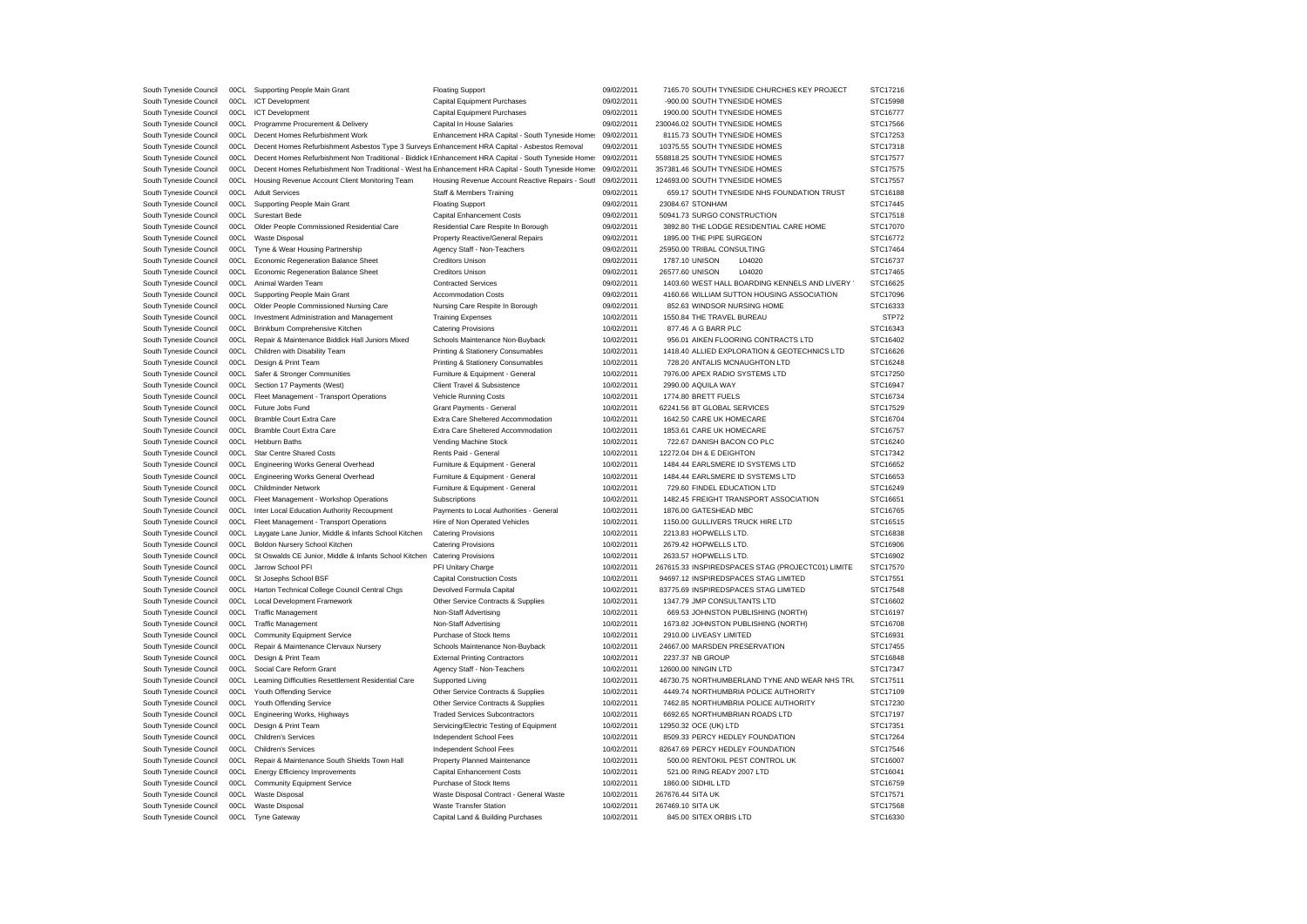| South Tyneside Council | 00CL | Supporting People Main Grant                                                                          | <b>Floating Support</b>                          | 09/02/2011 | 7165.70 SOUTH TYNESIDE CHURCHES KEY PROJECT       | STC17216 |
|------------------------|------|-------------------------------------------------------------------------------------------------------|--------------------------------------------------|------------|---------------------------------------------------|----------|
| South Tyneside Council | 00CL | <b>ICT Development</b>                                                                                | Capital Equipment Purchases                      | 09/02/2011 | -900.00 SOUTH TYNESIDE HOMES                      | STC15998 |
| South Tyneside Council | 00CL | <b>ICT</b> Development                                                                                | Capital Equipment Purchases                      | 09/02/2011 | 1900.00 SOUTH TYNESIDE HOMES                      | STC16777 |
| South Tyneside Council | 00CL | Programme Procurement & Delivery                                                                      | Capital In House Salaries                        | 09/02/2011 | 230046.02 SOUTH TYNESIDE HOMES                    | STC17566 |
| South Tyneside Council | 00CL | Decent Homes Refurbishment Work                                                                       | Enhancement HRA Capital - South Tyneside Home:   | 09/02/2011 | 8115.73 SOUTH TYNESIDE HOMES                      | STC17253 |
| South Tyneside Council | 00CL | Decent Homes Refurbishment Asbestos Type 3 Surveys Enhancement HRA Capital - Asbestos Removal         |                                                  | 09/02/2011 | 10375.55 SOUTH TYNESIDE HOMES                     | STC17318 |
| South Tyneside Council | 00CL | Decent Homes Refurbishment Non Traditional - Biddick I Enhancement HRA Capital - South Tyneside Home: |                                                  | 09/02/2011 | 558818.25 SOUTH TYNESIDE HOMES                    | STC17577 |
|                        | 00C1 |                                                                                                       |                                                  | 09/02/2011 |                                                   |          |
| South Tyneside Council |      | Decent Homes Refurbishment Non Traditional - West ha Enhancement HRA Capital - South Tyneside Home:   |                                                  |            | 357381.46 SOUTH TYNESIDE HOMES                    | STC17575 |
| South Tyneside Council | 00CL | Housing Revenue Account Client Monitoring Team                                                        | Housing Revenue Account Reactive Repairs - Soutl | 09/02/2011 | 124693.00 SOUTH TYNESIDE HOMES                    | STC17557 |
| South Tyneside Council | 00CL | <b>Adult Services</b>                                                                                 | Staff & Members Training                         | 09/02/2011 | 659.17 SOUTH TYNESIDE NHS FOUNDATION TRUST        | STC16188 |
| South Tyneside Council | 00C1 | Supporting People Main Grant                                                                          | <b>Floating Support</b>                          | 09/02/2011 | 23084.67 STONHAM                                  | STC17445 |
| South Tyneside Council | 00CL | <b>Surestart Bede</b>                                                                                 | <b>Capital Enhancement Costs</b>                 | 09/02/2011 | 50941.73 SURGO CONSTRUCTION                       | STC17518 |
| South Tyneside Council | 00CL | Older People Commissioned Residential Care                                                            | Residential Care Respite In Borough              | 09/02/2011 | 3892.80 THE LODGE RESIDENTIAL CARE HOME           | STC17070 |
| South Tyneside Council | 00CL | <b>Waste Disposal</b>                                                                                 | Property Reactive/General Repairs                | 09/02/2011 | 1895.00 THE PIPE SURGEON                          | STC16772 |
| South Tyneside Council | 00CL | Tyne & Wear Housing Partnership                                                                       | Agency Staff - Non-Teachers                      | 09/02/2011 | 25950.00 TRIBAL CONSULTING                        | STC17464 |
| South Tyneside Council | 00CL | Economic Regeneration Balance Sheet                                                                   | <b>Creditors Unison</b>                          | 09/02/2011 | 1787.10 UNISON<br>L04020                          | STC16737 |
| South Tyneside Council | 00CL | Economic Regeneration Balance Sheet                                                                   | <b>Creditors Unison</b>                          | 09/02/2011 | 26577.60 UNISON<br>L04020                         | STC17465 |
| South Tyneside Council | 00CL | Animal Warden Team                                                                                    | <b>Contracted Services</b>                       | 09/02/2011 | 1403.60 WEST HALL BOARDING KENNELS AND LIVERY     | STC16625 |
| South Tyneside Council | 00CL | Supporting People Main Grant                                                                          | <b>Accommodation Costs</b>                       | 09/02/2011 | 4160.66 WILLIAM SUTTON HOUSING ASSOCIATION        | STC17096 |
| South Tyneside Council | 00CL | Older People Commissioned Nursing Care                                                                | Nursing Care Respite In Borough                  | 09/02/2011 | 852.63 WINDSOR NURSING HOME                       | STC16333 |
| South Tyneside Council | 00CL | Investment Administration and Management                                                              | <b>Training Expenses</b>                         | 10/02/2011 | 1550.84 THE TRAVEL BUREAU                         | STP72    |
|                        |      |                                                                                                       |                                                  |            |                                                   |          |
| South Tyneside Council | 00CL | Brinkburn Comprehensive Kitchen                                                                       | <b>Catering Provisions</b>                       | 10/02/2011 | 877.46 A G BARR PLC                               | STC16343 |
| South Tyneside Council | 00CL | Repair & Maintenance Biddick Hall Juniors Mixed                                                       | Schools Maintenance Non-Buyback                  | 10/02/2011 | 956.01 AIKEN FLOORING CONTRACTS LTD               | STC16402 |
| South Tyneside Council | 00CL | Children with Disability Team                                                                         | Printing & Stationery Consumables                | 10/02/2011 | 1418.40 ALLIED EXPLORATION & GEOTECHNICS LTD      | STC16626 |
| South Tyneside Council |      | 00CL Design & Print Team                                                                              | Printing & Stationery Consumables                | 10/02/2011 | 728.20 ANTALIS MCNAUGHTON LTD                     | STC16248 |
| South Tyneside Council | 00CL | Safer & Stronger Communities                                                                          | Furniture & Equipment - General                  | 10/02/2011 | 7976.00 APEX RADIO SYSTEMS LTD                    | STC17250 |
| South Tyneside Council | 00CL | Section 17 Payments (West)                                                                            | Client Travel & Subsistence                      | 10/02/2011 | 2990.00 AQUILA WAY                                | STC16947 |
| South Tyneside Council |      | 00CL Fleet Management - Transport Operations                                                          | Vehicle Running Costs                            | 10/02/2011 | 1774.80 BRETT FUELS                               | STC16734 |
| South Tyneside Council |      | 00CL Future Jobs Fund                                                                                 | Grant Payments - General                         | 10/02/2011 | 62241.56 BT GLOBAL SERVICES                       | STC17529 |
| South Tyneside Council | 00CL | <b>Bramble Court Extra Care</b>                                                                       | Extra Care Sheltered Accommodation               | 10/02/2011 | 1642.50 CARE UK HOMECARE                          | STC16704 |
| South Tyneside Council |      | 00CL Bramble Court Extra Care                                                                         | Extra Care Sheltered Accommodation               | 10/02/2011 | 1853.61 CARE UK HOMECARE                          | STC16757 |
| South Tyneside Council | 00CL | <b>Hebburn Baths</b>                                                                                  | Vending Machine Stock                            | 10/02/2011 | 722.67 DANISH BACON CO PLC                        | STC16240 |
| South Tyneside Council | 00CL | <b>Star Centre Shared Costs</b>                                                                       | Rents Paid - General                             | 10/02/2011 | 12272.04 DH & E DEIGHTON                          | STC17342 |
|                        | 00CL |                                                                                                       |                                                  | 10/02/2011 | 1484.44 EARLSMERE ID SYSTEMS LTD                  | STC16652 |
| South Tyneside Council |      | <b>Engineering Works General Overhead</b>                                                             | Furniture & Equipment - General                  |            |                                                   |          |
| South Tyneside Council | 00CL | Engineering Works General Overhead                                                                    | Furniture & Equipment - General                  | 10/02/2011 | 1484.44 EARLSMERE ID SYSTEMS LTD                  | STC16653 |
| South Tyneside Council | 00CL | Childminder Network                                                                                   | Furniture & Equipment - General                  | 10/02/2011 | 729.60 FINDEL EDUCATION LTD                       | STC16249 |
| South Tyneside Council | 00CL | Fleet Management - Workshop Operations                                                                | Subscriptions                                    | 10/02/2011 | 1482.45 FREIGHT TRANSPORT ASSOCIATION             | STC16651 |
| South Tyneside Council | 00CL | Inter Local Education Authority Recoupment                                                            | Payments to Local Authorities - General          | 10/02/2011 | 1876.00 GATESHEAD MBC                             | STC16765 |
| South Tyneside Council | 00CL | Fleet Management - Transport Operations                                                               | Hire of Non Operated Vehicles                    | 10/02/2011 | 1150.00 GULLIVERS TRUCK HIRE LTD                  | STC16515 |
| South Tyneside Council | 00CL | Laygate Lane Junior, Middle & Infants School Kitchen                                                  | <b>Catering Provisions</b>                       | 10/02/2011 | 2213.83 HOPWELLS LTD                              | STC16838 |
| South Tyneside Council | 00CL | Boldon Nursery School Kitchen                                                                         | <b>Catering Provisions</b>                       | 10/02/2011 | 2679.42 HOPWELLS LTD                              | STC16906 |
| South Tyneside Council | 00CL | St Oswalds CE Junior, Middle & Infants School Kitchen                                                 | <b>Catering Provisions</b>                       | 10/02/2011 | 2633.57 HOPWELLS LTD.                             | STC16902 |
| South Tyneside Council | 00CL | Jarrow School PFI                                                                                     | PFI Unitary Charge                               | 10/02/2011 | 267615.33 INSPIREDSPACES STAG (PROJECTC01) LIMITE | STC17570 |
| South Tyneside Council | 00CL | St Josephs School BSF                                                                                 | <b>Capital Construction Costs</b>                | 10/02/2011 | 94697.12 INSPIREDSPACES STAG LIMITED              | STC17551 |
| South Tyneside Council | 00CL | Harton Technical College Council Central Chgs                                                         | Devolved Formula Capital                         | 10/02/2011 | 83775.69 INSPIREDSPACES STAG LIMITED              | STC17548 |
| South Tyneside Council | 00CL | <b>Local Development Framework</b>                                                                    | Other Service Contracts & Supplies               | 10/02/2011 | 1347.79 JMP CONSULTANTS LTD                       | STC16602 |
| South Tyneside Council | 00CL | <b>Traffic Management</b>                                                                             | Non-Staff Advertising                            | 10/02/2011 | 669.53 JOHNSTON PUBLISHING (NORTH)                | STC16197 |
|                        | 00CL |                                                                                                       |                                                  |            | 1673.82 JOHNSTON PUBLISHING (NORTH)               |          |
| South Tyneside Council |      | <b>Traffic Management</b>                                                                             | Non-Staff Advertising                            | 10/02/2011 |                                                   | STC16708 |
| South Tyneside Council | 00CL | <b>Community Equipment Service</b>                                                                    | Purchase of Stock Items                          | 10/02/2011 | 2910.00 LIVEASY LIMITED                           | STC16931 |
| South Tyneside Council | 00CL | Repair & Maintenance Clervaux Nursery                                                                 | Schools Maintenance Non-Buyback                  | 10/02/2011 | 24667.00 MARSDEN PRESERVATION                     | STC17455 |
| South Tyneside Council | 00CL | Design & Print Team                                                                                   | <b>External Printing Contractors</b>             | 10/02/2011 | 2237.37 NB GROUP                                  | STC16848 |
| South Tyneside Council | 00CL | Social Care Reform Grant                                                                              | Agency Staff - Non-Teachers                      | 10/02/2011 | 12600.00 NINGIN LTD                               | STC17347 |
| South Tyneside Council | 00CL | Learning Difficulties Resettlement Residential Care                                                   | Supported Living                                 | 10/02/2011 | 46730.75 NORTHUMBERLAND TYNE AND WEAR NHS TRL     | STC17511 |
| South Tyneside Council | 00CL | Youth Offending Service                                                                               | Other Service Contracts & Supplies               | 10/02/2011 | 4449.74 NORTHUMBRIA POLICE AUTHORITY              | STC17109 |
| South Tyneside Council | 00CL | Youth Offending Service                                                                               | Other Service Contracts & Supplies               | 10/02/2011 | 7462.85 NORTHUMBRIA POLICE AUTHORITY              | STC17230 |
| South Tyneside Council | 00CL | Engineering Works, Highways                                                                           | <b>Traded Services Subcontractors</b>            | 10/02/2011 | 6692.65 NORTHUMBRIAN ROADS LTD                    | STC17197 |
| South Tyneside Council | 00CL | Design & Print Team                                                                                   | Servicing/Electric Testing of Equipment          | 10/02/2011 | 12950.32 OCE (UK) LTD                             | STC17351 |
| South Tyneside Council | 00CL | <b>Children's Services</b>                                                                            | Independent School Fees                          | 10/02/2011 | 8509.33 PERCY HEDLEY FOUNDATION                   | STC17264 |
| South Tyneside Council | 00CL | <b>Children's Services</b>                                                                            | Independent School Fees                          | 10/02/2011 | 82647.69 PERCY HEDLEY FOUNDATION                  | STC17546 |
| South Tyneside Council | 00CL | Repair & Maintenance South Shields Town Hall                                                          | Property Planned Maintenance                     | 10/02/2011 | 500.00 RENTOKIL PEST CONTROL UK                   | STC16007 |
| South Tyneside Council | 00CL | <b>Energy Efficiency Improvements</b>                                                                 | <b>Capital Enhancement Costs</b>                 | 10/02/2011 | 521.00 RING READY 2007 LTD                        | STC16041 |
|                        |      |                                                                                                       |                                                  |            |                                                   |          |
| South Tyneside Council | 00C1 | <b>Community Equipment Service</b>                                                                    | Purchase of Stock Items                          | 10/02/2011 | 1860.00 SIDHIL LTD                                | STC16759 |
| South Tyneside Council | 00CL | <b>Waste Disposal</b>                                                                                 | Waste Disposal Contract - General Waste          | 10/02/2011 | 267676.44 SITA UK                                 | STC17571 |
| South Tyneside Council | 00CL | <b>Waste Disposal</b>                                                                                 | <b>Waste Transfer Station</b>                    | 10/02/2011 | 267469.10 SITA UK                                 | STC17568 |
| South Tyneside Council | 00CL | <b>Tyne Gateway</b>                                                                                   | Capital Land & Building Purchases                | 10/02/2011 | 845.00 SITEX ORBIS LTD                            | STC16330 |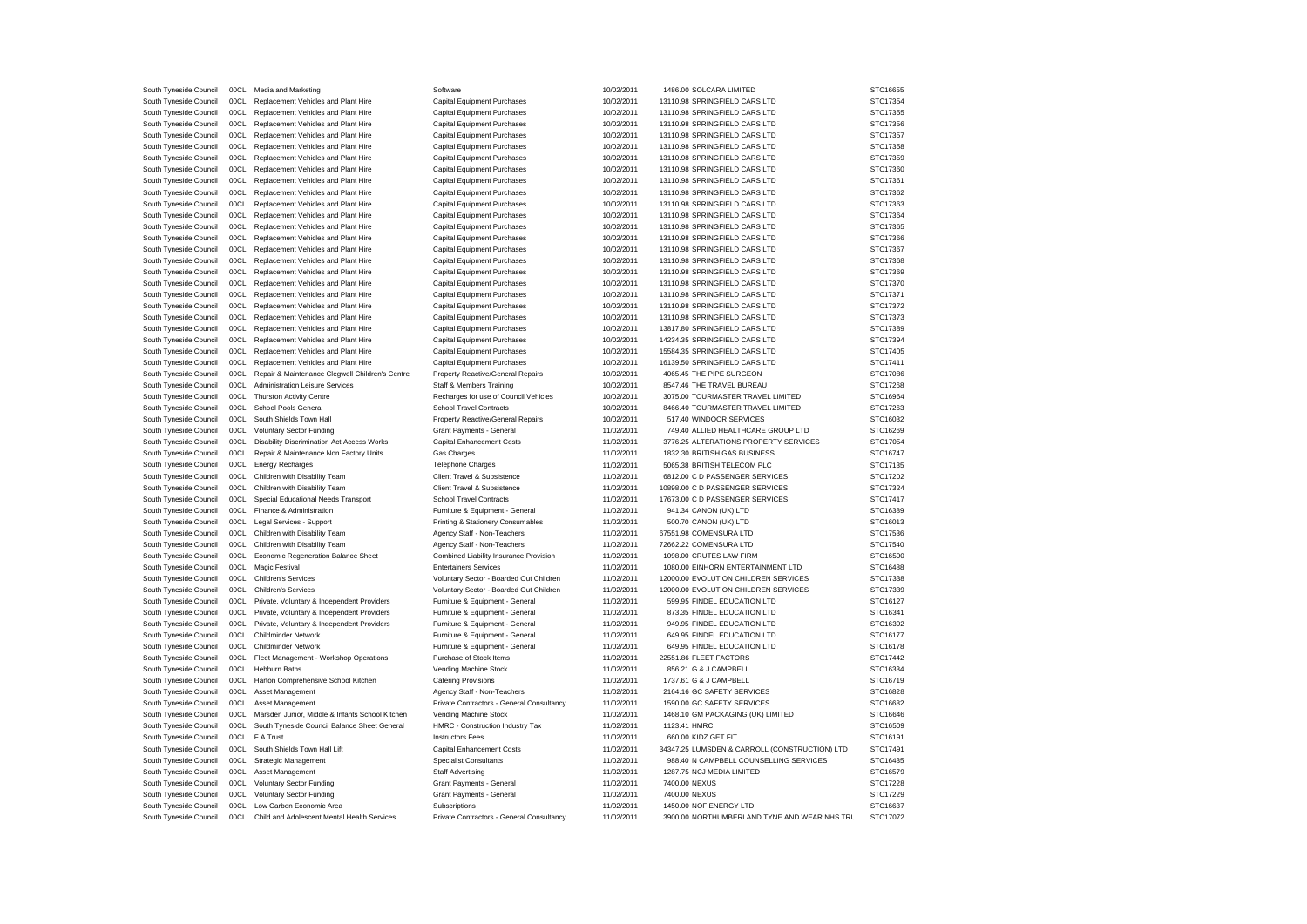| South Tyneside Council | 00CL | Media and Marketing                             | Software                                  | 10/02/2011 | 1486.00 SOLCARA LIMITED                       | STC16655 |
|------------------------|------|-------------------------------------------------|-------------------------------------------|------------|-----------------------------------------------|----------|
| South Tyneside Council | 00CL | Replacement Vehicles and Plant Hire             | <b>Capital Equipment Purchases</b>        | 10/02/2011 | 13110.98 SPRINGFIELD CARS LTD                 | STC17354 |
| South Tyneside Council | 00CL | Replacement Vehicles and Plant Hire             | Capital Equipment Purchases               | 10/02/2011 | 13110.98 SPRINGFIELD CARS LTD                 | STC17355 |
| South Tyneside Council | 00CL | Replacement Vehicles and Plant Hire             | Capital Equipment Purchases               | 10/02/2011 | 13110.98 SPRINGFIELD CARS LTD                 | STC17356 |
| South Tyneside Council | 00CL | Replacement Vehicles and Plant Hire             | <b>Capital Equipment Purchases</b>        | 10/02/2011 | 13110.98 SPRINGFIELD CARS LTD                 | STC17357 |
| South Tyneside Council | 00CL | Replacement Vehicles and Plant Hire             | Capital Equipment Purchases               | 10/02/2011 | 13110.98 SPRINGFIELD CARS LTD                 | STC17358 |
| South Tyneside Council | 00CL | Replacement Vehicles and Plant Hire             | Capital Equipment Purchases               | 10/02/2011 | 13110.98 SPRINGFIELD CARS LTD                 | STC17359 |
| South Tyneside Council | 00CL | Replacement Vehicles and Plant Hire             | <b>Capital Equipment Purchases</b>        | 10/02/2011 | 13110.98 SPRINGFIELD CARS LTD                 | STC17360 |
| South Tyneside Council | 00CL | Replacement Vehicles and Plant Hire             | <b>Capital Equipment Purchases</b>        | 10/02/2011 | 13110.98 SPRINGFIELD CARS LTD                 | STC17361 |
| South Tyneside Council | 00CL | Replacement Vehicles and Plant Hire             | Capital Equipment Purchases               | 10/02/2011 | 13110.98 SPRINGFIELD CARS LTD                 | STC17362 |
| South Tyneside Council | 00CL | Replacement Vehicles and Plant Hire             | Capital Equipment Purchases               | 10/02/2011 | 13110.98 SPRINGFIELD CARS LTD                 | STC17363 |
| South Tyneside Council | 00CL | Replacement Vehicles and Plant Hire             | <b>Capital Equipment Purchases</b>        | 10/02/2011 | 13110.98 SPRINGFIELD CARS LTD                 | STC17364 |
| South Tyneside Council | 00CL | Replacement Vehicles and Plant Hire             | Capital Equipment Purchases               | 10/02/2011 | 13110.98 SPRINGFIELD CARS LTD                 | STC17365 |
| South Tyneside Council | 00CL | Replacement Vehicles and Plant Hire             | Capital Equipment Purchases               | 10/02/2011 | 13110.98 SPRINGFIELD CARS LTD                 | STC17366 |
| South Tyneside Council | 00CL | Replacement Vehicles and Plant Hire             | Capital Equipment Purchases               | 10/02/2011 | 13110.98 SPRINGFIELD CARS LTD                 | STC17367 |
| South Tyneside Council | 00CL | Replacement Vehicles and Plant Hire             | <b>Capital Equipment Purchases</b>        | 10/02/2011 | 13110.98 SPRINGFIELD CARS LTD                 | STC17368 |
| South Tyneside Council | 00CL | Replacement Vehicles and Plant Hire             | Capital Equipment Purchases               | 10/02/2011 | 13110.98 SPRINGFIELD CARS LTD                 | STC17369 |
| South Tyneside Council | 00CL | Replacement Vehicles and Plant Hire             | <b>Capital Equipment Purchases</b>        | 10/02/2011 | 13110.98 SPRINGFIELD CARS LTD                 | STC17370 |
| South Tyneside Council | 00CL | Replacement Vehicles and Plant Hire             | Capital Equipment Purchases               | 10/02/2011 | 13110.98 SPRINGFIELD CARS LTD                 | STC17371 |
|                        | 00CL |                                                 |                                           | 10/02/2011 | 13110.98 SPRINGFIELD CARS LTD                 | STC17372 |
| South Tyneside Council | 00CL | Replacement Vehicles and Plant Hire             | Capital Equipment Purchases               |            | 13110.98 SPRINGFIELD CARS LTD                 | STC17373 |
| South Tyneside Council |      | Replacement Vehicles and Plant Hire             | <b>Capital Equipment Purchases</b>        | 10/02/2011 |                                               |          |
| South Tyneside Council | 00CL | Replacement Vehicles and Plant Hire             | <b>Capital Equipment Purchases</b>        | 10/02/2011 | 13817.80 SPRINGFIELD CARS LTD                 | STC17389 |
| South Tyneside Council | 00CL | Replacement Vehicles and Plant Hire             | <b>Capital Equipment Purchases</b>        | 10/02/2011 | 14234.35 SPRINGFIELD CARS LTD                 | STC17394 |
| South Tyneside Council | 00CL | Replacement Vehicles and Plant Hire             | <b>Capital Equipment Purchases</b>        | 10/02/2011 | 15584.35 SPRINGFIELD CARS LTD                 | STC17405 |
| South Tyneside Council | 00CL | Replacement Vehicles and Plant Hire             | Capital Equipment Purchases               | 10/02/2011 | 16139.50 SPRINGFIELD CARS LTD                 | STC17411 |
| South Tyneside Council | 00CL | Repair & Maintenance Clegwell Children's Centre | Property Reactive/General Repairs         | 10/02/2011 | 4065.45 THE PIPE SURGEON                      | STC17086 |
| South Tyneside Council | 00CL | Administration Leisure Services                 | Staff & Members Training                  | 10/02/2011 | 8547.46 THE TRAVEL BUREAU                     | STC17268 |
| South Tyneside Council | 00CL | Thurston Activity Centre                        | Recharges for use of Council Vehicles     | 10/02/2011 | 3075.00 TOURMASTER TRAVEL LIMITED             | STC16964 |
| South Tyneside Council | 00CL | School Pools General                            | <b>School Travel Contracts</b>            | 10/02/2011 | 8466.40 TOURMASTER TRAVEL LIMITED             | STC17263 |
| South Tyneside Council | 00CL | South Shields Town Hall                         | Property Reactive/General Repairs         | 10/02/2011 | 517.40 WINDOOR SERVICES                       | STC16032 |
| South Tyneside Council | 00CL | <b>Voluntary Sector Funding</b>                 | Grant Payments - General                  | 11/02/2011 | 749.40 ALLIED HEALTHCARE GROUP LTD            | STC16269 |
| South Tyneside Council | 00CL | Disability Discrimination Act Access Works      | Capital Enhancement Costs                 | 11/02/2011 | 3776.25 ALTERATIONS PROPERTY SERVICES         | STC17054 |
| South Tyneside Council | 00CL | Repair & Maintenance Non Factory Units          | <b>Gas Charges</b>                        | 11/02/2011 | 1832.30 BRITISH GAS BUSINESS                  | STC16747 |
| South Tyneside Council | 00CL | <b>Energy Recharges</b>                         | <b>Telephone Charges</b>                  | 11/02/2011 | 5065.38 BRITISH TELECOM PLC                   | STC17135 |
| South Tyneside Council | 00CL | Children with Disability Team                   | Client Travel & Subsistence               | 11/02/2011 | 6812.00 C D PASSENGER SERVICES                | STC17202 |
| South Tyneside Council | 00CL | Children with Disability Team                   | Client Travel & Subsistence               | 11/02/2011 | 10898.00 C D PASSENGER SERVICES               | STC17324 |
| South Tyneside Council | 00CL | Special Educational Needs Transport             | <b>School Travel Contracts</b>            | 11/02/2011 | 17673.00 C D PASSENGER SERVICES               | STC17417 |
| South Tyneside Council | 00CL | Finance & Administration                        | Furniture & Equipment - General           | 11/02/2011 | 941.34 CANON (UK) LTD                         | STC16389 |
| South Tyneside Council | 00CL | Legal Services - Support                        | Printing & Stationery Consumables         | 11/02/2011 | 500.70 CANON (UK) LTD                         | STC16013 |
| South Tyneside Council | 00CL | Children with Disability Team                   | Agency Staff - Non-Teachers               | 11/02/2011 | 67551.98 COMENSURA LTD                        | STC17536 |
| South Tyneside Council | 00CL | Children with Disability Team                   | Agency Staff - Non-Teachers               | 11/02/2011 | 72662.22 COMENSURA LTD                        | STC17540 |
| South Tyneside Council | 00CL | Economic Regeneration Balance Sheet             | Combined Liability Insurance Provision    | 11/02/2011 | 1098.00 CRUTES LAW FIRM                       | STC16500 |
| South Tyneside Council | 00CL | Magic Festival                                  | <b>Entertainers Services</b>              | 11/02/2011 | 1080.00 EINHORN ENTERTAINMENT LTD             | STC16488 |
| South Tyneside Council | 00CL | <b>Children's Services</b>                      | Voluntary Sector - Boarded Out Children   | 11/02/2011 | 12000.00 EVOLUTION CHILDREN SERVICES          | STC17338 |
| South Tyneside Council | 00CL | <b>Children's Services</b>                      | Voluntary Sector - Boarded Out Children   | 11/02/2011 | 12000.00 EVOLUTION CHILDREN SERVICES          | STC17339 |
| South Tyneside Council | 00CL |                                                 | Furniture & Equipment - General           | 11/02/2011 | 599.95 FINDEL EDUCATION LTD                   | STC16127 |
| South Tyneside Council | 00CL | Private, Voluntary & Independent Providers      | Furniture & Equipment - General           | 11/02/2011 | 873.35 FINDEL EDUCATION LTD                   | STC16341 |
|                        |      | Private, Voluntary & Independent Providers      |                                           |            |                                               |          |
| South Tyneside Council | 00CL | Private, Voluntary & Independent Providers      | Furniture & Equipment - General           | 11/02/2011 | 949.95 FINDEL EDUCATION LTD                   | STC16392 |
| South Tyneside Council | 00CL | Childminder Network                             | Furniture & Equipment - General           | 11/02/2011 | 649.95 FINDEL EDUCATION LTD                   | STC16177 |
| South Tyneside Council | 00CL | <b>Childminder Network</b>                      | Furniture & Equipment - General           | 11/02/2011 | 649.95 FINDEL EDUCATION LTD                   | STC16178 |
| South Tyneside Council | 00CL | Fleet Management - Workshop Operations          | Purchase of Stock Items                   | 11/02/2011 | 22551.86 FLEET FACTORS                        | STC17442 |
| South Tyneside Council | 00CL | Hebburn Baths                                   | Vending Machine Stock                     | 11/02/2011 | 856.21 G & J CAMPBELL                         | STC16334 |
| South Tyneside Council | 00CL | Harton Comprehensive School Kitchen             | <b>Catering Provisions</b>                | 11/02/2011 | 1737.61 G & J CAMPBELL                        | STC16719 |
| South Tyneside Council | 00CL | Asset Management                                | Agency Staff - Non-Teachers               | 11/02/2011 | 2164.16 GC SAFETY SERVICES                    | STC16828 |
| South Tyneside Council | 00CL | Asset Management                                | Private Contractors - General Consultancy | 11/02/2011 | 1590.00 GC SAFETY SERVICES                    | STC16682 |
| South Tyneside Council | 00C1 | Marsden Junior, Middle & Infants School Kitchen | Vending Machine Stock                     | 11/02/2011 | 1468.10 GM PACKAGING (UK) LIMITED             | STC16646 |
| South Tyneside Council | 00CL | South Tyneside Council Balance Sheet General    | HMRC - Construction Industry Tax          | 11/02/2011 | 1123.41 HMRC                                  | STC16509 |
| South Tyneside Council | 00CL | F A Trust                                       | <b>Instructors Fees</b>                   | 11/02/2011 | 660.00 KIDZ GET FIT                           | STC16191 |
| South Tyneside Council | 00CL | South Shields Town Hall Lift                    | Capital Enhancement Costs                 | 11/02/2011 | 34347.25 LUMSDEN & CARROLL (CONSTRUCTION) LTD | STC17491 |
| South Tyneside Council | 00CL | Strategic Management                            | Specialist Consultants                    | 11/02/2011 | 988.40 N CAMPBELL COUNSELLING SERVICES        | STC16435 |
| South Tyneside Council | 00CL | Asset Management                                | <b>Staff Advertising</b>                  | 11/02/2011 | 1287.75 NCJ MEDIA LIMITED                     | STC16579 |
| South Tyneside Council | 00CL | <b>Voluntary Sector Funding</b>                 | Grant Payments - General                  | 11/02/2011 | 7400.00 NEXUS                                 | STC17228 |
| South Tyneside Council | 00C1 | <b>Voluntary Sector Funding</b>                 | Grant Payments - General                  | 11/02/2011 | 7400.00 NEXUS                                 | STC17229 |
| South Tyneside Council | 00CL | Low Carbon Economic Area                        | Subscriptions                             | 11/02/2011 | 1450.00 NOF ENERGY LTD                        | STC16637 |
| South Tyneside Council | 00CL | Child and Adolescent Mental Health Services     | Private Contractors - General Consultancy | 11/02/2011 | 3900.00 NORTHUMBERLAND TYNE AND WEAR NHS TRU  | STC17072 |
|                        |      |                                                 |                                           |            |                                               |          |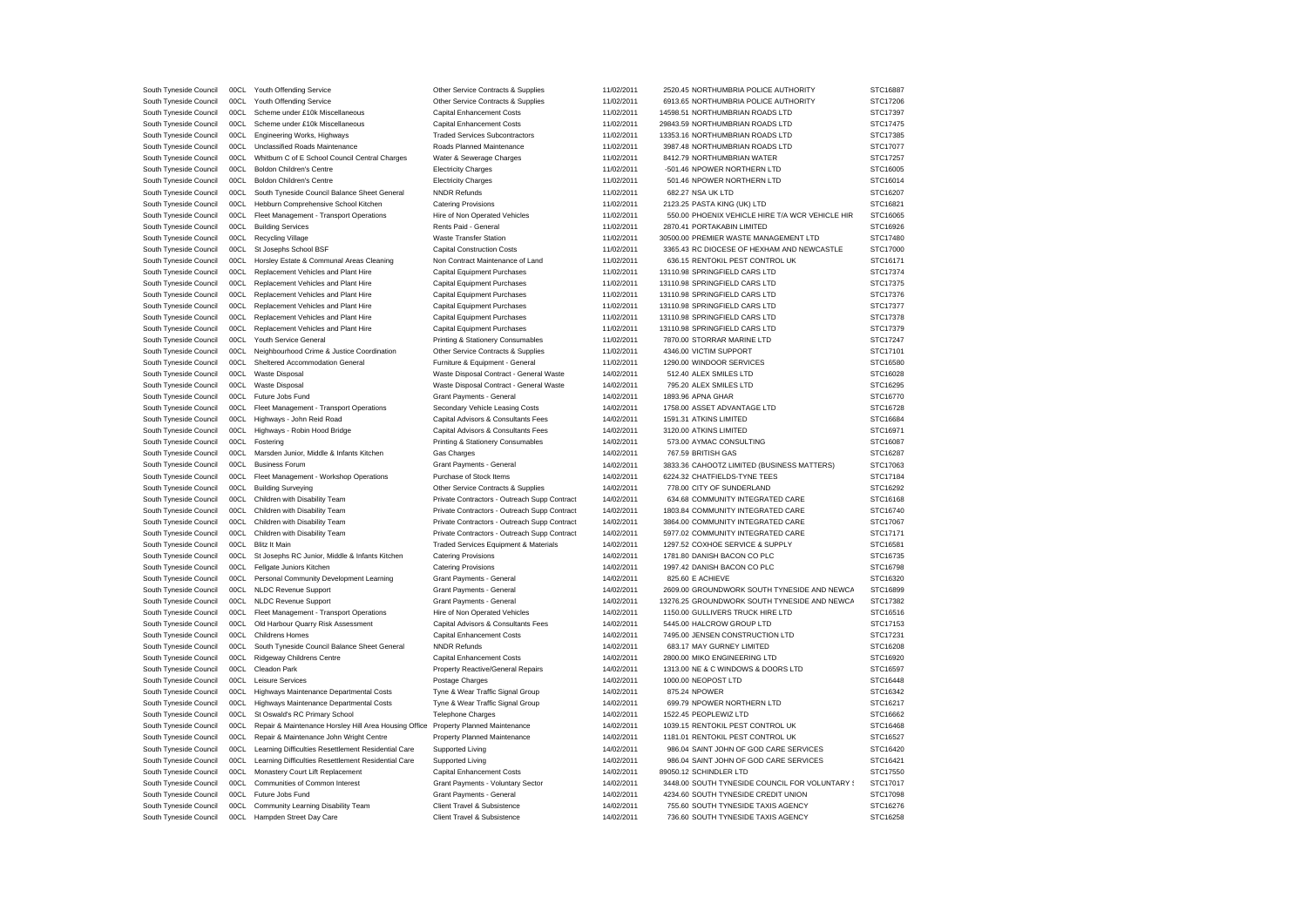| South Tyneside Council                           | 00CL         | Youth Offending Service                                                            | Other Service Contracts & Supplies                         | 11/02/2011               | 2520.45 NORTHUMBRIA POLICE AUTHORITY                                     | STC16887             |
|--------------------------------------------------|--------------|------------------------------------------------------------------------------------|------------------------------------------------------------|--------------------------|--------------------------------------------------------------------------|----------------------|
| South Tyneside Council                           | 00CL         | Youth Offending Service                                                            | Other Service Contracts & Supplies                         | 11/02/2011               | 6913.65 NORTHUMBRIA POLICE AUTHORITY                                     | STC17206             |
| South Tyneside Council                           | 00CL         | Scheme under £10k Miscellaneous                                                    | Capital Enhancement Costs                                  | 11/02/2011               | 14598.51 NORTHUMBRIAN ROADS LTD                                          | STC17397             |
| South Tyneside Council                           | 00CL         | Scheme under £10k Miscellaneous                                                    | Capital Enhancement Costs                                  | 11/02/2011               | 29843.59 NORTHUMBRIAN ROADS LTD                                          | STC17475             |
| South Tyneside Council                           | 00CL         | Engineering Works, Highways                                                        | <b>Traded Services Subcontractors</b>                      | 11/02/2011               | 13353.16 NORTHUMBRIAN ROADS LTD                                          | STC17385             |
| South Tyneside Council                           | 00CL         | Unclassified Roads Maintenance                                                     | Roads Planned Maintenance                                  | 11/02/2011               | 3987.48 NORTHUMBRIAN ROADS LTD                                           | STC17077             |
| South Tyneside Council                           | 00CL         | Whitburn C of E School Council Central Charges                                     | Water & Sewerage Charges                                   | 11/02/2011               | 8412.79 NORTHUMBRIAN WATER                                               | STC17257             |
| South Tyneside Council                           | 00CL         | <b>Boldon Children's Centre</b>                                                    | <b>Electricity Charges</b>                                 | 11/02/2011               | -501.46 NPOWER NORTHERN LTD                                              | STC16005             |
| South Tyneside Council                           | 00CL         | <b>Boldon Children's Centre</b>                                                    | <b>Electricity Charges</b>                                 | 11/02/2011               | 501.46 NPOWER NORTHERN LTD                                               | STC16014             |
| South Tyneside Council                           | 00CL         | South Tyneside Council Balance Sheet General                                       | <b>NNDR Refunds</b>                                        | 11/02/2011               | 682.27 NSA UK LTD                                                        | STC16207             |
| South Tyneside Council                           | 00CL         | Hebburn Comprehensive School Kitchen                                               | <b>Catering Provisions</b>                                 | 11/02/2011               | 2123.25 PASTA KING (UK) LTD                                              | STC16821             |
| South Tyneside Council                           | 00CL         | Fleet Management - Transport Operations                                            | Hire of Non Operated Vehicles                              | 11/02/2011               | 550.00 PHOENIX VEHICLE HIRE T/A WCR VEHICLE HIR                          | STC16065             |
| South Tyneside Council                           | 00CL         | <b>Building Services</b>                                                           | Rents Paid - General                                       | 11/02/2011               | 2870.41 PORTAKABIN LIMITED                                               | STC16926             |
| South Tyneside Council                           | 00CL         | Recycling Village                                                                  | <b>Waste Transfer Station</b>                              | 11/02/2011               | 30500.00 PREMIER WASTE MANAGEMENT LTD                                    | STC17480             |
| South Tyneside Council                           | 00CL         | St Josephs School BSF                                                              | <b>Capital Construction Costs</b>                          | 11/02/2011               | 3365.43 RC DIOCESE OF HEXHAM AND NEWCASTLE                               | STC17000             |
| South Tyneside Council                           | 00CL         | Horsley Estate & Communal Areas Cleaning                                           | Non Contract Maintenance of Land                           | 11/02/2011               | 636.15 RENTOKIL PEST CONTROL UK                                          | STC16171             |
| South Tyneside Council                           | 00CL         | Replacement Vehicles and Plant Hire                                                | <b>Capital Equipment Purchases</b>                         | 11/02/2011               | 13110.98 SPRINGFIELD CARS LTD                                            | STC17374             |
| South Tyneside Council                           | 00CL         | Replacement Vehicles and Plant Hire                                                | Capital Equipment Purchases                                | 11/02/2011               | 13110.98 SPRINGFIELD CARS LTD                                            | STC17375             |
| South Tyneside Council                           | 00CL         | Replacement Vehicles and Plant Hire                                                | Capital Equipment Purchases                                | 11/02/2011               | 13110.98 SPRINGFIELD CARS LTD                                            | STC17376             |
| South Tyneside Council                           | 00CL         | Replacement Vehicles and Plant Hire                                                | Capital Equipment Purchases                                | 11/02/2011               | 13110.98 SPRINGFIELD CARS LTD                                            | STC17377             |
| South Tyneside Council                           | 00CL         | Replacement Vehicles and Plant Hire                                                | Capital Equipment Purchases                                | 11/02/2011               | 13110.98 SPRINGFIELD CARS LTD                                            | STC17378             |
| South Tyneside Council                           | 00CL         | Replacement Vehicles and Plant Hire                                                | Capital Equipment Purchases                                | 11/02/2011               | 13110.98 SPRINGFIELD CARS LTD                                            | STC17379             |
| South Tyneside Council                           | 00CL         | Youth Service General                                                              | Printing & Stationery Consumables                          | 11/02/2011               | 7870.00 STORRAR MARINE LTD                                               | STC17247             |
| South Tyneside Council                           | 00C1         | Neighbourhood Crime & Justice Coordination                                         | Other Service Contracts & Supplies                         | 11/02/2011               | 4346.00 VICTIM SUPPORT                                                   | STC17101             |
|                                                  | 00CL         | Sheltered Accommodation General                                                    |                                                            |                          | 1290.00 WINDOOR SERVICES                                                 | STC16580             |
| South Tyneside Council                           | 00CL         | Waste Disposal                                                                     | Furniture & Equipment - General                            | 11/02/2011<br>14/02/2011 | 512.40 ALEX SMILES LTD                                                   | STC16028             |
| South Tyneside Council                           |              |                                                                                    | Waste Disposal Contract - General Waste                    |                          |                                                                          |                      |
| South Tyneside Council                           | 00CL         | Waste Disposal                                                                     | Waste Disposal Contract - General Waste                    | 14/02/2011               | 795.20 ALEX SMILES LTD                                                   | STC16295             |
| South Tyneside Council                           | 00CL         | Future Jobs Fund                                                                   | Grant Payments - General                                   | 14/02/2011               | 1893.96 APNA GHAR                                                        | STC16770             |
| South Tyneside Council                           | 00CL         | Fleet Management - Transport Operations                                            | Secondary Vehicle Leasing Costs                            | 14/02/2011               | 1758.00 ASSET ADVANTAGE LTD                                              | STC16728             |
| South Tyneside Council                           | 00CL         | Highways - John Reid Road                                                          | Capital Advisors & Consultants Fees                        | 14/02/2011               | 1591.31 ATKINS LIMITED                                                   | STC16684             |
| South Tyneside Council                           | 00CL         | Highways - Robin Hood Bridge                                                       | Capital Advisors & Consultants Fees                        | 14/02/2011               | 3120.00 ATKINS LIMITED                                                   | STC16971             |
| South Tyneside Council                           | 00CL         | Fostering                                                                          | Printing & Stationery Consumables                          | 14/02/2011               | 573.00 AYMAC CONSULTING                                                  | STC16087             |
| South Tyneside Council                           | 00CL         | Marsden Junior, Middle & Infants Kitchen                                           | Gas Charges                                                | 14/02/2011               | 767.59 BRITISH GAS                                                       | STC16287             |
| South Tyneside Council                           | 00CL         | <b>Business Forum</b>                                                              | Grant Payments - General                                   | 14/02/2011               | 3833.36 CAHOOTZ LIMITED (BUSINESS MATTERS)                               | STC17063             |
| South Tyneside Council                           | 00CL         | Fleet Management - Workshop Operations                                             | Purchase of Stock Items                                    | 14/02/2011               | 6224.32 CHATFIELDS-TYNE TEES                                             | STC17184             |
| South Tyneside Council                           | 00C1         | <b>Building Surveying</b>                                                          | Other Service Contracts & Supplies                         | 14/02/2011               | 778.00 CITY OF SUNDERLAND                                                | STC16292             |
| South Tyneside Council                           | 00C1         | Children with Disability Team                                                      | Private Contractors - Outreach Supp Contract               | 14/02/2011               | 634.68 COMMUNITY INTEGRATED CARE                                         | STC16168             |
| South Tyneside Council                           | 00CL         | Children with Disability Team                                                      | Private Contractors - Outreach Supp Contract               | 14/02/2011               | 1803.84 COMMUNITY INTEGRATED CARE                                        | STC16740             |
| South Tyneside Council                           | 00CL         | Children with Disability Team                                                      | Private Contractors - Outreach Supp Contract               | 14/02/2011               | 3864.00 COMMUNITY INTEGRATED CARE                                        | STC17067             |
| South Tyneside Council                           | 00C1         | Children with Disability Team                                                      | Private Contractors - Outreach Supp Contract               | 14/02/2011               | 5977.02 COMMUNITY INTEGRATED CARE                                        | STC17171             |
| South Tyneside Council                           | 00CL         | <b>Blitz It Main</b>                                                               | Traded Services Equipment & Materials                      | 14/02/2011               | 1297.52 COXHOE SERVICE & SUPPLY                                          | STC16581             |
| South Tyneside Council                           | 00CL         | St Josephs RC Junior, Middle & Infants Kitchen                                     | <b>Catering Provisions</b>                                 | 14/02/2011               | 1781.80 DANISH BACON CO PLC                                              | STC16735             |
| South Tyneside Council                           | 00CL         | Fellgate Juniors Kitchen                                                           | <b>Catering Provisions</b>                                 | 14/02/2011               | 1997.42 DANISH BACON CO PLC                                              | STC16798             |
| South Tyneside Council                           | 00CL         | Personal Community Development Learning                                            | Grant Payments - General                                   | 14/02/2011               | 825.60 E ACHIEVE                                                         | STC16320             |
| South Tyneside Council                           | 00CL         | <b>NLDC Revenue Support</b>                                                        | Grant Payments - General                                   | 14/02/2011               | 2609.00 GROUNDWORK SOUTH TYNESIDE AND NEWCA                              | STC16899             |
| South Tyneside Council                           | 00CL         | <b>NLDC Revenue Support</b>                                                        | Grant Payments - General                                   | 14/02/2011               | 13276.25 GROUNDWORK SOUTH TYNESIDE AND NEWCA                             | STC17382             |
| South Tyneside Council                           | 00CL         | Fleet Management - Transport Operations                                            | Hire of Non Operated Vehicles                              | 14/02/2011               | 1150.00 GULLIVERS TRUCK HIRE LTD                                         | STC16516             |
| South Tyneside Council                           | 00CL         | Old Harbour Quarry Risk Assessment                                                 | Capital Advisors & Consultants Fees                        | 14/02/2011               | 5445.00 HALCROW GROUP LTD                                                | STC17153             |
| South Tyneside Council                           | 00CL         | <b>Childrens Homes</b>                                                             | Capital Enhancement Costs                                  | 14/02/2011               | 7495.00 JENSEN CONSTRUCTION LTD                                          | STC17231             |
| South Tyneside Council                           | 00C1         | South Tyneside Council Balance Sheet General                                       | <b>NNDR Refunds</b>                                        | 14/02/2011               | 683.17 MAY GURNEY LIMITED                                                | STC16208             |
| South Tyneside Council                           | 00CL         | Ridgeway Childrens Centre                                                          | Capital Enhancement Costs                                  | 14/02/2011               | 2800.00 MIKO ENGINEERING LTD                                             | STC16920             |
| South Tyneside Council                           | 00CL         | Cleadon Park                                                                       | Property Reactive/General Repairs                          | 14/02/2011               | 1313.00 NE & C WINDOWS & DOORS LTD                                       | STC16597             |
| South Tyneside Council                           | 00CL         | Leisure Services                                                                   | Postage Charges                                            | 14/02/2011               | 1000.00 NEOPOST LTD                                                      | STC16448             |
| South Tyneside Council                           | 00CL         | Highways Maintenance Departmental Costs                                            | Tyne & Wear Traffic Signal Group                           | 14/02/2011               | 875.24 NPOWER                                                            | STC16342             |
| South Tyneside Council                           | 00CL         | Highways Maintenance Departmental Costs                                            | Tyne & Wear Traffic Signal Group                           | 14/02/2011               | 699.79 NPOWER NORTHERN LTD                                               | STC16217             |
| South Tyneside Council                           | 00CL         | St Oswald's RC Primary School                                                      | <b>Telephone Charges</b>                                   | 14/02/2011               | 1522.45 PEOPLEWIZ LTD                                                    | STC16662             |
| South Tyneside Council                           | 00CL         | Repair & Maintenance Horsley Hill Area Housing Office Property Planned Maintenance |                                                            | 14/02/2011               | 1039.15 RENTOKIL PEST CONTROL UK                                         | STC16468             |
| South Tyneside Council                           | 00CL         | Repair & Maintenance John Wright Centre                                            | Property Planned Maintenance                               | 14/02/2011               | 1181.01 RENTOKIL PEST CONTROL UK                                         | STC16527             |
| South Tyneside Council                           | 00CL         | Learning Difficulties Resettlement Residential Care                                | Supported Living                                           | 14/02/2011               | 986.04 SAINT JOHN OF GOD CARE SERVICES                                   | STC16420             |
| South Tyneside Council                           |              | Learning Difficulties Resettlement Residential Care                                | Supported Living                                           | 14/02/2011               | 986.04 SAINT JOHN OF GOD CARE SERVICES                                   | STC16421             |
|                                                  |              |                                                                                    |                                                            |                          |                                                                          |                      |
|                                                  | 00CL         |                                                                                    |                                                            |                          |                                                                          |                      |
| South Tyneside Council                           | 00CL         | Monastery Court Lift Replacement                                                   | Capital Enhancement Costs                                  | 14/02/2011               | 89050.12 SCHINDLER LTD                                                   | STC17550             |
| South Tyneside Council                           | 00CL         | Communities of Common Interest                                                     | Grant Payments - Voluntary Sector                          | 14/02/2011               | 3448.00 SOUTH TYNESIDE COUNCIL FOR VOLUNTARY !                           | STC17017             |
| South Tyneside Council                           | 00C1         | Future Jobs Fund                                                                   | Grant Payments - General                                   | 14/02/2011               | 4234.60 SOUTH TYNESIDE CREDIT UNION                                      | STC17098             |
| South Tyneside Council<br>South Tyneside Council | 00CL<br>00CL | Community Learning Disability Team<br>Hampden Street Day Care                      | Client Travel & Subsistence<br>Client Travel & Subsistence | 14/02/2011<br>14/02/2011 | 755.60 SOUTH TYNESIDE TAXIS AGENCY<br>736.60 SOUTH TYNESIDE TAXIS AGENCY | STC16276<br>STC16258 |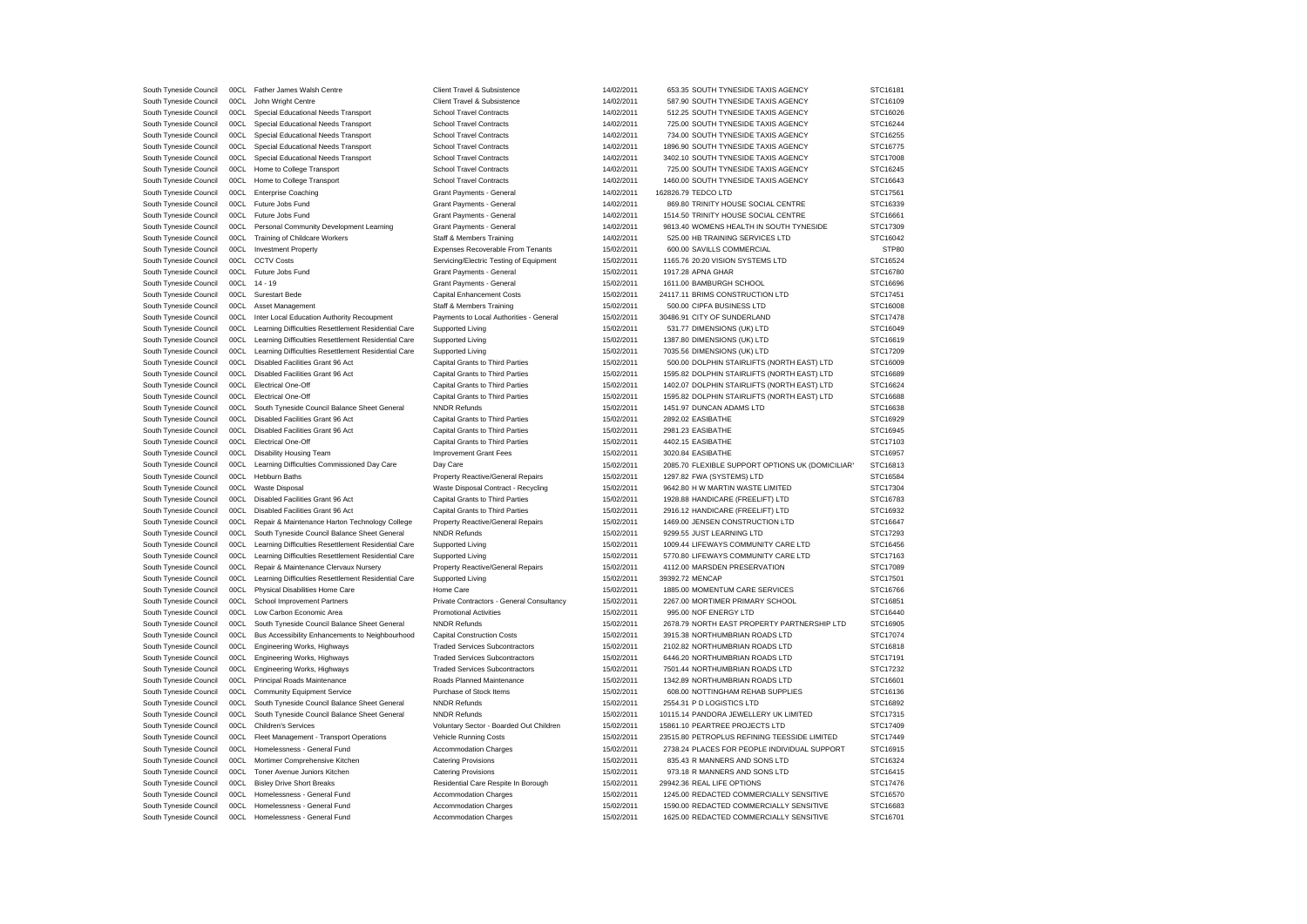| South Tyneside Council                           |              | 00CL Father James Walsh Centre                      | Client Travel & Subsistence                                                | 14/02/2011               | 653.35 SOUTH TYNESIDE TAXIS AGENCY               | STC16181 |
|--------------------------------------------------|--------------|-----------------------------------------------------|----------------------------------------------------------------------------|--------------------------|--------------------------------------------------|----------|
| South Tyneside Council                           | 00CL         | John Wright Centre                                  | Client Travel & Subsistence                                                | 14/02/2011               | 587.90 SOUTH TYNESIDE TAXIS AGENCY               | STC16109 |
| South Tyneside Council                           | 00CL         | Special Educational Needs Transport                 | <b>School Travel Contracts</b>                                             | 14/02/2011               | 512.25 SOUTH TYNESIDE TAXIS AGENCY               | STC16026 |
| South Tyneside Council                           | 00CL         | Special Educational Needs Transport                 | <b>School Travel Contracts</b>                                             | 14/02/2011               | 725.00 SOUTH TYNESIDE TAXIS AGENCY               | STC16244 |
| South Tyneside Council                           | 00CL         | Special Educational Needs Transport                 | <b>School Travel Contracts</b>                                             | 14/02/2011               | 734.00 SOUTH TYNESIDE TAXIS AGENCY               | STC16255 |
| South Tyneside Council                           | 00CL         | Special Educational Needs Transport                 | <b>School Travel Contracts</b>                                             | 14/02/2011               | 1896.90 SOUTH TYNESIDE TAXIS AGENCY              | STC16775 |
| South Tyneside Council                           | 00CL         | Special Educational Needs Transport                 | <b>School Travel Contracts</b>                                             | 14/02/2011               | 3402.10 SOUTH TYNESIDE TAXIS AGENCY              | STC17008 |
| South Tyneside Council                           | 00CL         | Home to College Transport                           | <b>School Travel Contracts</b>                                             | 14/02/2011               | 725.00 SOUTH TYNESIDE TAXIS AGENCY               | STC16245 |
| South Tyneside Council                           | 00CL         | Home to College Transport                           | <b>School Travel Contracts</b>                                             | 14/02/2011               | 1460.00 SOUTH TYNESIDE TAXIS AGENCY              | STC16643 |
| South Tyneside Council                           | 00CL         | <b>Enterprise Coaching</b>                          | Grant Payments - General                                                   | 14/02/2011               | 162826.79 TEDCO LTD                              | STC17561 |
| South Tyneside Council                           | 00CL         | Future Jobs Fund                                    | Grant Payments - General                                                   | 14/02/2011               | 869.80 TRINITY HOUSE SOCIAL CENTRE               | STC16339 |
| South Tyneside Council                           | 00CL         | Future Jobs Fund                                    | Grant Payments - General                                                   | 14/02/2011               | 1514.50 TRINITY HOUSE SOCIAL CENTRE              | STC16661 |
| South Tyneside Council                           | 00CL         | Personal Community Development Learning             | Grant Payments - General                                                   | 14/02/2011               | 9813.40 WOMENS HEALTH IN SOUTH TYNESIDE          | STC17309 |
| South Tyneside Council                           | 00CL         | <b>Training of Childcare Workers</b>                | Staff & Members Training                                                   | 14/02/2011               | 525.00 HB TRAINING SERVICES LTD                  | STC16042 |
| South Tyneside Council                           | 00CL         | <b>Investment Property</b>                          | Expenses Recoverable From Tenants                                          | 15/02/2011               | 600.00 SAVILLS COMMERCIAL                        | STP80    |
| South Tyneside Council                           | 00CL         | <b>CCTV Costs</b>                                   | Servicing/Electric Testing of Equipment                                    | 15/02/2011               | 1165.76 20:20 VISION SYSTEMS LTD                 | STC16524 |
| South Tyneside Council                           |              | 00CL Future Jobs Fund                               | Grant Payments - General                                                   | 15/02/2011               | 1917.28 APNA GHAR                                | STC16780 |
| South Tyneside Council                           |              | 00CL 14 - 19                                        | Grant Payments - General                                                   | 15/02/2011               | 1611.00 BAMBURGH SCHOOL                          | STC16696 |
| South Tyneside Council                           | 00CL         | Surestart Bede                                      | Capital Enhancement Costs                                                  | 15/02/2011               | 24117.11 BRIMS CONSTRUCTION LTD                  | STC17451 |
|                                                  |              |                                                     |                                                                            |                          |                                                  |          |
| South Tyneside Council                           | 00CL<br>00C1 | Asset Management                                    | Staff & Members Training                                                   | 15/02/2011               | 500.00 CIPFA BUSINESS LTD                        | STC16008 |
| South Tyneside Council                           |              | Inter Local Education Authority Recoupment          | Payments to Local Authorities - General                                    | 15/02/2011               | 30486.91 CITY OF SUNDERLAND                      | STC17478 |
| South Tyneside Council                           | 00C1         | Learning Difficulties Resettlement Residential Care | Supported Living                                                           | 15/02/2011               | 531.77 DIMENSIONS (UK) LTD                       | STC16049 |
| South Tyneside Council                           | 00CL         | Learning Difficulties Resettlement Residential Care | Supported Living                                                           | 15/02/2011               | 1387.80 DIMENSIONS (UK) LTD                      | STC16619 |
| South Tyneside Council                           | 00CL         | Learning Difficulties Resettlement Residential Care | Supported Living                                                           | 15/02/2011               | 7035.56 DIMENSIONS (UK) LTD                      | STC17209 |
| South Tyneside Council                           | 00CL         | Disabled Facilities Grant 96 Act                    | Capital Grants to Third Parties                                            | 15/02/2011               | 500.00 DOLPHIN STAIRLIFTS (NORTH EAST) LTD       | STC16009 |
| South Tyneside Council                           | 00CL         | Disabled Facilities Grant 96 Act                    | Capital Grants to Third Parties                                            | 15/02/2011               | 1595.82 DOLPHIN STAIRLIFTS (NORTH EAST) LTD      | STC16689 |
| South Tyneside Council                           |              | 00CL Electrical One-Off                             | Capital Grants to Third Parties                                            | 15/02/2011               | 1402.07 DOLPHIN STAIRLIFTS (NORTH EAST) LTD      | STC16624 |
| South Tyneside Council                           |              | 00CL Electrical One-Off                             | Capital Grants to Third Parties                                            | 15/02/2011               | 1595.82 DOLPHIN STAIRLIFTS (NORTH EAST) LTD      | STC16688 |
| South Tyneside Council                           | 00C1         | South Tyneside Council Balance Sheet General        | <b>NNDR Refunds</b>                                                        | 15/02/2011               | 1451.97 DUNCAN ADAMS LTD                         | STC16638 |
| South Tyneside Council                           |              | 00CL Disabled Facilities Grant 96 Act               | Capital Grants to Third Parties                                            | 15/02/2011               | 2892.02 EASIBATHE                                | STC16929 |
| South Tyneside Council                           | 00CL         | Disabled Facilities Grant 96 Act                    | Capital Grants to Third Parties                                            | 15/02/2011               | 2981.23 EASIBATHE                                | STC16945 |
| South Tyneside Council                           | 00CL         | <b>Electrical One-Off</b>                           | Capital Grants to Third Parties                                            | 15/02/2011               | 4402.15 EASIBATHE                                | STC17103 |
| South Tyneside Council                           | 00CL         | Disability Housing Team                             | Improvement Grant Fees                                                     | 15/02/2011               | 3020.84 EASIBATHE                                | STC16957 |
| South Tyneside Council                           | 00C1         | Learning Difficulties Commissioned Day Care         | Day Care                                                                   | 15/02/2011               | 2085.70 FLEXIBLE SUPPORT OPTIONS UK (DOMICILIAR' | STC16813 |
| South Tyneside Council                           | 00CL         | Hebburn Baths                                       | Property Reactive/General Repairs                                          | 15/02/2011               | 1297.82 FWA (SYSTEMS) LTD                        | STC16584 |
| South Tyneside Council                           | 00CL         | Waste Disposal                                      | Waste Disposal Contract - Recycling                                        | 15/02/2011               | 9642.80 H W MARTIN WASTE LIMITED                 | STC17304 |
| South Tyneside Council                           |              | 00CL Disabled Facilities Grant 96 Act               | Capital Grants to Third Parties                                            | 15/02/2011               | 1928.88 HANDICARE (FREELIFT) LTD                 | STC16783 |
| South Tyneside Council                           | 00CL         | Disabled Facilities Grant 96 Act                    | Capital Grants to Third Parties                                            | 15/02/2011               | 2916.12 HANDICARE (FREELIFT) LTD                 | STC16932 |
| South Tyneside Council                           | 00CL         | Repair & Maintenance Harton Technology College      | Property Reactive/General Repairs                                          | 15/02/2011               | 1469.00 JENSEN CONSTRUCTION LTD                  | STC16647 |
| South Tyneside Council                           | 00CL         | South Tyneside Council Balance Sheet General        | <b>NNDR Refunds</b>                                                        | 15/02/2011               | 9299.55 JUST LEARNING LTD                        | STC17293 |
| South Tyneside Council                           | 00CL         | Learning Difficulties Resettlement Residential Care | Supported Living                                                           | 15/02/2011               | 1009.44 LIFEWAYS COMMUNITY CARE LTD              | STC16456 |
| South Tyneside Council                           | 00CL         | Learning Difficulties Resettlement Residential Care | Supported Living                                                           | 15/02/2011               | 5770.80 LIFEWAYS COMMUNITY CARE LTD              | STC17163 |
| South Tyneside Council                           | 00CL         | Repair & Maintenance Clervaux Nursery               | Property Reactive/General Repairs                                          | 15/02/2011               | 4112.00 MARSDEN PRESERVATION                     | STC17089 |
| South Tyneside Council                           | 00C1         | Learning Difficulties Resettlement Residential Care | Supported Living                                                           | 15/02/2011               | 39392.72 MENCAP                                  | STC17501 |
| South Tyneside Council                           | 00CL         | Physical Disabilities Home Care                     | Home Care                                                                  | 15/02/2011               | 1885.00 MOMENTUM CARE SERVICES                   | STC16766 |
|                                                  | 00CL         |                                                     |                                                                            |                          | 2267.00 MORTIMER PRIMARY SCHOOL                  | STC16851 |
| South Tyneside Council<br>South Tyneside Council | 00CL         | School Improvement Partners                         | Private Contractors - General Consultancy<br><b>Promotional Activities</b> | 15/02/2011<br>15/02/2011 | 995.00 NOF ENERGY LTD                            | STC16440 |
|                                                  |              | Low Carbon Economic Area                            |                                                                            |                          |                                                  |          |
| South Tyneside Council                           | 00CL         | South Tyneside Council Balance Sheet General        | <b>NNDR Refunds</b>                                                        | 15/02/2011               | 2678.79 NORTH EAST PROPERTY PARTNERSHIP LTD      | STC16905 |
| South Tyneside Council                           | 00CL         | Bus Accessibility Enhancements to Neighbourhood     | <b>Capital Construction Costs</b>                                          | 15/02/2011               | 3915.38 NORTHUMBRIAN ROADS LTD                   | STC17074 |
| South Tyneside Council                           | 00CL         | Engineering Works, Highways                         | <b>Traded Services Subcontractors</b>                                      | 15/02/2011               | 2102.82 NORTHUMBRIAN ROADS LTD                   | STC16818 |
| South Tyneside Council                           | 00CL         | Engineering Works, Highways                         | <b>Traded Services Subcontractors</b>                                      | 15/02/2011               | 6446.20 NORTHUMBRIAN ROADS LTD                   | STC17191 |
| South Tyneside Council                           | 00CL         | Engineering Works, Highways                         | <b>Traded Services Subcontractors</b>                                      | 15/02/2011               | 7501.44 NORTHUMBRIAN ROADS LTD                   | STC17232 |
| South Tyneside Council                           | 00CL         | Principal Roads Maintenance                         | Roads Planned Maintenance                                                  | 15/02/2011               | 1342.89 NORTHUMBRIAN ROADS LTD                   | STC16601 |
| South Tyneside Council                           | 00CL         | <b>Community Equipment Service</b>                  | Purchase of Stock Items                                                    | 15/02/2011               | 608.00 NOTTINGHAM REHAB SUPPLIES                 | STC16136 |
| South Tyneside Council                           | 00CL         | South Tyneside Council Balance Sheet General        | <b>NNDR Refunds</b>                                                        | 15/02/2011               | 2554.31 P D LOGISTICS LTD                        | STC16892 |
| South Tyneside Council                           | 00CL         | South Tyneside Council Balance Sheet General        | <b>NNDR Refunds</b>                                                        | 15/02/2011               | 10115.14 PANDORA JEWELLERY UK LIMITED            | STC17315 |
| South Tyneside Council                           | 00CL         | <b>Children's Services</b>                          | Voluntary Sector - Boarded Out Children                                    | 15/02/2011               | 15861.10 PEARTREE PROJECTS LTD                   | STC17409 |
| South Tyneside Council                           | 00CL         | Fleet Management - Transport Operations             | Vehicle Running Costs                                                      | 15/02/2011               | 23515.80 PETROPLUS REFINING TEESSIDE LIMITED     | STC17449 |
| South Tyneside Council                           | 00CL         | Homelessness - General Fund                         | Accommodation Charges                                                      | 15/02/2011               | 2738.24 PLACES FOR PEOPLE INDIVIDUAL SUPPORT     | STC16915 |
| South Tyneside Council                           | 00CL         | Mortimer Comprehensive Kitchen                      | <b>Catering Provisions</b>                                                 | 15/02/2011               | 835.43 R MANNERS AND SONS LTD                    | STC16324 |
| South Tyneside Council                           | 00CL         | Toner Avenue Juniors Kitchen                        | <b>Catering Provisions</b>                                                 | 15/02/2011               | 973.18 R MANNERS AND SONS LTD                    | STC16415 |
| South Tyneside Council                           | 00C1         | <b>Bisley Drive Short Breaks</b>                    | Residential Care Respite In Borough                                        | 15/02/2011               | 29942.36 REAL LIFE OPTIONS                       | STC17476 |
| South Tyneside Council                           |              | Homelessness - General Fund                         |                                                                            |                          |                                                  |          |
|                                                  | 00CL         |                                                     | <b>Accommodation Charges</b>                                               | 15/02/2011               | 1245.00 REDACTED COMMERCIALLY SENSITIVE          | STC16570 |
| South Tyneside Council                           | 00C1         | Homelessness - General Fund                         | <b>Accommodation Charges</b>                                               | 15/02/2011               | 1590.00 REDACTED COMMERCIALLY SENSITIVE          | STC16683 |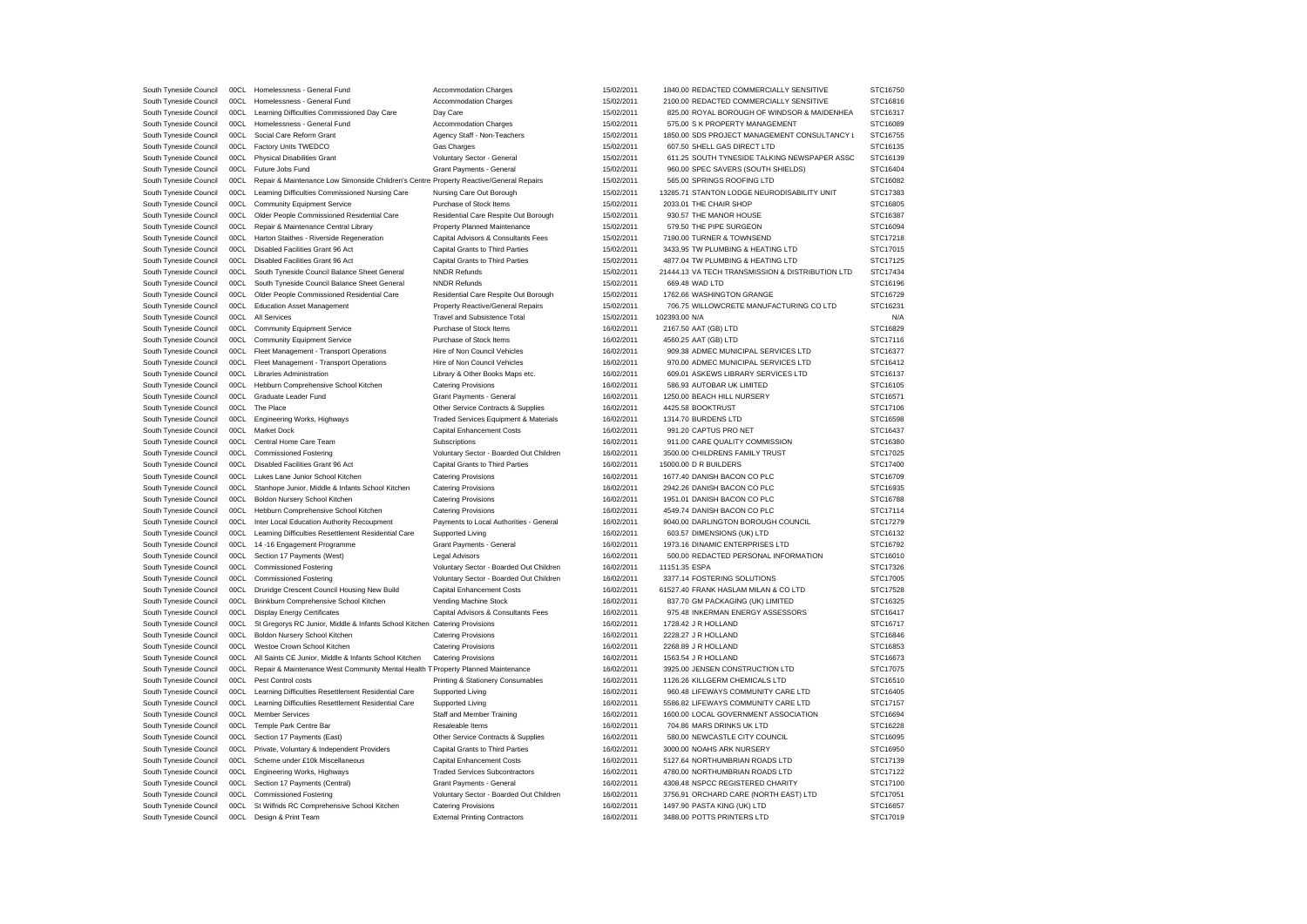| South Tyneside Council | 00CL | Homelessness - General Fund                                                            | Accommodation Charges                    | 15/02/2011 | 1840.00 REDACTED COMMERCIALLY SENSITIVE          | STC16750 |
|------------------------|------|----------------------------------------------------------------------------------------|------------------------------------------|------------|--------------------------------------------------|----------|
| South Tyneside Council | 00C1 | Homelessness - General Fund                                                            | <b>Accommodation Charges</b>             | 15/02/2011 | 2100.00 REDACTED COMMERCIALLY SENSITIVE          | STC16816 |
| South Tyneside Council | 00C1 | Learning Difficulties Commissioned Day Care                                            | Day Care                                 | 15/02/2011 | 825.00 ROYAL BOROUGH OF WINDSOR & MAIDENHEA      | STC16317 |
| South Tyneside Council | 00CL | Homelessness - General Fund                                                            | Accommodation Charges                    | 15/02/2011 | 575.00 S K PROPERTY MANAGEMENT                   | STC16089 |
| South Tyneside Council | 00CL | Social Care Reform Grant                                                               | Agency Staff - Non-Teachers              | 15/02/2011 | 1850.00 SDS PROJECT MANAGEMENT CONSULTANCY L     | STC16755 |
| South Tyneside Council | 00CL | Factory Units TWEDCO                                                                   | Gas Charges                              | 15/02/2011 | 607.50 SHELL GAS DIRECT LTD                      | STC16135 |
| South Tyneside Council | 00CL | <b>Physical Disabilities Grant</b>                                                     | Voluntary Sector - General               | 15/02/2011 | 611.25 SOUTH TYNESIDE TALKING NEWSPAPER ASSC     | STC16139 |
| South Tyneside Council | 00CL | Future Jobs Fund                                                                       | Grant Payments - General                 | 15/02/2011 | 960.00 SPEC SAVERS (SOUTH SHIELDS)               | STC16404 |
| South Tyneside Council | 00CL | Repair & Maintenance Low Simonside Children's Centre Property Reactive/General Repairs |                                          | 15/02/2011 | 565.00 SPRINGS ROOFING LTD                       | STC16082 |
| South Tyneside Council | 00CL | Learning Difficulties Commissioned Nursing Care                                        | Nursing Care Out Borough                 | 15/02/2011 | 13285.71 STANTON LODGE NEURODISABILITY UNIT      | STC17383 |
| South Tyneside Council | 00CL | <b>Community Equipment Service</b>                                                     | Purchase of Stock Items                  | 15/02/2011 | 2033.01 THE CHAIR SHOP                           | STC16805 |
|                        |      |                                                                                        |                                          |            |                                                  |          |
| South Tyneside Council | 00CL | Older People Commissioned Residential Care                                             | Residential Care Respite Out Borough     | 15/02/2011 | 930.57 THE MANOR HOUSE                           | STC16387 |
| South Tyneside Council | 00CL | Repair & Maintenance Central Library                                                   | Property Planned Maintenance             | 15/02/2011 | 579.50 THE PIPE SURGEON                          | STC16094 |
| South Tyneside Council | 00CL | Harton Staithes - Riverside Regeneration                                               | Capital Advisors & Consultants Fees      | 15/02/2011 | 7190.00 TURNER & TOWNSEND                        | STC17218 |
| South Tyneside Council | 00CL | Disabled Facilities Grant 96 Act                                                       | Capital Grants to Third Parties          | 15/02/2011 | 3433.95 TW PLUMBING & HEATING LTD                | STC17015 |
| South Tyneside Council | 00CL | Disabled Facilities Grant 96 Act                                                       | Capital Grants to Third Parties          | 15/02/2011 | 4877.04 TW PLUMBING & HEATING LTD                | STC17125 |
| South Tyneside Council | 00CL | South Tyneside Council Balance Sheet General                                           | <b>NNDR Refunds</b>                      | 15/02/2011 | 21444.13 VA TECH TRANSMISSION & DISTRIBUTION LTD | STC17434 |
| South Tyneside Council | 00C1 | South Tyneside Council Balance Sheet General                                           | <b>NNDR Refunds</b>                      | 15/02/2011 | 669.48 WAD LTD                                   | STC16196 |
| South Tyneside Council | 00CL | Older People Commissioned Residential Care                                             | Residential Care Respite Out Borough     | 15/02/2011 | 1762.66 WASHINGTON GRANGE                        | STC16729 |
| South Tyneside Council | 00CL | <b>Education Asset Management</b>                                                      | <b>Property Reactive/General Repairs</b> | 15/02/2011 | 706.75 WILLOWCRETE MANUFACTURING CO LTD          | STC16231 |
| South Tyneside Council | 00CL | All Services                                                                           | <b>Travel and Subsistence Total</b>      | 15/02/2011 | 102393.00 N/A                                    | N/A      |
| South Tyneside Council | 00CL | <b>Community Equipment Service</b>                                                     | Purchase of Stock Items                  | 16/02/2011 | 2167.50 AAT (GB) LTD                             | STC16829 |
| South Tyneside Council | 00CL | <b>Community Equipment Service</b>                                                     | Purchase of Stock Items                  | 16/02/2011 | 4560.25 AAT (GB) LTD                             | STC17116 |
| South Tyneside Council | 00CL | Fleet Management - Transport Operations                                                | Hire of Non Council Vehicles             | 16/02/2011 | 909.38 ADMEC MUNICIPAL SERVICES LTD              | STC16377 |
| South Tyneside Council | 00CL | Fleet Management - Transport Operations                                                | Hire of Non Council Vehicles             | 16/02/2011 | 970.00 ADMEC MUNICIPAL SERVICES LTD              | STC16412 |
| South Tyneside Council | 00CL | <b>Libraries Administration</b>                                                        | Library & Other Books Maps etc.          | 16/02/2011 | 609.01 ASKEWS LIBRARY SERVICES LTD               | STC16137 |
| South Tyneside Council | 00CL | Hebburn Comprehensive School Kitchen                                                   | <b>Catering Provisions</b>               | 16/02/2011 | 586.93 AUTOBAR UK LIMITED                        | STC16105 |
| South Tyneside Council | 00CL | Graduate Leader Fund                                                                   | Grant Payments - General                 | 16/02/2011 | 1250.00 BEACH HILL NURSERY                       | STC16571 |
| South Tyneside Council | 00CL | The Place                                                                              | Other Service Contracts & Supplies       | 16/02/2011 | 4425.58 BOOKTRUST                                | STC17106 |
| South Tyneside Council | 00CL | Engineering Works, Highways                                                            | Traded Services Equipment & Materials    | 16/02/2011 | 1314.70 BURDENS LTD                              | STC16598 |
| South Tyneside Council | 00CL | Market Dock                                                                            | <b>Capital Enhancement Costs</b>         | 16/02/2011 | 991.20 CAPTUS PRO NET                            | STC16437 |
|                        |      |                                                                                        |                                          |            |                                                  |          |
| South Tyneside Council | 00CL | Central Home Care Team                                                                 | Subscriptions                            | 16/02/2011 | 911.00 CARE QUALITY COMMISSION                   | STC16380 |
| South Tyneside Council | 00CL | <b>Commissioned Fostering</b>                                                          | Voluntary Sector - Boarded Out Children  | 16/02/2011 | 3500.00 CHILDRENS FAMILY TRUST                   | STC17025 |
| South Tyneside Council | 00CL | Disabled Facilities Grant 96 Act                                                       | Capital Grants to Third Parties          | 16/02/2011 | 15000.00 D R BUILDERS                            | STC17400 |
| South Tyneside Council | 00CL | Lukes Lane Junior School Kitchen                                                       | <b>Catering Provisions</b>               | 16/02/2011 | 1677.40 DANISH BACON CO PLC                      | STC16709 |
| South Tyneside Council | 00CL | Stanhope Junior, Middle & Infants School Kitchen                                       | <b>Catering Provisions</b>               | 16/02/2011 | 2942.26 DANISH BACON CO PLC                      | STC16935 |
| South Tyneside Council | 00CL | Boldon Nursery School Kitchen                                                          | <b>Catering Provisions</b>               | 16/02/2011 | 1951.01 DANISH BACON CO PLC                      | STC16788 |
| South Tyneside Council | 00CL | Hebburn Comprehensive School Kitchen                                                   | <b>Catering Provisions</b>               | 16/02/2011 | 4549.74 DANISH BACON CO PLC                      | STC17114 |
| South Tyneside Council | 00CL | Inter Local Education Authority Recoupment                                             | Payments to Local Authorities - General  | 16/02/2011 | 9040.00 DARLINGTON BOROUGH COUNCIL               | STC17279 |
| South Tyneside Council | 00CL | Learning Difficulties Resettlement Residential Care                                    | Supported Living                         | 16/02/2011 | 603.57 DIMENSIONS (UK) LTD                       | STC16132 |
| South Tyneside Council | 00CL | 14 -16 Engagement Programme                                                            | Grant Payments - General                 | 16/02/2011 | 1973.16 DINAMIC ENTERPRISES LTD                  | STC16792 |
| South Tyneside Council | 00CL | Section 17 Payments (West)                                                             | <b>Legal Advisors</b>                    | 16/02/2011 | 500.00 REDACTED PERSONAL INFORMATION             | STC16010 |
| South Tyneside Council | 00CL | <b>Commissioned Fostering</b>                                                          | Voluntary Sector - Boarded Out Children  | 16/02/2011 | 11151.35 ESPA                                    | STC17326 |
| South Tyneside Council | 00CL | <b>Commissioned Fostering</b>                                                          | Voluntary Sector - Boarded Out Children  | 16/02/2011 | 3377.14 FOSTERING SOLUTIONS                      | STC17005 |
| South Tyneside Council | 00CL | Druridge Crescent Council Housing New Build                                            | Capital Enhancement Costs                | 16/02/2011 | 61527.40 FRANK HASLAM MILAN & CO LTD             | STC17528 |
| South Tyneside Council | 00CL | Brinkburn Comprehensive School Kitchen                                                 | Vending Machine Stock                    | 16/02/2011 | 837.70 GM PACKAGING (UK) LIMITED                 | STC16325 |
| South Tyneside Council | 00CL | <b>Display Energy Certificates</b>                                                     | Capital Advisors & Consultants Fees      | 16/02/2011 | 975.48 INKERMAN ENERGY ASSESSORS                 | STC16417 |
| South Tyneside Council | 00CL | St Gregorys RC Junior, Middle & Infants School Kitchen Catering Provisions             |                                          | 16/02/2011 | 1728.42 J R HOLLAND                              | STC16717 |
| South Tyneside Council | 00CL | Boldon Nursery School Kitchen                                                          | <b>Catering Provisions</b>               | 16/02/2011 | 2228.27 J R HOLLAND                              | STC16846 |
|                        | 00CL | Westoe Crown School Kitchen                                                            |                                          |            | 2268.89 J R HOLLAND                              | STC16853 |
| South Tyneside Council |      |                                                                                        | <b>Catering Provisions</b>               | 16/02/2011 |                                                  |          |
| South Tyneside Council | 00CL | All Saints CE Junior, Middle & Infants School Kitchen                                  | <b>Catering Provisions</b>               | 16/02/2011 | 1563.54 J R HOLLAND                              | STC16673 |
| South Tyneside Council | 00CL | Repair & Maintenance West Community Mental Health T Property Planned Maintenance       |                                          | 16/02/2011 | 3925.00 JENSEN CONSTRUCTION LTD                  | STC17075 |
| South Tyneside Council | 00CL | Pest Control costs                                                                     | Printing & Stationery Consumables        | 16/02/2011 | 1126.26 KILLGERM CHEMICALS LTD                   | STC16510 |
| South Tyneside Council | 00CL | Learning Difficulties Resettlement Residential Care                                    | Supported Living                         | 16/02/2011 | 960.48 LIFEWAYS COMMUNITY CARE LTD               | STC16405 |
| South Tyneside Council | 00CL | Learning Difficulties Resettlement Residential Care                                    | Supported Living                         | 16/02/2011 | 5586.82 LIFEWAYS COMMUNITY CARE LTD              | STC17157 |
| South Tyneside Council | 00CL | <b>Member Services</b>                                                                 | Staff and Member Training                | 16/02/2011 | 1600.00 LOCAL GOVERNMENT ASSOCIATION             | STC16694 |
| South Tyneside Council | 00CL | Temple Park Centre Bar                                                                 | Resaleable Items                         | 16/02/2011 | 704.86 MARS DRINKS UK LTD                        | STC16228 |
| South Tyneside Council | 00CL | Section 17 Payments (East)                                                             | Other Service Contracts & Supplies       | 16/02/2011 | 580.00 NEWCASTLE CITY COUNCIL                    | STC16095 |
| South Tyneside Council | 00CL | Private, Voluntary & Independent Providers                                             | Capital Grants to Third Parties          | 16/02/2011 | 3000.00 NOAHS ARK NURSERY                        | STC16950 |
| South Tyneside Council | 00CL | Scheme under £10k Miscellaneous                                                        | Capital Enhancement Costs                | 16/02/2011 | 5127.64 NORTHUMBRIAN ROADS LTD                   | STC17139 |
| South Tyneside Council | 00CL | Engineering Works, Highways                                                            | <b>Traded Services Subcontractors</b>    | 16/02/2011 | 4780.00 NORTHUMBRIAN ROADS LTD                   | STC17122 |
| South Tyneside Council | 00CL | Section 17 Payments (Central)                                                          | Grant Payments - General                 | 16/02/2011 | 4308.48 NSPCC REGISTERED CHARITY                 | STC17100 |
| South Tyneside Council | 00C1 | <b>Commissioned Fostering</b>                                                          | Voluntary Sector - Boarded Out Children  | 16/02/2011 | 3756.91 ORCHARD CARE (NORTH EAST) LTD            | STC17051 |
|                        |      |                                                                                        |                                          |            |                                                  |          |
| South Tyneside Council | 00CL | St Wilfrids RC Comprehensive School Kitchen                                            | <b>Catering Provisions</b>               | 16/02/2011 | 1497.90 PASTA KING (UK) LTD                      | STC16657 |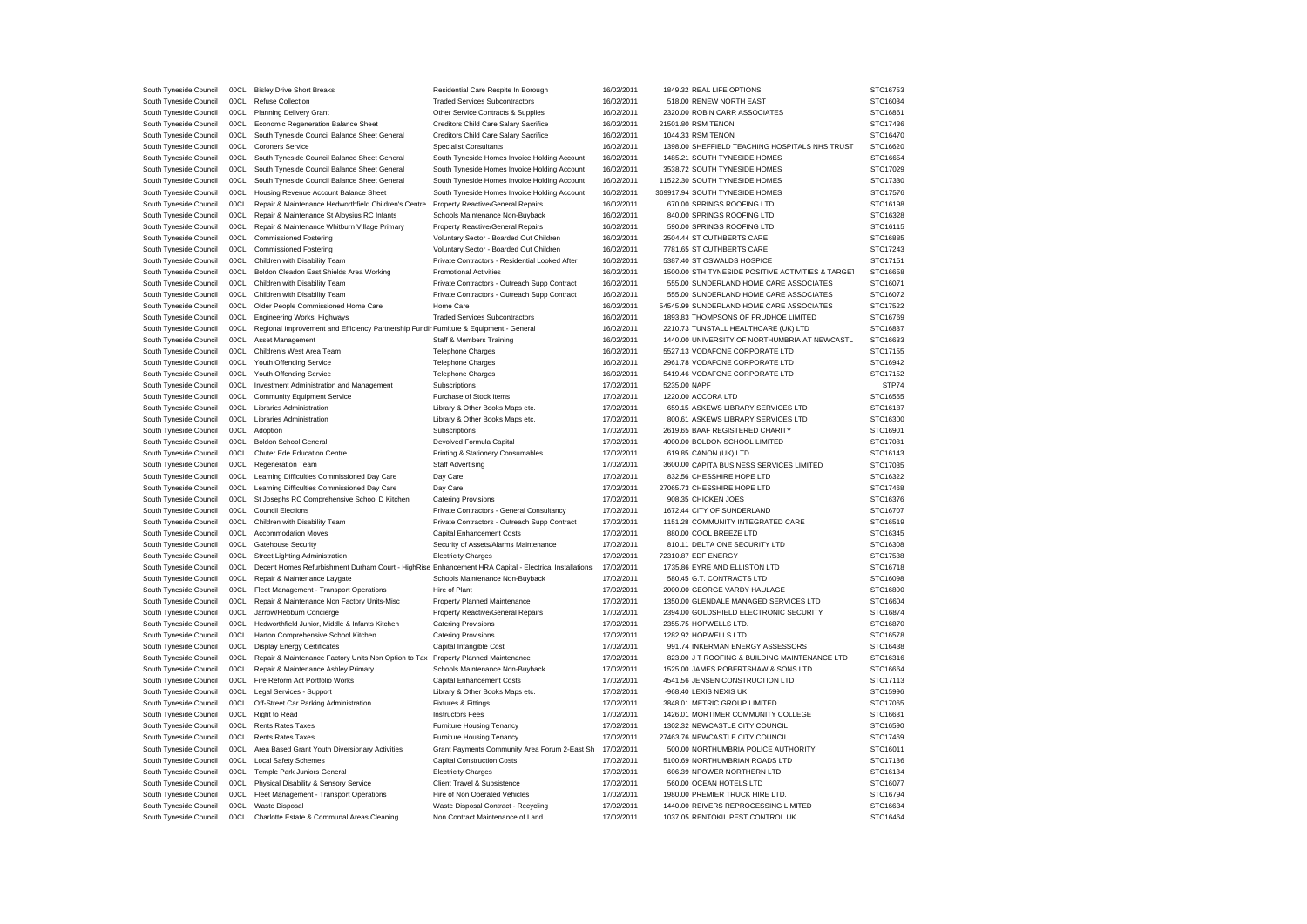| South Tyneside Council                           | 00CL | <b>Bisley Drive Short Breaks</b>                                                                      | Residential Care Respite In Borough            | 16/02/2011 | 1849.32 REAL LIFE OPTIONS                         | STC16753             |
|--------------------------------------------------|------|-------------------------------------------------------------------------------------------------------|------------------------------------------------|------------|---------------------------------------------------|----------------------|
| South Tyneside Council                           | 00C1 | <b>Refuse Collection</b>                                                                              | <b>Traded Services Subcontractors</b>          | 16/02/2011 | 518.00 RENEW NORTH EAST                           | STC16034             |
| South Tyneside Council                           | 00CL | <b>Planning Delivery Grant</b>                                                                        | Other Service Contracts & Supplies             | 16/02/2011 | 2320.00 ROBIN CARR ASSOCIATES                     | STC16861             |
| South Tyneside Council                           | 00CL | Economic Regeneration Balance Sheet                                                                   | Creditors Child Care Salary Sacrifice          | 16/02/2011 | 21501.80 RSM TENON                                | STC17436             |
| South Tyneside Council                           | 00CL | South Tyneside Council Balance Sheet General                                                          | Creditors Child Care Salary Sacrifice          | 16/02/2011 | 1044.33 RSM TENON                                 | STC16470             |
| South Tyneside Council                           | 00CL | Coroners Service                                                                                      | <b>Specialist Consultants</b>                  | 16/02/2011 | 1398.00 SHEFFIELD TEACHING HOSPITALS NHS TRUST    | STC16620             |
| South Tyneside Council                           | 00C1 | South Tyneside Council Balance Sheet General                                                          | South Tyneside Homes Invoice Holding Account   | 16/02/2011 | 1485.21 SOUTH TYNESIDE HOMES                      | STC16654             |
| South Tyneside Council                           | 00CL | South Tyneside Council Balance Sheet General                                                          | South Tyneside Homes Invoice Holding Account   | 16/02/2011 | 3538.72 SOUTH TYNESIDE HOMES                      | STC17029             |
| South Tyneside Council                           | 00CL | South Tyneside Council Balance Sheet General                                                          | South Tyneside Homes Invoice Holding Account   | 16/02/2011 | 11522.30 SOUTH TYNESIDE HOMES                     | STC17330             |
| South Tyneside Council                           | 00CL | Housing Revenue Account Balance Sheet                                                                 | South Tyneside Homes Invoice Holding Account   | 16/02/2011 | 369917.94 SOUTH TYNESIDE HOMES                    | STC17576             |
| South Tyneside Council                           | 00CL | Repair & Maintenance Hedworthfield Children's Centre                                                  | Property Reactive/General Repairs              | 16/02/2011 | 670.00 SPRINGS ROOFING LTD                        | STC16198             |
| South Tyneside Council                           | 00CL | Repair & Maintenance St Aloysius RC Infants                                                           | Schools Maintenance Non-Buyback                | 16/02/2011 | 840.00 SPRINGS ROOFING LTD                        | STC16328             |
|                                                  | 00CL |                                                                                                       |                                                |            | 590.00 SPRINGS ROOFING LTD                        |                      |
| South Tyneside Council                           | 00CL | Repair & Maintenance Whitburn Village Primary                                                         | Property Reactive/General Repairs              | 16/02/2011 | 2504.44 ST CUTHBERTS CARE                         | STC16115<br>STC16885 |
| South Tyneside Council                           |      | <b>Commissioned Fostering</b>                                                                         | Voluntary Sector - Boarded Out Children        | 16/02/2011 |                                                   |                      |
| South Tyneside Council                           | 00CL | <b>Commissioned Fostering</b>                                                                         | Voluntary Sector - Boarded Out Children        | 16/02/2011 | 7781.65 ST CUTHBERTS CARE                         | STC17243             |
| South Tyneside Council                           | 00CL | Children with Disability Team                                                                         | Private Contractors - Residential Looked After | 16/02/2011 | 5387.40 ST OSWALDS HOSPICE                        | STC17151             |
| South Tyneside Council                           | 00CL | Boldon Cleadon East Shields Area Working                                                              | <b>Promotional Activities</b>                  | 16/02/2011 | 1500.00 STH TYNESIDE POSITIVE ACTIVITIES & TARGET | STC16658             |
| South Tyneside Council                           | 00CL | Children with Disability Team                                                                         | Private Contractors - Outreach Supp Contract   | 16/02/2011 | 555.00 SUNDERLAND HOME CARE ASSOCIATES            | STC16071             |
| South Tyneside Council                           | 00CL | Children with Disability Team                                                                         | Private Contractors - Outreach Supp Contract   | 16/02/2011 | 555.00 SUNDERLAND HOME CARE ASSOCIATES            | STC16072             |
| South Tyneside Council                           | 00CL | Older People Commissioned Home Care                                                                   | Home Care                                      | 16/02/2011 | 54545.99 SUNDERLAND HOME CARE ASSOCIATES          | STC17522             |
| South Tyneside Council                           | 00CL | Engineering Works, Highways                                                                           | <b>Traded Services Subcontractors</b>          | 16/02/2011 | 1893.83 THOMPSONS OF PRUDHOE LIMITED              | STC16769             |
| South Tyneside Council                           | 00C1 | Regional Improvement and Efficiency Partnership Fundir Furniture & Equipment - General                |                                                | 16/02/2011 | 2210.73 TUNSTALL HEALTHCARE (UK) LTD              | STC16837             |
| South Tyneside Council                           | 00CL | Asset Management                                                                                      | Staff & Members Training                       | 16/02/2011 | 1440.00 UNIVERSITY OF NORTHUMBRIA AT NEWCASTL     | STC16633             |
| South Tyneside Council                           | 00CL | Children's West Area Team                                                                             | <b>Telephone Charges</b>                       | 16/02/2011 | 5527.13 VODAFONE CORPORATE LTD                    | STC17155             |
| South Tyneside Council                           | 00CL | Youth Offending Service                                                                               | <b>Telephone Charges</b>                       | 16/02/2011 | 2961.78 VODAFONE CORPORATE LTD                    | STC16942             |
| South Tyneside Council                           | 00CL | Youth Offending Service                                                                               | <b>Telephone Charges</b>                       | 16/02/2011 | 5419.46 VODAFONE CORPORATE LTD                    | STC17152             |
| South Tyneside Council                           | 00CL | Investment Administration and Management                                                              | Subscriptions                                  | 17/02/2011 | 5235.00 NAPF                                      | STP74                |
| South Tyneside Council                           | 00CL | <b>Community Equipment Service</b>                                                                    | Purchase of Stock Items                        | 17/02/2011 | 1220.00 ACCORA LTD                                | STC16555             |
| South Tyneside Council                           | 00CL | Libraries Administration                                                                              | Library & Other Books Maps etc.                | 17/02/2011 | 659.15 ASKEWS LIBRARY SERVICES LTD                | STC16187             |
| South Tyneside Council                           | 00CL | Libraries Administration                                                                              | Library & Other Books Maps etc.                | 17/02/2011 | 800.61 ASKEWS LIBRARY SERVICES LTD                | STC16300             |
| South Tyneside Council                           | 00CL | Adoption                                                                                              | Subscriptions                                  | 17/02/2011 | 2619.65 BAAF REGISTERED CHARITY                   | STC16901             |
| South Tyneside Council                           | 00CL | <b>Boldon School General</b>                                                                          | Devolved Formula Capital                       | 17/02/2011 | 4000.00 BOLDON SCHOOL LIMITED                     | STC17081             |
| South Tyneside Council                           | 00CL | Chuter Ede Education Centre                                                                           | Printing & Stationery Consumables              | 17/02/2011 | 619.85 CANON (UK) LTD                             | STC16143             |
| South Tyneside Council                           | 00CL | Regeneration Team                                                                                     | <b>Staff Advertising</b>                       | 17/02/2011 | 3600.00 CAPITA BUSINESS SERVICES LIMITED          | STC17035             |
| South Tyneside Council                           | 00CL | Learning Difficulties Commissioned Day Care                                                           | Day Care                                       | 17/02/2011 | 832.56 CHESSHIRE HOPE LTD                         | STC16322             |
|                                                  | 00CL |                                                                                                       |                                                | 17/02/2011 | 27065.73 CHESSHIRE HOPE LTD                       | STC17468             |
| South Tyneside Council                           |      | Learning Difficulties Commissioned Day Care                                                           | Day Care                                       |            |                                                   |                      |
| South Tyneside Council                           | 00C1 | St Josephs RC Comprehensive School D Kitchen                                                          | <b>Catering Provisions</b>                     | 17/02/2011 | 908.35 CHICKEN JOES                               | STC16376             |
| South Tyneside Council                           | 00CL | <b>Council Elections</b>                                                                              | Private Contractors - General Consultancy      | 17/02/2011 | 1672.44 CITY OF SUNDERLAND                        | STC16707             |
| South Tyneside Council                           | 00CL | Children with Disability Team                                                                         | Private Contractors - Outreach Supp Contract   | 17/02/2011 | 1151.28 COMMUNITY INTEGRATED CARE                 | STC16519             |
| South Tyneside Council                           | 00CL | <b>Accommodation Moves</b>                                                                            | Capital Enhancement Costs                      | 17/02/2011 | 880.00 COOL BREEZE LTD                            | STC16345             |
| South Tyneside Council                           | 00CL | Gatehouse Security                                                                                    | Security of Assets/Alarms Maintenance          | 17/02/2011 | 810.11 DELTA ONE SECURITY LTD                     | STC16308             |
| South Tyneside Council                           | 00CL | Street Lighting Administration                                                                        | <b>Electricity Charges</b>                     | 17/02/2011 | 72310.87 EDF ENERGY                               | STC17538             |
| South Tyneside Council                           | 00CL | Decent Homes Refurbishment Durham Court - HighRise Enhancement HRA Capital - Electrical Installations |                                                | 17/02/2011 | 1735.86 EYRE AND ELLISTON LTD                     | STC16718             |
| South Tyneside Council                           | 00CL | Repair & Maintenance Laygate                                                                          | Schools Maintenance Non-Buyback                | 17/02/2011 | 580.45 G.T. CONTRACTS LTD                         | STC16098             |
| South Tyneside Council                           | 00CL | Fleet Management - Transport Operations                                                               | Hire of Plant                                  | 17/02/2011 | 2000.00 GEORGE VARDY HAULAGE                      | STC16800             |
| South Tyneside Council                           | 00CL | Repair & Maintenance Non Factory Units-Misc                                                           | Property Planned Maintenance                   | 17/02/2011 | 1350.00 GLENDALE MANAGED SERVICES LTD             | STC16604             |
| South Tyneside Council                           | 00CL | Jarrow/Hebburn Concierge                                                                              | Property Reactive/General Repairs              | 17/02/2011 | 2394.00 GOLDSHIELD ELECTRONIC SECURITY            | STC16874             |
| South Tyneside Council                           |      | 00CL Hedworthfield Junior, Middle & Infants Kitchen                                                   | <b>Catering Provisions</b>                     | 17/02/2011 | 2355.75 HOPWELLS LTD.                             | STC16870             |
| South Tyneside Council                           | 00CL | Harton Comprehensive School Kitchen                                                                   | <b>Catering Provisions</b>                     | 17/02/2011 | 1282.92 HOPWELLS LTD.                             | STC16578             |
| South Tyneside Council                           | 00CL | <b>Display Energy Certificates</b>                                                                    | Capital Intangible Cost                        | 17/02/2011 | 991.74 INKERMAN ENERGY ASSESSORS                  | STC16438             |
| South Tyneside Council                           | 00CL | Repair & Maintenance Factory Units Non Option to Tax                                                  | Property Planned Maintenance                   | 17/02/2011 | 823.00 J T ROOFING & BUILDING MAINTENANCE LTD     | STC16316             |
| South Tyneside Council                           | 00CL | Repair & Maintenance Ashley Primary                                                                   | Schools Maintenance Non-Buyback                | 17/02/2011 | 1525.00 JAMES ROBERTSHAW & SONS LTD               | STC16664             |
| South Tyneside Council                           | 00CL | Fire Reform Act Portfolio Works                                                                       | <b>Capital Enhancement Costs</b>               | 17/02/2011 | 4541.56 JENSEN CONSTRUCTION LTD                   | STC17113             |
| South Tyneside Council                           | 00CL | Legal Services - Support                                                                              | Library & Other Books Maps etc.                | 17/02/2011 | -968.40 LEXIS NEXIS UK                            | STC15996             |
| South Tyneside Council                           |      | 00CL Off-Street Car Parking Administration                                                            | Fixtures & Fittings                            | 17/02/2011 | 3848.01 METRIC GROUP LIMITED                      | STC17065             |
|                                                  | 00CL |                                                                                                       | <b>Instructors Fees</b>                        | 17/02/2011 | 1426.01 MORTIMER COMMUNITY COLLEGE                | STC16631             |
| South Tyneside Council<br>South Tyneside Council | 00CL | Right to Read<br><b>Rents Rates Taxes</b>                                                             | Furniture Housing Tenancy                      | 17/02/2011 | 1302.32 NEWCASTLE CITY COUNCIL                    | STC16590             |
|                                                  |      |                                                                                                       |                                                |            |                                                   |                      |
| South Tyneside Council                           | 00CL | Rents Rates Taxes                                                                                     | Furniture Housing Tenancy                      | 17/02/2011 | 27463.76 NEWCASTLE CITY COUNCIL                   | STC17469             |
| South Tyneside Council                           | 00CL | Area Based Grant Youth Diversionary Activities                                                        | Grant Payments Community Area Forum 2-East Sh  | 17/02/2011 | 500.00 NORTHUMBRIA POLICE AUTHORITY               | STC16011             |
| South Tyneside Council                           | 00CL | <b>Local Safety Schemes</b>                                                                           | <b>Capital Construction Costs</b>              | 17/02/2011 | 5100.69 NORTHUMBRIAN ROADS LTD                    | STC17136             |
| South Tyneside Council                           |      |                                                                                                       |                                                | 17/02/2011 |                                                   | STC16134             |
|                                                  | 00CL | Temple Park Juniors General                                                                           | <b>Electricity Charges</b>                     |            | 606.39 NPOWER NORTHERN LTD                        |                      |
| South Tyneside Council                           | 00CL | Physical Disability & Sensory Service                                                                 | Client Travel & Subsistence                    | 17/02/2011 | 560.00 OCEAN HOTELS LTD                           | STC16077             |
| South Tyneside Council                           | 00CL | Fleet Management - Transport Operations                                                               | Hire of Non Operated Vehicles                  | 17/02/2011 | 1980.00 PREMIER TRUCK HIRE LTD                    | STC16794             |
| South Tyneside Council                           | 00CL | Waste Disposal                                                                                        | Waste Disposal Contract - Recycling            | 17/02/2011 | 1440.00 REIVERS REPROCESSING LIMITED              | STC16634             |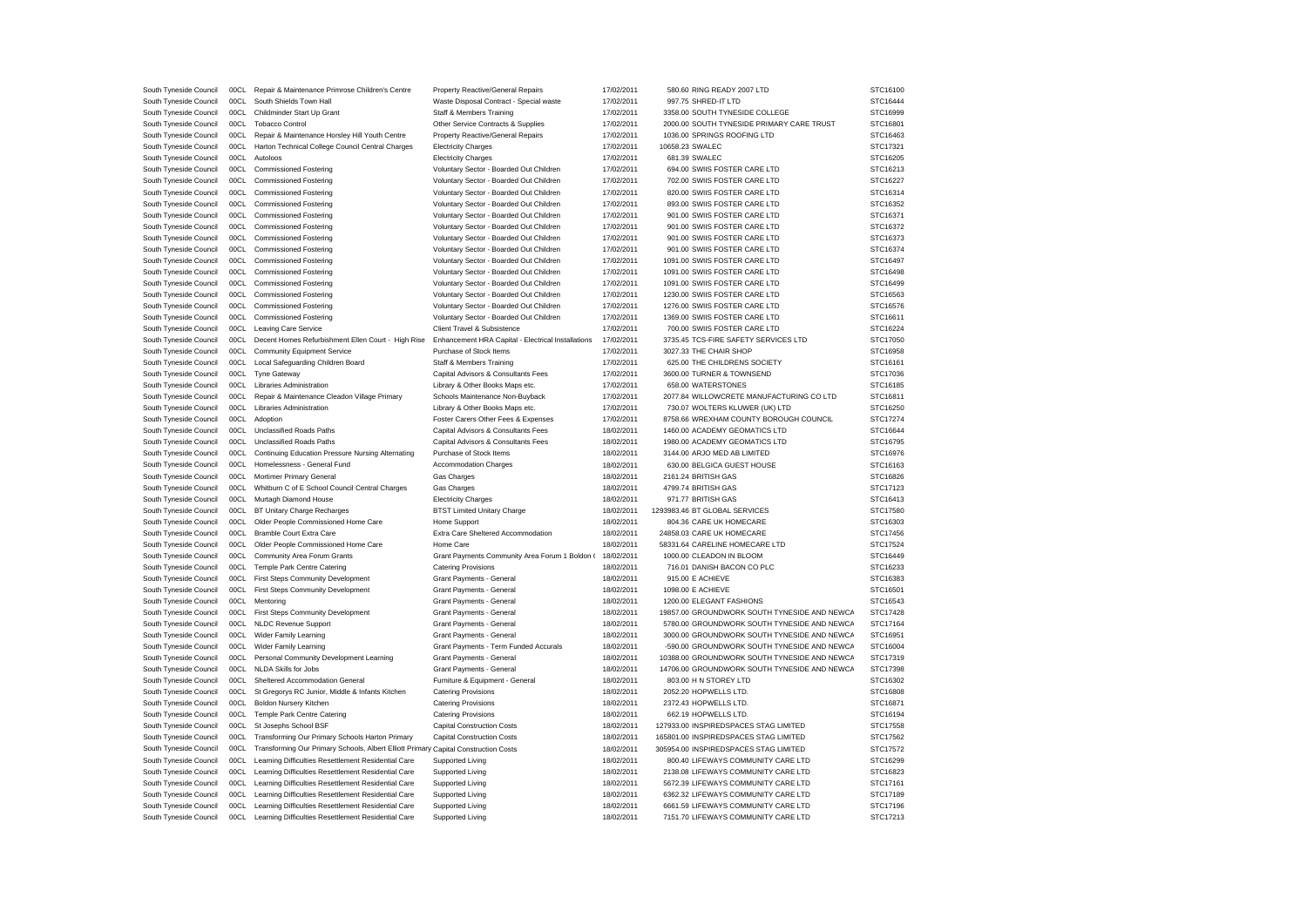| South Tyneside Council | 00CL | Repair & Maintenance Primrose Children's Centre                                     | Property Reactive/General Repairs                  | 17/02/2011 | 580.60 RING READY 2007 LTD                   | STC16100 |
|------------------------|------|-------------------------------------------------------------------------------------|----------------------------------------------------|------------|----------------------------------------------|----------|
| South Tyneside Council | 00CL | South Shields Town Hall                                                             | Waste Disposal Contract - Special waste            | 17/02/2011 | 997.75 SHRED-IT LTD                          | STC16444 |
| South Tyneside Council | 00CL | Childminder Start Up Grant                                                          | Staff & Members Training                           | 17/02/2011 | 3358.00 SOUTH TYNESIDE COLLEGE               | STC16999 |
| South Tyneside Council | 00C1 | <b>Tobacco Control</b>                                                              | Other Service Contracts & Supplies                 | 17/02/2011 | 2000.00 SOUTH TYNESIDE PRIMARY CARE TRUST    | STC16801 |
| South Tyneside Council | 00CL | Repair & Maintenance Horsley Hill Youth Centre                                      | Property Reactive/General Repairs                  | 17/02/2011 | 1036.00 SPRINGS ROOFING LTD                  | STC16463 |
| South Tyneside Council | 00CL | Harton Technical College Council Central Charges                                    | <b>Electricity Charges</b>                         | 17/02/2011 | 10658.23 SWALEC                              | STC17321 |
| South Tyneside Council | 00CL | Autoloos                                                                            | <b>Electricity Charges</b>                         | 17/02/2011 | 681.39 SWALEC                                | STC16205 |
| South Tyneside Council | 00CL | <b>Commissioned Fostering</b>                                                       | Voluntary Sector - Boarded Out Children            | 17/02/2011 | 694.00 SWIIS FOSTER CARE LTD                 | STC16213 |
| South Tyneside Council | 00CL | <b>Commissioned Fostering</b>                                                       | Voluntary Sector - Boarded Out Children            | 17/02/2011 | 702.00 SWIIS FOSTER CARE LTD                 | STC16227 |
| South Tyneside Council | 00CL | <b>Commissioned Fostering</b>                                                       | Voluntary Sector - Boarded Out Children            | 17/02/2011 | 820.00 SWIIS FOSTER CARE LTD                 | STC16314 |
| South Tyneside Council | 00CL | <b>Commissioned Fostering</b>                                                       | Voluntary Sector - Boarded Out Children            | 17/02/2011 | 893.00 SWIIS FOSTER CARE LTD                 | STC16352 |
| South Tyneside Council | 00CL | <b>Commissioned Fostering</b>                                                       | Voluntary Sector - Boarded Out Children            | 17/02/2011 | 901.00 SWIIS FOSTER CARE LTD                 | STC16371 |
|                        |      |                                                                                     |                                                    |            |                                              |          |
| South Tyneside Council | 00CL | <b>Commissioned Fostering</b>                                                       | Voluntary Sector - Boarded Out Children            | 17/02/2011 | 901.00 SWIIS FOSTER CARE LTD                 | STC16372 |
| South Tyneside Council | 00CL | <b>Commissioned Fostering</b>                                                       | Voluntary Sector - Boarded Out Children            | 17/02/2011 | 901.00 SWIIS FOSTER CARE LTD                 | STC16373 |
| South Tyneside Council | 00CL | <b>Commissioned Fostering</b>                                                       | Voluntary Sector - Boarded Out Children            | 17/02/2011 | 901.00 SWIIS FOSTER CARE LTD                 | STC16374 |
| South Tyneside Council | 00CL | <b>Commissioned Fostering</b>                                                       | Voluntary Sector - Boarded Out Children            | 17/02/2011 | 1091.00 SWIIS FOSTER CARE LTD                | STC16497 |
| South Tyneside Council | 00CL | <b>Commissioned Fostering</b>                                                       | Voluntary Sector - Boarded Out Children            | 17/02/2011 | 1091.00 SWIIS FOSTER CARE LTD                | STC16498 |
| South Tyneside Council | 00CL | <b>Commissioned Fostering</b>                                                       | Voluntary Sector - Boarded Out Children            | 17/02/2011 | 1091.00 SWIIS FOSTER CARE LTD                | STC16499 |
| South Tyneside Council | 00CL | <b>Commissioned Fostering</b>                                                       | Voluntary Sector - Boarded Out Children            | 17/02/2011 | 1230.00 SWIIS FOSTER CARE LTD                | STC16563 |
| South Tyneside Council | 00CL | <b>Commissioned Fostering</b>                                                       | Voluntary Sector - Boarded Out Children            | 17/02/2011 | 1276.00 SWIIS FOSTER CARE LTD                | STC16576 |
| South Tyneside Council | 00CL | <b>Commissioned Fostering</b>                                                       | Voluntary Sector - Boarded Out Children            | 17/02/2011 | 1369.00 SWIIS FOSTER CARE LTD                | STC16611 |
| South Tyneside Council | 00CL | <b>Leaving Care Service</b>                                                         | Client Travel & Subsistence                        | 17/02/2011 | 700.00 SWIIS FOSTER CARE LTD                 | STC16224 |
| South Tyneside Council | 00CL | Decent Homes Refurbishment Ellen Court - High Rise                                  | Enhancement HRA Capital - Electrical Installations | 17/02/2011 | 3735.45 TCS-FIRE SAFETY SERVICES LTD         | STC17050 |
| South Tyneside Council | 00CL | Community Equipment Service                                                         | Purchase of Stock Items                            | 17/02/2011 | 3027.33 THE CHAIR SHOP                       | STC16958 |
| South Tyneside Council | 00CL | Local Safeguarding Children Board                                                   | Staff & Members Training                           | 17/02/2011 | 625.00 THE CHILDRENS SOCIETY                 | STC16161 |
| South Tyneside Council | 00CL | <b>Tyne Gateway</b>                                                                 | Capital Advisors & Consultants Fees                | 17/02/2011 | 3600.00 TURNER & TOWNSEND                    | STC17036 |
| South Tyneside Council | 00CL | <b>Libraries Administration</b>                                                     | Library & Other Books Maps etc.                    | 17/02/2011 | 658.00 WATERSTONES                           | STC16185 |
| South Tyneside Council | 00C1 | Repair & Maintenance Cleadon Village Primary                                        | Schools Maintenance Non-Buyback                    | 17/02/2011 | 2077.84 WILLOWCRETE MANUFACTURING CO LTD     | STC16811 |
| South Tyneside Council | 00CL | Libraries Administration                                                            | Library & Other Books Maps etc.                    | 17/02/2011 | 730.07 WOLTERS KLUWER (UK) LTD               | STC16250 |
| South Tyneside Council | 00CL | Adoption                                                                            | Foster Carers Other Fees & Expenses                | 17/02/2011 | 8758.66 WREXHAM COUNTY BOROUGH COUNCIL       | STC17274 |
| South Tyneside Council | 00CL | Unclassified Roads Paths                                                            | Capital Advisors & Consultants Fees                | 18/02/2011 | 1460.00 ACADEMY GEOMATICS LTD                | STC16644 |
| South Tyneside Council | 00CL | Unclassified Roads Paths                                                            | Capital Advisors & Consultants Fees                | 18/02/2011 | 1980.00 ACADEMY GEOMATICS LTD                | STC16795 |
|                        | 00CL | Continuing Education Pressure Nursing Alternating                                   |                                                    | 18/02/2011 | 3144.00 ARJO MED AB LIMITED                  | STC16976 |
| South Tyneside Council |      |                                                                                     | Purchase of Stock Items                            |            |                                              |          |
| South Tyneside Council | 00CL | Homelessness - General Fund                                                         | <b>Accommodation Charges</b>                       | 18/02/2011 | 630.00 BELGICA GUEST HOUSE                   | STC16163 |
| South Tyneside Council | 00CL | Mortimer Primary General                                                            | Gas Charges                                        | 18/02/2011 | 2161.24 BRITISH GAS                          | STC16826 |
| South Tyneside Council | 00C1 | Whitburn C of E School Council Central Charges                                      | <b>Gas Charges</b>                                 | 18/02/2011 | 4799.74 BRITISH GAS                          | STC17123 |
| South Tyneside Council | 00CL | Murtagh Diamond House                                                               | <b>Electricity Charges</b>                         | 18/02/2011 | 971.77 BRITISH GAS                           | STC16413 |
| South Tyneside Council | 00CL | BT Unitary Charge Recharges                                                         | <b>BTST Limited Unitary Charge</b>                 | 18/02/2011 | 1293983.46 BT GLOBAL SERVICES                | STC17580 |
| South Tyneside Council | 00CL | Older People Commissioned Home Care                                                 | Home Support                                       | 18/02/2011 | 804.36 CARE UK HOMECARE                      | STC16303 |
| South Tyneside Council | 00CL | <b>Bramble Court Extra Care</b>                                                     | Extra Care Sheltered Accommodation                 | 18/02/2011 | 24858.03 CARE UK HOMECARE                    | STC17456 |
| South Tyneside Council | 00CL | Older People Commissioned Home Care                                                 | Home Care                                          | 18/02/2011 | 58331.64 CARELINE HOMECARE LTD               | STC17524 |
| South Tyneside Council | 00CL | Community Area Forum Grants                                                         | Grant Payments Community Area Forum 1 Boldon (     | 18/02/2011 | 1000.00 CLEADON IN BLOOM                     | STC16449 |
| South Tyneside Council | 00CL | Temple Park Centre Catering                                                         | <b>Catering Provisions</b>                         | 18/02/2011 | 716.01 DANISH BACON CO PLC                   | STC16233 |
| South Tyneside Council | 00CL | First Steps Community Development                                                   | Grant Payments - General                           | 18/02/2011 | 915.00 E ACHIEVE                             | STC16383 |
| South Tyneside Council | 00CL | First Steps Community Development                                                   | Grant Payments - General                           | 18/02/2011 | 1098.00 E ACHIEVE                            | STC16501 |
| South Tyneside Council |      | 00CL Mentoring                                                                      | Grant Payments - General                           | 18/02/2011 | 1200.00 ELEGANT FASHIONS                     | STC16543 |
| South Tyneside Council | 00CL | First Steps Community Development                                                   | Grant Payments - General                           | 18/02/2011 | 19857.00 GROUNDWORK SOUTH TYNESIDE AND NEWCA | STC17428 |
| South Tyneside Council | 00CL | <b>NLDC Revenue Support</b>                                                         | Grant Payments - General                           | 18/02/2011 | 5780.00 GROUNDWORK SOUTH TYNESIDE AND NEWCA  | STC17164 |
| South Tyneside Council | 00CL | Wider Family Learning                                                               | Grant Payments - General                           | 18/02/2011 | 3000.00 GROUNDWORK SOUTH TYNESIDE AND NEWCA  | STC16951 |
| South Tyneside Council | 00CL | <b>Wider Family Learning</b>                                                        | Grant Payments - Term Funded Accurals              | 18/02/2011 | -590.00 GROUNDWORK SOUTH TYNESIDE AND NEWCA  | STC16004 |
| South Tyneside Council | 00CL | Personal Community Development Learning                                             | Grant Payments - General                           | 18/02/2011 | 10388.00 GROUNDWORK SOUTH TYNESIDE AND NEWCA | STC17319 |
|                        | 00C1 |                                                                                     |                                                    |            |                                              |          |
| South Tyneside Council |      | NLDA Skills for Jobs                                                                | Grant Payments - General                           | 18/02/2011 | 14706.00 GROUNDWORK SOUTH TYNESIDE AND NEWCA | STC17398 |
| South Tyneside Council | 00CL | Sheltered Accommodation General                                                     | Furniture & Equipment - General                    | 18/02/2011 | 803.00 H N STOREY LTD                        | STC16302 |
| South Tyneside Council | 00CL | St Gregorys RC Junior, Middle & Infants Kitchen                                     | <b>Catering Provisions</b>                         | 18/02/2011 | 2052.20 HOPWELLS LTD.                        | STC16808 |
| South Tyneside Council | 00CL | <b>Boldon Nursery Kitchen</b>                                                       | <b>Catering Provisions</b>                         | 18/02/2011 | 2372.43 HOPWELLS LTD.                        | STC16871 |
| South Tyneside Council | 00CL | Temple Park Centre Catering                                                         | <b>Catering Provisions</b>                         | 18/02/2011 | 662.19 HOPWELLS LTD                          | STC16194 |
| South Tyneside Council | 00CL | St Josephs School BSF                                                               | <b>Capital Construction Costs</b>                  | 18/02/2011 | 127933.00 INSPIREDSPACES STAG LIMITED        | STC17558 |
| South Tyneside Council | 00CL | Transforming Our Primary Schools Harton Primary                                     | <b>Capital Construction Costs</b>                  | 18/02/2011 | 165801.00 INSPIREDSPACES STAG LIMITED        | STC17562 |
| South Tyneside Council | 00CL | Transforming Our Primary Schools, Albert Elliott Primary Capital Construction Costs |                                                    | 18/02/2011 | 305954.00 INSPIREDSPACES STAG LIMITED        | STC17572 |
| South Tyneside Council | 00CL | Learning Difficulties Resettlement Residential Care                                 | Supported Living                                   | 18/02/2011 | 800.40 LIFEWAYS COMMUNITY CARE LTD           | STC16299 |
| South Tyneside Council | 00CL | Learning Difficulties Resettlement Residential Care                                 | Supported Living                                   | 18/02/2011 | 2138.08 LIFEWAYS COMMUNITY CARE LTD          | STC16823 |
| South Tyneside Council | 00CL | Learning Difficulties Resettlement Residential Care                                 | Supported Living                                   | 18/02/2011 | 5672.39 LIFEWAYS COMMUNITY CARE LTD          | STC17161 |
| South Tyneside Council | 00C1 | Learning Difficulties Resettlement Residential Care                                 | Supported Living                                   | 18/02/2011 | 6362.32 LIFEWAYS COMMUNITY CARE LTD          | STC17189 |
| South Tyneside Council | 00CL | Learning Difficulties Resettlement Residential Care                                 | Supported Living                                   | 18/02/2011 | 6661.59 LIFEWAYS COMMUNITY CARE LTD          | STC17196 |
| South Tyneside Council | 00CL | Learning Difficulties Resettlement Residential Care                                 | Supported Living                                   | 18/02/2011 | 7151.70 LIFEWAYS COMMUNITY CARE LTD          | STC17213 |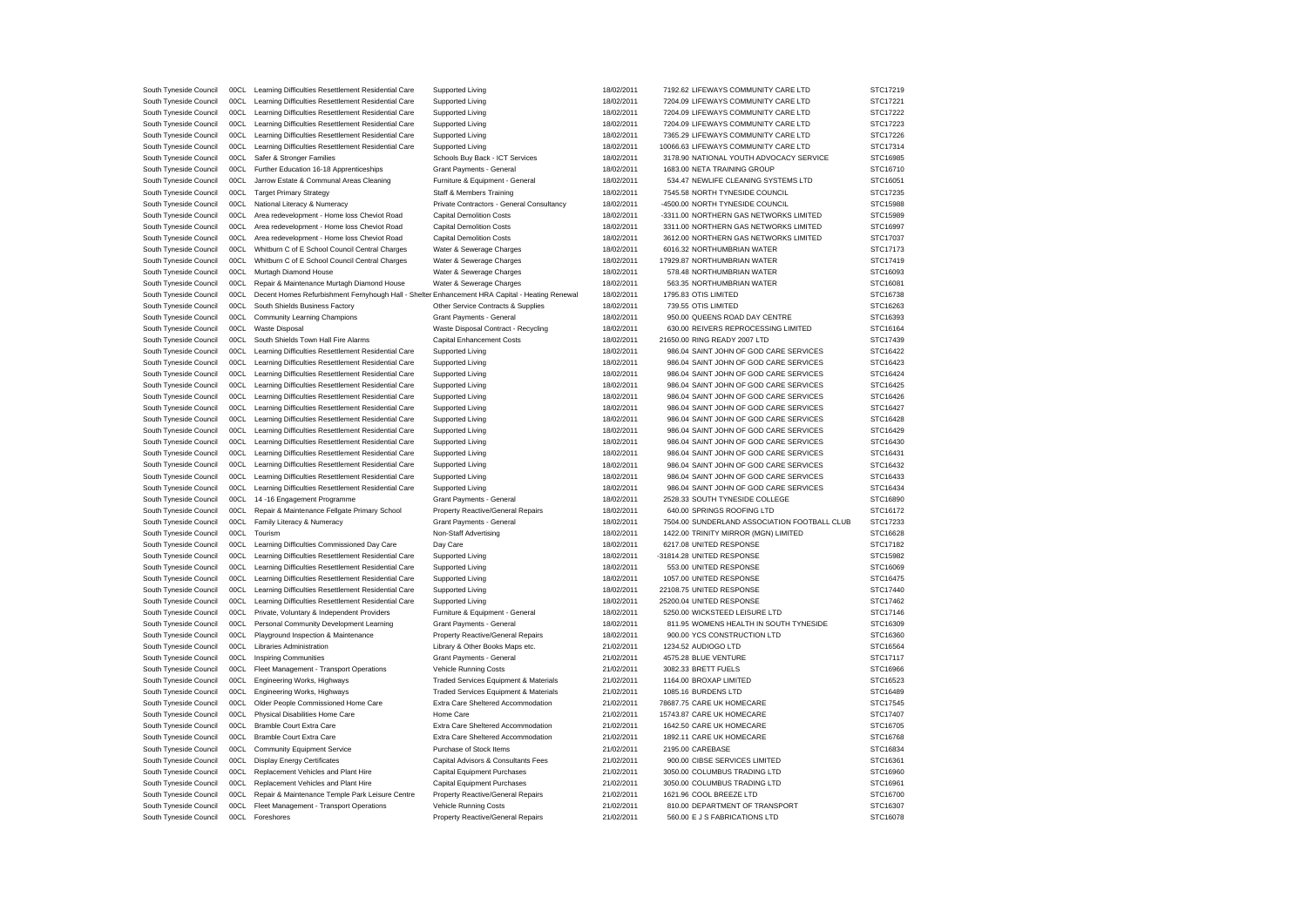| South Tyneside Council | 00CL | Learning Difficulties Resettlement Residential Care                                            | Supported Living                          | 18/02/2011 | 7192.62 LIFEWAYS COMMUNITY CARE LTD          | STC17219 |
|------------------------|------|------------------------------------------------------------------------------------------------|-------------------------------------------|------------|----------------------------------------------|----------|
| South Tyneside Council | 00CL | Learning Difficulties Resettlement Residential Care                                            | Supported Living                          | 18/02/2011 | 7204.09 LIFEWAYS COMMUNITY CARE LTD          | STC17221 |
| South Tyneside Council | 00CL | Learning Difficulties Resettlement Residential Care                                            | Supported Living                          | 18/02/2011 | 7204.09 LIFEWAYS COMMUNITY CARE LTD          | STC17222 |
| South Tyneside Council | 00CL | Learning Difficulties Resettlement Residential Care                                            | Supported Living                          | 18/02/2011 | 7204.09 LIFEWAYS COMMUNITY CARE LTD          | STC17223 |
| South Tyneside Council | 00CL | Learning Difficulties Resettlement Residential Care                                            | Supported Living                          | 18/02/2011 | 7365.29 LIFEWAYS COMMUNITY CARE LTD          | STC17226 |
| South Tyneside Council | 00CL | Learning Difficulties Resettlement Residential Care                                            | Supported Living                          | 18/02/2011 | 10066.63 LIFEWAYS COMMUNITY CARE LTD         | STC17314 |
| South Tyneside Council | 00CL | Safer & Stronger Families                                                                      | Schools Buy Back - ICT Services           | 18/02/2011 | 3178.90 NATIONAL YOUTH ADVOCACY SERVICE      | STC16985 |
| South Tyneside Council | 00CL | Further Education 16-18 Apprenticeships                                                        | Grant Payments - General                  | 18/02/2011 | 1683.00 NETA TRAINING GROUP                  | STC16710 |
| South Tyneside Council | 00CL | Jarrow Estate & Communal Areas Cleaning                                                        | Furniture & Equipment - General           | 18/02/2011 | 534.47 NEWLIFE CLEANING SYSTEMS LTD          | STC16051 |
| South Tyneside Council | 00CL | <b>Target Primary Strategy</b>                                                                 | Staff & Members Training                  | 18/02/2011 | 7545.58 NORTH TYNESIDE COUNCIL               | STC17235 |
| South Tyneside Council | 00CL | National Literacy & Numeracy                                                                   | Private Contractors - General Consultancy | 18/02/2011 | -4500.00 NORTH TYNESIDE COUNCIL              | STC15988 |
| South Tyneside Council | 00CL | Area redevelopment - Home loss Cheviot Road                                                    | <b>Capital Demolition Costs</b>           | 18/02/2011 | -3311.00 NORTHERN GAS NETWORKS LIMITED       | STC15989 |
|                        | 00CL |                                                                                                |                                           |            |                                              |          |
| South Tyneside Council |      | Area redevelopment - Home loss Cheviot Road                                                    | <b>Capital Demolition Costs</b>           | 18/02/2011 | 3311.00 NORTHERN GAS NETWORKS LIMITED        | STC16997 |
| South Tyneside Council | 00CL | Area redevelopment - Home loss Cheviot Road                                                    | <b>Capital Demolition Costs</b>           | 18/02/2011 | 3612.00 NORTHERN GAS NETWORKS LIMITED        | STC17037 |
| South Tyneside Council | 00CL | Whitburn C of E School Council Central Charges                                                 | Water & Sewerage Charges                  | 18/02/2011 | 6016.32 NORTHUMBRIAN WATER                   | STC17173 |
| South Tyneside Council | 00CL | Whitburn C of E School Council Central Charges                                                 | Water & Sewerage Charges                  | 18/02/2011 | 17929.87 NORTHUMBRIAN WATER                  | STC17419 |
| South Tyneside Council | 00CL | Murtagh Diamond House                                                                          | Water & Sewerage Charges                  | 18/02/2011 | 578.48 NORTHUMBRIAN WATER                    | STC16093 |
| South Tyneside Council | 00CL | Repair & Maintenance Murtagh Diamond House                                                     | Water & Sewerage Charges                  | 18/02/2011 | 563.35 NORTHUMBRIAN WATER                    | STC16081 |
| South Tyneside Council | 00CL | Decent Homes Refurbishment Fernyhough Hall - Shelter Enhancement HRA Capital - Heating Renewal |                                           | 18/02/2011 | 1795.83 OTIS LIMITED                         | STC16738 |
| South Tyneside Council | 00CL | South Shields Business Factory                                                                 | Other Service Contracts & Supplies        | 18/02/2011 | 739.55 OTIS LIMITED                          | STC16263 |
| South Tyneside Council | 00CL | Community Learning Champions                                                                   | Grant Payments - General                  | 18/02/2011 | 950.00 QUEENS ROAD DAY CENTRE                | STC16393 |
| South Tyneside Council | 00CL | Waste Disposal                                                                                 | Waste Disposal Contract - Recycling       | 18/02/2011 | 630.00 REIVERS REPROCESSING LIMITED          | STC16164 |
| South Tyneside Council | 00CL | South Shields Town Hall Fire Alarms                                                            | Capital Enhancement Costs                 | 18/02/2011 | 21650.00 RING READY 2007 LTD                 | STC17439 |
| South Tyneside Council | 00CL | Learning Difficulties Resettlement Residential Care                                            | Supported Living                          | 18/02/2011 | 986.04 SAINT JOHN OF GOD CARE SERVICES       | STC16422 |
| South Tyneside Council | 00CL | Learning Difficulties Resettlement Residential Care                                            | <b>Supported Living</b>                   | 18/02/2011 | 986.04 SAINT JOHN OF GOD CARE SERVICES       | STC16423 |
| South Tyneside Council | 00CL | Learning Difficulties Resettlement Residential Care                                            | <b>Supported Living</b>                   | 18/02/2011 | 986.04 SAINT JOHN OF GOD CARE SERVICES       | STC16424 |
| South Tyneside Council | 00CL | Learning Difficulties Resettlement Residential Care                                            | Supported Living                          | 18/02/2011 | 986.04 SAINT JOHN OF GOD CARE SERVICES       | STC16425 |
| South Tyneside Council | 00CL | Learning Difficulties Resettlement Residential Care                                            | <b>Supported Living</b>                   | 18/02/2011 | 986.04 SAINT JOHN OF GOD CARE SERVICES       | STC16426 |
| South Tyneside Council | 00CL | Learning Difficulties Resettlement Residential Care                                            | <b>Supported Living</b>                   | 18/02/2011 | 986.04 SAINT JOHN OF GOD CARE SERVICES       | STC16427 |
| South Tyneside Council | 00CL | Learning Difficulties Resettlement Residential Care                                            | Supported Living                          | 18/02/2011 | 986.04 SAINT JOHN OF GOD CARE SERVICES       | STC16428 |
| South Tyneside Council | 00CL | Learning Difficulties Resettlement Residential Care                                            | Supported Living                          | 18/02/2011 | 986.04 SAINT JOHN OF GOD CARE SERVICES       | STC16429 |
|                        | 00CL |                                                                                                |                                           |            |                                              |          |
| South Tyneside Council |      | Learning Difficulties Resettlement Residential Care                                            | Supported Living                          | 18/02/2011 | 986.04 SAINT JOHN OF GOD CARE SERVICES       | STC16430 |
| South Tyneside Council | 00CL | Learning Difficulties Resettlement Residential Care                                            | Supported Living                          | 18/02/2011 | 986.04 SAINT JOHN OF GOD CARE SERVICES       | STC16431 |
| South Tyneside Council | 00CL | Learning Difficulties Resettlement Residential Care                                            | Supported Living                          | 18/02/2011 | 986.04 SAINT JOHN OF GOD CARE SERVICES       | STC16432 |
| South Tyneside Council | 00CL | Learning Difficulties Resettlement Residential Care                                            | Supported Living                          | 18/02/2011 | 986.04 SAINT JOHN OF GOD CARE SERVICES       | STC16433 |
| South Tyneside Council | 00CL | Learning Difficulties Resettlement Residential Care                                            | <b>Supported Living</b>                   | 18/02/2011 | 986.04 SAINT JOHN OF GOD CARE SERVICES       | STC16434 |
| South Tyneside Council | 00CL | 14 -16 Engagement Programme                                                                    | Grant Payments - General                  | 18/02/2011 | 2528.33 SOUTH TYNESIDE COLLEGE               | STC16890 |
| South Tyneside Council | 00CL | Repair & Maintenance Fellgate Primary School                                                   | Property Reactive/General Repairs         | 18/02/2011 | 640.00 SPRINGS ROOFING LTD                   | STC16172 |
| South Tyneside Council | 00CL | Family Literacy & Numeracy                                                                     | Grant Payments - General                  | 18/02/2011 | 7504.00 SUNDERLAND ASSOCIATION FOOTBALL CLUB | STC17233 |
| South Tyneside Council | 00CL | Tourism                                                                                        | Non-Staff Advertising                     | 18/02/2011 | 1422.00 TRINITY MIRROR (MGN) LIMITED         | STC16628 |
| South Tyneside Council | 00CL | Learning Difficulties Commissioned Day Care                                                    | Day Care                                  | 18/02/2011 | 6217.08 UNITED RESPONSE                      | STC17182 |
| South Tyneside Council | 00CL | Learning Difficulties Resettlement Residential Care                                            | Supported Living                          | 18/02/2011 | -31814.28 UNITED RESPONSE                    | STC15982 |
| South Tyneside Council | 00CL | Learning Difficulties Resettlement Residential Care                                            | Supported Living                          | 18/02/2011 | 553.00 UNITED RESPONSE                       | STC16069 |
| South Tyneside Council | 00CL | Learning Difficulties Resettlement Residential Care                                            | Supported Living                          | 18/02/2011 | 1057.00 UNITED RESPONSE                      | STC16475 |
| South Tyneside Council | 00CL | Learning Difficulties Resettlement Residential Care                                            | <b>Supported Living</b>                   | 18/02/2011 | 22108.75 UNITED RESPONSE                     | STC17440 |
| South Tyneside Council | 00CL | Learning Difficulties Resettlement Residential Care                                            | Supported Living                          | 18/02/2011 | 25200.04 UNITED RESPONSE                     | STC17462 |
| South Tyneside Council | 00CL | Private, Voluntary & Independent Providers                                                     | Furniture & Equipment - General           | 18/02/2011 | 5250.00 WICKSTEED LEISURE LTD                | STC17146 |
| South Tyneside Council | 00CL | Personal Community Development Learning                                                        | Grant Payments - General                  | 18/02/2011 | 811.95 WOMENS HEALTH IN SOUTH TYNESIDE       | STC16309 |
| South Tyneside Council | 00CL | Playground Inspection & Maintenance                                                            | Property Reactive/General Repairs         | 18/02/2011 | 900.00 YCS CONSTRUCTION LTD                  | STC16360 |
|                        | 00CL | Libraries Administration                                                                       |                                           | 21/02/2011 | 1234.52 AUDIOGO LTD                          | STC16564 |
| South Tyneside Council |      |                                                                                                | Library & Other Books Maps etc.           |            |                                              |          |
| South Tyneside Council | 00CL | <b>Inspiring Communities</b>                                                                   | Grant Payments - General                  | 21/02/2011 | 4575.28 BLUE VENTURE                         | STC17117 |
| South Tyneside Council | 00CL | Fleet Management - Transport Operations                                                        | Vehicle Running Costs                     | 21/02/2011 | 3082.33 BRETT FUELS                          | STC16966 |
| South Tyneside Council | 00CL | Engineering Works, Highways                                                                    | Traded Services Equipment & Materials     | 21/02/2011 | 1164.00 BROXAP LIMITED                       | STC16523 |
| South Tyneside Council | 00CL | Engineering Works, Highways                                                                    | Traded Services Equipment & Materials     | 21/02/2011 | 1085.16 BURDENS LTD                          | STC16489 |
| South Tyneside Council | 00CL | Older People Commissioned Home Care                                                            | Extra Care Sheltered Accommodation        | 21/02/2011 | 78687.75 CARE UK HOMECARE                    | STC17545 |
| South Tyneside Council | 00CL | Physical Disabilities Home Care                                                                | Home Care                                 | 21/02/2011 | 15743.87 CARE UK HOMECARE                    | STC17407 |
| South Tyneside Council | 00CL | <b>Bramble Court Extra Care</b>                                                                | Extra Care Sheltered Accommodation        | 21/02/2011 | 1642.50 CARE UK HOMECARE                     | STC16705 |
| South Tyneside Council | 00CL | <b>Bramble Court Extra Care</b>                                                                | Extra Care Sheltered Accommodation        | 21/02/2011 | 1892.11 CARE UK HOMECARE                     | STC16768 |
| South Tyneside Council | 00CL | <b>Community Equipment Service</b>                                                             | Purchase of Stock Items                   | 21/02/2011 | 2195.00 CAREBASE                             | STC16834 |
| South Tyneside Council | 00CL | <b>Display Energy Certificates</b>                                                             | Capital Advisors & Consultants Fees       | 21/02/2011 | 900.00 CIBSE SERVICES LIMITED                | STC16361 |
| South Tyneside Council | 00C1 | Replacement Vehicles and Plant Hire                                                            | Capital Equipment Purchases               | 21/02/2011 | 3050.00 COLUMBUS TRADING LTD                 | STC16960 |
| South Tyneside Council | 00CL | Replacement Vehicles and Plant Hire                                                            | Capital Equipment Purchases               | 21/02/2011 | 3050.00 COLUMBUS TRADING LTD                 | STC16961 |
| South Tyneside Council | 00CL | Repair & Maintenance Temple Park Leisure Centre                                                | Property Reactive/General Repairs         | 21/02/2011 | 1621.96 COOL BREEZE LTD                      | STC16700 |
| South Tyneside Council | 00C1 | Fleet Management - Transport Operations                                                        | Vehicle Running Costs                     | 21/02/2011 | 810.00 DEPARTMENT OF TRANSPORT               | STC16307 |
| South Tyneside Council | 00C1 | Foreshores                                                                                     | Property Reactive/General Repairs         | 21/02/2011 | 560.00 E J S FABRICATIONS LTD                | STC16078 |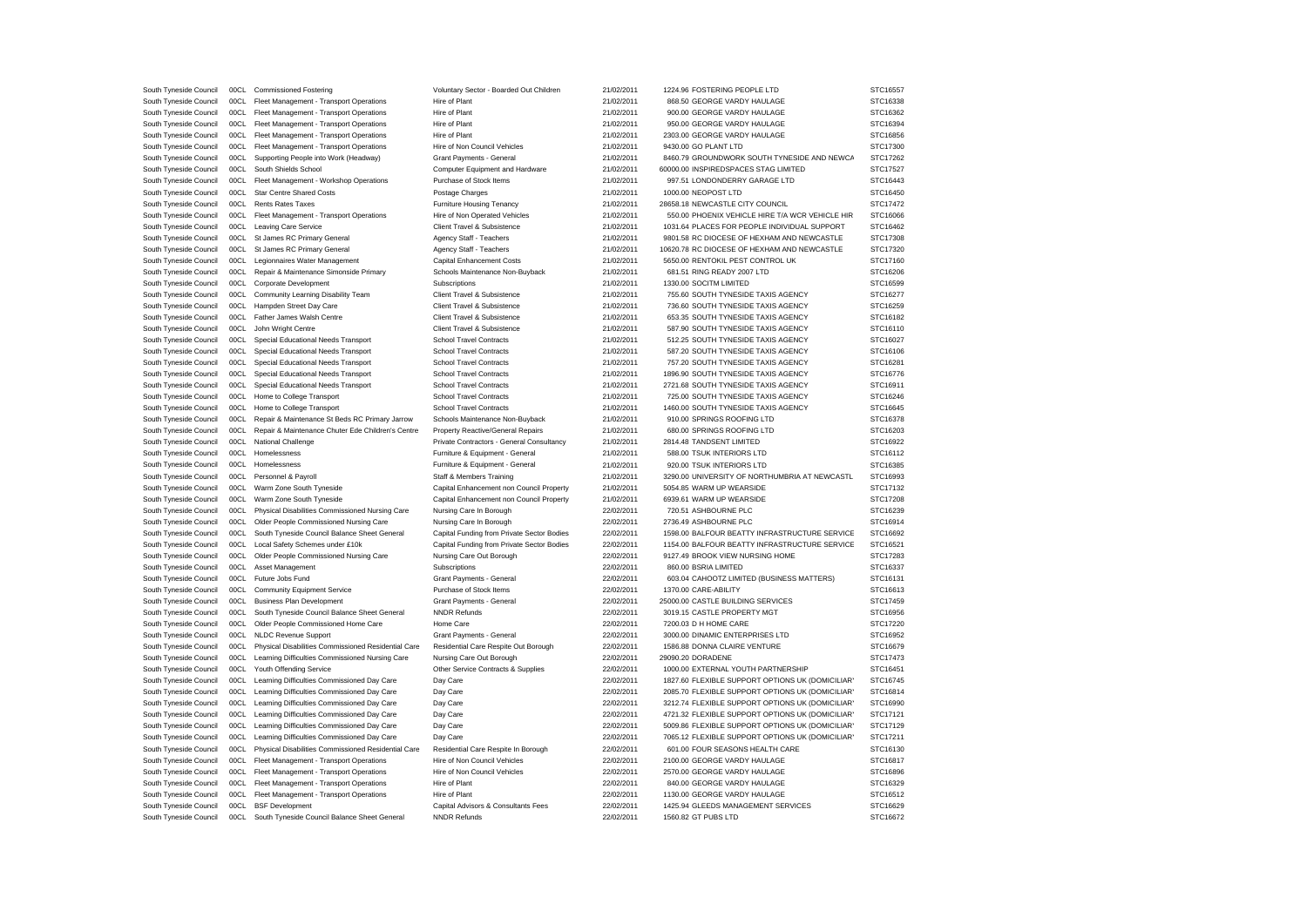| South Tyneside Council | 00C1 | <b>Commissioned Fostering</b>                       | Voluntary Sector - Boarded Out Children    | 21/02/2011 | 1224.96 FOSTERING PEOPLE LTD                     | STC16557 |
|------------------------|------|-----------------------------------------------------|--------------------------------------------|------------|--------------------------------------------------|----------|
| South Tyneside Council | 00CL | Fleet Management - Transport Operations             | Hire of Plant                              | 21/02/2011 | 868.50 GEORGE VARDY HAULAGE                      | STC16338 |
| South Tyneside Council | 00CL | Fleet Management - Transport Operations             | Hire of Plant                              | 21/02/2011 | 900.00 GEORGE VARDY HAULAGE                      | STC16362 |
| South Tyneside Council | 00CL | Fleet Management - Transport Operations             | Hire of Plant                              | 21/02/2011 | 950.00 GEORGE VARDY HAULAGE                      | STC16394 |
| South Tyneside Council | 00CL | Fleet Management - Transport Operations             | Hire of Plant                              | 21/02/2011 | 2303.00 GEORGE VARDY HAULAGE                     | STC16856 |
| South Tyneside Council | 00CL | Fleet Management - Transport Operations             | Hire of Non Council Vehicles               | 21/02/2011 | 9430.00 GO PLANT LTD                             | STC17300 |
| South Tyneside Council | 00CL | Supporting People into Work (Headway)               | Grant Payments - General                   | 21/02/2011 | 8460.79 GROUNDWORK SOUTH TYNESIDE AND NEWCA      | STC17262 |
| South Tyneside Council | 00CL | South Shields School                                | Computer Equipment and Hardware            | 21/02/2011 | 60000.00 INSPIREDSPACES STAG LIMITED             | STC17527 |
| South Tyneside Council | 00CL | Fleet Management - Workshop Operations              | Purchase of Stock Items                    | 21/02/2011 | 997.51 LONDONDERRY GARAGE LTD                    | STC16443 |
| South Tyneside Council | 00CL | <b>Star Centre Shared Costs</b>                     | Postage Charges                            | 21/02/2011 | 1000.00 NEOPOST LTD                              | STC16450 |
| South Tyneside Council | 00CL | Rents Rates Taxes                                   | Furniture Housing Tenancy                  | 21/02/2011 | 28658.18 NEWCASTLE CITY COUNCIL                  | STC17472 |
| South Tyneside Council | 00CL | Fleet Management - Transport Operations             | Hire of Non Operated Vehicles              | 21/02/2011 | 550.00 PHOENIX VEHICLE HIRE T/A WCR VEHICLE HIR  | STC16066 |
|                        | 00CL |                                                     | Client Travel & Subsistence                |            | 1031.64 PLACES FOR PEOPLE INDIVIDUAL SUPPORT     | STC16462 |
| South Tyneside Council |      | <b>Leaving Care Service</b>                         |                                            | 21/02/2011 |                                                  |          |
| South Tyneside Council | 00CL | St James RC Primary General                         | Agency Staff - Teachers                    | 21/02/2011 | 9801.58 RC DIOCESE OF HEXHAM AND NEWCASTLE       | STC17308 |
| South Tyneside Council | 00CL | St James RC Primary General                         | Agency Staff - Teachers                    | 21/02/2011 | 10620.78 RC DIOCESE OF HEXHAM AND NEWCASTLE      | STC17320 |
| South Tyneside Council | 00CL | Legionnaires Water Management                       | Capital Enhancement Costs                  | 21/02/2011 | 5650.00 RENTOKIL PEST CONTROL UK                 | STC17160 |
| South Tyneside Council | 00CL | Repair & Maintenance Simonside Primary              | Schools Maintenance Non-Buyback            | 21/02/2011 | 681.51 RING READY 2007 LTD                       | STC16206 |
| South Tyneside Council | 00CL | Corporate Development                               | Subscriptions                              | 21/02/2011 | 1330.00 SOCITM LIMITED                           | STC16599 |
| South Tyneside Council | 00CL | Community Learning Disability Team                  | Client Travel & Subsistence                | 21/02/2011 | 755.60 SOUTH TYNESIDE TAXIS AGENCY               | STC16277 |
| South Tyneside Council | 00CL | Hampden Street Day Care                             | Client Travel & Subsistence                | 21/02/2011 | 736.60 SOUTH TYNESIDE TAXIS AGENCY               | STC16259 |
| South Tyneside Council | 00CL | Father James Walsh Centre                           | Client Travel & Subsistence                | 21/02/2011 | 653.35 SOUTH TYNESIDE TAXIS AGENCY               | STC16182 |
| South Tyneside Council | 00CL | John Wright Centre                                  | Client Travel & Subsistence                | 21/02/2011 | 587.90 SOUTH TYNESIDE TAXIS AGENCY               | STC16110 |
| South Tyneside Council | 00CL | Special Educational Needs Transport                 | <b>School Travel Contracts</b>             | 21/02/2011 | 512.25 SOUTH TYNESIDE TAXIS AGENCY               | STC16027 |
| South Tyneside Council | 00CL | Special Educational Needs Transport                 | <b>School Travel Contracts</b>             | 21/02/2011 | 587.20 SOUTH TYNESIDE TAXIS AGENCY               | STC16106 |
| South Tyneside Council | 00CL | Special Educational Needs Transport                 | <b>School Travel Contracts</b>             | 21/02/2011 | 757.20 SOUTH TYNESIDE TAXIS AGENCY               | STC16281 |
| South Tyneside Council | 00CL | Special Educational Needs Transport                 | <b>School Travel Contracts</b>             | 21/02/2011 | 1896.90 SOUTH TYNESIDE TAXIS AGENCY              | STC16776 |
| South Tyneside Council | 00CL | Special Educational Needs Transport                 | <b>School Travel Contracts</b>             | 21/02/2011 | 2721.68 SOUTH TYNESIDE TAXIS AGENCY              | STC16911 |
| South Tyneside Council | 00CL | Home to College Transport                           | <b>School Travel Contracts</b>             | 21/02/2011 | 725.00 SOUTH TYNESIDE TAXIS AGENCY               | STC16246 |
| South Tyneside Council |      | 00CL Home to College Transport                      | <b>School Travel Contracts</b>             | 21/02/2011 | 1460.00 SOUTH TYNESIDE TAXIS AGENCY              | STC16645 |
| South Tyneside Council | 00CL | Repair & Maintenance St Beds RC Primary Jarrow      | Schools Maintenance Non-Buyback            | 21/02/2011 | 910.00 SPRINGS ROOFING LTD                       | STC16378 |
| South Tyneside Council | 00CL | Repair & Maintenance Chuter Ede Children's Centre   | Property Reactive/General Repairs          | 21/02/2011 | 680.00 SPRINGS ROOFING LTD                       | STC16203 |
| South Tyneside Council | 00CL | National Challenge                                  | Private Contractors - General Consultancy  | 21/02/2011 | 2814.48 TANDSENT LIMITED                         | STC16922 |
| South Tyneside Council | 00CL | Homelessness                                        | Furniture & Equipment - General            | 21/02/2011 | 588.00 TSUK INTERIORS LTD                        | STC16112 |
| South Tyneside Council | 00CL | Homelessness                                        | Furniture & Equipment - General            | 21/02/2011 | 920.00 TSUK INTERIORS LTD                        | STC16385 |
|                        | 00CL |                                                     |                                            |            | 3290.00 UNIVERSITY OF NORTHUMBRIA AT NEWCASTL    |          |
| South Tyneside Council |      | Personnel & Payroll                                 | Staff & Members Training                   | 21/02/2011 |                                                  | STC16993 |
| South Tyneside Council | 00CL | Warm Zone South Tyneside                            | Capital Enhancement non Council Property   | 21/02/2011 | 5054.85 WARM UP WEARSIDE                         | STC17132 |
| South Tyneside Council | 00CL | Warm Zone South Tyneside                            | Capital Enhancement non Council Property   | 21/02/2011 | 6939.61 WARM UP WEARSIDE                         | STC17208 |
| South Tyneside Council | 00CL | Physical Disabilities Commissioned Nursing Care     | Nursing Care In Borough                    | 22/02/2011 | 720.51 ASHBOURNE PLC                             | STC16239 |
| South Tyneside Council | 00CL | Older People Commissioned Nursing Care              | Nursing Care In Borough                    | 22/02/2011 | 2736.49 ASHBOURNE PLC                            | STC16914 |
| South Tyneside Council | 00CL | South Tyneside Council Balance Sheet General        | Capital Funding from Private Sector Bodies | 22/02/2011 | 1598.00 BALFOUR BEATTY INFRASTRUCTURE SERVICE    | STC16692 |
| South Tyneside Council | 00CL | Local Safety Schemes under £10k                     | Capital Funding from Private Sector Bodies | 22/02/2011 | 1154.00 BALFOUR BEATTY INFRASTRUCTURE SERVICE    | STC16521 |
| South Tyneside Council | 00CL | Older People Commissioned Nursing Care              | Nursing Care Out Borough                   | 22/02/2011 | 9127.49 BROOK VIEW NURSING HOME                  | STC17283 |
| South Tyneside Council | 00CL | Asset Management                                    | Subscriptions                              | 22/02/2011 | 860.00 BSRIA LIMITED                             | STC16337 |
| South Tyneside Council | 00CL | Future Jobs Fund                                    | Grant Payments - General                   | 22/02/2011 | 603.04 CAHOOTZ LIMITED (BUSINESS MATTERS)        | STC16131 |
| South Tyneside Council | 00CL | <b>Community Equipment Service</b>                  | Purchase of Stock Items                    | 22/02/2011 | 1370.00 CARE-ABILITY                             | STC16613 |
| South Tyneside Council | 00CL | <b>Business Plan Development</b>                    | Grant Payments - General                   | 22/02/2011 | 25000.00 CASTLE BUILDING SERVICES                | STC17459 |
| South Tyneside Council | 00CL | South Tyneside Council Balance Sheet General        | <b>NNDR Refunds</b>                        | 22/02/2011 | 3019.15 CASTLE PROPERTY MGT                      | STC16956 |
| South Tyneside Council | 00CL | Older People Commissioned Home Care                 | Home Care                                  | 22/02/2011 | 7200.03 D H HOME CARE                            | STC17220 |
| South Tyneside Council | 00CL | <b>NLDC Revenue Support</b>                         | Grant Payments - General                   | 22/02/2011 | 3000.00 DINAMIC ENTERPRISES LTD                  | STC16952 |
| South Tyneside Council | 00CL | Physical Disabilities Commissioned Residential Care | Residential Care Respite Out Borough       | 22/02/2011 | 1586.88 DONNA CLAIRE VENTURE                     | STC16679 |
| South Tyneside Council | 00CL | Learning Difficulties Commissioned Nursing Care     | Nursing Care Out Borough                   | 22/02/2011 | 29090.20 DORADENE                                | STC17473 |
| South Tyneside Council | 00CL | Youth Offending Service                             | Other Service Contracts & Supplies         | 22/02/2011 | 1000.00 EXTERNAL YOUTH PARTNERSHIP               | STC16451 |
| South Tyneside Council | 00CL | Learning Difficulties Commissioned Day Care         | Day Care                                   | 22/02/2011 | 1827.60 FLEXIBLE SUPPORT OPTIONS UK (DOMICILIAR) | STC16745 |
| South Tyneside Council | 00CL | Learning Difficulties Commissioned Day Care         | Day Care                                   | 22/02/2011 | 2085.70 FLEXIBLE SUPPORT OPTIONS UK (DOMICILIAR) | STC16814 |
| South Tyneside Council | 00CL | Learning Difficulties Commissioned Day Care         | Day Care                                   | 22/02/2011 | 3212.74 FLEXIBLE SUPPORT OPTIONS UK (DOMICILIAR) | STC16990 |
|                        |      |                                                     |                                            |            |                                                  |          |
| South Tyneside Council | 00CL | Learning Difficulties Commissioned Day Care         | Day Care                                   | 22/02/2011 | 4721.32 FLEXIBLE SUPPORT OPTIONS UK (DOMICILIAR' | STC17121 |
| South Tyneside Council | 00CL | Learning Difficulties Commissioned Day Care         | Day Care                                   | 22/02/2011 | 5009.86 FLEXIBLE SUPPORT OPTIONS UK (DOMICILIAR) | STC17129 |
| South Tyneside Council | 00CL | Learning Difficulties Commissioned Day Care         | Day Care                                   | 22/02/2011 | 7065.12 FLEXIBLE SUPPORT OPTIONS UK (DOMICILIAR) | STC17211 |
| South Tyneside Council | 00CL | Physical Disabilities Commissioned Residential Care | Residential Care Respite In Borough        | 22/02/2011 | 601.00 FOUR SEASONS HEALTH CARE                  | STC16130 |
| South Tyneside Council | 00CL | Fleet Management - Transport Operations             | Hire of Non Council Vehicles               | 22/02/2011 | 2100.00 GEORGE VARDY HAULAGE                     | STC16817 |
| South Tyneside Council | 00CL | Fleet Management - Transport Operations             | Hire of Non Council Vehicles               | 22/02/2011 | 2570.00 GEORGE VARDY HAULAGE                     | STC16896 |
| South Tyneside Council | 00CL | Fleet Management - Transport Operations             | Hire of Plant                              | 22/02/2011 | 840.00 GEORGE VARDY HAULAGE                      | STC16329 |
| South Tyneside Council | 00CL | Fleet Management - Transport Operations             | Hire of Plant                              | 22/02/2011 | 1130.00 GEORGE VARDY HAULAGE                     | STC16512 |
| South Tyneside Council | 00CL | <b>BSF</b> Development                              | Capital Advisors & Consultants Fees        | 22/02/2011 | 1425.94 GLEEDS MANAGEMENT SERVICES               | STC16629 |
| South Tyneside Council | 00CL | South Tyneside Council Balance Sheet General        | <b>NNDR Refunds</b>                        | 22/02/2011 | 1560.82 GT PUBS LTD                              | STC16672 |
|                        |      |                                                     |                                            |            |                                                  |          |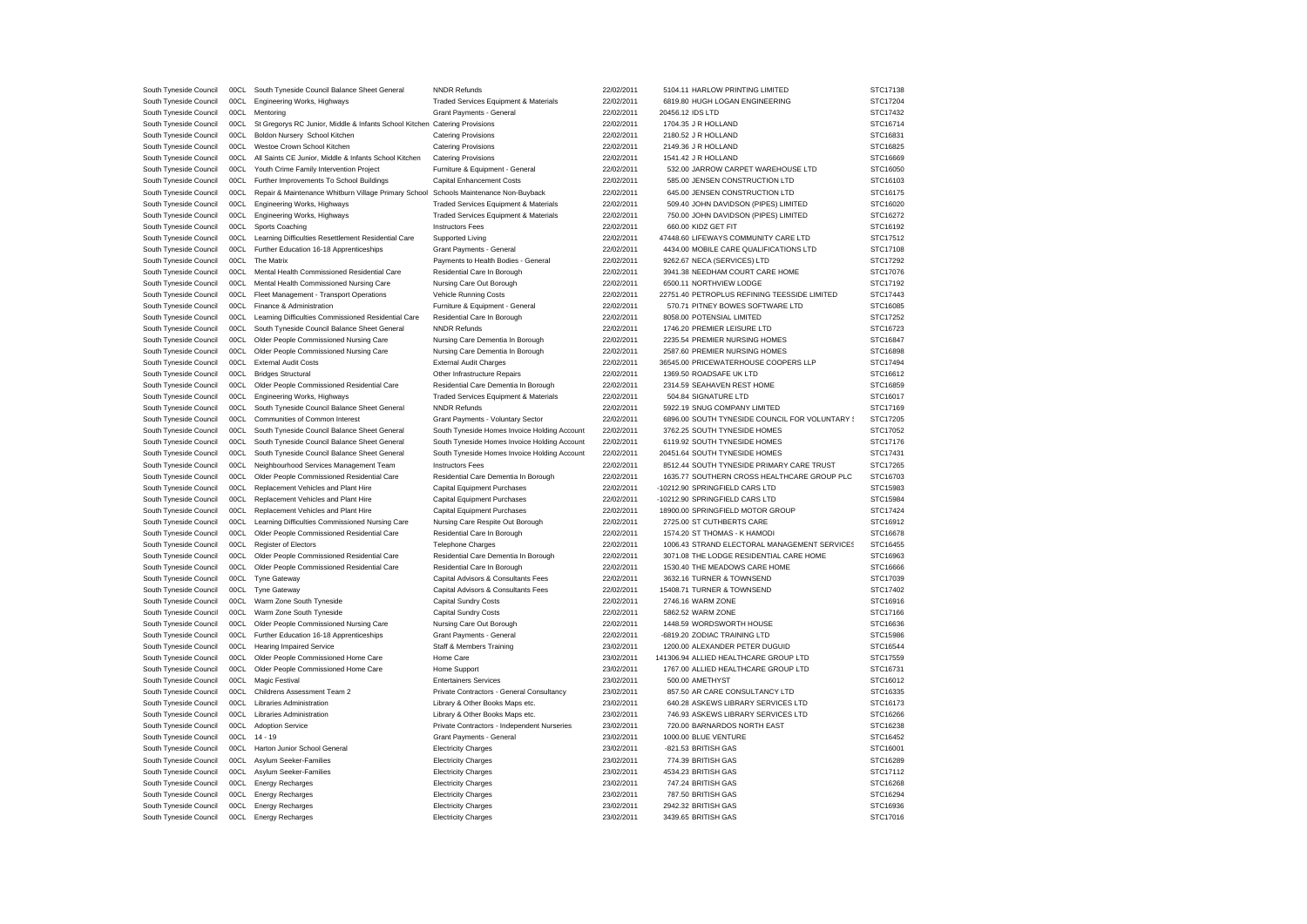| South Tyneside Council | 00CL | South Tyneside Council Balance Sheet General                                         | <b>NNDR Refunds</b>                          | 22/02/2011 | 5104.11 HARLOW PRINTING LIMITED                | STC17138 |
|------------------------|------|--------------------------------------------------------------------------------------|----------------------------------------------|------------|------------------------------------------------|----------|
| South Tyneside Council | 00CL | Engineering Works, Highways                                                          | Traded Services Equipment & Materials        | 22/02/2011 | 6819.80 HUGH LOGAN ENGINEERING                 | STC17204 |
| South Tyneside Council | 00CL | Mentoring                                                                            | Grant Payments - General                     | 22/02/2011 | 20456.12 IDS LTD                               | STC17432 |
| South Tyneside Council | 00CL | St Gregorys RC Junior, Middle & Infants School Kitchen Catering Provisions           |                                              | 22/02/2011 | 1704.35 J R HOLLAND                            | STC16714 |
| South Tyneside Council | 00CL | Boldon Nursery School Kitchen                                                        | <b>Catering Provisions</b>                   | 22/02/2011 | 2180.52 J R HOLLAND                            | STC16831 |
| South Tyneside Council | 00CL | Westoe Crown School Kitchen                                                          | <b>Catering Provisions</b>                   | 22/02/2011 | 2149.36 J R HOLLAND                            | STC16825 |
|                        | 00CL |                                                                                      |                                              | 22/02/2011 | 1541.42 J R HOLLAND                            | STC16669 |
| South Tyneside Council |      | All Saints CE Junior, Middle & Infants School Kitchen                                | <b>Catering Provisions</b>                   |            |                                                |          |
| South Tyneside Council | 00CL | Youth Crime Family Intervention Project                                              | Furniture & Equipment - General              | 22/02/2011 | 532.00 JARROW CARPET WAREHOUSE LTD             | STC16050 |
| South Tyneside Council | 00CL | Further Improvements To School Buildings                                             | Capital Enhancement Costs                    | 22/02/2011 | 585.00 JENSEN CONSTRUCTION LTD                 | STC16103 |
| South Tyneside Council | 00CL | Repair & Maintenance Whitburn Village Primary School Schools Maintenance Non-Buyback |                                              | 22/02/2011 | 645.00 JENSEN CONSTRUCTION LTD                 | STC16175 |
| South Tyneside Council | 00CL | Engineering Works, Highways                                                          | Traded Services Equipment & Materials        | 22/02/2011 | 509.40 JOHN DAVIDSON (PIPES) LIMITED           | STC16020 |
| South Tyneside Council | 00CL | Engineering Works, Highways                                                          | Traded Services Equipment & Materials        | 22/02/2011 | 750.00 JOHN DAVIDSON (PIPES) LIMITED           | STC16272 |
| South Tyneside Council | 00CL | Sports Coaching                                                                      | <b>Instructors Fees</b>                      | 22/02/2011 | 660.00 KIDZ GET FIT                            | STC16192 |
| South Tyneside Council | 00CL | Learning Difficulties Resettlement Residential Care                                  | Supported Living                             | 22/02/2011 | 47448.60 LIFEWAYS COMMUNITY CARE LTD           | STC17512 |
| South Tyneside Council | 00CL | Further Education 16-18 Apprenticeships                                              | Grant Payments - General                     | 22/02/2011 | 4434.00 MOBILE CARE QUALIFICATIONS LTD         | STC17108 |
| South Tyneside Council | 00CL | The Matrix                                                                           | Payments to Health Bodies - General          | 22/02/2011 | 9262.67 NECA (SERVICES) LTD                    | STC17292 |
| South Tyneside Council | 00CL | Mental Health Commissioned Residential Care                                          | Residential Care In Borough                  | 22/02/2011 | 3941.38 NEEDHAM COURT CARE HOME                | STC17076 |
|                        |      |                                                                                      |                                              |            |                                                |          |
| South Tyneside Council | 00CL | Mental Health Commissioned Nursing Care                                              | Nursing Care Out Borough                     | 22/02/2011 | 6500.11 NORTHVIEW LODGE                        | STC17192 |
| South Tyneside Council | 00CL | Fleet Management - Transport Operations                                              | Vehicle Running Costs                        | 22/02/2011 | 22751.40 PETROPLUS REFINING TEESSIDE LIMITED   | STC17443 |
| South Tyneside Council | 00CL | Finance & Administration                                                             | Furniture & Equipment - General              | 22/02/2011 | 570.71 PITNEY BOWES SOFTWARE LTD               | STC16085 |
| South Tyneside Council | 00CL | Learning Difficulties Commissioned Residential Care                                  | Residential Care In Borough                  | 22/02/2011 | 8058.00 POTENSIAL LIMITED                      | STC17252 |
| South Tyneside Council | 00CL | South Tyneside Council Balance Sheet General                                         | <b>NNDR Refunds</b>                          | 22/02/2011 | 1746.20 PREMIER LEISURE LTD                    | STC16723 |
| South Tyneside Council | 00CL | Older People Commissioned Nursing Care                                               | Nursing Care Dementia In Borough             | 22/02/2011 | 2235.54 PREMIER NURSING HOMES                  | STC16847 |
| South Tyneside Council | 00CL | Older People Commissioned Nursing Care                                               | Nursing Care Dementia In Borough             | 22/02/2011 | 2587.60 PREMIER NURSING HOMES                  | STC16898 |
| South Tyneside Council | 00CL | <b>External Audit Costs</b>                                                          | <b>External Audit Charges</b>                | 22/02/2011 | 36545.00 PRICEWATERHOUSE COOPERS LLP           | STC17494 |
| South Tyneside Council | 00CL | <b>Bridges Structural</b>                                                            | Other Infrastructure Repairs                 | 22/02/2011 | 1369.50 ROADSAFE UK LTD                        | STC16612 |
| South Tyneside Council | 00CL | Older People Commissioned Residential Care                                           | Residential Care Dementia In Borough         | 22/02/2011 | 2314.59 SEAHAVEN REST HOME                     | STC16859 |
| South Tyneside Council | 00CL | Engineering Works, Highways                                                          | Traded Services Equipment & Materials        | 22/02/2011 | 504.84 SIGNATURE LTD                           | STC16017 |
|                        |      |                                                                                      |                                              |            |                                                |          |
| South Tyneside Council | 00CL | South Tyneside Council Balance Sheet General                                         | <b>NNDR Refunds</b>                          | 22/02/2011 | 5922.19 SNUG COMPANY LIMITED                   | STC17169 |
| South Tyneside Council | 00CL | Communities of Common Interest                                                       | Grant Payments - Voluntary Sector            | 22/02/2011 | 6896.00 SOUTH TYNESIDE COUNCIL FOR VOLUNTARY ! | STC17205 |
| South Tyneside Council | 00CL | South Tyneside Council Balance Sheet General                                         | South Tyneside Homes Invoice Holding Account | 22/02/2011 | 3762.25 SOUTH TYNESIDE HOMES                   | STC17052 |
| South Tyneside Council | 00CL | South Tyneside Council Balance Sheet General                                         | South Tyneside Homes Invoice Holding Account | 22/02/2011 | 6119.92 SOUTH TYNESIDE HOMES                   | STC17176 |
| South Tyneside Council | 00CL | South Tyneside Council Balance Sheet General                                         | South Tyneside Homes Invoice Holding Account | 22/02/2011 | 20451.64 SOUTH TYNESIDE HOMES                  | STC17431 |
| South Tyneside Council | 00CL | Neighbourhood Services Management Team                                               | <b>Instructors Fees</b>                      | 22/02/2011 | 8512.44 SOUTH TYNESIDE PRIMARY CARE TRUST      | STC17265 |
| South Tyneside Council | 00CL | Older People Commissioned Residential Care                                           | Residential Care Dementia In Borough         | 22/02/2011 | 1635.77 SOUTHERN CROSS HEALTHCARE GROUP PLC    | STC16703 |
| South Tyneside Council | 00CL | Replacement Vehicles and Plant Hire                                                  | <b>Capital Equipment Purchases</b>           | 22/02/2011 | -10212.90 SPRINGFIELD CARS LTD                 | STC15983 |
| South Tyneside Council | 00CL | Replacement Vehicles and Plant Hire                                                  | Capital Equipment Purchases                  | 22/02/2011 | -10212.90 SPRINGFIELD CARS LTD                 | STC15984 |
| South Tyneside Council | 00CL | Replacement Vehicles and Plant Hire                                                  | Capital Equipment Purchases                  | 22/02/2011 | 18900.00 SPRINGFIELD MOTOR GROUP               | STC17424 |
| South Tyneside Council | 00CL | Learning Difficulties Commissioned Nursing Care                                      | Nursing Care Respite Out Borough             | 22/02/2011 | 2725.00 ST CUTHBERTS CARE                      | STC16912 |
| South Tyneside Council | 00CL | Older People Commissioned Residential Care                                           | Residential Care In Borough                  | 22/02/2011 | 1574.20 ST THOMAS - K HAMODI                   | STC16678 |
|                        |      |                                                                                      |                                              |            |                                                |          |
| South Tyneside Council | 00CL | <b>Register of Electors</b>                                                          | <b>Telephone Charges</b>                     | 22/02/2011 | 1006.43 STRAND ELECTORAL MANAGEMENT SERVICES   | STC16455 |
| South Tyneside Council | 00CL | Older People Commissioned Residential Care                                           | Residential Care Dementia In Borough         | 22/02/2011 | 3071.08 THE LODGE RESIDENTIAL CARE HOME        | STC16963 |
| South Tyneside Council | 00CL | Older People Commissioned Residential Care                                           | Residential Care In Borough                  | 22/02/2011 | 1530.40 THE MEADOWS CARE HOME                  | STC16666 |
| South Tyneside Council | 00CL | <b>Tyne Gateway</b>                                                                  | Capital Advisors & Consultants Fees          | 22/02/2011 | 3632.16 TURNER & TOWNSEND                      | STC17039 |
| South Tyneside Council | 00CL | Tyne Gateway                                                                         | Capital Advisors & Consultants Fees          | 22/02/2011 | 15408.71 TURNER & TOWNSEND                     | STC17402 |
| South Tyneside Council | 00CL | Warm Zone South Tyneside                                                             | Capital Sundry Costs                         | 22/02/2011 | 2746.16 WARM ZONE                              | STC16916 |
| South Tyneside Council | 00CL | Warm Zone South Tyneside                                                             | <b>Capital Sundry Costs</b>                  | 22/02/2011 | 5862.52 WARM ZONE                              | STC17166 |
| South Tyneside Council | 00CL | Older People Commissioned Nursing Care                                               | Nursing Care Out Borough                     | 22/02/2011 | 1448.59 WORDSWORTH HOUSE                       | STC16636 |
| South Tyneside Council | 00CL | Further Education 16-18 Apprenticeships                                              | Grant Payments - General                     | 22/02/2011 | -6819.20 ZODIAC TRAINING LTD                   | STC15986 |
| South Tyneside Council | 00CL | <b>Hearing Impaired Service</b>                                                      | Staff & Members Training                     | 23/02/2011 | 1200.00 ALEXANDER PETER DUGUID                 | STC16544 |
| South Tyneside Council | 00CL | Older People Commissioned Home Care                                                  | Home Care                                    | 23/02/2011 | 141306.94 ALLIED HEALTHCARE GROUP LTD          | STC17559 |
|                        |      |                                                                                      |                                              |            |                                                |          |
| South Tyneside Council | 00CL | Older People Commissioned Home Care                                                  | Home Support                                 | 23/02/2011 | 1767.00 ALLIED HEALTHCARE GROUP LTD            | STC16731 |
| South Tyneside Council | 00CL | Magic Festival                                                                       | <b>Entertainers Services</b>                 | 23/02/2011 | 500.00 AMETHYST                                | STC16012 |
| South Tyneside Council | 00CL | Childrens Assessment Team 2                                                          | Private Contractors - General Consultancy    | 23/02/2011 | 857.50 AR CARE CONSULTANCY LTD                 | STC16335 |
| South Tyneside Council | 00CL | Libraries Administration                                                             | Library & Other Books Maps etc.              | 23/02/2011 | 640.28 ASKEWS LIBRARY SERVICES LTD             | STC16173 |
| South Tyneside Council | 00CL | Libraries Administration                                                             | Library & Other Books Maps etc.              | 23/02/2011 | 746.93 ASKEWS LIBRARY SERVICES LTD             | STC16266 |
| South Tyneside Council | 00CL | <b>Adoption Service</b>                                                              | Private Contractors - Independent Nurseries  | 23/02/2011 | 720.00 BARNARDOS NORTH EAST                    | STC16238 |
| South Tyneside Council | 00CL | $14 - 19$                                                                            | Grant Payments - General                     | 23/02/2011 | 1000.00 BLUE VENTURE                           | STC16452 |
| South Tyneside Council | 00CL | Harton Junior School General                                                         | <b>Electricity Charges</b>                   | 23/02/2011 | -821.53 BRITISH GAS                            | STC16001 |
| South Tyneside Council | 00CL | Asylum Seeker-Families                                                               | <b>Electricity Charges</b>                   | 23/02/2011 | 774.39 BRITISH GAS                             | STC16289 |
| South Tyneside Council | 00CL | Asylum Seeker-Families                                                               | <b>Electricity Charges</b>                   | 23/02/2011 | 4534.23 BRITISH GAS                            | STC17112 |
|                        |      |                                                                                      |                                              |            |                                                |          |
| South Tyneside Council | 00CL | <b>Energy Recharges</b>                                                              | <b>Electricity Charges</b>                   | 23/02/2011 | 747.24 BRITISH GAS                             | STC16268 |
| South Tyneside Council | 00CL | Energy Recharges                                                                     | <b>Electricity Charges</b>                   | 23/02/2011 | 787.50 BRITISH GAS                             | STC16294 |
| South Tyneside Council | 00CL | Energy Recharges                                                                     | <b>Electricity Charges</b>                   | 23/02/2011 | 2942.32 BRITISH GAS                            | STC16936 |
| South Tyneside Council | 00CL | <b>Energy Recharges</b>                                                              | <b>Electricity Charges</b>                   | 23/02/2011 | 3439.65 BRITISH GAS                            | STC17016 |
|                        |      |                                                                                      |                                              |            |                                                |          |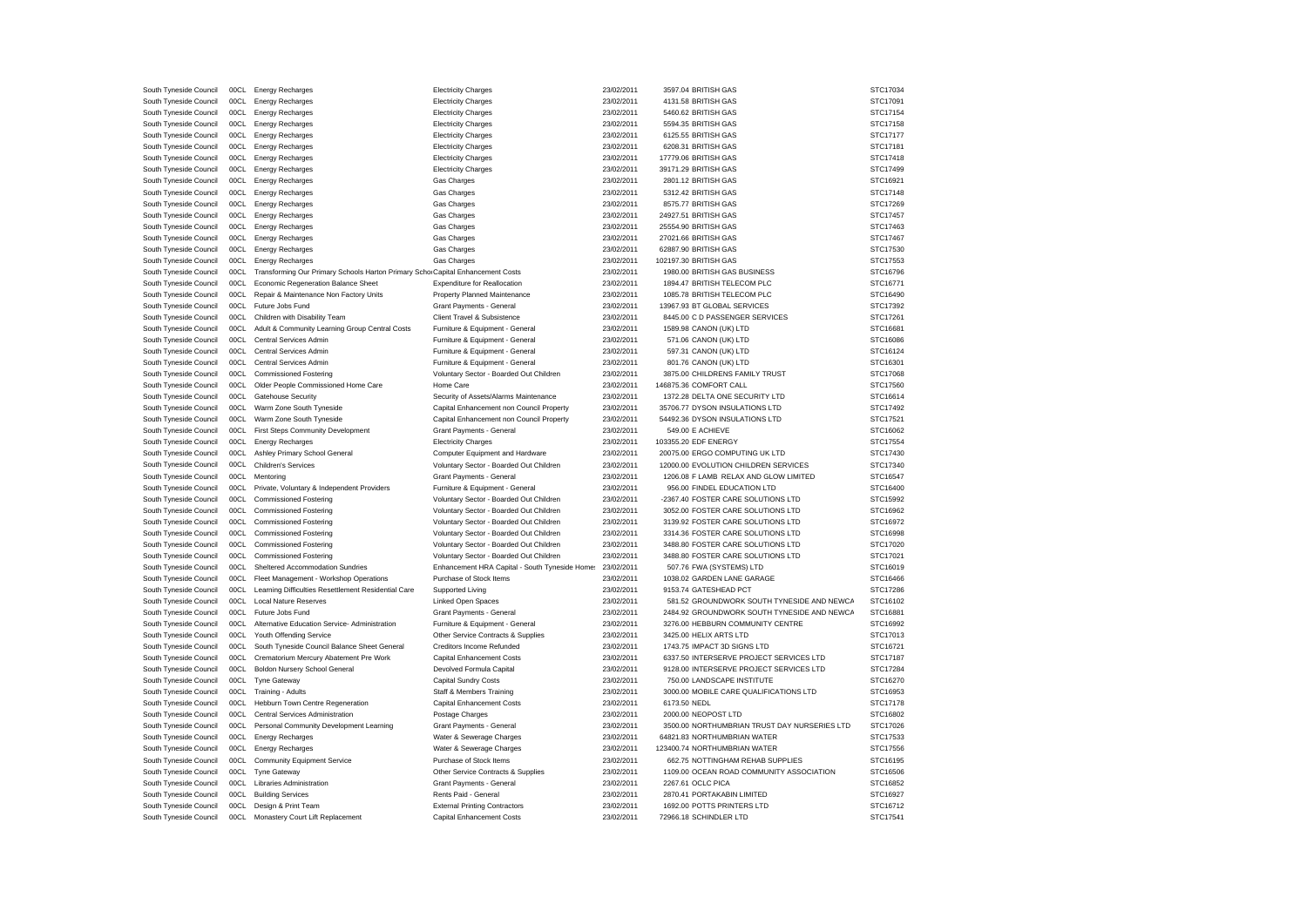| South Tyneside Council | 00CL | <b>Energy Recharges</b>                                                        | <b>Electricity Charges</b>                     | 23/02/2011 | 3597.04 BRITISH GAS                          | STC17034 |
|------------------------|------|--------------------------------------------------------------------------------|------------------------------------------------|------------|----------------------------------------------|----------|
| South Tyneside Council | 00CL | <b>Energy Recharges</b>                                                        | <b>Electricity Charges</b>                     | 23/02/2011 | 4131.58 BRITISH GAS                          | STC17091 |
| South Tyneside Council | 00CL | <b>Energy Recharges</b>                                                        | <b>Electricity Charges</b>                     | 23/02/2011 | 5460.62 BRITISH GAS                          | STC17154 |
| South Tyneside Council | 00CL | <b>Energy Recharges</b>                                                        | <b>Electricity Charges</b>                     | 23/02/2011 | 5594.35 BRITISH GAS                          | STC17158 |
| South Tyneside Council | 00CL | <b>Energy Recharges</b>                                                        | <b>Electricity Charges</b>                     | 23/02/2011 | 6125.55 BRITISH GAS                          | STC17177 |
| South Tyneside Council | 00CL | <b>Energy Recharges</b>                                                        | <b>Electricity Charges</b>                     | 23/02/2011 | 6208.31 BRITISH GAS                          | STC17181 |
| South Tyneside Council | 00CL | <b>Energy Recharges</b>                                                        | <b>Electricity Charges</b>                     | 23/02/2011 | 17779.06 BRITISH GAS                         | STC17418 |
| South Tyneside Council | 00CL | <b>Energy Recharges</b>                                                        | <b>Electricity Charges</b>                     | 23/02/2011 | 39171.29 BRITISH GAS                         | STC17499 |
|                        |      |                                                                                |                                                |            |                                              | STC16921 |
| South Tyneside Council | 00CL | <b>Energy Recharges</b>                                                        | Gas Charges                                    | 23/02/2011 | 2801.12 BRITISH GAS                          |          |
| South Tyneside Council | 00CL | <b>Energy Recharges</b>                                                        | Gas Charges                                    | 23/02/2011 | 5312.42 BRITISH GAS                          | STC17148 |
| South Tyneside Council | 00CL | <b>Energy Recharges</b>                                                        | Gas Charges                                    | 23/02/2011 | 8575.77 BRITISH GAS                          | STC17269 |
| South Tyneside Council | 00CL | <b>Energy Recharges</b>                                                        | Gas Charges                                    | 23/02/2011 | 24927.51 BRITISH GAS                         | STC17457 |
| South Tyneside Council | 00CL | <b>Energy Recharges</b>                                                        | Gas Charges                                    | 23/02/2011 | 25554.90 BRITISH GAS                         | STC17463 |
| South Tyneside Council | 00CL | <b>Energy Recharges</b>                                                        | Gas Charges                                    | 23/02/2011 | 27021.66 BRITISH GAS                         | STC17467 |
| South Tyneside Council | 00CL | <b>Energy Recharges</b>                                                        | Gas Charges                                    | 23/02/2011 | 62887.90 BRITISH GAS                         | STC17530 |
| South Tyneside Council | 00CL | <b>Energy Recharges</b>                                                        | Gas Charges                                    | 23/02/2011 | 102197.30 BRITISH GAS                        | STC17553 |
| South Tyneside Council | 00CL | Transforming Our Primary Schools Harton Primary Scho Capital Enhancement Costs |                                                | 23/02/2011 | 1980.00 BRITISH GAS BUSINESS                 | STC16796 |
| South Tyneside Council | 00CL | Economic Regeneration Balance Sheet                                            | <b>Expenditure for Reallocation</b>            | 23/02/2011 | 1894.47 BRITISH TELECOM PLC                  | STC16771 |
| South Tyneside Council | 00CL | Repair & Maintenance Non Factory Units                                         | Property Planned Maintenance                   | 23/02/2011 | 1085.78 BRITISH TELECOM PLC                  | STC16490 |
| South Tyneside Council | 00CL | Future Jobs Fund                                                               | Grant Payments - General                       | 23/02/2011 | 13967.93 BT GLOBAL SERVICES                  | STC17392 |
| South Tyneside Council | 00CL | Children with Disability Team                                                  | Client Travel & Subsistence                    | 23/02/2011 | 8445.00 C D PASSENGER SERVICES               | STC17261 |
| South Tyneside Council | 00C1 | Adult & Community Learning Group Central Costs                                 | Furniture & Equipment - General                | 23/02/2011 | 1589.98 CANON (UK) LTD                       | STC16681 |
| South Tyneside Council | 00CL | Central Services Admin                                                         | Furniture & Equipment - General                | 23/02/2011 | 571.06 CANON (UK) LTD                        | STC16086 |
| South Tyneside Council | 00C1 | Central Services Admin                                                         | Furniture & Equipment - General                | 23/02/2011 | 597.31 CANON (UK) LTD                        | STC16124 |
| South Tyneside Council | 00CL | Central Services Admin                                                         | Furniture & Equipment - General                | 23/02/2011 | 801.76 CANON (UK) LTD                        | STC16301 |
| South Tyneside Council | 00CL | <b>Commissioned Fostering</b>                                                  | Voluntary Sector - Boarded Out Children        | 23/02/2011 | 3875.00 CHILDRENS FAMILY TRUST               | STC17068 |
| South Tyneside Council | 00CL | Older People Commissioned Home Care                                            | Home Care                                      | 23/02/2011 | 146875.36 COMFORT CALL                       | STC17560 |
| South Tyneside Council | 00CL | Gatehouse Security                                                             | Security of Assets/Alarms Maintenance          | 23/02/2011 | 1372.28 DELTA ONE SECURITY LTD               | STC16614 |
| South Tyneside Council | 00CL | Warm Zone South Tyneside                                                       | Capital Enhancement non Council Property       | 23/02/2011 | 35706.77 DYSON INSULATIONS LTD               | STC17492 |
| South Tyneside Council | 00CL | Warm Zone South Tyneside                                                       | Capital Enhancement non Council Property       | 23/02/2011 | 54492.36 DYSON INSULATIONS LTD               | STC17521 |
| South Tyneside Council | 00CL | First Steps Community Development                                              | Grant Payments - General                       | 23/02/2011 | 549.00 F ACHIEVE                             | STC16062 |
| South Tyneside Council | 00CL | <b>Energy Recharges</b>                                                        | <b>Electricity Charges</b>                     | 23/02/2011 | 103355.20 EDF ENERGY                         | STC17554 |
| South Tyneside Council | 00CL | Ashley Primary School General                                                  | Computer Equipment and Hardware                | 23/02/2011 | 20075.00 ERGO COMPUTING UK LTD               | STC17430 |
| South Tyneside Council | 00CL | <b>Children's Services</b>                                                     | Voluntary Sector - Boarded Out Children        | 23/02/2011 | 12000.00 EVOLUTION CHILDREN SERVICES         | STC17340 |
| South Tyneside Council | 00CL | Mentoring                                                                      | Grant Payments - General                       | 23/02/2011 | 1206.08 F LAMB RELAX AND GLOW LIMITED        | STC16547 |
| South Tyneside Council | 00CL | Private, Voluntary & Independent Providers                                     | Furniture & Equipment - General                | 23/02/2011 | 956.00 FINDEL EDUCATION LTD                  | STC16400 |
| South Tyneside Council | 00CL | <b>Commissioned Fostering</b>                                                  | Voluntary Sector - Boarded Out Children        | 23/02/2011 | -2367.40 FOSTER CARE SOLUTIONS LTD           | STC15992 |
| South Tyneside Council | 00CL | <b>Commissioned Fostering</b>                                                  | Voluntary Sector - Boarded Out Children        | 23/02/2011 | 3052.00 FOSTER CARE SOLUTIONS LTD            | STC16962 |
| South Tyneside Council | 00CL | <b>Commissioned Fostering</b>                                                  | Voluntary Sector - Boarded Out Children        | 23/02/2011 | 3139.92 FOSTER CARE SOLUTIONS LTD            | STC16972 |
| South Tyneside Council | 00CL | <b>Commissioned Fostering</b>                                                  | Voluntary Sector - Boarded Out Children        | 23/02/2011 | 3314.36 FOSTER CARE SOLUTIONS LTD            | STC16998 |
| South Tyneside Council | 00CL | <b>Commissioned Fostering</b>                                                  | Voluntary Sector - Boarded Out Children        | 23/02/2011 | 3488.80 FOSTER CARE SOLUTIONS LTD            | STC17020 |
| South Tyneside Council | 00C1 | <b>Commissioned Fostering</b>                                                  | Voluntary Sector - Boarded Out Children        | 23/02/2011 | 3488.80 FOSTER CARE SOLUTIONS LTD            | STC17021 |
| South Tyneside Council | 00CL | Sheltered Accommodation Sundries                                               | Enhancement HRA Capital - South Tyneside Home: | 23/02/2011 | 507.76 FWA (SYSTEMS) LTD                     | STC16019 |
| South Tyneside Council | 00CL | Fleet Management - Workshop Operations                                         | Purchase of Stock Items                        | 23/02/2011 | 1038.02 GARDEN LANE GARAGE                   | STC16466 |
| South Tyneside Council | 00CL | Learning Difficulties Resettlement Residential Care                            | Supported Living                               | 23/02/2011 | 9153.74 GATESHEAD PCT                        | STC17286 |
| South Tyneside Council | 00CL | <b>Local Nature Reserves</b>                                                   | <b>Linked Open Spaces</b>                      | 23/02/2011 | 581.52 GROUNDWORK SOUTH TYNESIDE AND NEWCA   | STC16102 |
| South Tyneside Council | 00CL | Future Jobs Fund                                                               | Grant Payments - General                       | 23/02/2011 | 2484.92 GROUNDWORK SOUTH TYNESIDE AND NEWCA  | STC16881 |
| South Tyneside Council | 00CL | Alternative Education Service- Administration                                  | Furniture & Equipment - General                | 23/02/2011 | 3276.00 HEBBURN COMMUNITY CENTRE             | STC16992 |
| South Tyneside Council | 00CL | Youth Offending Service                                                        | Other Service Contracts & Supplies             | 23/02/2011 | 3425.00 HELIX ARTS LTD                       | STC17013 |
| South Tyneside Council | 00CL | South Tyneside Council Balance Sheet General                                   | Creditors Income Refunded                      | 23/02/2011 | 1743.75 IMPACT 3D SIGNS LTD                  | STC16721 |
| South Tyneside Council | 00CL | Crematorium Mercury Abatement Pre Work                                         | <b>Capital Enhancement Costs</b>               | 23/02/2011 | 6337.50 INTERSERVE PROJECT SERVICES LTD      | STC17187 |
| South Tyneside Council | 00CL | Boldon Nursery School General                                                  | Devolved Formula Capital                       | 23/02/2011 | 9128.00 INTERSERVE PROJECT SERVICES LTD      | STC17284 |
| South Tyneside Council | 00CL | <b>Tyne Gateway</b>                                                            | Capital Sundry Costs                           | 23/02/2011 | 750.00 LANDSCAPE INSTITUTE                   | STC16270 |
| South Tyneside Council | 00CL | Training - Adults                                                              | Staff & Members Training                       | 23/02/2011 | 3000.00 MOBILE CARE QUALIFICATIONS LTD       | STC16953 |
| South Tyneside Council | 00CL | Hebburn Town Centre Regeneration                                               | <b>Capital Enhancement Costs</b>               | 23/02/2011 | 6173.50 NEDL                                 | STC17178 |
| South Tyneside Council | 00CL | Central Services Administration                                                | Postage Charges                                | 23/02/2011 | 2000.00 NEOPOST LTD                          | STC16802 |
| South Tyneside Council | 00CL | Personal Community Development Learning                                        | Grant Payments - General                       | 23/02/2011 | 3500.00 NORTHUMBRIAN TRUST DAY NURSERIES LTD | STC17026 |
| South Tyneside Council | 00CL | <b>Energy Recharges</b>                                                        | Water & Sewerage Charges                       | 23/02/2011 | 64821.83 NORTHUMBRIAN WATER                  | STC17533 |
| South Tyneside Council | 00CL | <b>Energy Recharges</b>                                                        | Water & Sewerage Charges                       | 23/02/2011 | 123400.74 NORTHUMBRIAN WATER                 | STC17556 |
| South Tyneside Council | 00CL | Community Equipment Service                                                    | Purchase of Stock Items                        | 23/02/2011 | 662.75 NOTTINGHAM REHAB SUPPLIES             | STC16195 |
| South Tyneside Council | 00CL | <b>Tyne Gateway</b>                                                            | Other Service Contracts & Supplies             | 23/02/2011 | 1109.00 OCEAN ROAD COMMUNITY ASSOCIATION     | STC16506 |
| South Tyneside Council | 00CL | Libraries Administration                                                       | Grant Payments - General                       | 23/02/2011 | 2267.61 OCLC PICA                            | STC16852 |
| South Tyneside Council | 00CL | <b>Building Services</b>                                                       | Rents Paid - General                           | 23/02/2011 | 2870.41 PORTAKABIN LIMITED                   | STC16927 |
| South Tyneside Council | 00CL | Design & Print Team                                                            | <b>External Printing Contractors</b>           | 23/02/2011 | 1692.00 POTTS PRINTERS LTD                   | STC16712 |
| South Tyneside Council |      | 00CL Monastery Court Lift Replacement                                          | Capital Enhancement Costs                      | 23/02/2011 | 72966.18 SCHINDLER LTD                       | STC17541 |
|                        |      |                                                                                |                                                |            |                                              |          |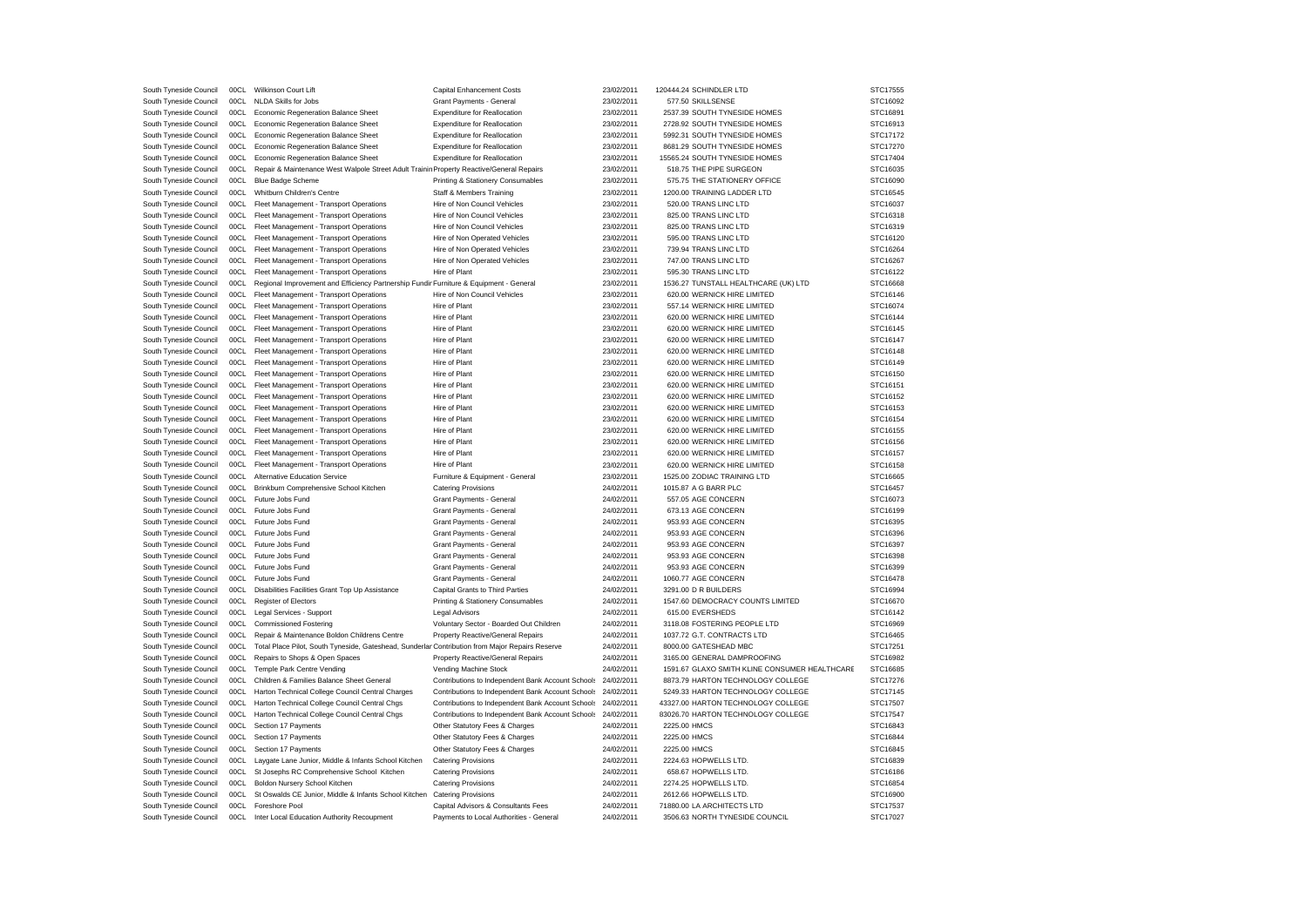| South Tyneside Council | 00CL | Wilkinson Court Lift                                                                            | <b>Capital Enhancement Costs</b>                  | 23/02/2011 | 120444.24 SCHINDLER LTD                       | STC17555 |
|------------------------|------|-------------------------------------------------------------------------------------------------|---------------------------------------------------|------------|-----------------------------------------------|----------|
| South Tyneside Council | 00CL | NLDA Skills for Jobs                                                                            | Grant Payments - General                          | 23/02/2011 | 577.50 SKILLSENSE                             | STC16092 |
| South Tyneside Council | 00CL | Economic Regeneration Balance Sheet                                                             | <b>Expenditure for Reallocation</b>               | 23/02/2011 | 2537.39 SOUTH TYNESIDE HOMES                  | STC16891 |
| South Tyneside Council | 00CL | Economic Regeneration Balance Sheet                                                             | <b>Expenditure for Reallocation</b>               | 23/02/2011 | 2728.92 SOUTH TYNESIDE HOMES                  | STC16913 |
| South Tyneside Council | 00CL | Economic Regeneration Balance Sheet                                                             | <b>Expenditure for Reallocation</b>               | 23/02/2011 | 5992.31 SOUTH TYNESIDE HOMES                  | STC17172 |
| South Tyneside Council | 00CL | Economic Regeneration Balance Sheet                                                             | <b>Expenditure for Reallocation</b>               | 23/02/2011 | 8681.29 SOUTH TYNESIDE HOMES                  | STC17270 |
| South Tyneside Council | 00CL | Economic Regeneration Balance Sheet                                                             | <b>Expenditure for Reallocation</b>               | 23/02/2011 | 15565.24 SOUTH TYNESIDE HOMES                 | STC17404 |
| South Tyneside Council | 00CL | Repair & Maintenance West Walpole Street Adult Trainin Property Reactive/General Repairs        |                                                   | 23/02/2011 | 518.75 THE PIPE SURGEON                       | STC16035 |
| South Tyneside Council | 00CL | <b>Blue Badge Scheme</b>                                                                        | Printing & Stationery Consumables                 | 23/02/2011 | 575.75 THE STATIONERY OFFICE                  | STC16090 |
| South Tyneside Council | 00CL | Whitburn Children's Centre                                                                      | Staff & Members Training                          | 23/02/2011 | 1200.00 TRAINING LADDER LTD                   | STC16545 |
| South Tyneside Council | 00CL | Fleet Management - Transport Operations                                                         | Hire of Non Council Vehicles                      | 23/02/2011 | 520.00 TRANS LINC LTD                         | STC16037 |
| South Tyneside Council | 00CL | Fleet Management - Transport Operations                                                         | Hire of Non Council Vehicles                      | 23/02/2011 | 825.00 TRANS LINC LTD                         | STC16318 |
| South Tyneside Council | 00CL | Fleet Management - Transport Operations                                                         | Hire of Non Council Vehicles                      | 23/02/2011 | 825.00 TRANS LINC LTD                         | STC16319 |
| South Tyneside Council | 00CL | Fleet Management - Transport Operations                                                         | Hire of Non Operated Vehicles                     | 23/02/2011 | 595.00 TRANS LINC LTD                         | STC16120 |
| South Tyneside Council | 00CL | Fleet Management - Transport Operations                                                         | Hire of Non Operated Vehicles                     | 23/02/2011 | 739.94 TRANS LINC LTD                         | STC16264 |
| South Tyneside Council | 00CL |                                                                                                 |                                                   | 23/02/2011 | 747.00 TRANS LINC LTD                         | STC16267 |
|                        |      | Fleet Management - Transport Operations                                                         | Hire of Non Operated Vehicles                     |            |                                               |          |
| South Tyneside Council | 00CL | Fleet Management - Transport Operations                                                         | Hire of Plant                                     | 23/02/2011 | 595.30 TRANS LINC LTD                         | STC16122 |
| South Tyneside Council | 00CL | Regional Improvement and Efficiency Partnership Fundir Furniture & Equipment - General          |                                                   | 23/02/2011 | 1536.27 TUNSTALL HEALTHCARE (UK) LTD          | STC16668 |
| South Tyneside Council | 00CL | Fleet Management - Transport Operations                                                         | Hire of Non Council Vehicles                      | 23/02/2011 | 620.00 WERNICK HIRE LIMITED                   | STC16146 |
| South Tyneside Council | 00CL | Fleet Management - Transport Operations                                                         | Hire of Plant                                     | 23/02/2011 | 557.14 WERNICK HIRE LIMITED                   | STC16074 |
| South Tyneside Council | 00CL | Fleet Management - Transport Operations                                                         | Hire of Plant                                     | 23/02/2011 | 620.00 WERNICK HIRE LIMITED                   | STC16144 |
| South Tyneside Council | 00C1 | Fleet Management - Transport Operations                                                         | Hire of Plant                                     | 23/02/2011 | 620.00 WERNICK HIRE LIMITED                   | STC16145 |
| South Tyneside Council | 00CL | Fleet Management - Transport Operations                                                         | Hire of Plant                                     | 23/02/2011 | 620.00 WERNICK HIRE LIMITED                   | STC16147 |
| South Tyneside Council | 00CL | Fleet Management - Transport Operations                                                         | Hire of Plant                                     | 23/02/2011 | 620.00 WERNICK HIRE LIMITED                   | STC16148 |
| South Tyneside Council | 00CL | Fleet Management - Transport Operations                                                         | Hire of Plant                                     | 23/02/2011 | 620.00 WERNICK HIRE LIMITED                   | STC16149 |
| South Tyneside Council | 00CL | Fleet Management - Transport Operations                                                         | Hire of Plant                                     | 23/02/2011 | 620.00 WERNICK HIRE LIMITED                   | STC16150 |
| South Tyneside Council | 00CL | Fleet Management - Transport Operations                                                         | Hire of Plant                                     | 23/02/2011 | 620.00 WERNICK HIRE LIMITED                   | STC16151 |
| South Tyneside Council | 00CL | Fleet Management - Transport Operations                                                         | Hire of Plant                                     | 23/02/2011 | 620.00 WERNICK HIRE LIMITED                   | STC16152 |
| South Tyneside Council | 00CL | Fleet Management - Transport Operations                                                         | Hire of Plant                                     | 23/02/2011 | 620.00 WERNICK HIRE LIMITED                   | STC16153 |
| South Tyneside Council | 00CL | Fleet Management - Transport Operations                                                         | Hire of Plant                                     | 23/02/2011 | 620.00 WERNICK HIRE LIMITED                   | STC16154 |
| South Tyneside Council | 00CL | Fleet Management - Transport Operations                                                         | Hire of Plant                                     | 23/02/2011 | 620.00 WERNICK HIRE LIMITED                   | STC16155 |
| South Tyneside Council | 00CL | Fleet Management - Transport Operations                                                         | Hire of Plant                                     | 23/02/2011 | 620.00 WERNICK HIRE LIMITED                   | STC16156 |
| South Tyneside Council | 00CL | Fleet Management - Transport Operations                                                         | Hire of Plant                                     | 23/02/2011 | 620.00 WERNICK HIRE LIMITED                   | STC16157 |
| South Tyneside Council | 00CL | Fleet Management - Transport Operations                                                         | Hire of Plant                                     | 23/02/2011 | 620.00 WERNICK HIRE LIMITED                   | STC16158 |
| South Tyneside Council | 00CL | Alternative Education Service                                                                   | Furniture & Equipment - General                   | 23/02/2011 | 1525.00 ZODIAC TRAINING LTD                   | STC16665 |
|                        | 00C1 | Brinkburn Comprehensive School Kitchen                                                          | <b>Catering Provisions</b>                        | 24/02/2011 | 1015.87 A G BARR PLC                          | STC16457 |
| South Tyneside Council |      |                                                                                                 |                                                   |            |                                               |          |
| South Tyneside Council | 00CL | Future Jobs Fund                                                                                | Grant Payments - General                          | 24/02/2011 | 557.05 AGE CONCERN                            | STC16073 |
| South Tyneside Council | 00CL | Future Jobs Fund                                                                                | Grant Payments - General                          | 24/02/2011 | 673.13 AGE CONCERN                            | STC16199 |
| South Tyneside Council | 00CL | Future Jobs Fund                                                                                | Grant Payments - General                          | 24/02/2011 | 953.93 AGE CONCERN                            | STC16395 |
| South Tyneside Council | 00CL | Future Jobs Fund                                                                                | Grant Payments - General                          | 24/02/2011 | 953.93 AGE CONCERN                            | STC16396 |
| South Tyneside Council | 00CL | Future Jobs Fund                                                                                | Grant Payments - General                          | 24/02/2011 | 953.93 AGE CONCERN                            | STC16397 |
| South Tyneside Council | 00C1 | Future Jobs Fund                                                                                | Grant Payments - General                          | 24/02/2011 | 953.93 AGE CONCERN                            | STC16398 |
| South Tyneside Council | 00CL | Future Jobs Fund                                                                                | Grant Payments - General                          | 24/02/2011 | 953.93 AGE CONCERN                            | STC16399 |
| South Tyneside Council | 00CL | Future Jobs Fund                                                                                | Grant Payments - General                          | 24/02/2011 | 1060.77 AGE CONCERN                           | STC16478 |
| South Tyneside Council | 00C1 | Disabilities Facilities Grant Top Up Assistance                                                 | Capital Grants to Third Parties                   | 24/02/2011 | 3291.00 D R BUILDERS                          | STC16994 |
| South Tyneside Council | 00CL | <b>Register of Electors</b>                                                                     | Printing & Stationery Consumables                 | 24/02/2011 | 1547.60 DEMOCRACY COUNTS LIMITED              | STC16670 |
| South Tyneside Council | 00CL | Legal Services - Support                                                                        | Legal Advisors                                    | 24/02/2011 | 615.00 EVERSHEDS                              | STC16142 |
| South Tyneside Council | 00CL | <b>Commissioned Fostering</b>                                                                   | Voluntary Sector - Boarded Out Children           | 24/02/2011 | 3118.08 FOSTERING PEOPLE LTD                  | STC16969 |
| South Tyneside Council | 00CL | Repair & Maintenance Boldon Childrens Centre                                                    | Property Reactive/General Repairs                 | 24/02/2011 | 1037.72 G.T. CONTRACTS LTD                    | STC16465 |
| South Tyneside Council | 00CL | Total Place Pilot, South Tyneside, Gateshead, Sunderlar Contribution from Major Repairs Reserve |                                                   | 24/02/2011 | 8000.00 GATESHEAD MBC                         | STC17251 |
| South Tyneside Council | 00CL | Repairs to Shops & Open Spaces                                                                  | Property Reactive/General Repairs                 | 24/02/2011 | 3165.00 GENERAL DAMPROOFING                   | STC16982 |
| South Tyneside Council | 00C1 | Temple Park Centre Vending                                                                      | Vending Machine Stock                             | 24/02/2011 | 1591.67 GLAXO SMITH KLINE CONSUMER HEALTHCARE | STC16685 |
| South Tyneside Council | 00CL | Children & Families Balance Sheet General                                                       | Contributions to Independent Bank Account Schools | 24/02/2011 | 8873.79 HARTON TECHNOLOGY COLLEGE             | STC17276 |
| South Tyneside Council | 00CL | Harton Technical College Council Central Charges                                                | Contributions to Independent Bank Account Schools | 24/02/2011 | 5249.33 HARTON TECHNOLOGY COLLEGE             | STC17145 |
| South Tyneside Council | 00C1 | Harton Technical College Council Central Chgs                                                   | Contributions to Independent Bank Account Schools | 24/02/2011 | 43327.00 HARTON TECHNOLOGY COLLEGE            | STC17507 |
| South Tyneside Council | 00CL | Harton Technical College Council Central Chgs                                                   | Contributions to Independent Bank Account Schools | 24/02/2011 | 83026.70 HARTON TECHNOLOGY COLLEGE            | STC17547 |
|                        | 00CL | Section 17 Payments                                                                             |                                                   | 24/02/2011 | 2225.00 HMCS                                  |          |
| South Tyneside Council |      |                                                                                                 | Other Statutory Fees & Charges                    |            |                                               | STC16843 |
| South Tyneside Council | 00CL | Section 17 Payments                                                                             | Other Statutory Fees & Charges                    | 24/02/2011 | 2225.00 HMCS                                  | STC16844 |
| South Tyneside Council | 00CL | Section 17 Payments                                                                             | Other Statutory Fees & Charges                    | 24/02/2011 | 2225.00 HMCS                                  | STC16845 |
| South Tyneside Council | 00CL | Laygate Lane Junior, Middle & Infants School Kitchen                                            | <b>Catering Provisions</b>                        | 24/02/2011 | 2224.63 HOPWELLS LTD.                         | STC16839 |
| South Tyneside Council | 00CL | St Josephs RC Comprehensive School Kitchen                                                      | <b>Catering Provisions</b>                        | 24/02/2011 | 658.67 HOPWELLS LTD.                          | STC16186 |
| South Tyneside Council | 00CL | Boldon Nursery School Kitchen                                                                   | <b>Catering Provisions</b>                        | 24/02/2011 | 2274.25 HOPWELLS LTD.                         | STC16854 |
| South Tyneside Council | 00C1 | St Oswalds CE Junior, Middle & Infants School Kitchen                                           | <b>Catering Provisions</b>                        | 24/02/2011 | 2612.66 HOPWELLS LTD.                         | STC16900 |
| South Tyneside Council | 00CL | Foreshore Pool                                                                                  | Capital Advisors & Consultants Fees               | 24/02/2011 | 71880.00 LA ARCHITECTS LTD                    | STC17537 |
| South Tyneside Council | 00CL | Inter Local Education Authority Recoupment                                                      | Payments to Local Authorities - General           | 24/02/2011 | 3506.63 NORTH TYNESIDE COUNCIL                | STC17027 |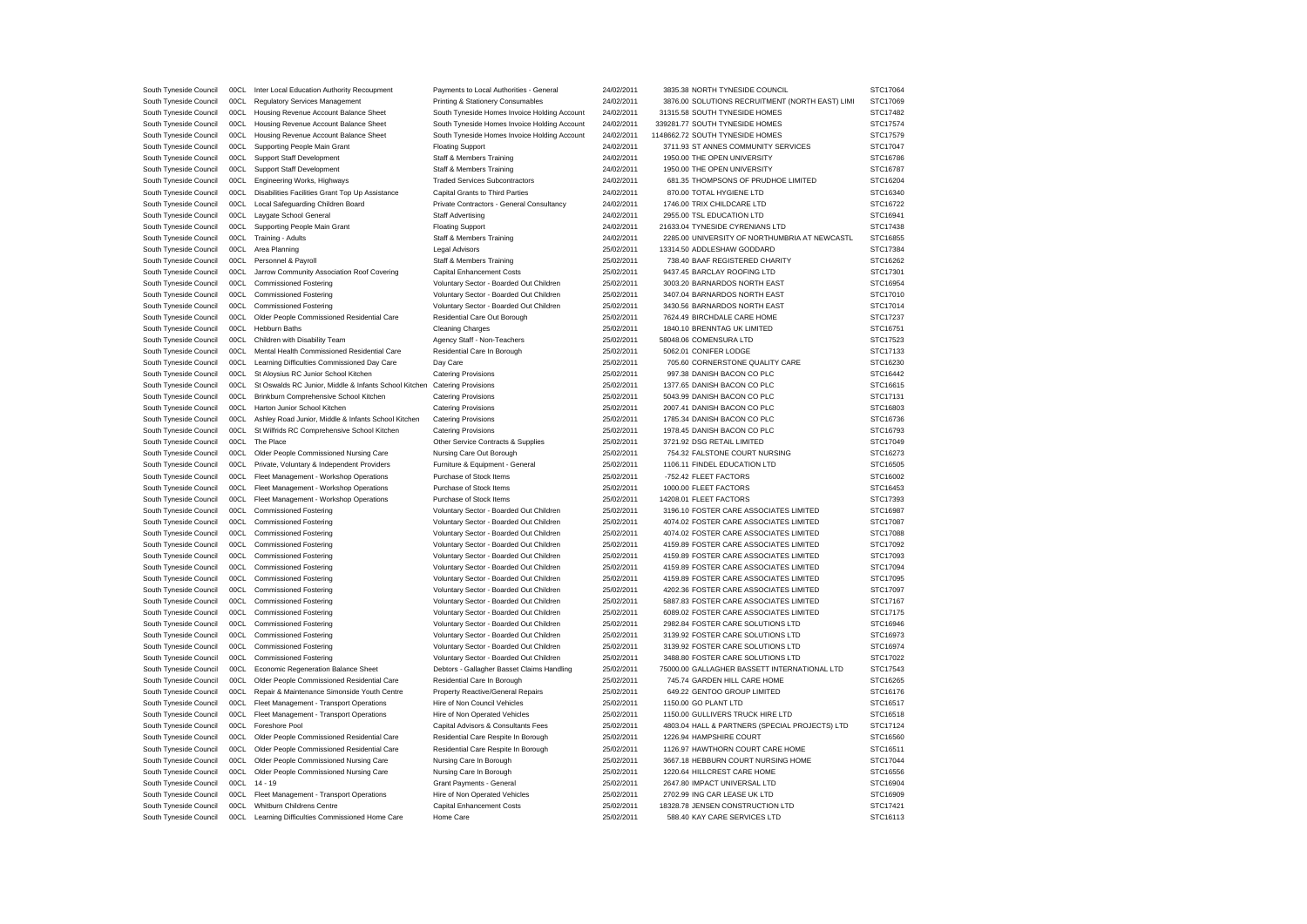| South Tyneside Council                           | 00CL | Inter Local Education Authority Recoupment            | Payments to Local Authorities - General      | 24/02/2011               | 3835.38 NORTH TYNESIDE COUNCIL                  | STC17064 |
|--------------------------------------------------|------|-------------------------------------------------------|----------------------------------------------|--------------------------|-------------------------------------------------|----------|
| South Tyneside Council                           | 00C1 | <b>Regulatory Services Management</b>                 | Printing & Stationery Consumables            | 24/02/2011               | 3876.00 SOLUTIONS RECRUITMENT (NORTH EAST) LIMI | STC17069 |
| South Tyneside Council                           | 00CL | Housing Revenue Account Balance Sheet                 | South Tyneside Homes Invoice Holding Account | 24/02/2011               | 31315.58 SOUTH TYNESIDE HOMES                   | STC17482 |
| South Tyneside Council                           | 00CL | Housing Revenue Account Balance Sheet                 | South Tyneside Homes Invoice Holding Account | 24/02/2011               | 339281.77 SOUTH TYNESIDE HOMES                  | STC17574 |
| South Tyneside Council                           | 00CL | Housing Revenue Account Balance Sheet                 | South Tyneside Homes Invoice Holding Account | 24/02/2011               | 1148662.72 SOUTH TYNESIDE HOMES                 | STC17579 |
| South Tyneside Council                           | 00CL | Supporting People Main Grant                          | <b>Floating Support</b>                      | 24/02/2011               | 3711.93 ST ANNES COMMUNITY SERVICES             | STC17047 |
| South Tyneside Council                           | 00CL | Support Staff Development                             | Staff & Members Training                     | 24/02/2011               | 1950.00 THE OPEN UNIVERSITY                     | STC16786 |
| South Tyneside Council                           | 00CL | Support Staff Development                             | Staff & Members Training                     | 24/02/2011               | 1950.00 THE OPEN UNIVERSITY                     | STC16787 |
| South Tyneside Council                           | 00CL | Engineering Works, Highways                           | <b>Traded Services Subcontractors</b>        | 24/02/2011               | 681.35 THOMPSONS OF PRUDHOE LIMITED             | STC16204 |
| South Tyneside Council                           | 00CL | Disabilities Facilities Grant Top Up Assistance       | Capital Grants to Third Parties              | 24/02/2011               | 870.00 TOTAL HYGIENE LTD                        | STC16340 |
| South Tyneside Council                           | 00CL | Local Safeguarding Children Board                     | Private Contractors - General Consultancy    | 24/02/2011               | 1746.00 TRIX CHILDCARE LTD                      | STC16722 |
| South Tyneside Council                           | 00CL | Laygate School General                                | Staff Advertising                            | 24/02/2011               | 2955.00 TSL EDUCATION LTD                       | STC16941 |
| South Tyneside Council                           | 00CL | Supporting People Main Grant                          | <b>Floating Support</b>                      | 24/02/2011               | 21633.04 TYNESIDE CYRENIANS LTD                 | STC17438 |
| South Tyneside Council                           | 00CL | Training - Adults                                     | Staff & Members Training                     | 24/02/2011               | 2285.00 UNIVERSITY OF NORTHUMBRIA AT NEWCASTL   | STC16855 |
| South Tyneside Council                           | 00CL | Area Planning                                         | <b>Legal Advisors</b>                        | 25/02/2011               | 13314.50 ADDLESHAW GODDARD                      | STC17384 |
| South Tyneside Council                           | 00CL | Personnel & Payroll                                   | <b>Staff &amp; Members Training</b>          | 25/02/2011               | 738.40 BAAF REGISTERED CHARITY                  | STC16262 |
| South Tyneside Council                           | 00CL | Jarrow Community Association Roof Covering            | <b>Capital Enhancement Costs</b>             | 25/02/2011               | 9437.45 BARCLAY ROOFING LTD                     | STC17301 |
| South Tyneside Council                           | 00CL | <b>Commissioned Fostering</b>                         | Voluntary Sector - Boarded Out Children      | 25/02/2011               | 3003.20 BARNARDOS NORTH EAST                    | STC16954 |
| South Tyneside Council                           | 00CL | <b>Commissioned Fostering</b>                         | Voluntary Sector - Boarded Out Children      | 25/02/2011               | 3407.04 BARNARDOS NORTH EAST                    | STC17010 |
| South Tyneside Council                           | 00CL | <b>Commissioned Fostering</b>                         | Voluntary Sector - Boarded Out Children      | 25/02/2011               | 3430.56 BARNARDOS NORTH EAST                    | STC17014 |
| South Tyneside Council                           | 00CL | Older People Commissioned Residential Care            | Residential Care Out Borough                 | 25/02/2011               | 7624.49 BIRCHDALE CARE HOME                     | STC17237 |
| South Tyneside Council                           | 00CL | <b>Hebburn Baths</b>                                  | <b>Cleaning Charges</b>                      | 25/02/2011               | 1840.10 BRENNTAG UK LIMITED                     | STC16751 |
| South Tyneside Council                           | 00C1 | Children with Disability Team                         | Agency Staff - Non-Teachers                  | 25/02/2011               | 58048.06 COMENSURA LTD                          | STC17523 |
|                                                  | 00CL | Mental Health Commissioned Residential Care           | Residential Care In Borough                  |                          | 5062.01 CONIFER LODGE                           | STC17133 |
| South Tyneside Council<br>South Tyneside Council | 00CL | Learning Difficulties Commissioned Day Care           |                                              | 25/02/2011<br>25/02/2011 | 705.60 CORNERSTONE QUALITY CARE                 | STC16230 |
|                                                  |      |                                                       | Day Care                                     |                          |                                                 |          |
| South Tyneside Council                           | 00CL | St Aloysius RC Junior School Kitchen                  | <b>Catering Provisions</b>                   | 25/02/2011               | 997.38 DANISH BACON CO PLC                      | STC16442 |
| South Tyneside Council                           | 00CL | St Oswalds RC Junior, Middle & Infants School Kitchen | <b>Catering Provisions</b>                   | 25/02/2011               | 1377.65 DANISH BACON CO PLC                     | STC16615 |
| South Tyneside Council                           | 00CL | Brinkburn Comprehensive School Kitchen                | <b>Catering Provisions</b>                   | 25/02/2011               | 5043.99 DANISH BACON CO PLC                     | STC17131 |
| South Tyneside Council                           | 00CL | Harton Junior School Kitchen                          | <b>Catering Provisions</b>                   | 25/02/2011               | 2007.41 DANISH BACON CO PLC                     | STC16803 |
| South Tyneside Council                           | 00C1 | Ashley Road Junior, Middle & Infants School Kitchen   | <b>Catering Provisions</b>                   | 25/02/2011               | 1785.34 DANISH BACON CO PLC                     | STC16736 |
| South Tyneside Council                           | 00C1 | St Wilfrids RC Comprehensive School Kitchen           | <b>Catering Provisions</b>                   | 25/02/2011               | 1978.45 DANISH BACON CO PLC                     | STC16793 |
| South Tyneside Council                           | 00CL | The Place                                             | Other Service Contracts & Supplies           | 25/02/2011               | 3721.92 DSG RETAIL LIMITED                      | STC17049 |
| South Tyneside Council                           | 00CL | Older People Commissioned Nursing Care                | Nursing Care Out Borough                     | 25/02/2011               | 754.32 FALSTONE COURT NURSING                   | STC16273 |
| South Tyneside Council                           | 00CL | Private, Voluntary & Independent Providers            | Furniture & Equipment - General              | 25/02/2011               | 1106.11 FINDEL EDUCATION LTD                    | STC16505 |
| South Tyneside Council                           | 00CL | Fleet Management - Workshop Operations                | Purchase of Stock Items                      | 25/02/2011               | -752.42 FLEET FACTORS                           | STC16002 |
| South Tyneside Council                           | 00CL | Fleet Management - Workshop Operations                | Purchase of Stock Items                      | 25/02/2011               | 1000.00 FLEET FACTORS                           | STC16453 |
| South Tyneside Council                           | 00CL | Fleet Management - Workshop Operations                | Purchase of Stock Items                      | 25/02/2011               | 14208.01 FLEET FACTORS                          | STC17393 |
| South Tyneside Council                           | 00CL | <b>Commissioned Fostering</b>                         | Voluntary Sector - Boarded Out Children      | 25/02/2011               | 3196.10 FOSTER CARE ASSOCIATES LIMITED          | STC16987 |
| South Tyneside Council                           | 00CL | <b>Commissioned Fostering</b>                         | Voluntary Sector - Boarded Out Children      | 25/02/2011               | 4074.02 FOSTER CARE ASSOCIATES LIMITED          | STC17087 |
| South Tyneside Council                           | 00CL | <b>Commissioned Fostering</b>                         | Voluntary Sector - Boarded Out Children      | 25/02/2011               | 4074.02 FOSTER CARE ASSOCIATES LIMITED          | STC17088 |
| South Tyneside Council                           | 00CL | <b>Commissioned Fostering</b>                         | Voluntary Sector - Boarded Out Children      | 25/02/2011               | 4159.89 FOSTER CARE ASSOCIATES LIMITED          | STC17092 |
| South Tyneside Council                           | 00CL | <b>Commissioned Fostering</b>                         | Voluntary Sector - Boarded Out Children      | 25/02/2011               | 4159.89 FOSTER CARE ASSOCIATES LIMITED          | STC17093 |
| South Tyneside Council                           | 00C1 | <b>Commissioned Fostering</b>                         | Voluntary Sector - Boarded Out Children      | 25/02/2011               | 4159.89 FOSTER CARE ASSOCIATES LIMITED          | STC17094 |
| South Tyneside Council                           | 00CL | <b>Commissioned Fostering</b>                         | Voluntary Sector - Boarded Out Children      | 25/02/2011               | 4159.89 FOSTER CARE ASSOCIATES LIMITED          | STC17095 |
| South Tyneside Council                           | 00CL | <b>Commissioned Fostering</b>                         | Voluntary Sector - Boarded Out Children      | 25/02/2011               | 4202.36 FOSTER CARE ASSOCIATES LIMITED          | STC17097 |
| South Tyneside Council                           | 00CL | <b>Commissioned Fostering</b>                         | Voluntary Sector - Boarded Out Children      | 25/02/2011               | 5887.83 FOSTER CARE ASSOCIATES LIMITED          | STC17167 |
| South Tyneside Council                           | 00CL | <b>Commissioned Fostering</b>                         | Voluntary Sector - Boarded Out Children      | 25/02/2011               | 6089.02 FOSTER CARE ASSOCIATES LIMITED          | STC17175 |
| South Tyneside Council                           | 00CL | <b>Commissioned Fostering</b>                         | Voluntary Sector - Boarded Out Children      | 25/02/2011               | 2982.84 FOSTER CARE SOLUTIONS LTD               | STC16946 |
| South Tyneside Council                           | 00CL | <b>Commissioned Fostering</b>                         | Voluntary Sector - Boarded Out Children      | 25/02/2011               | 3139.92 FOSTER CARE SOLUTIONS LTD               | STC16973 |
| South Tyneside Council                           | 00CL | <b>Commissioned Fostering</b>                         | Voluntary Sector - Boarded Out Children      | 25/02/2011               | 3139.92 FOSTER CARE SOLUTIONS LTD               | STC16974 |
| South Tyneside Council                           | 00CL | <b>Commissioned Fostering</b>                         | Voluntary Sector - Boarded Out Children      | 25/02/2011               | 3488.80 FOSTER CARE SOLUTIONS LTD               | STC17022 |
| South Tyneside Council                           | 00CL | Economic Regeneration Balance Sheet                   | Debtors - Gallagher Basset Claims Handling   | 25/02/2011               | 75000.00 GALLAGHER BASSETT INTERNATIONAL LTD    | STC17543 |
| South Tyneside Council                           | 00CL | Older People Commissioned Residential Care            | Residential Care In Borough                  | 25/02/2011               | 745.74 GARDEN HILL CARE HOME                    | STC16265 |
| South Tyneside Council                           | 00CL | Repair & Maintenance Simonside Youth Centre           | <b>Property Reactive/General Repairs</b>     | 25/02/2011               | 649.22 GENTOO GROUP LIMITED                     | STC16176 |
| South Tyneside Council                           | 00CL | Fleet Management - Transport Operations               | Hire of Non Council Vehicles                 | 25/02/2011               | 1150.00 GO PLANT LTD                            | STC16517 |
| South Tyneside Council                           | 00CL | Fleet Management - Transport Operations               | Hire of Non Operated Vehicles                | 25/02/2011               | 1150.00 GULLIVERS TRUCK HIRE LTD                | STC16518 |
| South Tyneside Council                           | 00CL | Foreshore Pool                                        | Capital Advisors & Consultants Fees          | 25/02/2011               | 4803.04 HALL & PARTNERS (SPECIAL PROJECTS) LTD  | STC17124 |
| South Tyneside Council                           | 00CL | Older People Commissioned Residential Care            | Residential Care Respite In Borough          | 25/02/2011               | 1226.94 HAMPSHIRE COURT                         | STC16560 |
| South Tyneside Council                           | 00CL | Older People Commissioned Residential Care            | Residential Care Respite In Borough          | 25/02/2011               | 1126.97 HAWTHORN COURT CARE HOME                | STC16511 |
| South Tyneside Council                           | 00CL | Older People Commissioned Nursing Care                | Nursing Care In Borough                      | 25/02/2011               | 3667.18 HEBBURN COURT NURSING HOME              | STC17044 |
| South Tyneside Council                           | 00CL | Older People Commissioned Nursing Care                | Nursing Care In Borough                      | 25/02/2011               | 1220.64 HILLCREST CARE HOME                     | STC16556 |
| South Tyneside Council                           | 00CL | $14 - 19$                                             | Grant Payments - General                     | 25/02/2011               | 2647.80 IMPACT UNIVERSAL LTD                    | STC16904 |
| South Tyneside Council                           | 00CL | Fleet Management - Transport Operations               | Hire of Non Operated Vehicles                | 25/02/2011               | 2702.99 ING CAR LEASE UK LTD                    | STC16909 |
| South Tyneside Council                           | 00CL | Whitburn Childrens Centre                             | <b>Capital Enhancement Costs</b>             | 25/02/2011               | 18328.78 JENSEN CONSTRUCTION LTD                | STC17421 |
| South Tyneside Council                           | 00CL | Learning Difficulties Commissioned Home Care          | Home Care                                    | 25/02/2011               | 588.40 KAY CARE SERVICES LTD                    | STC16113 |
|                                                  |      |                                                       |                                              |                          |                                                 |          |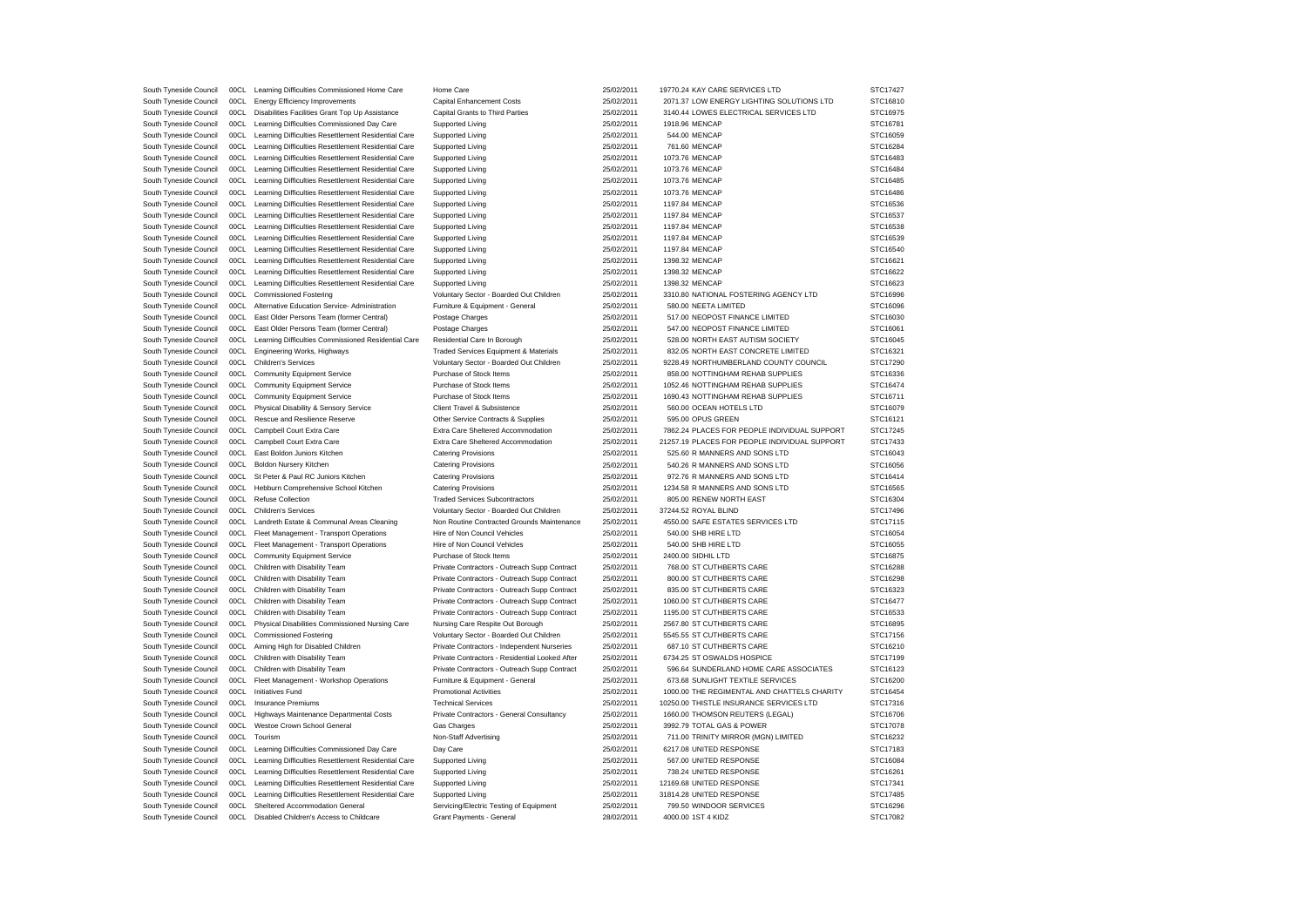| South Tyneside Council | 00CL | Learning Difficulties Commissioned Home Care        | Home Care                                      | 25/02/2011 | 19770.24 KAY CARE SERVICES LTD                | STC17427 |
|------------------------|------|-----------------------------------------------------|------------------------------------------------|------------|-----------------------------------------------|----------|
| South Tyneside Council | 00CL | <b>Energy Efficiency Improvements</b>               | <b>Capital Enhancement Costs</b>               | 25/02/2011 | 2071.37 LOW ENERGY LIGHTING SOLUTIONS LTD     | STC16810 |
| South Tyneside Council | 00CL | Disabilities Facilities Grant Top Up Assistance     | Capital Grants to Third Parties                | 25/02/2011 | 3140.44 LOWES ELECTRICAL SERVICES LTD         | STC16975 |
| South Tyneside Council | 00CL | Learning Difficulties Commissioned Day Care         | Supported Living                               | 25/02/2011 | 1918.96 MENCAP                                | STC16781 |
| South Tyneside Council | 00CL | Learning Difficulties Resettlement Residential Care | Supported Living                               | 25/02/2011 | 544.00 MENCAP                                 | STC16059 |
| South Tyneside Council | 00C1 | Learning Difficulties Resettlement Residential Care | Supported Living                               | 25/02/2011 | 761.60 MENCAP                                 | STC16284 |
| South Tyneside Council | 00CL | Learning Difficulties Resettlement Residential Care | Supported Living                               | 25/02/2011 | 1073.76 MENCAP                                | STC16483 |
| South Tyneside Council | 00CL | Learning Difficulties Resettlement Residential Care | Supported Living                               | 25/02/2011 | 1073.76 MENCAP                                | STC16484 |
| South Tyneside Council | 00CL | Learning Difficulties Resettlement Residential Care | <b>Supported Living</b>                        | 25/02/2011 | 1073.76 MENCAP                                | STC16485 |
| South Tyneside Council | 00CL | Learning Difficulties Resettlement Residential Care | Supported Living                               | 25/02/2011 | 1073.76 MENCAP                                | STC16486 |
| South Tyneside Council | 00CL | Learning Difficulties Resettlement Residential Care | Supported Living                               | 25/02/2011 | 1197.84 MENCAP                                | STC16536 |
| South Tyneside Council | 00CL | Learning Difficulties Resettlement Residential Care | Supported Living                               | 25/02/2011 | 1197.84 MENCAP                                | STC16537 |
| South Tyneside Council | 00CL | Learning Difficulties Resettlement Residential Care | Supported Living                               | 25/02/2011 | 1197.84 MENCAP                                | STC16538 |
| South Tyneside Council | 00C1 | Learning Difficulties Resettlement Residential Care | Supported Living                               | 25/02/2011 | 1197.84 MENCAP                                | STC16539 |
| South Tyneside Council | 00CL | Learning Difficulties Resettlement Residential Care | Supported Living                               | 25/02/2011 | 1197.84 MENCAP                                | STC16540 |
| South Tyneside Council | 00CL | Learning Difficulties Resettlement Residential Care | Supported Living                               | 25/02/2011 | 1398.32 MENCAP                                | STC16621 |
| South Tyneside Council | 00CL | Learning Difficulties Resettlement Residential Care | Supported Living                               | 25/02/2011 | 1398.32 MENCAP                                | STC16622 |
| South Tyneside Council | 00CL | Learning Difficulties Resettlement Residential Care | Supported Living                               | 25/02/2011 | 1398.32 MENCAP                                | STC16623 |
| South Tyneside Council | 00CL | <b>Commissioned Fostering</b>                       | Voluntary Sector - Boarded Out Children        | 25/02/2011 | 3310.80 NATIONAL FOSTERING AGENCY LTD         | STC16996 |
|                        | 00C1 |                                                     |                                                |            |                                               |          |
| South Tyneside Council |      | Alternative Education Service- Administration       | Furniture & Equipment - General                | 25/02/2011 | 580.00 NEETA LIMITED                          | STC16096 |
| South Tyneside Council | 00CL | East Older Persons Team (former Central)            | Postage Charges                                | 25/02/2011 | 517.00 NEOPOST FINANCE LIMITED                | STC16030 |
| South Tyneside Council | 00CL | East Older Persons Team (former Central)            | Postage Charges                                | 25/02/2011 | 547.00 NEOPOST FINANCE LIMITED                | STC16061 |
| South Tyneside Council | 00CL | Learning Difficulties Commissioned Residential Care | Residential Care In Borough                    | 25/02/2011 | 528.00 NORTH EAST AUTISM SOCIETY              | STC16045 |
| South Tyneside Council | 00CL | Engineering Works, Highways                         | Traded Services Equipment & Materials          | 25/02/2011 | 832.05 NORTH EAST CONCRETE LIMITED            | STC16321 |
| South Tyneside Council | 00CL | <b>Children's Services</b>                          | Voluntary Sector - Boarded Out Children        | 25/02/2011 | 9228.49 NORTHUMBERLAND COUNTY COUNCIL         | STC17290 |
| South Tyneside Council | 00CL | <b>Community Equipment Service</b>                  | Purchase of Stock Items                        | 25/02/2011 | 858.00 NOTTINGHAM REHAB SUPPLIES              | STC16336 |
| South Tyneside Council | 00CL | <b>Community Equipment Service</b>                  | Purchase of Stock Items                        | 25/02/2011 | 1052.46 NOTTINGHAM REHAB SUPPLIES             | STC16474 |
| South Tyneside Council | 00CL | Community Equipment Service                         | Purchase of Stock Items                        | 25/02/2011 | 1690.43 NOTTINGHAM REHAB SUPPLIES             | STC16711 |
| South Tyneside Council | 00CL | Physical Disability & Sensory Service               | Client Travel & Subsistence                    | 25/02/2011 | 560.00 OCEAN HOTELS LTD                       | STC16079 |
| South Tyneside Council | 00CL | Rescue and Resilience Reserve                       | Other Service Contracts & Supplies             | 25/02/2011 | 595.00 OPUS GREEN                             | STC16121 |
| South Tyneside Council | 00CL | Campbell Court Extra Care                           | Extra Care Sheltered Accommodation             | 25/02/2011 | 7862.24 PLACES FOR PEOPLE INDIVIDUAL SUPPORT  | STC17245 |
| South Tyneside Council | 00CL | Campbell Court Extra Care                           | Extra Care Sheltered Accommodation             | 25/02/2011 | 21257.19 PLACES FOR PEOPLE INDIVIDUAL SUPPORT | STC17433 |
| South Tyneside Council | 00CL | East Boldon Juniors Kitchen                         | <b>Catering Provisions</b>                     | 25/02/2011 | 525.60 R MANNERS AND SONS LTD                 | STC16043 |
| South Tyneside Council | 00C1 | Boldon Nursery Kitchen                              | <b>Catering Provisions</b>                     | 25/02/2011 | 540.26 R MANNERS AND SONS LTD                 | STC16056 |
| South Tyneside Council | 00CL | St Peter & Paul RC Juniors Kitchen                  | <b>Catering Provisions</b>                     | 25/02/2011 | 972.76 R MANNERS AND SONS LTD                 | STC16414 |
| South Tyneside Council | 00CL | Hebburn Comprehensive School Kitchen                | <b>Catering Provisions</b>                     | 25/02/2011 | 1234.58 R MANNERS AND SONS LTD                | STC16565 |
| South Tyneside Council | 00CL | Refuse Collection                                   | <b>Traded Services Subcontractors</b>          | 25/02/2011 | 805.00 RENEW NORTH EAST                       | STC16304 |
| South Tyneside Council | 00CL | <b>Children's Services</b>                          | Voluntary Sector - Boarded Out Children        | 25/02/2011 | 37244.52 ROYAL BLIND                          | STC17496 |
| South Tyneside Council | 00CL | Landreth Estate & Communal Areas Cleaning           | Non Routine Contracted Grounds Maintenance     | 25/02/2011 | 4550.00 SAFE ESTATES SERVICES LTD             | STC17115 |
| South Tyneside Council | 00CL | Fleet Management - Transport Operations             | Hire of Non Council Vehicles                   | 25/02/2011 | 540.00 SHB HIRE LTD                           | STC16054 |
| South Tyneside Council | 00CL | Fleet Management - Transport Operations             | Hire of Non Council Vehicles                   | 25/02/2011 | 540.00 SHB HIRE LTD                           | STC16055 |
| South Tyneside Council | 00CL | <b>Community Equipment Service</b>                  | Purchase of Stock Items                        | 25/02/2011 | 2400.00 SIDHIL LTD                            | STC16875 |
| South Tyneside Council | 00CL | Children with Disability Team                       | Private Contractors - Outreach Supp Contract   | 25/02/2011 | 768.00 ST CUTHBERTS CARE                      | STC16288 |
| South Tyneside Council | 00CL | Children with Disability Team                       | Private Contractors - Outreach Supp Contract   | 25/02/2011 | 800.00 ST CUTHBERTS CARE                      | STC16298 |
|                        |      |                                                     |                                                |            |                                               |          |
| South Tyneside Council | 00CL | Children with Disability Team                       | Private Contractors - Outreach Supp Contract   | 25/02/2011 | 835.00 ST CUTHBERTS CARE                      | STC16323 |
| South Tyneside Council | 00CL | Children with Disability Team                       | Private Contractors - Outreach Supp Contract   | 25/02/2011 | 1060.00 ST CUTHBERTS CARE                     | STC16477 |
| South Tyneside Council | 00CL | Children with Disability Team                       | Private Contractors - Outreach Supp Contract   | 25/02/2011 | 1195.00 ST CUTHBERTS CARE                     | STC16533 |
| South Tyneside Council | 00C1 | Physical Disabilities Commissioned Nursing Care     | Nursing Care Respite Out Borough               | 25/02/2011 | 2567.80 ST CUTHBERTS CARE                     | STC16895 |
| South Tyneside Council | 00CL | <b>Commissioned Fostering</b>                       | Voluntary Sector - Boarded Out Children        | 25/02/2011 | 5545.55 ST CUTHBERTS CARE                     | STC17156 |
| South Tyneside Council | 00CL | Aiming High for Disabled Children                   | Private Contractors - Independent Nurseries    | 25/02/2011 | 687.10 ST CUTHBERTS CARE                      | STC16210 |
| South Tyneside Council | 00CL | Children with Disability Team                       | Private Contractors - Residential Looked After | 25/02/2011 | 6734.25 ST OSWALDS HOSPICE                    | STC17199 |
| South Tyneside Council | 00CL | Children with Disability Team                       | Private Contractors - Outreach Supp Contract   | 25/02/2011 | 596.64 SUNDERLAND HOME CARE ASSOCIATES        | STC16123 |
| South Tyneside Council | 00CL | Fleet Management - Workshop Operations              | Furniture & Equipment - General                | 25/02/2011 | 673.68 SUNLIGHT TEXTILE SERVICES              | STC16200 |
| South Tyneside Council | 00CL | Initiatives Fund                                    | <b>Promotional Activities</b>                  | 25/02/2011 | 1000.00 THE REGIMENTAL AND CHATTELS CHARITY   | STC16454 |
| South Tyneside Council | 00CL | <b>Insurance Premiums</b>                           | <b>Technical Services</b>                      | 25/02/2011 | 10250.00 THISTLE INSURANCE SERVICES LTD       | STC17316 |
| South Tyneside Council | 00CL | Highways Maintenance Departmental Costs             | Private Contractors - General Consultancy      | 25/02/2011 | 1660.00 THOMSON REUTERS (LEGAL)               | STC16706 |
| South Tyneside Council | 00CL | Westoe Crown School General                         | Gas Charges                                    | 25/02/2011 | 3992.79 TOTAL GAS & POWER                     | STC17078 |
| South Tyneside Council | 00CL | Tourism                                             | Non-Staff Advertising                          | 25/02/2011 | 711.00 TRINITY MIRROR (MGN) LIMITED           | STC16232 |
| South Tyneside Council | 00CL | Learning Difficulties Commissioned Day Care         | Day Care                                       | 25/02/2011 | 6217.08 UNITED RESPONSE                       | STC17183 |
| South Tyneside Council | 00CL | Learning Difficulties Resettlement Residential Care | Supported Living                               | 25/02/2011 | 567.00 UNITED RESPONSE                        | STC16084 |
| South Tyneside Council | 00CL | Learning Difficulties Resettlement Residential Care | <b>Supported Living</b>                        | 25/02/2011 | 738.24 UNITED RESPONSE                        | STC16261 |
| South Tyneside Council | 00CL | Learning Difficulties Resettlement Residential Care | Supported Living                               | 25/02/2011 | 12169.68 UNITED RESPONSE                      | STC17341 |
| South Tyneside Council | 00CL | Learning Difficulties Resettlement Residential Care | Supported Living                               | 25/02/2011 | 31814.28 UNITED RESPONSE                      | STC17485 |
| South Tyneside Council | 00CL | Sheltered Accommodation General                     | Servicing/Electric Testing of Equipment        | 25/02/2011 | 799.50 WINDOOR SERVICES                       | STC16296 |
| South Tyneside Council | 00CL | Disabled Children's Access to Childcare             | Grant Payments - General                       | 28/02/2011 | 4000.00 1ST 4 KIDZ                            | STC17082 |
|                        |      |                                                     |                                                |            |                                               |          |